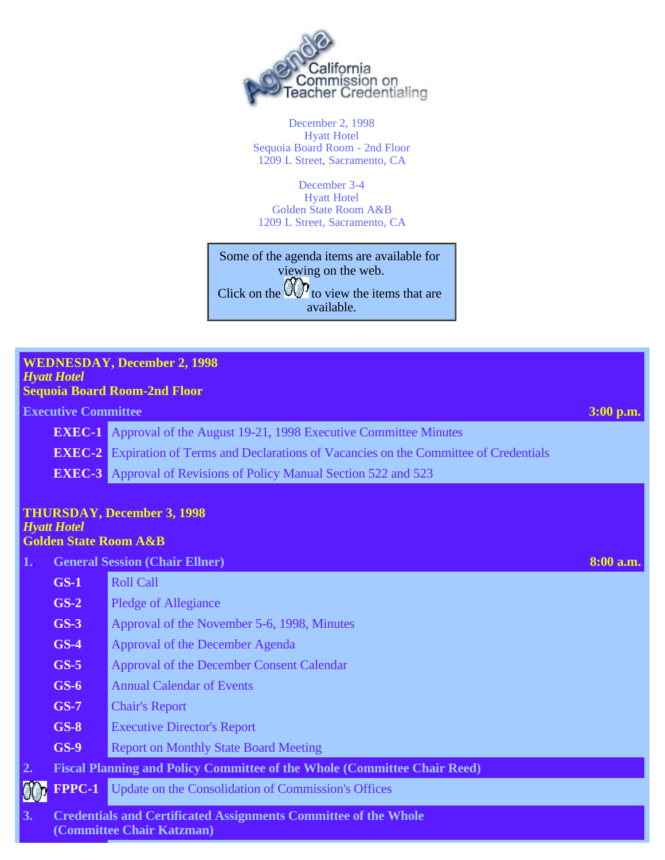

December 2, 1998 Hyatt Hotel Sequoia Board Room - 2nd Floor 1209 L Street, Sacramento, CA

December 3-4 Hyatt Hotel Golden State Room A&B 1209 L Street, Sacramento, CA

Some of the agenda items are available for viewing on the web. Click on the  $\mathbb{W}'$  to view the items that are available.

|    | <b>Hyatt Hotel</b>                                                                              | <b>WEDNESDAY, December 2, 1998</b>                                              |             |  |  |
|----|-------------------------------------------------------------------------------------------------|---------------------------------------------------------------------------------|-------------|--|--|
|    |                                                                                                 | <b>Sequoia Board Room-2nd Floor</b>                                             |             |  |  |
|    | <b>Executive Committee</b>                                                                      |                                                                                 | $3:00$ p.m. |  |  |
|    | <b>EXEC-1</b> Approval of the August 19-21, 1998 Executive Committee Minutes                    |                                                                                 |             |  |  |
|    | <b>EXEC-2</b> Expiration of Terms and Declarations of Vacancies on the Committee of Credentials |                                                                                 |             |  |  |
|    |                                                                                                 | <b>EXEC-3</b> Approval of Revisions of Policy Manual Section 522 and 523        |             |  |  |
|    |                                                                                                 |                                                                                 |             |  |  |
|    |                                                                                                 | <b>THURSDAY, December 3, 1998</b>                                               |             |  |  |
|    | <b>Hyatt Hotel</b>                                                                              | <b>Golden State Room A&amp;B</b>                                                |             |  |  |
| 1. |                                                                                                 | <b>General Session (Chair Ellner)</b>                                           | 8:00 a.m.   |  |  |
|    | $GS-1$                                                                                          | <b>Roll Call</b>                                                                |             |  |  |
|    | $GS-2$                                                                                          | <b>Pledge of Allegiance</b>                                                     |             |  |  |
|    | $GS-3$                                                                                          | Approval of the November 5-6, 1998, Minutes                                     |             |  |  |
|    | $GS-4$                                                                                          | Approval of the December Agenda                                                 |             |  |  |
|    | $GS-5$                                                                                          | <b>Approval of the December Consent Calendar</b>                                |             |  |  |
|    | $GS-6$                                                                                          | <b>Annual Calendar of Events</b>                                                |             |  |  |
|    | $GS-7$                                                                                          | <b>Chair's Report</b>                                                           |             |  |  |
|    | $GS-8$                                                                                          | <b>Executive Director's Report</b>                                              |             |  |  |
|    | <b>GS-9</b>                                                                                     | <b>Report on Monthly State Board Meeting</b>                                    |             |  |  |
| 2. |                                                                                                 | <b>Fiscal Planning and Policy Committee of the Whole (Committee Chair Reed)</b> |             |  |  |
|    | FPPC-1                                                                                          | Update on the Consolidation of Commission's Offices                             |             |  |  |
| 3. |                                                                                                 | <b>Credentials and Certificated Assignments Committee of the Whole</b>          |             |  |  |
|    | (Committee Chair Katzman)                                                                       |                                                                                 |             |  |  |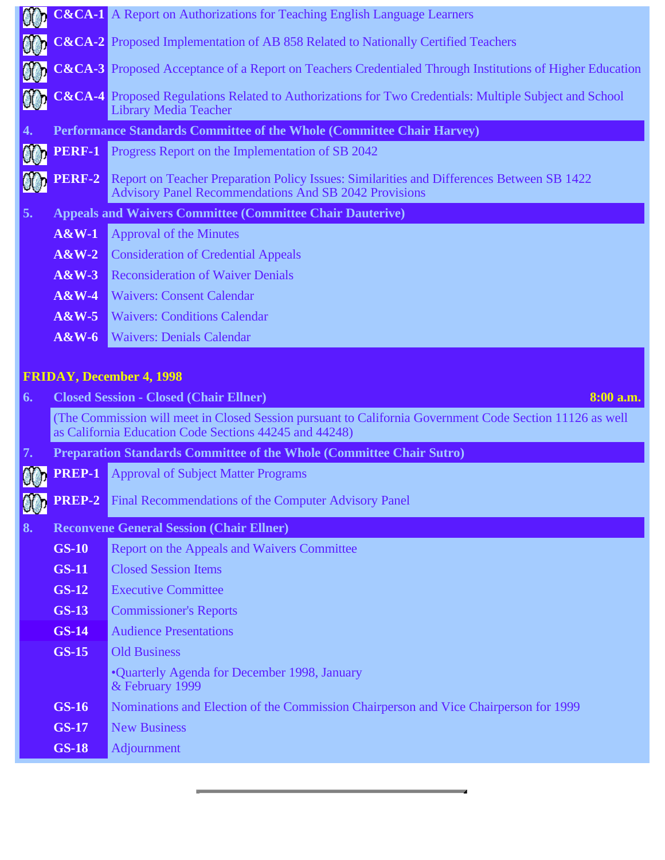|    |               | <b>C&amp;CA-1</b> A Report on Authorizations for Teaching English Language Learners                                                                                |
|----|---------------|--------------------------------------------------------------------------------------------------------------------------------------------------------------------|
|    |               | <b>C&amp;CA-2</b> Proposed Implementation of AB 858 Related to Nationally Certified Teachers                                                                       |
|    |               | C&CA-3 Proposed Acceptance of a Report on Teachers Credentialed Through Institutions of Higher Education                                                           |
|    |               | C&CA-4 Proposed Regulations Related to Authorizations for Two Credentials: Multiple Subject and School<br><b>Library Media Teacher</b>                             |
| 4. |               | Performance Standards Committee of the Whole (Committee Chair Harvey)                                                                                              |
|    | PERF-1        | Progress Report on the Implementation of SB 2042                                                                                                                   |
|    | <b>PERF-2</b> | Report on Teacher Preparation Policy Issues: Similarities and Differences Between SB 1422<br>Advisory Panel Recommendations And SB 2042 Provisions                 |
| 5. |               | <b>Appeals and Waivers Committee (Committee Chair Dauterive)</b>                                                                                                   |
|    | $A&W-1$       | <b>Approval of the Minutes</b>                                                                                                                                     |
|    | $A&W-2$       | <b>Consideration of Credential Appeals</b>                                                                                                                         |
|    | $A&W-3$       | <b>Reconsideration of Waiver Denials</b>                                                                                                                           |
|    | $A&W-4$       | <b>Waivers: Consent Calendar</b>                                                                                                                                   |
|    | $A&W-5$       | <b>Waivers: Conditions Calendar</b>                                                                                                                                |
|    | $A&W-6$       | <b>Waivers: Denials Calendar</b>                                                                                                                                   |
|    |               | <b>FRIDAY, December 4, 1998</b>                                                                                                                                    |
| 6. |               | <b>Closed Session - Closed (Chair Ellner)</b><br>8:00 a.m.                                                                                                         |
|    |               | (The Commission will meet in Closed Session pursuant to California Government Code Section 11126 as well<br>as California Education Code Sections 44245 and 44248) |
| 7. |               | <b>Preparation Standards Committee of the Whole (Committee Chair Sutro)</b>                                                                                        |
|    | <b>PREP-1</b> | <b>Approval of Subject Matter Programs</b>                                                                                                                         |
|    | PREP-2        | Final Recommendations of the Computer Advisory Panel                                                                                                               |
| 8. |               | <b>Reconvene General Session (Chair Ellner)</b>                                                                                                                    |
|    | <b>GS-10</b>  | Report on the Appeals and Waivers Committee                                                                                                                        |
|    | <b>GS-11</b>  | <b>Closed Session Items</b>                                                                                                                                        |
|    | <b>GS-12</b>  | <b>Executive Committee</b>                                                                                                                                         |
|    | <b>GS-13</b>  | <b>Commissioner's Reports</b>                                                                                                                                      |
|    | <b>GS-14</b>  | <b>Audience Presentations</b>                                                                                                                                      |
|    | <b>GS-15</b>  | <b>Old Business</b>                                                                                                                                                |
|    |               | •Quarterly Agenda for December 1998, January<br>& February 1999                                                                                                    |
|    | <b>GS-16</b>  | Nominations and Election of the Commission Chairperson and Vice Chairperson for 1999                                                                               |
|    | <b>GS-17</b>  | <b>New Business</b>                                                                                                                                                |
|    | <b>GS-18</b>  | Adjournment                                                                                                                                                        |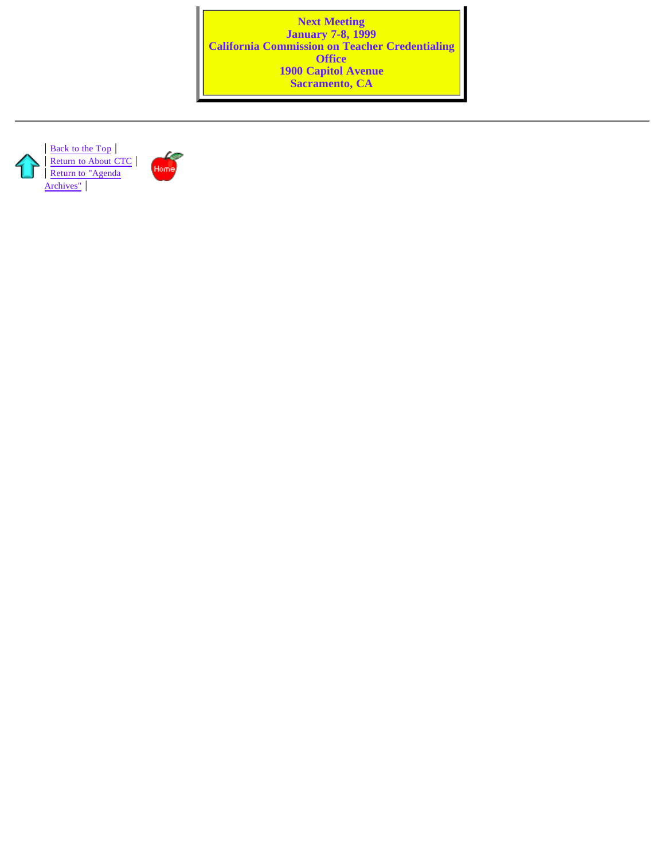**Next Meeting January 7-8, 1999 California Commission on Teacher Credentialing Office 1900 Capitol Avenue Sacramento, CA**

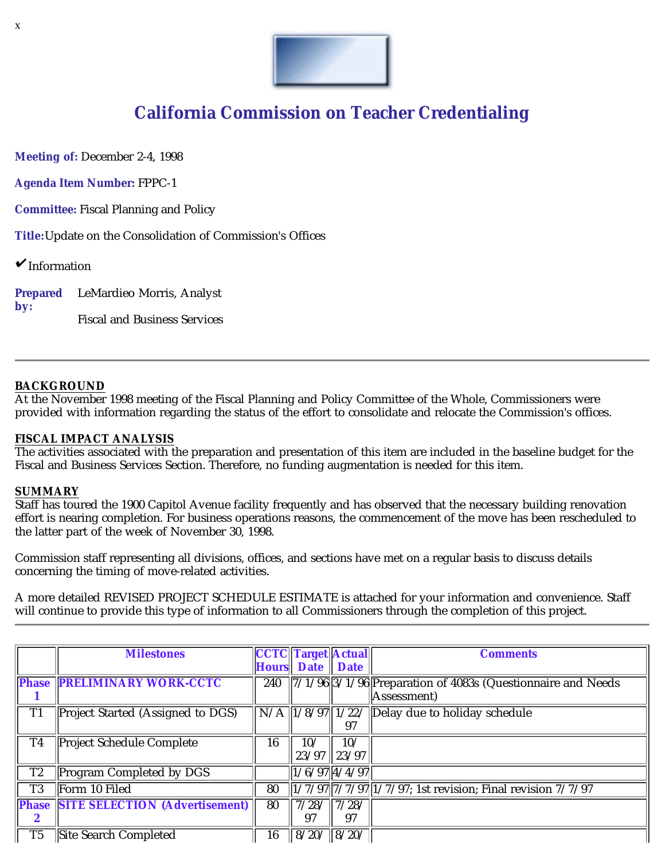

**Meeting of:** December 2-4, 1998

**Agenda Item Number:** FPPC-1

**Committee:** Fiscal Planning and Policy

**Title:**Update on the Consolidation of Commission's Offices

 $\mathbf{\check{v}}$  Information

**Prepared by:** LeMardieo Morris, Analyst Fiscal and Business Services

## **BACKGROUND**

At the November 1998 meeting of the Fiscal Planning and Policy Committee of the Whole, Commissioners were provided with information regarding the status of the effort to consolidate and relocate the Commission's offices.

## **FISCAL IMPACT ANALYSIS**

The activities associated with the preparation and presentation of this item are included in the baseline budget for the Fiscal and Business Services Section. Therefore, no funding augmentation is needed for this item.

#### **SUMMARY**

Staff has toured the 1900 Capitol Avenue facility frequently and has observed that the necessary building renovation effort is nearing completion. For business operations reasons, the commencement of the move has been rescheduled to the latter part of the week of November 30, 1998.

Commission staff representing all divisions, offices, and sections have met on a regular basis to discuss details concerning the timing of move-related activities.

A more detailed *REVISED* PROJECT SCHEDULE ESTIMATE is attached for your information and convenience. Staff will continue to provide this type of information to all Commissioners through the completion of this project.

|                | <b>Milestones</b>                           |     | CCTC Target Actual     |                               | <b>Comments</b>                                                               |
|----------------|---------------------------------------------|-----|------------------------|-------------------------------|-------------------------------------------------------------------------------|
|                |                                             |     | <b>Hours</b> Date Date |                               |                                                                               |
|                | <b>Phase PRELIMINARY WORK-CCTC</b>          | 240 |                        |                               | $\sqrt{7/1/96}$ $\sqrt{3/1/96}$ Preparation of 4083s (Questionnaire and Needs |
|                |                                             |     |                        |                               | Assessment)                                                                   |
| T <sub>1</sub> | <b>Project Started (Assigned to DGS)</b>    |     | $N/A$  1/8/97  1/22/   |                               | Delay due to holiday schedule                                                 |
|                |                                             |     |                        |                               |                                                                               |
| <b>T4</b>      | <b>Project Schedule Complete</b>            | 16  | 10/                    | 10/                           |                                                                               |
|                |                                             |     | 23/97                  | $\parallel$ 23/97 $\parallel$ |                                                                               |
| T <sub>2</sub> | <b>Program Completed by DGS</b>             |     |                        | $1/6/97$ 4/4/97               |                                                                               |
| T <sub>3</sub> | Form 10 Filed                               | 80  |                        |                               | $1/7/97$ $7/7/97$ $1/7/97$ ; 1st revision; Final revision $7/7/97$            |
|                | <b>Phase SITE SELECTION (Advertisement)</b> | 80  | 7/28/                  | $\sqrt{7/28/}$                |                                                                               |
|                |                                             |     | 97                     | 97                            |                                                                               |
| T <sub>5</sub> | Site Search Completed                       | 16  | $8/20/$ 8/20/          |                               |                                                                               |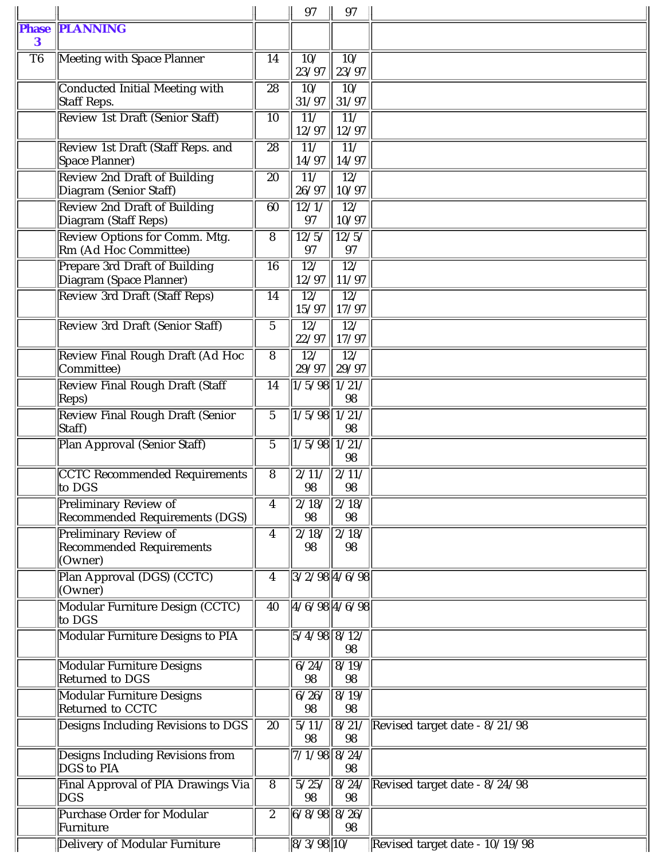|                   |                                                                            |                  | 97                                | 97                        |                                |
|-------------------|----------------------------------------------------------------------------|------------------|-----------------------------------|---------------------------|--------------------------------|
| <b>Phase</b><br>3 | <b>PLANNING</b>                                                            |                  |                                   |                           |                                |
| T <sub>6</sub>    | <b>Meeting with Space Planner</b>                                          | 14               | 10/<br>23/97                      | 10/<br>23/97              |                                |
|                   | <b>Conducted Initial Meeting with</b><br>Staff Reps.                       | $\overline{28}$  | 10/<br>$31/97$   $31/97$          | 10/                       |                                |
|                   | Review 1st Draft (Senior Staff)                                            | $\overline{10}$  | $\overline{11/}$<br>12/97         | $\overline{117}$<br>12/97 |                                |
|                   | Review 1st Draft (Staff Reps. and<br>Space Planner)                        | 28               | $\overline{11/}$<br>14/97         | $\overline{117}$<br>14/97 |                                |
|                   | <b>Review 2nd Draft of Building</b><br>Diagram (Senior Staff)              | $\overline{20}$  | 11/<br>26/97                      | 12/<br>10/97              |                                |
|                   | <b>Review 2nd Draft of Building</b><br>Diagram (Staff Reps)                | 60               | 12/1/<br>97                       | $\overline{127}$<br>10/97 |                                |
|                   | Review Options for Comm. Mtg.<br>Rm (Ad Hoc Committee)                     | 8                | 12/5/<br>97                       | 12/5/<br>97               |                                |
|                   | <b>Prepare 3rd Draft of Building</b><br>Diagram (Space Planner)            | 16               | 12/<br>12/97                      | $\overline{12/}$<br>11/97 |                                |
|                   | <b>Review 3rd Draft (Staff Reps)</b>                                       | 14               | 12/<br>15/97                      | $\overline{12/}$<br>17/97 |                                |
|                   | Review 3rd Draft (Senior Staff)                                            | $\overline{5}$   | $\overline{12/}$<br>22/97         | $\overline{127}$<br>17/97 |                                |
|                   | Review Final Rough Draft (Ad Hoc<br>Committee)                             | 8                | $\overline{12/}$<br>$29/97$ 29/97 | $\overline{12/}$          |                                |
|                   | <b>Review Final Rough Draft (Staff</b><br>Reps)                            | 14               | 1/5/98                            | 1/21/<br>98               |                                |
|                   | <b>Review Final Rough Draft (Senior</b><br>Staff)                          | $5\phantom{.0}$  | 1/5/98                            | 1/21/<br>98               |                                |
|                   | Plan Approval (Senior Staff)                                               | $5\phantom{.0}$  | 1/5/98                            | 1/21/<br>98               |                                |
|                   | <b>CCTC Recommended Requirements</b><br>to DGS                             | 8                | 2/11/<br>98                       | 2/11<br>98                |                                |
|                   | <b>Preliminary Review of</b><br>Recommended Requirements (DGS)             | 4                | $\overline{2}/18/$<br>98          | 2/18/<br>98               |                                |
|                   | <b>Preliminary Review of</b><br><b>Recommended Requirements</b><br>(Owner) | 4                | 2/18/<br>98                       | $\sqrt{2/18/1}$<br>98     |                                |
|                   | Plan Approval (DGS) (CCTC)<br>(Owner)                                      | 4                |                                   | $3/2/98$ $4/6/98$         |                                |
|                   | Modular Furniture Design (CCTC)<br>to DGS                                  | 40               | $4/6/98$ $4/6/98$                 |                           |                                |
|                   | <b>Modular Furniture Designs to PIA</b>                                    |                  | $5/4/98$ $8/12/$                  | 98                        |                                |
|                   | <b>Modular Furniture Designs</b><br>Returned to DGS                        |                  | 6/24/<br>98                       | 8/19/<br>98               |                                |
|                   | <b>Modular Furniture Designs</b><br>Returned to CCTC                       |                  | 6/26/<br>98                       | 8/19/<br>98               |                                |
|                   | Designs Including Revisions to DGS                                         | 20               | 5/11/<br>98                       | 8/21/<br>98               | Revised target date - 8/21/98  |
|                   | Designs Including Revisions from<br><b>DGS</b> to PIA                      |                  | $7/1/98$ 8/24/                    | 98                        |                                |
|                   | Final Approval of PIA Drawings Via<br><b>DGS</b>                           | 8                | 5/25/<br>98                       | 8/24/<br>98               | Revised target date - 8/24/98  |
|                   | Purchase Order for Modular<br>Furniture                                    | $\boldsymbol{2}$ | $6/8/98$ 8/26/                    | 98                        |                                |
|                   | Delivery of Modular Furniture                                              |                  | $8/3/98$ 10/                      |                           | Revised target date - 10/19/98 |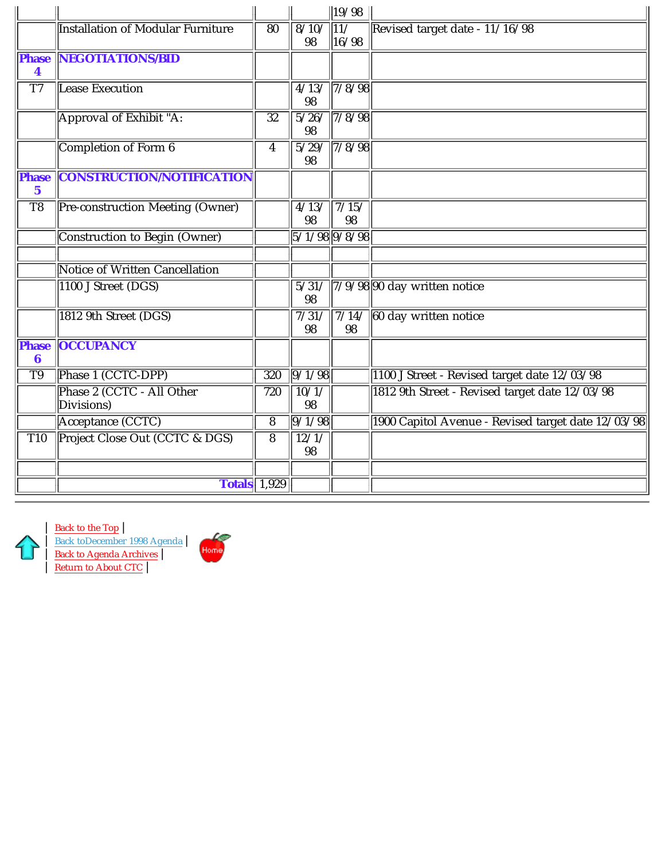|                                  |                                          |                         |                                     | 19/98           |                                                    |
|----------------------------------|------------------------------------------|-------------------------|-------------------------------------|-----------------|----------------------------------------------------|
|                                  | <b>Installation of Modular Furniture</b> | $\overline{80}$         | 8/10/11/<br>98                      | $\ 16/98$       | Revised target date - 11/16/98                     |
| <b>Phase</b><br>4                | <b>NEGOTIATIONS/BID</b>                  |                         |                                     |                 |                                                    |
| $\overline{T7}$                  | <b>Lease Execution</b>                   |                         | 98                                  | 4/13/ 7/8/98    |                                                    |
|                                  | Approval of Exhibit "A:                  | $\overline{32}$         | 98                                  | 5/26/7/8/98     |                                                    |
|                                  | Completion of Form 6                     | $\overline{\mathbf{4}}$ | 98                                  | 5/29/7/8/98     |                                                    |
| <b>Phase</b><br>$5^{\circ}$      | <b>CONSTRUCTION/NOTIFICATION</b>         |                         |                                     |                 |                                                    |
| T <sub>8</sub>                   | <b>Pre-construction Meeting (Owner)</b>  |                         | $\frac{4}{13}$ $\frac{7}{15}$<br>98 | 98              |                                                    |
|                                  | Construction to Begin (Owner)            |                         |                                     | $5/1/98$ 9/8/98 |                                                    |
|                                  | <b>Notice of Written Cancellation</b>    |                         |                                     |                 |                                                    |
|                                  | 1100 J Street (DGS)                      |                         | 98                                  |                 | 5/31/ 7/9/98 90 day written notice                 |
|                                  | 1812 9th Street (DGS)                    |                         | 7/31/<br>98                         | 7/14/<br>98     | 60 day written notice                              |
| <b>Phase</b><br>$\boldsymbol{6}$ | <b>OCCUPANCY</b>                         |                         |                                     |                 |                                                    |
| $\overline{T9}$                  | Phase 1 (CCTC-DPP)                       | 320                     | 9/1/98                              |                 | 1100 J Street - Revised target date 12/03/98       |
|                                  | Phase 2 (CCTC - All Other<br>Divisions)  | 720                     | 10/1/<br>98                         |                 | 1812 9th Street - Revised target date 12/03/98     |
|                                  | Acceptance (CCTC)                        | $\overline{8}$          | 9/1/98                              |                 | 1900 Capitol Avenue - Revised target date 12/03/98 |
| $\overline{T10}$                 | Project Close Out (CCTC & DGS)           | 8                       | 12/1/<br>98                         |                 |                                                    |
|                                  |                                          |                         |                                     |                 |                                                    |
|                                  | <b>Totals</b> 1,929                      |                         |                                     |                 |                                                    |



| Back to the Top Back toDecember 1998 Agenda | Back to Agenda Archives | Return to About CTC

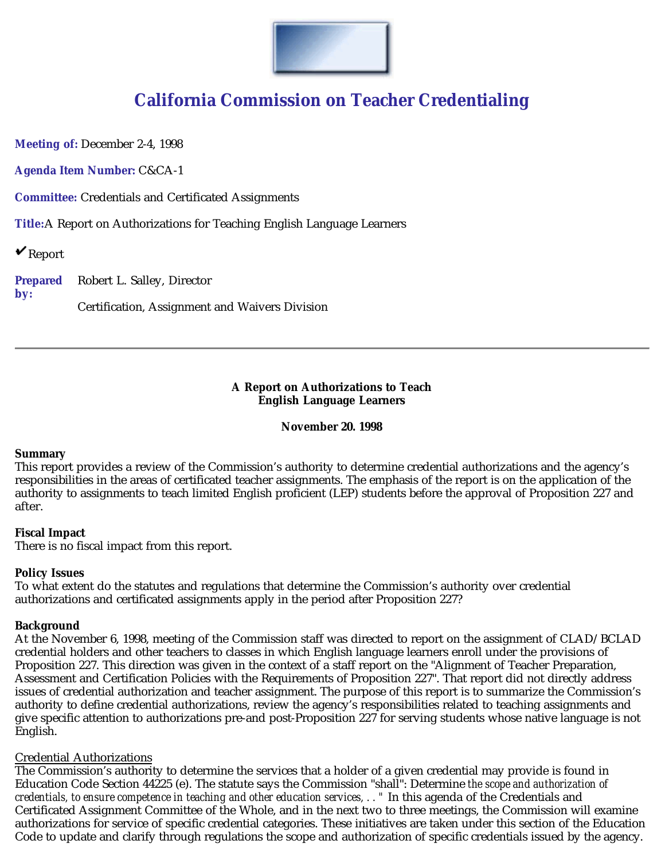

**Meeting of:** December 2-4, 1998

**Agenda Item Number:** C&CA-1

**Committee:** Credentials and Certificated Assignments

**Title:**A Report on Authorizations for Teaching English Language Learners

 $\mathbf{v}_{\text{Report}}$ 

**Prepared by:** Robert L. Salley, Director

Certification, Assignment and Waivers Division

## **A Report on Authorizations to Teach English Language Learners**

## **November 20. 1998**

## **Summary**

This report provides a review of the Commission's authority to determine credential authorizations and the agency's responsibilities in the areas of certificated teacher assignments. The emphasis of the report is on the application of the authority to assignments to teach limited English proficient (LEP) students before the approval of Proposition 227 and after.

## **Fiscal Impact**

There is no fiscal impact from this report.

## **Policy Issues**

To what extent do the statutes and regulations that determine the Commission's authority over credential authorizations and certificated assignments apply in the period after Proposition 227?

## **Background**

At the November 6, 1998, meeting of the Commission staff was directed to report on the assignment of CLAD/BCLAD credential holders and other teachers to classes in which English language learners enroll under the provisions of Proposition 227. This direction was given in the context of a staff report on the "Alignment of Teacher Preparation, Assessment and Certification Policies with the Requirements of Proposition 227". That report did not directly address issues of credential authorization and teacher assignment. The purpose of this report is to summarize the Commission's authority to define credential authorizations, review the agency's responsibilities related to teaching assignments and give specific attention to authorizations pre-and post-Proposition 227 for serving students whose native language is not English.

## Credential Authorizations

The Commission's authority to determine the services that a holder of a given credential may provide is found in Education Code Section 44225 (e). The statute says the Commission "shall": Determine  *the scope and authorization of credentials, to ensure competence in teaching and other education services, . . "In this agenda of the Credentials and* Certificated Assignment Committee of the Whole, and in the next two to three meetings, the Commission will examine authorizations for service of specific credential categories. These initiatives are taken under this section of the Education Code to update and clarify through regulations the scope and authorization of specific credentials issued by the agency.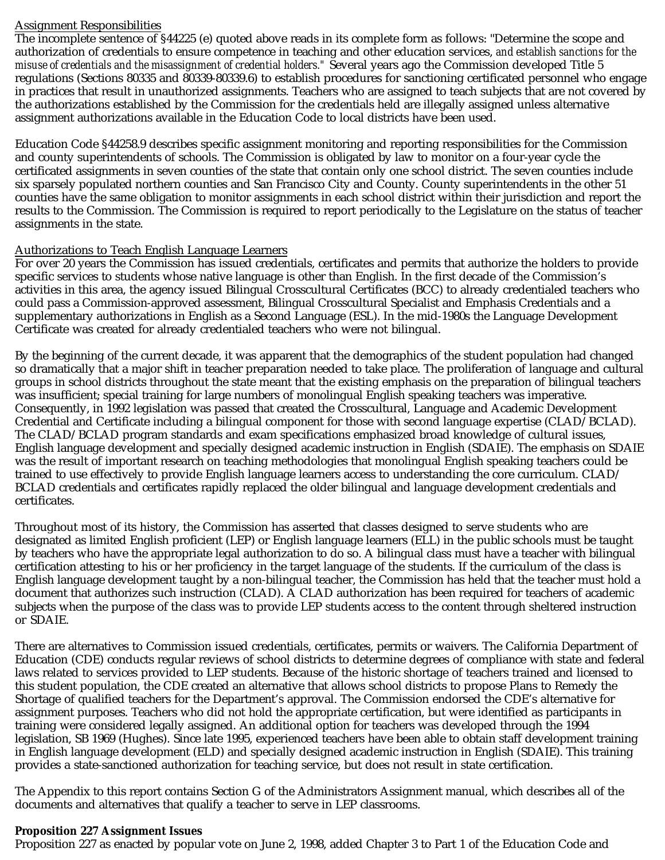## Assignment Responsibilities

The incomplete sentence of §44225 (e) quoted above reads in its complete form as follows: "Determine the scope and authorization of credentials to ensure competence in teaching and other education services, *and establish sanctions for the*  misuse of credentials and the misassignment of credential holders." Several years ago the Commission developed Title 5 regulations (Sections 80335 and 80339-80339.6) to establish procedures for sanctioning certificated personnel who engage in practices that result in unauthorized assignments. Teachers who are assigned to teach subjects that are not covered by the authorizations established by the Commission for the credentials held are illegally assigned unless alternative assignment authorizations available in the Education Code to local districts have been used.

Education Code §44258.9 describes specific assignment monitoring and reporting responsibilities for the Commission and county superintendents of schools. The Commission is obligated by law to monitor on a four-year cycle the certificated assignments in seven counties of the state that contain only one school district. The seven counties include six sparsely populated northern counties and San Francisco City and County. County superintendents in the other 51 counties have the same obligation to monitor assignments in each school district within their jurisdiction and report the results to the Commission. The Commission is required to report periodically to the Legislature on the status of teacher assignments in the state.

## Authorizations to Teach English Language Learners

For over 20 years the Commission has issued credentials, certificates and permits that authorize the holders to provide specific services to students whose native language is other than English. In the first decade of the Commission's activities in this area, the agency issued Bilingual Crosscultural Certificates (BCC) to already credentialed teachers who could pass a Commission-approved assessment, Bilingual Crosscultural Specialist and Emphasis Credentials and a supplementary authorizations in English as a Second Language (ESL). In the mid-1980s the Language Development Certificate was created for already credentialed teachers who were not bilingual.

By the beginning of the current decade, it was apparent that the demographics of the student population had changed so dramatically that a major shift in teacher preparation needed to take place. The proliferation of language and cultural groups in school districts throughout the state meant that the existing emphasis on the preparation of bilingual teachers was insufficient; special training for large numbers of monolingual English speaking teachers was imperative. Consequently, in 1992 legislation was passed that created the Crosscultural, Language and Academic Development Credential and Certificate including a bilingual component for those with second language expertise (CLAD/BCLAD). The CLAD/BCLAD program standards and exam specifications emphasized broad knowledge of cultural issues, English language development and specially designed academic instruction in English (SDAIE). The emphasis on SDAIE was the result of important research on teaching methodologies that monolingual English speaking teachers could be trained to use effectively to provide English language learners access to understanding the core curriculum. CLAD/ BCLAD credentials and certificates rapidly replaced the older bilingual and language development credentials and certificates.

Throughout most of its history, the Commission has asserted that classes designed to serve students who are designated as limited English proficient (LEP) or English language learners (ELL) in the public schools must be taught by teachers who have the appropriate legal authorization to do so. A bilingual class must have a teacher with bilingual certification attesting to his or her proficiency in the target language of the students. If the curriculum of the class is English language development taught by a non-bilingual teacher, the Commission has held that the teacher must hold a document that authorizes such instruction (CLAD). A CLAD authorization has been required for teachers of academic subjects when the purpose of the class was to provide LEP students access to the content through sheltered instruction or SDAIE.

There are alternatives to Commission issued credentials, certificates, permits or waivers. The California Department of Education (CDE) conducts regular reviews of school districts to determine degrees of compliance with state and federal laws related to services provided to LEP students. Because of the historic shortage of teachers trained and licensed to this student population, the CDE created an alternative that allows school districts to propose Plans to Remedy the Shortage of qualified teachers for the Department's approval. The Commission endorsed the CDE's alternative for assignment purposes. Teachers who did not hold the appropriate certification, but were identified as participants in training were considered legally assigned. An additional option for teachers was developed through the 1994 legislation, SB 1969 (Hughes). Since late 1995, experienced teachers have been able to obtain staff development training in English language development (ELD) and specially designed academic instruction in English (SDAIE). This training provides a state-sanctioned authorization for teaching service, but does not result in state certification.

The Appendix to this report contains Section G of the Administrators Assignment manual, which describes all of the documents and alternatives that qualify a teacher to serve in LEP classrooms.

## **Proposition 227 Assignment Issues**

Proposition 227 as enacted by popular vote on June 2, 1998, added Chapter 3 to Part 1 of the Education Code and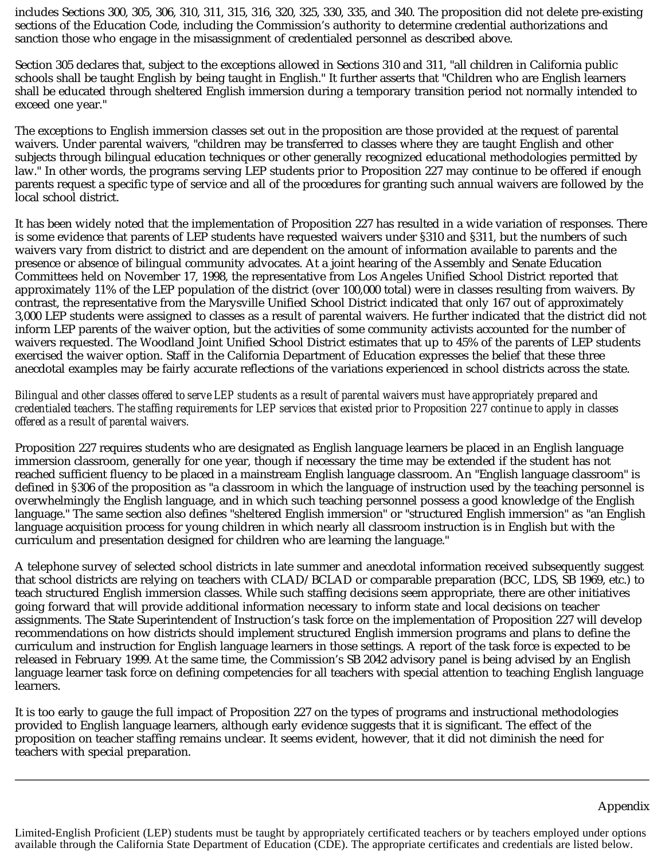includes Sections 300, 305, 306, 310, 311, 315, 316, 320, 325, 330, 335, and 340. The proposition did not delete pre-existing sections of the Education Code, including the Commission's authority to determine credential authorizations and sanction those who engage in the misassignment of credentialed personnel as described above.

Section 305 declares that, subject to the exceptions allowed in Sections 310 and 311, "all children in California public schools shall be taught English by being taught in English." It further asserts that "Children who are English learners shall be educated through sheltered English immersion during a temporary transition period not normally intended to exceed one year."

The exceptions to English immersion classes set out in the proposition are those provided at the request of parental waivers. Under parental waivers, "children may be transferred to classes where they are taught English and other subjects through bilingual education techniques or other generally recognized educational methodologies permitted by law." In other words, the programs serving LEP students prior to Proposition 227 may continue to be offered if enough parents request a specific type of service and all of the procedures for granting such annual waivers are followed by the local school district.

It has been widely noted that the implementation of Proposition 227 has resulted in a wide variation of responses. There is some evidence that parents of LEP students have requested waivers under §310 and §311, but the numbers of such waivers vary from district to district and are dependent on the amount of information available to parents and the presence or absence of bilingual community advocates. At a joint hearing of the Assembly and Senate Education Committees held on November 17, 1998, the representative from Los Angeles Unified School District reported that approximately 11% of the LEP population of the district (over 100,000 total) were in classes resulting from waivers. By contrast, the representative from the Marysville Unified School District indicated that only 167 out of approximately 3,000 LEP students were assigned to classes as a result of parental waivers. He further indicated that the district did not inform LEP parents of the waiver option, but the activities of some community activists accounted for the number of waivers requested. The Woodland Joint Unified School District estimates that up to 45% of the parents of LEP students exercised the waiver option. Staff in the California Department of Education expresses the belief that these three anecdotal examples may be fairly accurate reflections of the variations experienced in school districts across the state.

## *Bilingual and other classes offered to serve LEP students as a result of parental waivers must have appropriately prepared and credentialed teachers. The staffing requirements for LEP services that existed prior to Proposition 227 continue to apply in classes offered as a result of parental waivers.*

Proposition 227 requires students who are designated as English language learners be placed in an English language immersion classroom, generally for one year, though if necessary the time may be extended if the student has not reached sufficient fluency to be placed in a mainstream English language classroom. An "English language classroom" is defined in §306 of the proposition as "a classroom in which the language of instruction used by the teaching personnel is overwhelmingly the English language, and in which such teaching personnel possess a good knowledge of the English language." The same section also defines "sheltered English immersion" or "structured English immersion" as "an English language acquisition process for young children in which nearly all classroom instruction is in English but with the curriculum and presentation designed for children who are learning the language."

A telephone survey of selected school districts in late summer and anecdotal information received subsequently suggest that school districts are relying on teachers with CLAD/BCLAD or comparable preparation (BCC, LDS, SB 1969, etc.) to teach structured English immersion classes. While such staffing decisions seem appropriate, there are other initiatives going forward that will provide additional information necessary to inform state and local decisions on teacher assignments. The State Superintendent of Instruction's task force on the implementation of Proposition 227 will develop recommendations on how districts should implement structured English immersion programs and plans to define the curriculum and instruction for English language learners in those settings. A report of the task force is expected to be released in February 1999. At the same time, the Commission's SB 2042 advisory panel is being advised by an English language learner task force on defining competencies for all teachers with special attention to teaching English language learners.

It is too early to gauge the full impact of Proposition 227 on the types of programs and instructional methodologies provided to English language learners, although early evidence suggests that it is significant. The effect of the proposition on teacher staffing remains unclear. It seems evident, however, that it did not diminish the need for teachers with special preparation.

Limited-English Proficient (LEP) students must be taught by appropriately certificated teachers or by teachers employed under options available through the California State Department of Education (CDE). The appropriate certificates and credentials are listed below.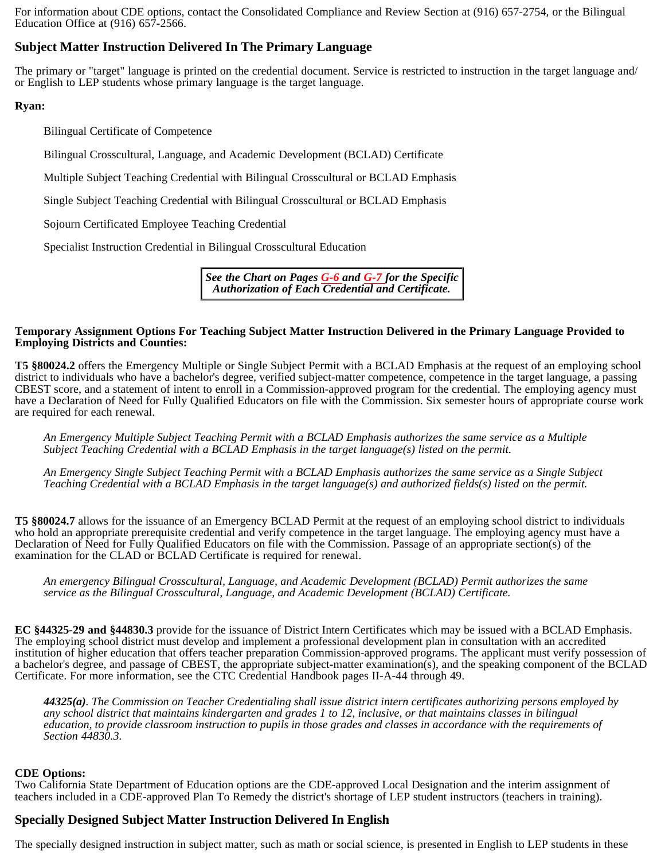For information about CDE options, contact the Consolidated Compliance and Review Section at (916) 657-2754, or the Bilingual Education Office at (916) 657-2566.

## **Subject Matter Instruction Delivered In The Primary Language**

The primary or "target" language is printed on the credential document. Service is restricted to instruction in the target language and/ or English to LEP students whose primary language is the target language.

#### **Ryan:**

Bilingual Certificate of Competence

Bilingual Crosscultural, Language, and Academic Development (BCLAD) Certificate

Multiple Subject Teaching Credential with Bilingual Crosscultural or BCLAD Emphasis

Single Subject Teaching Credential with Bilingual Crosscultural or BCLAD Emphasis

Sojourn Certificated Employee Teaching Credential

Specialist Instruction Credential in Bilingual Crosscultural Education

*See the Chart on Pages G-6 and G-7 for the Specific Authorization of Each Credential and Certificate.*

#### **Temporary Assignment Options For Teaching Subject Matter Instruction Delivered in the Primary Language Provided to Employing Districts and Counties:**

T5 §80024.2 offers the Emergency Multiple or Single Subject Permit with a BCLAD Emphasis at the request of an employing school district to individuals who have a bachelor's degree, verified subject-matter competence, competence in the target language, a passing CBEST score, and a statement of intent to enroll in a Commission-approved program for the credential. The employing agency must have a Declaration of Need for Fully Qualified Educators on file with the Commission. Six semester hours of appropriate course work are required for each renewal.

*An Emergency Multiple Subject Teaching Permit with a BCLAD Emphasis authorizes the same service as a Multiple Subject Teaching Credential with a BCLAD Emphasis in the target language(s) listed on the permit.*

*An Emergency Single Subject Teaching Permit with a BCLAD Emphasis authorizes the same service as a Single Subject Teaching Credential with a BCLAD Emphasis in the target language(s) and authorized fields(s) listed on the permit.*

T5 §80024.7 allows for the issuance of an Emergency BCLAD Permit at the request of an employing school district to individuals who hold an appropriate prerequisite credential and verify competence in the target language. The employing agency must have a Declaration of Need for Fully Qualified Educators on file with the Commission. Passage of an appropriate section(s) of the examination for the CLAD or BCLAD Certificate is required for renewal.

*An emergency Bilingual Crosscultural, Language, and Academic Development (BCLAD) Permit authorizes the same service as the Bilingual Crosscultural, Language, and Academic Development (BCLAD) Certificate.*

EC §44325-29 and §44830.3 provide for the issuance of District Intern Certificates which may be issued with a BCLAD Emphasis. The employing school district must develop and implement a professional development plan in consultation with an accredited institution of higher education that offers teacher preparation Commission-approved programs. The applicant must verify possession of a bachelor's degree, and passage of CBEST, the appropriate subject-matter examination(s), and the speaking component of the BCLAD Certificate. For more information, see the CTC Credential Handbook pages II-A-44 through 49.

*44325(a). The Commission on Teacher Credentialing shall issue district intern certificates authorizing persons employed by any school district that maintains kindergarten and grades 1 to 12, inclusive, or that maintains classes in bilingual education, to provide classroom instruction to pupils in those grades and classes in accordance with the requirements of Section 44830.3.*

#### **CDE Options:**

Two California State Department of Education options are the CDE-approved Local Designation and the interim assignment of teachers included in a CDE-approved Plan To Remedy the district's shortage of LEP student instructors (teachers in training).

## **Specially Designed Subject Matter Instruction Delivered In English**

The specially designed instruction in subject matter, such as math or social science, is presented in English to LEP students in these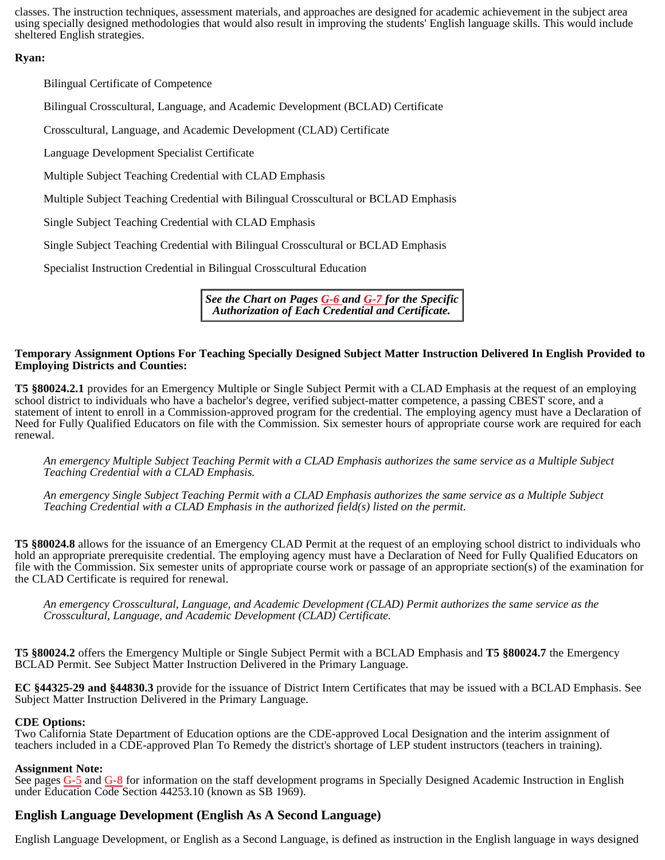classes. The instruction techniques, assessment materials, and approaches are designed for academic achievement in the subject area using specially designed methodologies that would also result in improving the students' English language skills. This would include sheltered English strategies.

#### **Ryan:**

Bilingual Certificate of Competence

Bilingual Crosscultural, Language, and Academic Development (BCLAD) Certificate

Crosscultural, Language, and Academic Development (CLAD) Certificate

Language Development Specialist Certificate

Multiple Subject Teaching Credential with CLAD Emphasis

Multiple Subject Teaching Credential with Bilingual Crosscultural or BCLAD Emphasis

Single Subject Teaching Credential with CLAD Emphasis

Single Subject Teaching Credential with Bilingual Crosscultural or BCLAD Emphasis

Specialist Instruction Credential in Bilingual Crosscultural Education

*See the Chart on Pages G-6 and G-7 for the Specific Authorization of Each Credential and Certificate.*

#### **Temporary Assignment Options For Teaching Specially Designed Subject Matter Instruction Delivered In English Provided to Employing Districts and Counties:**

T5 §80024.2.1 provides for an Emergency Multiple or Single Subject Permit with a CLAD Emphasis at the request of an employing school district to individuals who have a bachelor's degree, verified subject-matter competence, a passing CBEST score, and a statement of intent to enroll in a Commission-approved program for the credential. The employing agency must have a Declaration of Need for Fully Qualified Educators on file with the Commission. Six semester hours of appropriate course work are required for each renewal.

*An emergency Multiple Subject Teaching Permit with a CLAD Emphasis authorizes the same service as a Multiple Subject Teaching Credential with a CLAD Emphasis.*

*An emergency Single Subject Teaching Permit with a CLAD Emphasis authorizes the same service as a Multiple Subject Teaching Credential with a CLAD Emphasis in the authorized field(s) listed on the permit.*

**T5 §80024.8** allows for the issuance of an Emergency CLAD Permit at the request of an employing school district to individuals who hold an appropriate prerequisite credential. The employing agency must have a Declaration of Need for Fully Qualified Educators on file with the Commission. Six semester units of appropriate course work or passage of an appropriate section(s) of the examination for the CLAD Certificate is required for renewal.

*An emergency Crosscultural, Language, and Academic Development (CLAD) Permit authorizes the same service as the Crosscultural, Language, and Academic Development (CLAD) Certificate.*

T5 §80024.2 offers the Emergency Multiple or Single Subject Permit with a BCLAD Emphasis and T5 §80024.7 the Emergency BCLAD Permit. See Subject Matter Instruction Delivered in the Primary Language.

EC §44325-29 and §44830.3 provide for the issuance of District Intern Certificates that may be issued with a BCLAD Emphasis. See Subject Matter Instruction Delivered in the Primary Language.

#### **CDE Options:**

Two California State Department of Education options are the CDE-approved Local Designation and the interim assignment of teachers included in a CDE-approved Plan To Remedy the district's shortage of LEP student instructors (teachers in training).

#### **Assignment Note:**

See pages G-5 and G-8 for information on the staff development programs in Specially Designed Academic Instruction in English under Education Code Section 44253.10 (known as SB 1969).

## **English Language Development (English As A Second Language)**

English Language Development, or English as a Second Language, is defined as instruction in the English language in ways designed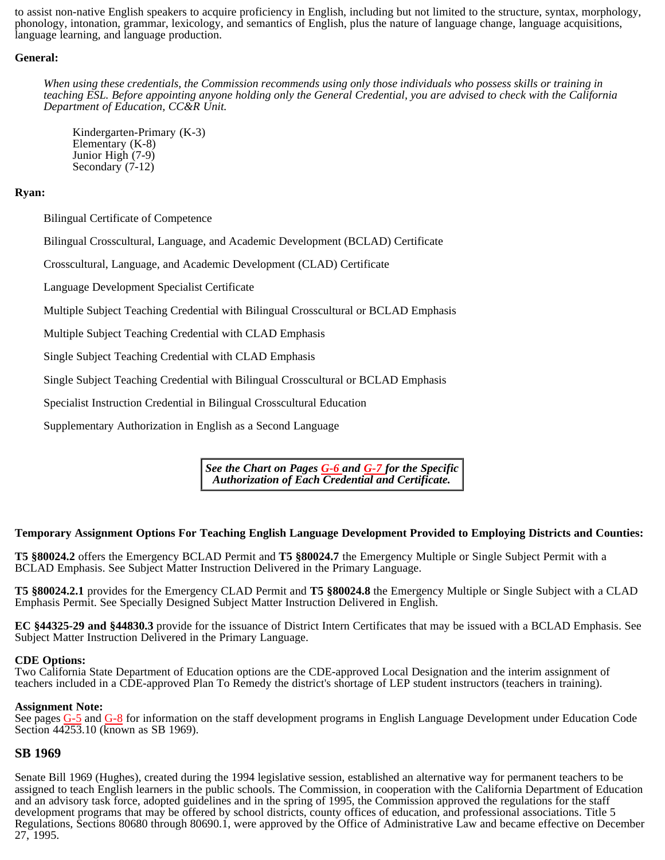to assist non-native English speakers to acquire proficiency in English, including but not limited to the structure, syntax, morphology, phonology, intonation, grammar, lexicology, and semantics of English, plus the nature of language change, language acquisitions, language learning, and language production.

#### **General:**

*When using these credentials, the Commission recommends using only those individuals who possess skills or training in teaching ESL. Before appointing anyone holding only the General Credential, you are advised to check with the California Department of Education, CC&R Unit.*

Kindergarten-Primary (K-3) Elementary (K-8) Junior High (7-9) Secondary (7-12)

## **Ryan:**

Bilingual Certificate of Competence

Bilingual Crosscultural, Language, and Academic Development (BCLAD) Certificate

Crosscultural, Language, and Academic Development (CLAD) Certificate

Language Development Specialist Certificate

Multiple Subject Teaching Credential with Bilingual Crosscultural or BCLAD Emphasis

Multiple Subject Teaching Credential with CLAD Emphasis

Single Subject Teaching Credential with CLAD Emphasis

Single Subject Teaching Credential with Bilingual Crosscultural or BCLAD Emphasis

Specialist Instruction Credential in Bilingual Crosscultural Education

Supplementary Authorization in English as a Second Language

*See the Chart on Pages G-6 and G-7 for the Specific Authorization of Each Credential and Certificate.*

## **Temporary Assignment Options For Teaching English Language Development Provided to Employing Districts and Counties:**

T5 §80024.2 offers the Emergency BCLAD Permit and T5 §80024.7 the Emergency Multiple or Single Subject Permit with a BCLAD Emphasis. See Subject Matter Instruction Delivered in the Primary Language.

T5 §80024.2.1 provides for the Emergency CLAD Permit and T5 §80024.8 the Emergency Multiple or Single Subject with a CLAD Emphasis Permit. See Specially Designed Subject Matter Instruction Delivered in English.

EC §44325-29 and §44830.3 provide for the issuance of District Intern Certificates that may be issued with a BCLAD Emphasis. See Subject Matter Instruction Delivered in the Primary Language.

## **CDE Options:**

Two California State Department of Education options are the CDE-approved Local Designation and the interim assignment of teachers included in a CDE-approved Plan To Remedy the district's shortage of LEP student instructors (teachers in training).

#### **Assignment Note:**

See pages G-5 and G-8 for information on the staff development programs in English Language Development under Education Code Section 44253.10 (known as SB 1969).

## **SB 1969**

Senate Bill 1969 (Hughes), created during the 1994 legislative session, established an alternative way for permanent teachers to be assigned to teach English learners in the public schools. The Commission, in cooperation with the California Department of Education and an advisory task force, adopted guidelines and in the spring of 1995, the Commission approved the regulations for the staff development programs that may be offered by school districts, county offices of education, and professional associations. Title 5 Regulations, Sections 80680 through 80690.1, were approved by the Office of Administrative Law and became effective on December 27, 1995.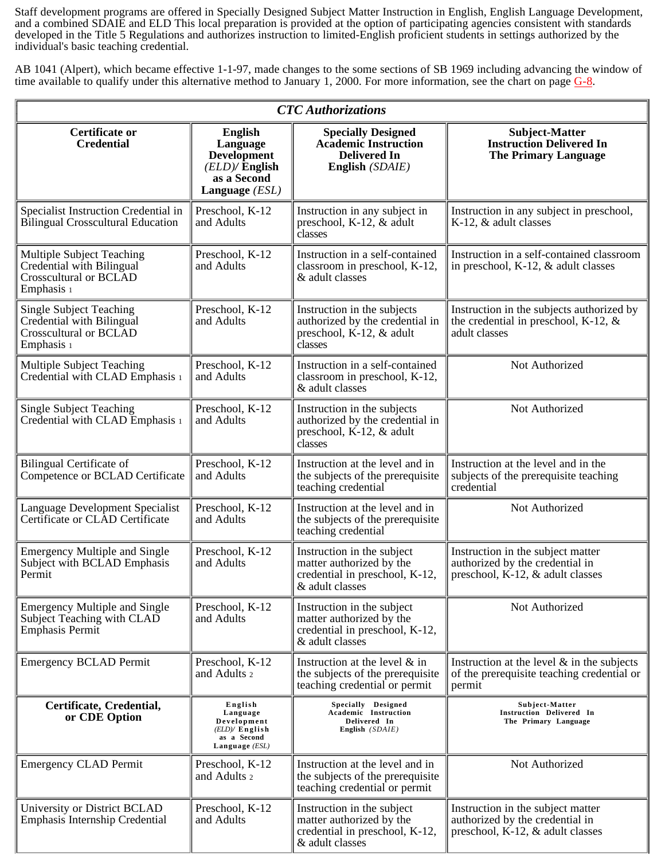Staff development programs are offered in Specially Designed Subject Matter Instruction in English, English Language Development, and a combined SDAIE and ELD This local preparation is provided at the option of participating agencies consistent with standards developed in the Title 5 Regulations and authorizes instruction to limited-English proficient students in settings authorized by the individual's basic teaching credential.

AB 1041 (Alpert), which became effective 1-1-97, made changes to the some sections of SB 1969 including advancing the window of time available to qualify under this alternative method to January 1, 2000. For more information, see the chart on page G-8.

| <b>CTC</b> Authorizations                                                                           |                                                                                                         |                                                                                                                                                                                                                   |                                                                                                             |  |  |
|-----------------------------------------------------------------------------------------------------|---------------------------------------------------------------------------------------------------------|-------------------------------------------------------------------------------------------------------------------------------------------------------------------------------------------------------------------|-------------------------------------------------------------------------------------------------------------|--|--|
| <b>Certificate or</b><br><b>Credential</b>                                                          | <b>English</b><br>Language<br><b>Development</b><br>$(ELD)/$ English<br>as a Second<br>Language $(ESL)$ | <b>Specially Designed</b><br><b>Academic Instruction</b><br><b>Delivered In</b><br>English (SDAIE)                                                                                                                | <b>Subject-Matter</b><br><b>Instruction Delivered In</b><br><b>The Primary Language</b>                     |  |  |
| Specialist Instruction Credential in<br><b>Bilingual Crosscultural Education</b>                    | Preschool, K-12<br>and Adults                                                                           | Instruction in any subject in<br>preschool, K-12, $\&$ adult<br>classes                                                                                                                                           | Instruction in any subject in preschool,<br>K-12, & adult classes                                           |  |  |
| Multiple Subject Teaching<br>Credential with Bilingual<br>Crosscultural or BCLAD<br>Emphasis 1      | Preschool, K-12<br>and Adults                                                                           | Instruction in a self-contained<br>classroom in preschool, K-12,<br>& adult classes                                                                                                                               | Instruction in a self-contained classroom<br>in preschool, K-12, & adult classes                            |  |  |
| <b>Single Subject Teaching</b><br>Credential with Bilingual<br>Crosscultural or BCLAD<br>Emphasis 1 | Preschool, K-12<br>and Adults                                                                           | Instruction in the subjects<br>Instruction in the subjects authorized by<br>authorized by the credential in<br>the credential in preschool, $K-12$ , $\&$<br>preschool, K-12, & adult<br>adult classes<br>classes |                                                                                                             |  |  |
| Multiple Subject Teaching<br>Credential with CLAD Emphasis 1                                        | Preschool, K-12<br>and Adults                                                                           | Instruction in a self-contained<br>classroom in preschool, K-12,<br>& adult classes                                                                                                                               | Not Authorized                                                                                              |  |  |
| <b>Single Subject Teaching</b><br>Credential with CLAD Emphasis 1                                   | Preschool, K-12<br>and Adults                                                                           | Instruction in the subjects<br>authorized by the credential in<br>preschool, $K-12$ , & adult<br>classes                                                                                                          | Not Authorized                                                                                              |  |  |
| Bilingual Certificate of<br>Competence or BCLAD Certificate                                         | Preschool, K-12<br>and Adults                                                                           | Instruction at the level and in<br>the subjects of the prerequisite<br>teaching credential                                                                                                                        | Instruction at the level and in the<br>subjects of the prerequisite teaching<br>credential                  |  |  |
| Language Development Specialist<br>Certificate or CLAD Certificate                                  | Preschool, K-12<br>and Adults                                                                           | Instruction at the level and in<br>the subjects of the prerequisite<br>teaching credential                                                                                                                        | Not Authorized                                                                                              |  |  |
| <b>Emergency Multiple and Single</b><br>Subject with BCLAD Emphasis<br>Permit                       | Preschool, K-12<br>and Adults                                                                           | Instruction in the subject<br>matter authorized by the<br>credential in preschool, K-12,<br>& adult classes                                                                                                       | Instruction in the subject matter<br>authorized by the credential in<br>preschool, $K-12$ , & adult classes |  |  |
| <b>Emergency Multiple and Single</b><br>Subject Teaching with CLAD<br>Emphasis Permit               | Preschool, K-12<br>and Adults                                                                           | Instruction in the subject<br>matter authorized by the<br>credential in preschool, K-12,<br>& adult classes                                                                                                       | Not Authorized                                                                                              |  |  |
| <b>Emergency BCLAD Permit</b>                                                                       | Preschool, K-12<br>and Adults 2                                                                         | Instruction at the level $\&$ in<br>the subjects of the prerequisite<br>teaching credential or permit                                                                                                             | Instruction at the level $\&$ in the subjects<br>of the prerequisite teaching credential or<br>permit       |  |  |
| Certificate, Credential,<br>or CDE Option                                                           | English<br>Language<br>Development<br>$(ELD)/E$ nglish<br>as a Second<br>Language $(ESL)$               | Specially Designed<br><b>Academic Instruction</b><br>Delivered In<br>English (SDAIE)                                                                                                                              | Subject-Matter<br>Instruction Delivered In<br>The Primary Language                                          |  |  |
| <b>Emergency CLAD Permit</b>                                                                        | Preschool, K-12<br>and Adults 2                                                                         | Instruction at the level and in<br>the subjects of the prerequisite<br>teaching credential or permit                                                                                                              | Not Authorized                                                                                              |  |  |
| University or District BCLAD<br>Emphasis Internship Credential                                      | Preschool, K-12<br>and Adults                                                                           | Instruction in the subject<br>matter authorized by the<br>credential in preschool, K-12,<br>& adult classes                                                                                                       | Instruction in the subject matter<br>authorized by the credential in<br>preschool, K-12, & adult classes    |  |  |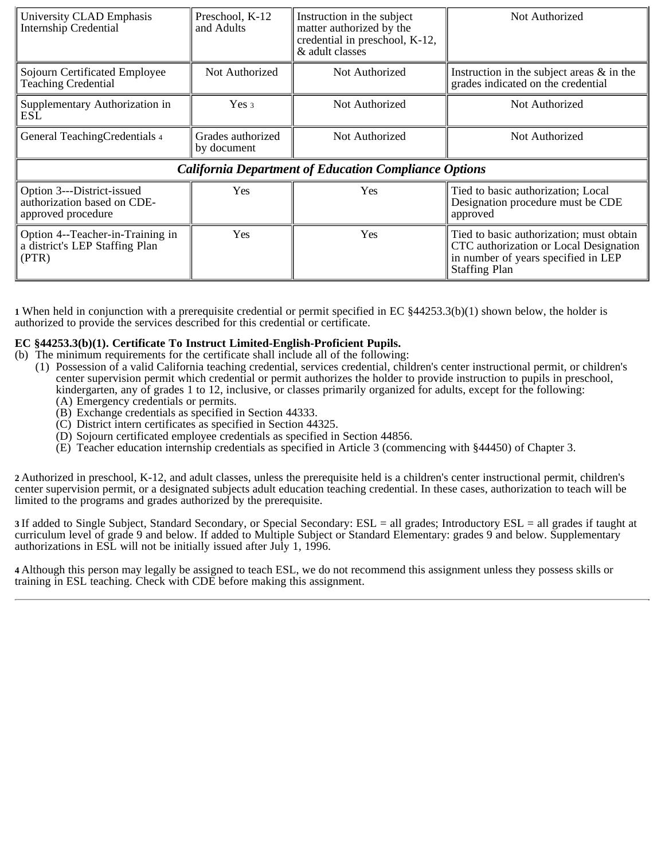| University CLAD Emphasis<br><b>Internship Credential</b>                        | Preschool, K-12<br>and Adults                                | Instruction in the subject<br>matter authorized by the<br>credential in preschool, K-12,<br>& adult classes | Not Authorized                                                                                                                                    |  |  |
|---------------------------------------------------------------------------------|--------------------------------------------------------------|-------------------------------------------------------------------------------------------------------------|---------------------------------------------------------------------------------------------------------------------------------------------------|--|--|
| Sojourn Certificated Employee<br><b>Teaching Credential</b>                     | Not Authorized                                               | Not Authorized                                                                                              | Instruction in the subject areas $\&$ in the<br>grades indicated on the credential                                                                |  |  |
| Supplementary Authorization in<br>ESL                                           | Yes <sub>3</sub>                                             | Not Authorized                                                                                              | Not Authorized                                                                                                                                    |  |  |
| General TeachingCredentials 4                                                   | Grades authorized<br>by document                             | Not Authorized                                                                                              | Not Authorized                                                                                                                                    |  |  |
|                                                                                 | <b>California Department of Education Compliance Options</b> |                                                                                                             |                                                                                                                                                   |  |  |
| Option 3---District-issued<br>authorization based on CDE-<br>approved procedure | <b>Yes</b>                                                   | Yes                                                                                                         | Tied to basic authorization; Local<br>Designation procedure must be CDE<br>approved                                                               |  |  |
| Option 4--Teacher-in-Training in<br>a district's LEP Staffing Plan<br>(PTR)     | Yes                                                          | Yes                                                                                                         | Tied to basic authorization; must obtain<br>CTC authorization or Local Designation<br>in number of years specified in LEP<br><b>Staffing Plan</b> |  |  |

**1** When held in conjunction with a prerequisite credential or permit specified in EC §44253.3(b)(1) shown below, the holder is authorized to provide the services described for this credential or certificate.

#### **EC §44253.3(b)(1). Certificate To Instruct Limited-English-Proficient Pupils.**

- (b) The minimum requirements for the certificate shall include all of the following:
	- (1) Possession of a valid California teaching credential, services credential, children's center instructional permit, or children's center supervision permit which credential or permit authorizes the holder to provide instruction to pupils in preschool, kindergarten, any of grades 1 to 12, inclusive, or classes primarily organized for adults, except for the following:
		- (A) Emergency credentials or permits.
		- (B) Exchange credentials as specified in Section 44333.
		- (C) District intern certificates as specified in Section 44325.
		- (D) Sojourn certificated employee credentials as specified in Section 44856.
		- (E) Teacher education internship credentials as specified in Article 3 (commencing with §44450) of Chapter 3.

**2** Authorized in preschool, K-12, and adult classes, unless the prerequisite held is a children's center instructional permit, children's center supervision permit, or a designated subjects adult education teaching credential. In these cases, authorization to teach will be limited to the programs and grades authorized by the prerequisite.

**3** If added to Single Subject, Standard Secondary, or Special Secondary: ESL = all grades; Introductory ESL = all grades if taught at curriculum level of grade 9 and below. If added to Multiple Subject or Standard Elementary: grades 9 and below. Supplementary authorizations in ESL will not be initially issued after July 1, 1996.

**4** Although this person may legally be assigned to teach ESL, we do not recommend this assignment unless they possess skills or training in ESL teaching. Check with CDE before making this assignment.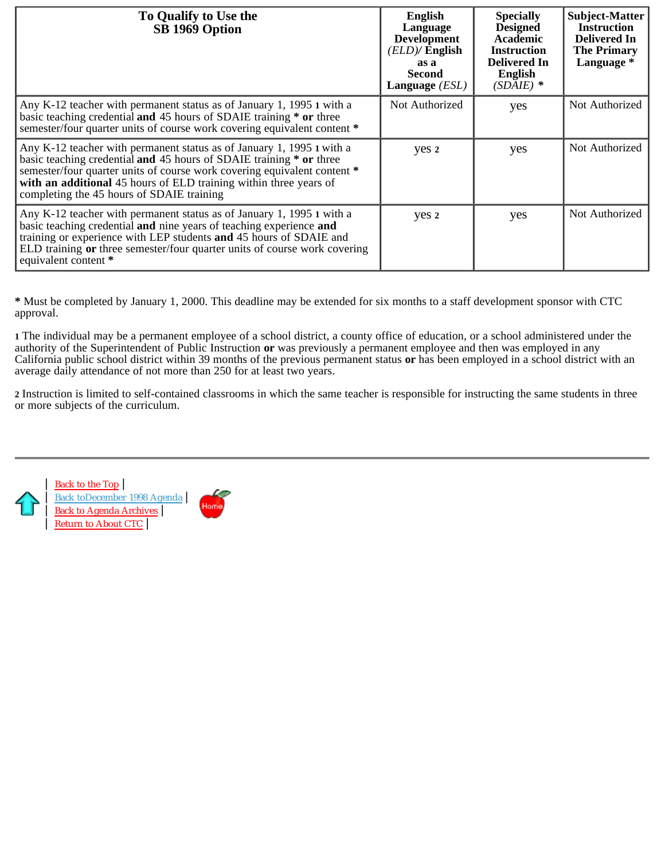| To Qualify to Use the<br>SB 1969 Option                                                                                                                                                                                                                                                                                                    | English<br>Language<br><b>Development</b><br>$(ELD)/$ English<br>as a<br><b>Second</b><br><b>Language</b> $(ESL)$ | <b>Specially</b><br><b>Designed</b><br><b>Academic</b><br><b>Instruction</b><br><b>Delivered In</b><br>English<br>$(SDAIE)$ * | Subject-Matter<br><b>Instruction</b><br><b>Delivered In</b><br><b>The Primary</b><br>Language * |
|--------------------------------------------------------------------------------------------------------------------------------------------------------------------------------------------------------------------------------------------------------------------------------------------------------------------------------------------|-------------------------------------------------------------------------------------------------------------------|-------------------------------------------------------------------------------------------------------------------------------|-------------------------------------------------------------------------------------------------|
| Any K-12 teacher with permanent status as of January 1, 1995 1 with a<br>basic teaching credential and 45 hours of SDAIE training * or three<br>semester/four quarter units of course work covering equivalent content *                                                                                                                   | Not Authorized                                                                                                    | yes                                                                                                                           | Not Authorized                                                                                  |
| Any K-12 teacher with permanent status as of January 1, 1995 1 with a<br>basic teaching credential and 45 hours of SDAIE training * or three<br>semester/four quarter units of course work covering equivalent content *<br>with an additional 45 hours of ELD training within three years of<br>completing the 45 hours of SDAIE training | yes 2                                                                                                             | yes                                                                                                                           | Not Authorized                                                                                  |
| Any K-12 teacher with permanent status as of January 1, 1995 1 with a<br>basic teaching credential and nine years of teaching experience and<br>training or experience with LEP students and 45 hours of SDAIE and<br>ELD training or three semester/four quarter units of course work covering<br>equivalent content *                    | yes 2                                                                                                             | yes                                                                                                                           | Not Authorized                                                                                  |

 Must be completed by January 1, 2000. This deadline may be extended for six months to a staff development sponsor with CTC **\*** approval.

**1** The individual may be a permanent employee of a school district, a county office of education, or a school administered under the authority of the Superintendent of Public Instruction or was previously a permanent employee and then was employed in any California public school district within 39 months of the previous permanent status or has been employed in a school district with an average daily attendance of not more than 250 for at least two years.

**2** Instruction is limited to self-contained classrooms in which the same teacher is responsible for instructing the same students in three or more subjects of the curriculum.



Back to the Top Back toDecember 1998 Agenda | | Back to Agenda Archives | Return to About CTC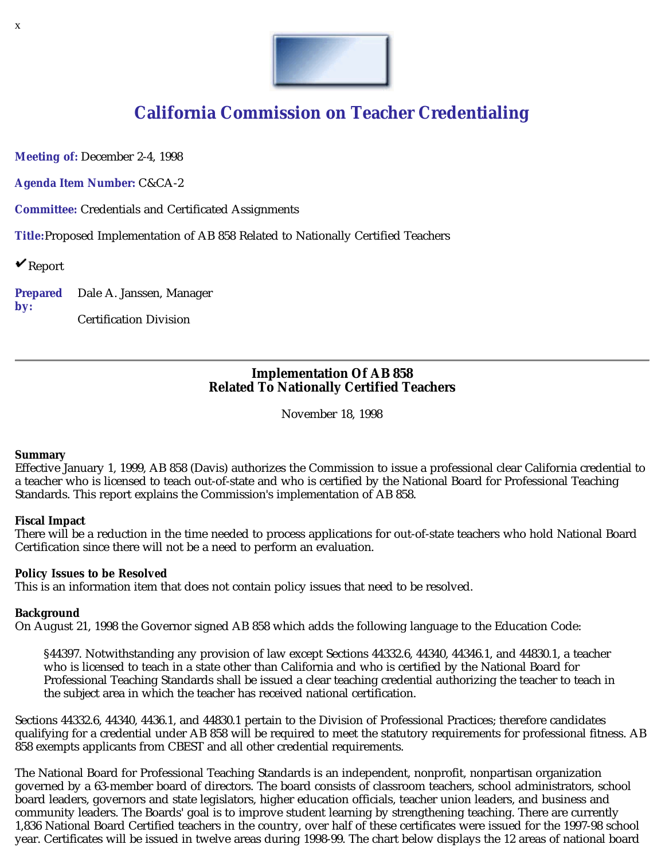

**Meeting of:** December 2-4, 1998

**Agenda Item Number:** C&CA-2

**Committee:** Credentials and Certificated Assignments

**Title:**Proposed Implementation of AB 858 Related to Nationally Certified Teachers

 $\mathbf{v}_{\text{Report}}$ 

**Prepared**  Dale A. Janssen, Manager

**by:**

Certification Division

## **Implementation Of AB 858 Related To Nationally Certified Teachers**

November 18, 1998

## **Summary**

Effective January 1, 1999, AB 858 (Davis) authorizes the Commission to issue a professional clear California credential to a teacher who is licensed to teach out-of-state and who is certified by the National Board for Professional Teaching Standards. This report explains the Commission's implementation of AB 858.

## **Fiscal Impact**

There will be a reduction in the time needed to process applications for out-of-state teachers who hold National Board Certification since there will not be a need to perform an evaluation.

## **Policy Issues to be Resolved**

This is an information item that does not contain policy issues that need to be resolved.

## **Background**

On August 21, 1998 the Governor signed AB 858 which adds the following language to the Education Code:

§44397. Notwithstanding any provision of law except Sections 44332.6, 44340, 44346.1, and 44830.1, a teacher who is licensed to teach in a state other than California and who is certified by the National Board for Professional Teaching Standards shall be issued a clear teaching credential authorizing the teacher to teach in the subject area in which the teacher has received national certification.

Sections 44332.6, 44340, 4436.1, and 44830.1 pertain to the Division of Professional Practices; therefore candidates qualifying for a credential under AB 858 will be required to meet the statutory requirements for professional fitness. AB 858 exempts applicants from CBEST and all other credential requirements.

The National Board for Professional Teaching Standards is an independent, nonprofit, nonpartisan organization governed by a 63-member board of directors. The board consists of classroom teachers, school administrators, school board leaders, governors and state legislators, higher education officials, teacher union leaders, and business and community leaders. The Boards' goal is to improve student learning by strengthening teaching. There are currently 1,836 National Board Certified teachers in the country, over half of these certificates were issued for the 1997-98 school year. Certificates will be issued in twelve areas during 1998-99. The chart below displays the 12 areas of national board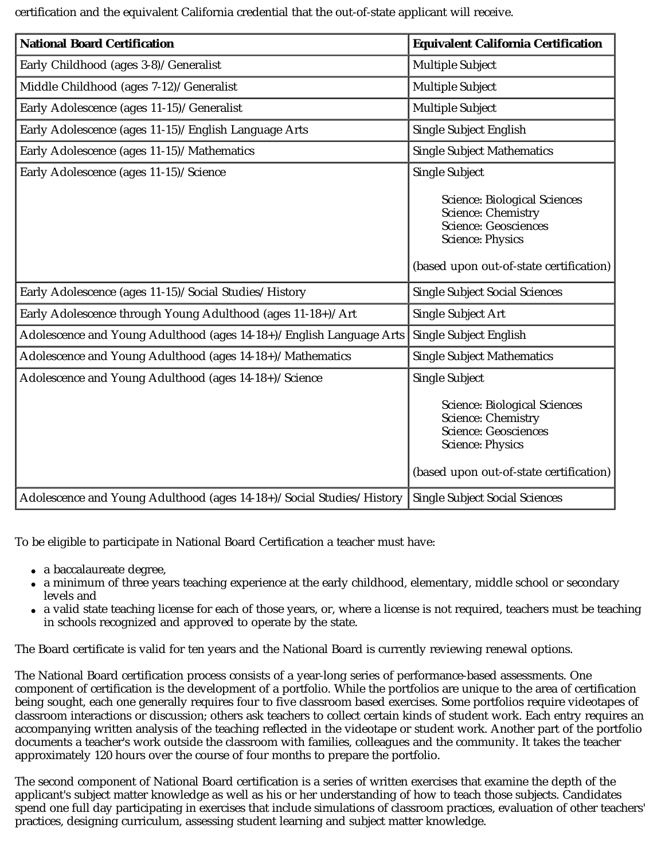certification and the equivalent California credential that the out-of-state applicant will receive.

| <b>National Board Certification</b>                                  | <b>Equivalent California Certification</b>                                                                                                                                                     |
|----------------------------------------------------------------------|------------------------------------------------------------------------------------------------------------------------------------------------------------------------------------------------|
| Early Childhood (ages 3-8)/Generalist                                | <b>Multiple Subject</b>                                                                                                                                                                        |
| Middle Childhood (ages 7-12)/Generalist                              | <b>Multiple Subject</b>                                                                                                                                                                        |
| Early Adolescence (ages 11-15)/Generalist                            | <b>Multiple Subject</b>                                                                                                                                                                        |
| Early Adolescence (ages 11-15)/English Language Arts                 | Single Subject English                                                                                                                                                                         |
| Early Adolescence (ages 11-15)/Mathematics                           | <b>Single Subject Mathematics</b>                                                                                                                                                              |
| Early Adolescence (ages 11-15)/Science                               | <b>Single Subject</b><br><b>Science: Biological Sciences</b><br><b>Science: Chemistry</b><br><b>Science: Geosciences</b><br><b>Science: Physics</b>                                            |
|                                                                      | (based upon out-of-state certification)                                                                                                                                                        |
| Early Adolescence (ages 11-15)/Social Studies/History                | <b>Single Subject Social Sciences</b>                                                                                                                                                          |
| Early Adolescence through Young Adulthood (ages 11-18+)/Art          | <b>Single Subject Art</b>                                                                                                                                                                      |
| Adolescence and Young Adulthood (ages 14-18+)/English Language Arts  | Single Subject English                                                                                                                                                                         |
| Adolescence and Young Adulthood (ages 14-18+)/Mathematics            | <b>Single Subject Mathematics</b>                                                                                                                                                              |
| Adolescence and Young Adulthood (ages 14-18+)/Science                | <b>Single Subject</b><br><b>Science: Biological Sciences</b><br><b>Science: Chemistry</b><br><b>Science: Geosciences</b><br><b>Science: Physics</b><br>(based upon out-of-state certification) |
| Adolescence and Young Adulthood (ages 14-18+)/Social Studies/History | <b>Single Subject Social Sciences</b>                                                                                                                                                          |

To be eligible to participate in National Board Certification a teacher must have:

- a baccalaureate degree,
- a minimum of three years teaching experience at the early childhood, elementary, middle school or secondary levels and
- a valid state teaching license for each of those years, or, where a license is not required, teachers must be teaching in schools recognized and approved to operate by the state.

The Board certificate is valid for ten years and the National Board is currently reviewing renewal options.

The National Board certification process consists of a year-long series of performance-based assessments. One component of certification is the development of a portfolio. While the portfolios are unique to the area of certification being sought, each one generally requires four to five classroom based exercises. Some portfolios require videotapes of classroom interactions or discussion; others ask teachers to collect certain kinds of student work. Each entry requires an accompanying written analysis of the teaching reflected in the videotape or student work. Another part of the portfolio documents a teacher's work outside the classroom with families, colleagues and the community. It takes the teacher approximately 120 hours over the course of four months to prepare the portfolio.

The second component of National Board certification is a series of written exercises that examine the depth of the applicant's subject matter knowledge as well as his or her understanding of how to teach those subjects. Candidates spend one full day participating in exercises that include simulations of classroom practices, evaluation of other teachers' practices, designing curriculum, assessing student learning and subject matter knowledge.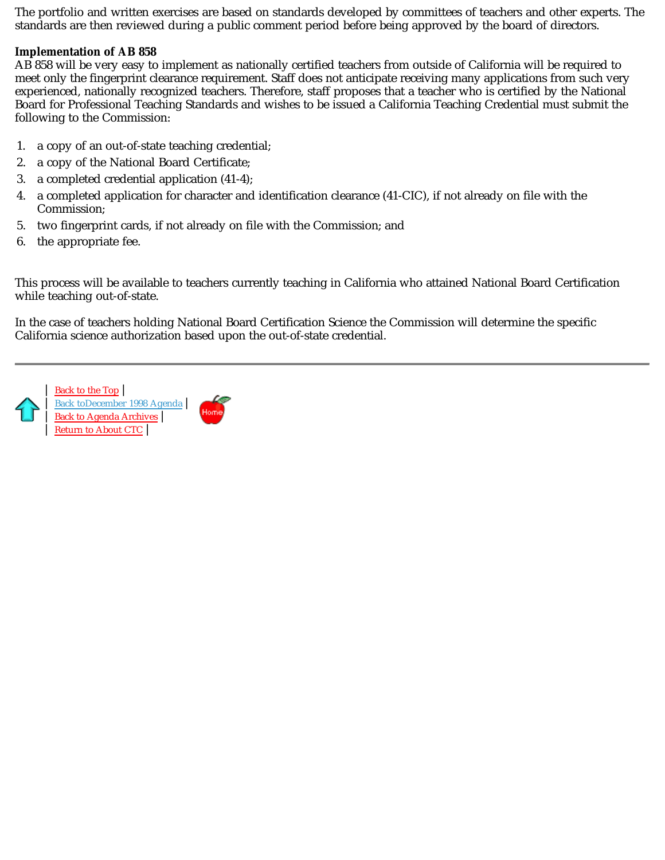The portfolio and written exercises are based on standards developed by committees of teachers and other experts. The standards are then reviewed during a public comment period before being approved by the board of directors.

## **Implementation of AB 858**

AB 858 will be very easy to implement as nationally certified teachers from outside of California will be required to meet only the fingerprint clearance requirement. Staff does not anticipate receiving many applications from such very experienced, nationally recognized teachers. Therefore, staff proposes that a teacher who is certified by the National Board for Professional Teaching Standards and wishes to be issued a California Teaching Credential must submit the following to the Commission:

- 1. a copy of an out-of-state teaching credential;
- 2. a copy of the National Board Certificate;
- 3. a completed credential application (41-4);
- 4. a completed application for character and identification clearance (41-CIC), if not already on file with the Commission;
- 5. two fingerprint cards, if not already on file with the Commission; and
- 6. the appropriate fee.

This process will be available to teachers currently teaching in California who attained National Board Certification while teaching out-of-state.

In the case of teachers holding National Board Certification Science the Commission will determine the specific California science authorization based upon the out-of-state credential.



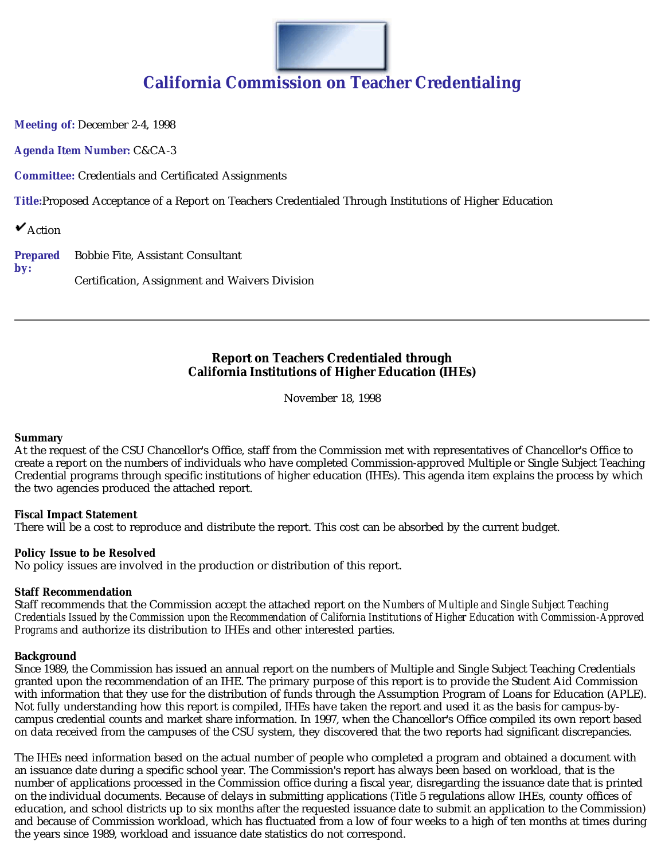

**Meeting of:** December 2-4, 1998

**Agenda Item Number:** C&CA-3

**Committee:** Credentials and Certificated Assignments

**Title:**Proposed Acceptance of a Report on Teachers Credentialed Through Institutions of Higher Education

 $\mathbf{v}_{\text{Action}}$ 

**Prepared**  Bobbie Fite, Assistant Consultant

**by:**

Certification, Assignment and Waivers Division

## **Report on Teachers Credentialed through California Institutions of Higher Education (IHEs)**

November 18, 1998

#### **Summary**

At the request of the CSU Chancellor's Office, staff from the Commission met with representatives of Chancellor's Office to create a report on the numbers of individuals who have completed Commission-approved Multiple or Single Subject Teaching Credential programs through specific institutions of higher education (IHEs). This agenda item explains the process by which the two agencies produced the attached report.

#### **Fiscal Impact Statement**

There will be a cost to reproduce and distribute the report. This cost can be absorbed by the current budget.

#### **Policy Issue to be Resolved**

No policy issues are involved in the production or distribution of this report.

#### **Staff Recommendation**

Staff recommends that the Commission accept the attached report on the *Numbers of Multiple and Single Subject Teaching Programs a*nd authorize its distribution to IHEs and other interested parties. *Credentials Issued by the Commission upon the Recommendation of California Institutions of Higher Education with Commission-Approved* 

#### **Background**

Since 1989, the Commission has issued an annual report on the numbers of Multiple and Single Subject Teaching Credentials granted upon the recommendation of an IHE. The primary purpose of this report is to provide the Student Aid Commission with information that they use for the distribution of funds through the Assumption Program of Loans for Education (APLE). Not fully understanding how this report is compiled, IHEs have taken the report and used it as the basis for campus-bycampus credential counts and market share information. In 1997, when the Chancellor's Office compiled its own report based on data received from the campuses of the CSU system, they discovered that the two reports had significant discrepancies.

The IHEs need information based on the actual number of people who completed a program and obtained a document with an issuance date during a specific school year. The Commission's report has always been based on workload, that is the number of applications processed in the Commission office during a fiscal year, disregarding the issuance date that is printed on the individual documents. Because of delays in submitting applications (Title 5 regulations allow IHEs, county offices of education, and school districts up to six months after the requested issuance date to submit an application to the Commission) and because of Commission workload, which has fluctuated from a low of four weeks to a high of ten months at times during the years since 1989, workload and issuance date statistics do not correspond.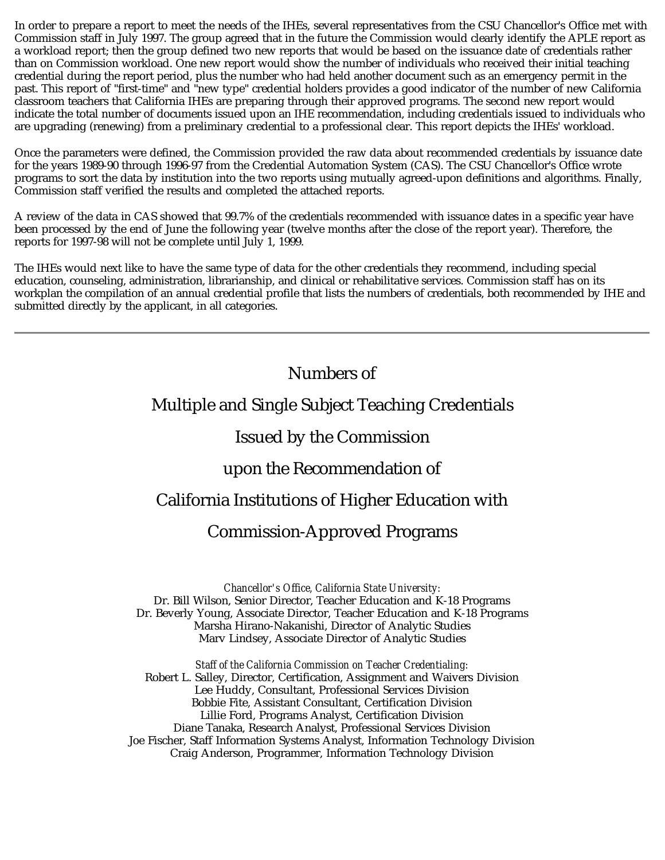In order to prepare a report to meet the needs of the IHEs, several representatives from the CSU Chancellor's Office met with Commission staff in July 1997. The group agreed that in the future the Commission would clearly identify the APLE report as a workload report; then the group defined two new reports that would be based on the issuance date of credentials rather than on Commission workload. One new report would show the number of individuals who received their initial teaching credential during the report period, plus the number who had held another document such as an emergency permit in the past. This report of "first-time" and "new type" credential holders provides a good indicator of the number of new California classroom teachers that California IHEs are preparing through their approved programs. The second new report would indicate the total number of documents issued upon an IHE recommendation, including credentials issued to individuals who are upgrading (renewing) from a preliminary credential to a professional clear. This report depicts the IHEs' workload.

Once the parameters were defined, the Commission provided the raw data about recommended credentials by issuance date for the years 1989-90 through 1996-97 from the Credential Automation System (CAS). The CSU Chancellor's Office wrote programs to sort the data by institution into the two reports using mutually agreed-upon definitions and algorithms. Finally, Commission staff verified the results and completed the attached reports.

A review of the data in CAS showed that 99.7% of the credentials recommended with issuance dates in a specific year have been processed by the end of June the following year (twelve months after the close of the report year). Therefore, the reports for 1997-98 will not be complete until July 1, 1999.

The IHEs would next like to have the same type of data for the other credentials they recommend, including special education, counseling, administration, librarianship, and clinical or rehabilitative services. Commission staff has on its workplan the compilation of an annual credential profile that lists the numbers of credentials, both recommended by IHE and submitted directly by the applicant, in all categories.

## Numbers of

## Multiple and Single Subject Teaching Credentials

## Issued by the Commission

## upon the Recommendation of

## California Institutions of Higher Education with

## Commission-Approved Programs

*Chancellor's Office, California State University:* Dr. Bill Wilson, Senior Director, Teacher Education and K-18 Programs Dr. Beverly Young, Associate Director, Teacher Education and K-18 Programs Marsha Hirano-Nakanishi, Director of Analytic Studies Marv Lindsey, Associate Director of Analytic Studies

*Staff of the California Commission on Teacher Credentialing:* Robert L. Salley, Director, Certification, Assignment and Waivers Division Lee Huddy, Consultant, Professional Services Division Bobbie Fite, Assistant Consultant, Certification Division Lillie Ford, Programs Analyst, Certification Division Diane Tanaka, Research Analyst, Professional Services Division Joe Fischer, Staff Information Systems Analyst, Information Technology Division Craig Anderson, Programmer, Information Technology Division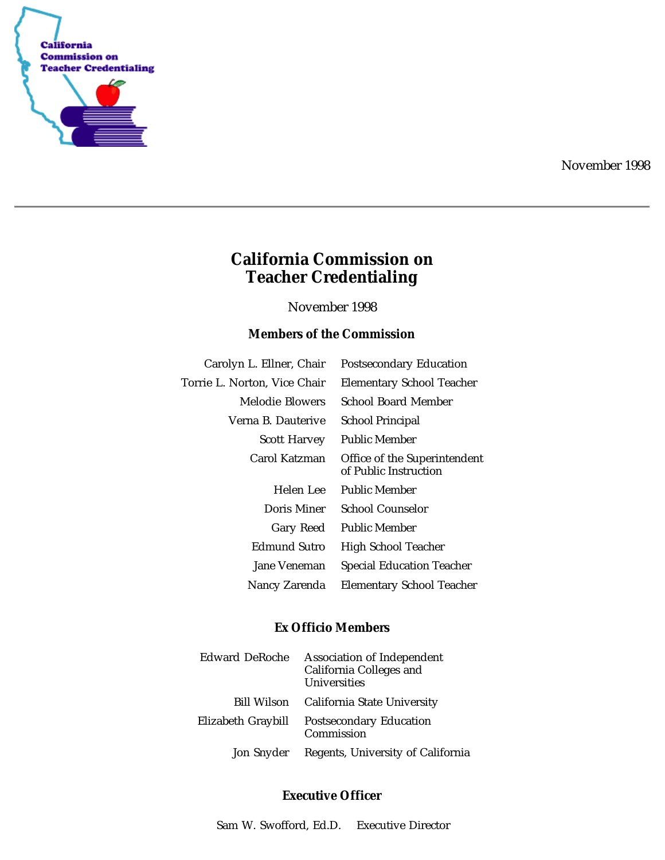

California **Commission on Teacher Credentialing** 

November 1998

## **Members of the Commission**

| Carolyn L. Ellner, Chair     | <b>Postsecondary Education</b>                        |
|------------------------------|-------------------------------------------------------|
| Torrie L. Norton, Vice Chair | <b>Elementary School Teacher</b>                      |
| Melodie Blowers              | School Board Member                                   |
| Verna B. Dauterive           | <b>School Principal</b>                               |
| <b>Scott Harvey</b>          | Public Member                                         |
| Carol Katzman                | Office of the Superintendent<br>of Public Instruction |
| Helen Lee                    | Public Member                                         |
| Doris Miner                  | School Counselor                                      |
| Gary Reed                    | Public Member                                         |
| Edmund Sutro                 | <b>High School Teacher</b>                            |
| Jane Veneman                 | <b>Special Education Teacher</b>                      |
| Nancy Zarenda                | <b>Elementary School Teacher</b>                      |

## **Ex Officio Members**

| <b>Edward DeRoche</b> | Association of Independent<br>California Colleges and<br>Universities |
|-----------------------|-----------------------------------------------------------------------|
| Bill Wilson           | California State University                                           |
| Elizabeth Graybill    | <b>Postsecondary Education</b><br>Commission                          |
| Jon Snyder            | Regents, University of California                                     |

## **Executive Officer**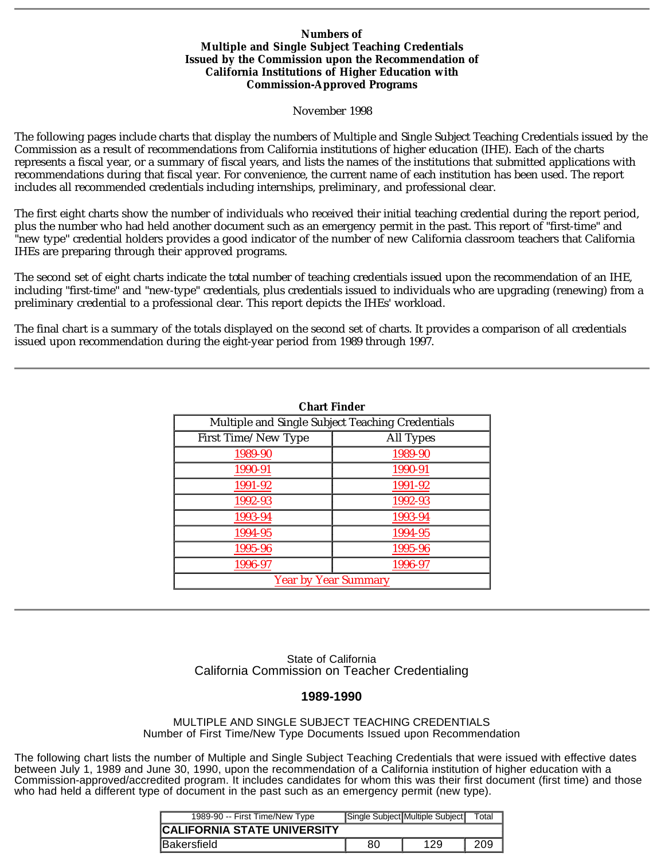#### **Numbers of Multiple and Single Subject Teaching Credentials Issued by the Commission upon the Recommendation of California Institutions of Higher Education with Commission-Approved Programs**

#### November 1998

The following pages include charts that display the numbers of Multiple and Single Subject Teaching Credentials issued by the Commission as a result of recommendations from California institutions of higher education (IHE). Each of the charts represents a fiscal year, or a summary of fiscal years, and lists the names of the institutions that submitted applications with recommendations during that fiscal year. For convenience, the current name of each institution has been used. The report includes all recommended credentials including internships, preliminary, and professional clear.

The first eight charts show the number of individuals who received their *initial* teaching credential during the report period, plus the number who had held another document such as an emergency permit in the past. This report of "first-time" and "new type" credential holders provides a good indicator of the number of new California classroom teachers that California IHEs are preparing through their approved programs.

The second set of eight charts indicate the *total* number of teaching credentials issued upon the recommendation of an IHE, including "first-time" and "new-type" credentials, plus credentials issued to individuals who are upgrading (renewing) from a preliminary credential to a professional clear. This report depicts the IHEs' workload.

The final chart is a summary of the totals displayed on the second set of charts. It provides a comparison of all credentials issued upon recommendation during the eight-year period from 1989 through 1997.

| <b>Chart Finder</b>                              |           |  |  |  |
|--------------------------------------------------|-----------|--|--|--|
| Multiple and Single Subject Teaching Credentials |           |  |  |  |
| First Time/New Type                              | All Types |  |  |  |
| 1989-90                                          | 1989-90   |  |  |  |
| 1990-91                                          | 1990-91   |  |  |  |
| 1991-92                                          | 1991-92   |  |  |  |
| 1992-93                                          | 1992-93   |  |  |  |
| 1993-94                                          | 1993-94   |  |  |  |
| 1994-95                                          | 1994-95   |  |  |  |
| 1995-96                                          | 1995-96   |  |  |  |
| 1996-97                                          | 1996-97   |  |  |  |
| <b>Year by Year Summary</b>                      |           |  |  |  |

#### State of California California Commission on Teacher Credentialing

## **1989-1990**

MULTIPLE AND SINGLE SUBJECT TEACHING CREDENTIALS Number of First Time/New Type Documents Issued upon Recommendation

The following chart lists the number of Multiple and Single Subject Teaching Credentials that were issued with effective dates between July 1, 1989 and June 30, 1990, upon the recommendation of a California institution of higher education with a Commission-approved/accredited program. It includes candidates for whom this was their first document (first time) and those who had held a different type of document in the past such as an emergency permit (new type).

| 1989-90 -- First Time/New Type     |    | Single Subject Multiple Subject | Total |
|------------------------------------|----|---------------------------------|-------|
| <b>CALIFORNIA STATE UNIVERSITY</b> |    |                                 |       |
| Bakersfield                        | 80 | 129                             |       |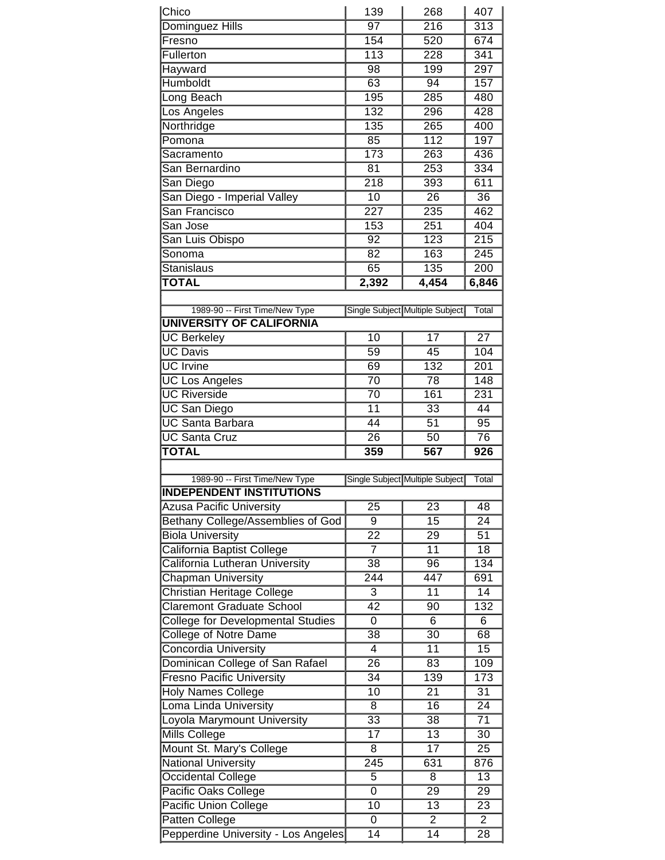| <b>Chico</b>                             | 139              | 268                                    | 407              |
|------------------------------------------|------------------|----------------------------------------|------------------|
| <b>Dominguez Hills</b>                   | 97               | $\overline{216}$                       | $\overline{313}$ |
| Fresno                                   | 154              | 520                                    | 674              |
| Fullerton                                | 113              | 228                                    | 341              |
| Hayward                                  | 98               | 199                                    | 297              |
| <b>Humboldt</b>                          | 63               | $\overline{94}$                        | 157              |
| Long Beach                               | 195              | 285                                    | 480              |
| Los Angeles                              | 132              | 296                                    | 428              |
|                                          |                  |                                        |                  |
| Northridge                               | 135              | 265                                    | 400              |
| Pomona                                   | 85               | 112                                    | 197              |
| Sacramento                               | 173              | 263                                    | 436              |
| San Bernardino                           | $\overline{81}$  | 253                                    | 334              |
| San Diego                                | $\overline{218}$ | 393                                    | 611              |
| San Diego - Imperial Valley              | 10               | 26                                     | 36               |
| San Francisco                            | 227              | 235                                    | 462              |
| San Jose                                 | 153              | 251                                    | 404              |
| San Luis Obispo                          | $\overline{92}$  | 123                                    | $\overline{215}$ |
| Sonoma                                   | $\overline{82}$  | 163                                    | $\overline{245}$ |
| <b>Stanislaus</b>                        | 65               | 135                                    | 200              |
| <b>TOTAL</b>                             | 2,392            | 4,454                                  | 6,846            |
|                                          |                  |                                        |                  |
| 1989-90 -- First Time/New Type           |                  | <b>Single Subject Multiple Subject</b> | Total            |
| <b>UNIVERSITY OF CALIFORNIA</b>          |                  |                                        |                  |
| <b>UC Berkeley</b>                       | 10               | $\overline{17}$                        | $\overline{27}$  |
| <b>UC Davis</b>                          | 59               | 45                                     | 104              |
| <b>UC</b> Irvine                         | 69               | 132                                    | 201              |
| <b>UC Los Angeles</b>                    | 70               | 78                                     | 148              |
| <b>UC Riverside</b>                      | $\overline{70}$  | 161                                    | 231              |
| <b>UC San Diego</b>                      | $\overline{11}$  | $\overline{33}$                        | 44               |
| <b>UC Santa Barbara</b>                  | 44               | 51                                     | 95               |
| <b>UC Santa Cruz</b>                     | 26               | 50                                     | 76               |
| <b>TOTAL</b>                             | 359              | 567                                    | 926              |
|                                          |                  |                                        |                  |
| 1989-90 -- First Time/New Type           |                  | Single Subject Multiple Subject        | Total            |
| <b>INDEPENDENT INSTITUTIONS</b>          |                  |                                        |                  |
| <b>Azusa Pacific University</b>          | $\overline{25}$  | 23                                     | $\overline{48}$  |
| Bethany College/Assemblies of God        | 9                | 15                                     | 24               |
| <b>Biola University</b>                  | 22               | 29                                     | 51               |
| California Baptist College               | $\overline{7}$   | 11                                     | $\overline{18}$  |
| California Lutheran University           | 38               | $\overline{96}$                        | 134              |
| <b>Chapman University</b>                | $\frac{1}{244}$  | 447                                    | 691              |
| <b>Christian Heritage College</b>        | $\overline{3}$   | 11                                     | 14               |
| <b>Claremont Graduate School</b>         | $\overline{42}$  | $\overline{90}$                        | 132              |
| <b>College for Developmental Studies</b> | 0                | 6                                      | 6                |
| College of Notre Dame                    | 38               | 30                                     | 68               |
| <b>Concordia University</b>              | 4                | $\overline{11}$                        | $\overline{15}$  |
| Dominican College of San Rafael          | $\overline{26}$  | $\overline{83}$                        | 109              |
| <b>Fresno Pacific University</b>         | 34               | 139                                    | 173              |
| <b>Holy Names College</b>                | 10               | 21                                     | 31               |
| Loma Linda University                    | 8                | 16                                     | 24               |
| <b>Loyola Marymount University</b>       | $\overline{33}$  | 38                                     | $\overline{71}$  |
| <b>Mills College</b>                     | $\overline{17}$  | $\overline{13}$                        | $\overline{30}$  |
| Mount St. Mary's College                 | 8                | $\overline{17}$                        | 25               |
| <b>National University</b>               | 245              | 631                                    | 876              |
| Occidental College                       | 5                | 8                                      | $\overline{13}$  |
| Pacific Oaks College                     | 0                | 29                                     | 29               |
| Pacific Union College                    | 10               | 13                                     | 23               |
| <b>Patten College</b>                    | 0                | $\overline{2}$                         | $\overline{2}$   |
| Pepperdine University - Los Angeles      | 14               | $\overline{14}$                        | $\overline{28}$  |
|                                          |                  |                                        |                  |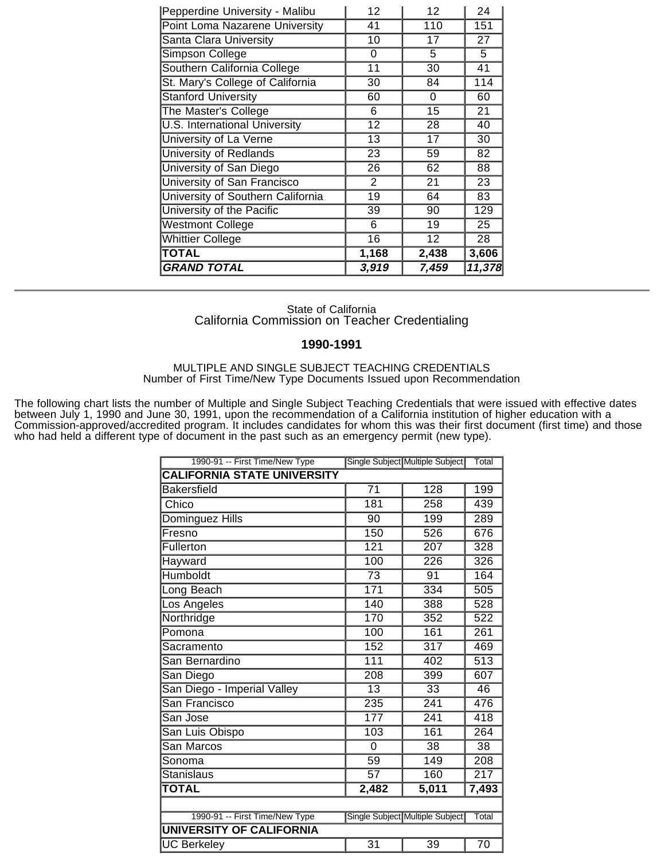| Pepperdine University - Malibu       | 12             | 12                | 24     |
|--------------------------------------|----------------|-------------------|--------|
| Point Loma Nazarene University       | 41             | 110               | 151    |
| Santa Clara University               | 10             | 17                | 27     |
| Simpson College                      | 0              | 5                 | 5      |
| Southern California College          | 11             | 30                | 41     |
| St. Mary's College of California     | 30             | 84                | 114    |
| <b>Stanford University</b>           | 60             | 0                 | 60     |
| The Master's College                 | 6              | 15                | 21     |
| <b>U.S. International University</b> | 12             | 28                | 40     |
| University of La Verne               | 13             | 17                | 30     |
| University of Redlands               | 23             | 59                | 82     |
| University of San Diego              | 26             | 62                | 88     |
| University of San Francisco          | $\overline{2}$ | 21                | 23     |
| University of Southern California    | 19             | 64                | 83     |
| University of the Pacific            | 39             | 90                | 129    |
| <b>Westmont College</b>              | 6              | 19                | 25     |
| <b>Whittier College</b>              | 16             | $12 \overline{ }$ | 28     |
| <b>TOTAL</b>                         | 1,168          | 2,438             | 3,606  |
| <b>GRAND TOTAL</b>                   | 3,919          | 7,459             | 11,378 |

## **1990-1991**

#### MULTIPLE AND SINGLE SUBJECT TEACHING CREDENTIALS Number of First Time/New Type Documents Issued upon Recommendation

The following chart lists the number of Multiple and Single Subject Teaching Credentials that were issued with effective dates between July 1, 1990 and June 30, 1991, upon the recommendation of a California institution of higher education with a Commission-approved/accredited program. It includes candidates for whom this was their first document (first time) and those who had held a different type of document in the past such as an emergency permit (new type).

| 1990-91 -- First Time/New Type     |                  | Single Subject Multiple Subject | Total            |
|------------------------------------|------------------|---------------------------------|------------------|
| <b>CALIFORNIA STATE UNIVERSITY</b> |                  |                                 |                  |
| Bakersfield                        | 71               | 128                             | 199              |
| Chico                              | 181              | 258                             | 439              |
| Dominguez Hills                    | 90               | 199                             | 289              |
| Fresno                             | 150              | 526                             | 676              |
| Fullerton                          | 121              | 207                             | 328              |
| Hayward                            | 100              | $\overline{226}$                | 326              |
| <b>Humboldt</b>                    | 73               | 91                              | 164              |
| Long Beach                         | $\overline{171}$ | 334                             | 505              |
| Los Angeles                        | $\overline{140}$ | 388                             | 528              |
| Northridge                         | 170              | 352                             | 522              |
| Pomona                             | 100              | 161                             | 261              |
| Sacramento                         | 152              | $\overline{317}$                | 469              |
| San Bernardino                     | $\overline{111}$ | 402                             | $\overline{513}$ |
| San Diego                          | 208              | 399                             | 607              |
| San Diego - Imperial Valley        | $\overline{13}$  | 33                              | 46               |
| San Francisco                      | 235              | $\overline{241}$                | 476              |
| San Jose                           | 177              | 241                             | 418              |
| San Luis Obispo                    | 103              | 161                             | 264              |
| San Marcos                         | $\Omega$         | 38                              | 38               |
| Sonoma                             | 59               | 149                             | 208              |
| Stanislaus                         | $\overline{57}$  | 160                             | $\overline{217}$ |
| <b>TOTAL</b>                       | 2,482            | 5,011                           | 7,493            |
|                                    |                  |                                 |                  |
| 1990-91 -- First Time/New Type     |                  | Single Subject Multiple Subject | Total            |
| UNIVERSITY OF CALIFORNIA           |                  |                                 |                  |
| <b>UC Berkeley</b>                 | 31               | 39                              | 70               |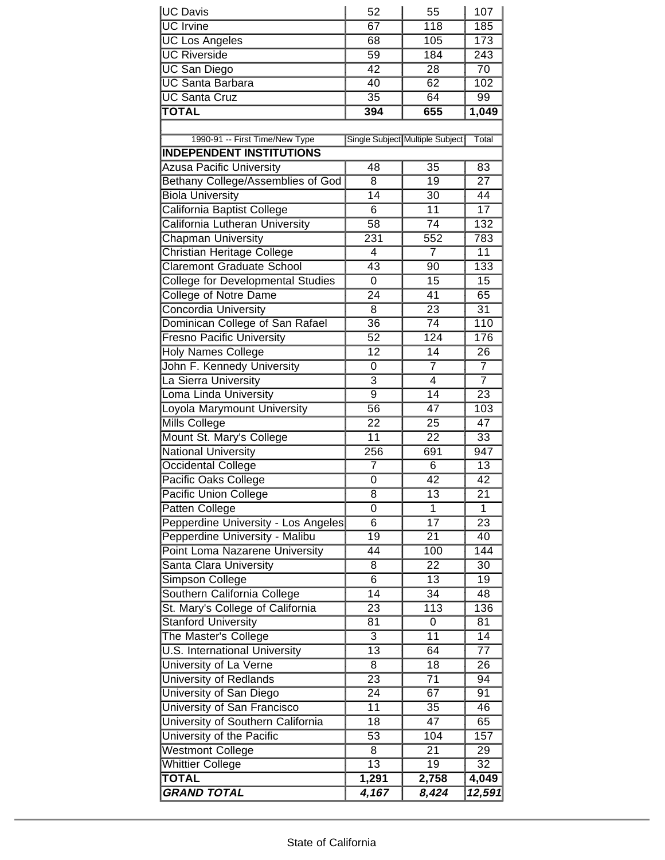| <b>UC</b> Irvine<br>67<br>118<br>185<br><b>UC Los Angeles</b><br>68<br>105<br>173<br><b>UC Riverside</b><br>59<br>184<br>243<br><b>UC San Diego</b><br>$\overline{42}$<br>28<br>70<br><b>UC Santa Barbara</b><br>40<br>62<br>102<br><b>UC Santa Cruz</b><br>$\overline{35}$<br>64<br>99<br><b>TOTAL</b><br>394<br>655<br>1,049<br>1990-91 -- First Time/New Type<br>Single Subject Multiple Subject<br>Total<br><b>INDEPENDENT INSTITUTIONS</b><br><b>Azusa Pacific University</b><br>48<br>35<br>83<br><b>Bethany College/Assemblies of God</b><br>$\overline{27}$<br>8<br>19<br><b>Biola University</b><br>14<br>30<br>44<br>California Baptist College<br>11<br>17<br>6<br>California Lutheran University<br>$\overline{58}$<br>$\overline{74}$<br>132<br><b>Chapman University</b><br>231<br>552<br>783<br><b>Christian Heritage College</b><br>$\overline{7}$<br>4<br>11<br><b>Claremont Graduate School</b><br>43<br>90<br>133<br><b>College for Developmental Studies</b><br>15<br>$\overline{1}5$<br>0<br><b>College of Notre Dame</b><br>65<br>24<br>41<br><b>Concordia University</b><br>$\overline{23}$<br>$\overline{31}$<br>8<br>Dominican College of San Rafael<br>$\overline{74}$<br>36<br>110<br><b>Fresno Pacific University</b><br>52<br>124<br>176<br><b>Holy Names College</b><br>12<br>14<br>26<br>John F. Kennedy University<br>$\overline{7}$<br>0<br>7<br>La Sierra University<br>$\overline{3}$<br>4<br>7<br><b>Loma Linda University</b><br>$\overline{14}$<br>$\overline{23}$<br>9<br>Loyola Marymount University<br>$\overline{56}$<br>47<br>103<br><b>Mills College</b><br>47<br>22<br>25<br>Mount St. Mary's College<br>11<br>22<br>33<br><b>National University</b><br>256<br>691<br>947<br><b>Occidental College</b><br>$\overline{7}$<br>$\overline{6}$<br>$\overline{13}$<br><b>Pacific Oaks College</b><br>42<br>42<br>0<br>Pacific Union College<br>$\overline{13}$<br>$\overline{21}$<br>$\overline{8}$<br>Patten College<br>1<br>0<br>1<br>Pepperdine University - Los Angeles<br>17<br>23<br>6<br>Pepperdine University - Malibu<br>19<br>21<br>40<br>Point Loma Nazarene University<br>144<br>44<br>100<br><b>Santa Clara University</b><br>$\overline{22}$<br>8<br>30<br>Simpson College<br>6<br>13<br>19<br>Southern California College<br>14<br>34<br>48<br>St. Mary's College of California<br>$\overline{23}$<br>$\overline{113}$<br>136<br><b>Stanford University</b><br>81<br>0<br>81<br>The Master's College<br>$\overline{11}$<br>3<br>14<br>$\overline{13}$<br>U.S. International University<br>77<br>64<br>University of La Verne<br>18<br>8<br>26<br><b>University of Redlands</b><br>$\overline{23}$<br>$\overline{71}$<br>94<br>University of San Diego<br>24<br>67<br>91<br>University of San Francisco<br>$\overline{11}$<br>$\overline{35}$<br>46<br>University of Southern California<br>$\overline{18}$<br>65<br>47<br>University of the Pacific<br>53<br>104<br>157<br>Westmont College<br>21<br>8<br>29<br>$\overline{13}$<br><b>Whittier College</b><br>19<br>$\overline{32}$<br>1,291<br><b>TOTAL</b><br>2,758<br>4,049<br>12,591<br><b>GRAND TOTAL</b><br>$\overline{4,167}$<br>8,424 | UC Davis | 52 | 55 | 107 |
|-------------------------------------------------------------------------------------------------------------------------------------------------------------------------------------------------------------------------------------------------------------------------------------------------------------------------------------------------------------------------------------------------------------------------------------------------------------------------------------------------------------------------------------------------------------------------------------------------------------------------------------------------------------------------------------------------------------------------------------------------------------------------------------------------------------------------------------------------------------------------------------------------------------------------------------------------------------------------------------------------------------------------------------------------------------------------------------------------------------------------------------------------------------------------------------------------------------------------------------------------------------------------------------------------------------------------------------------------------------------------------------------------------------------------------------------------------------------------------------------------------------------------------------------------------------------------------------------------------------------------------------------------------------------------------------------------------------------------------------------------------------------------------------------------------------------------------------------------------------------------------------------------------------------------------------------------------------------------------------------------------------------------------------------------------------------------------------------------------------------------------------------------------------------------------------------------------------------------------------------------------------------------------------------------------------------------------------------------------------------------------------------------------------------------------------------------------------------------------------------------------------------------------------------------------------------------------------------------------------------------------------------------------------------------------------------------------------------------------------------------------------------------------------------------------------------------------------------------------------------------------------------------------------------------------------------------------------------------------------------------------------------------------------------------------------------------------------------------------------------------------------------------------|----------|----|----|-----|
|                                                                                                                                                                                                                                                                                                                                                                                                                                                                                                                                                                                                                                                                                                                                                                                                                                                                                                                                                                                                                                                                                                                                                                                                                                                                                                                                                                                                                                                                                                                                                                                                                                                                                                                                                                                                                                                                                                                                                                                                                                                                                                                                                                                                                                                                                                                                                                                                                                                                                                                                                                                                                                                                                                                                                                                                                                                                                                                                                                                                                                                                                                                                                       |          |    |    |     |
|                                                                                                                                                                                                                                                                                                                                                                                                                                                                                                                                                                                                                                                                                                                                                                                                                                                                                                                                                                                                                                                                                                                                                                                                                                                                                                                                                                                                                                                                                                                                                                                                                                                                                                                                                                                                                                                                                                                                                                                                                                                                                                                                                                                                                                                                                                                                                                                                                                                                                                                                                                                                                                                                                                                                                                                                                                                                                                                                                                                                                                                                                                                                                       |          |    |    |     |
|                                                                                                                                                                                                                                                                                                                                                                                                                                                                                                                                                                                                                                                                                                                                                                                                                                                                                                                                                                                                                                                                                                                                                                                                                                                                                                                                                                                                                                                                                                                                                                                                                                                                                                                                                                                                                                                                                                                                                                                                                                                                                                                                                                                                                                                                                                                                                                                                                                                                                                                                                                                                                                                                                                                                                                                                                                                                                                                                                                                                                                                                                                                                                       |          |    |    |     |
|                                                                                                                                                                                                                                                                                                                                                                                                                                                                                                                                                                                                                                                                                                                                                                                                                                                                                                                                                                                                                                                                                                                                                                                                                                                                                                                                                                                                                                                                                                                                                                                                                                                                                                                                                                                                                                                                                                                                                                                                                                                                                                                                                                                                                                                                                                                                                                                                                                                                                                                                                                                                                                                                                                                                                                                                                                                                                                                                                                                                                                                                                                                                                       |          |    |    |     |
|                                                                                                                                                                                                                                                                                                                                                                                                                                                                                                                                                                                                                                                                                                                                                                                                                                                                                                                                                                                                                                                                                                                                                                                                                                                                                                                                                                                                                                                                                                                                                                                                                                                                                                                                                                                                                                                                                                                                                                                                                                                                                                                                                                                                                                                                                                                                                                                                                                                                                                                                                                                                                                                                                                                                                                                                                                                                                                                                                                                                                                                                                                                                                       |          |    |    |     |
|                                                                                                                                                                                                                                                                                                                                                                                                                                                                                                                                                                                                                                                                                                                                                                                                                                                                                                                                                                                                                                                                                                                                                                                                                                                                                                                                                                                                                                                                                                                                                                                                                                                                                                                                                                                                                                                                                                                                                                                                                                                                                                                                                                                                                                                                                                                                                                                                                                                                                                                                                                                                                                                                                                                                                                                                                                                                                                                                                                                                                                                                                                                                                       |          |    |    |     |
|                                                                                                                                                                                                                                                                                                                                                                                                                                                                                                                                                                                                                                                                                                                                                                                                                                                                                                                                                                                                                                                                                                                                                                                                                                                                                                                                                                                                                                                                                                                                                                                                                                                                                                                                                                                                                                                                                                                                                                                                                                                                                                                                                                                                                                                                                                                                                                                                                                                                                                                                                                                                                                                                                                                                                                                                                                                                                                                                                                                                                                                                                                                                                       |          |    |    |     |
|                                                                                                                                                                                                                                                                                                                                                                                                                                                                                                                                                                                                                                                                                                                                                                                                                                                                                                                                                                                                                                                                                                                                                                                                                                                                                                                                                                                                                                                                                                                                                                                                                                                                                                                                                                                                                                                                                                                                                                                                                                                                                                                                                                                                                                                                                                                                                                                                                                                                                                                                                                                                                                                                                                                                                                                                                                                                                                                                                                                                                                                                                                                                                       |          |    |    |     |
|                                                                                                                                                                                                                                                                                                                                                                                                                                                                                                                                                                                                                                                                                                                                                                                                                                                                                                                                                                                                                                                                                                                                                                                                                                                                                                                                                                                                                                                                                                                                                                                                                                                                                                                                                                                                                                                                                                                                                                                                                                                                                                                                                                                                                                                                                                                                                                                                                                                                                                                                                                                                                                                                                                                                                                                                                                                                                                                                                                                                                                                                                                                                                       |          |    |    |     |
|                                                                                                                                                                                                                                                                                                                                                                                                                                                                                                                                                                                                                                                                                                                                                                                                                                                                                                                                                                                                                                                                                                                                                                                                                                                                                                                                                                                                                                                                                                                                                                                                                                                                                                                                                                                                                                                                                                                                                                                                                                                                                                                                                                                                                                                                                                                                                                                                                                                                                                                                                                                                                                                                                                                                                                                                                                                                                                                                                                                                                                                                                                                                                       |          |    |    |     |
|                                                                                                                                                                                                                                                                                                                                                                                                                                                                                                                                                                                                                                                                                                                                                                                                                                                                                                                                                                                                                                                                                                                                                                                                                                                                                                                                                                                                                                                                                                                                                                                                                                                                                                                                                                                                                                                                                                                                                                                                                                                                                                                                                                                                                                                                                                                                                                                                                                                                                                                                                                                                                                                                                                                                                                                                                                                                                                                                                                                                                                                                                                                                                       |          |    |    |     |
|                                                                                                                                                                                                                                                                                                                                                                                                                                                                                                                                                                                                                                                                                                                                                                                                                                                                                                                                                                                                                                                                                                                                                                                                                                                                                                                                                                                                                                                                                                                                                                                                                                                                                                                                                                                                                                                                                                                                                                                                                                                                                                                                                                                                                                                                                                                                                                                                                                                                                                                                                                                                                                                                                                                                                                                                                                                                                                                                                                                                                                                                                                                                                       |          |    |    |     |
|                                                                                                                                                                                                                                                                                                                                                                                                                                                                                                                                                                                                                                                                                                                                                                                                                                                                                                                                                                                                                                                                                                                                                                                                                                                                                                                                                                                                                                                                                                                                                                                                                                                                                                                                                                                                                                                                                                                                                                                                                                                                                                                                                                                                                                                                                                                                                                                                                                                                                                                                                                                                                                                                                                                                                                                                                                                                                                                                                                                                                                                                                                                                                       |          |    |    |     |
|                                                                                                                                                                                                                                                                                                                                                                                                                                                                                                                                                                                                                                                                                                                                                                                                                                                                                                                                                                                                                                                                                                                                                                                                                                                                                                                                                                                                                                                                                                                                                                                                                                                                                                                                                                                                                                                                                                                                                                                                                                                                                                                                                                                                                                                                                                                                                                                                                                                                                                                                                                                                                                                                                                                                                                                                                                                                                                                                                                                                                                                                                                                                                       |          |    |    |     |
|                                                                                                                                                                                                                                                                                                                                                                                                                                                                                                                                                                                                                                                                                                                                                                                                                                                                                                                                                                                                                                                                                                                                                                                                                                                                                                                                                                                                                                                                                                                                                                                                                                                                                                                                                                                                                                                                                                                                                                                                                                                                                                                                                                                                                                                                                                                                                                                                                                                                                                                                                                                                                                                                                                                                                                                                                                                                                                                                                                                                                                                                                                                                                       |          |    |    |     |
|                                                                                                                                                                                                                                                                                                                                                                                                                                                                                                                                                                                                                                                                                                                                                                                                                                                                                                                                                                                                                                                                                                                                                                                                                                                                                                                                                                                                                                                                                                                                                                                                                                                                                                                                                                                                                                                                                                                                                                                                                                                                                                                                                                                                                                                                                                                                                                                                                                                                                                                                                                                                                                                                                                                                                                                                                                                                                                                                                                                                                                                                                                                                                       |          |    |    |     |
|                                                                                                                                                                                                                                                                                                                                                                                                                                                                                                                                                                                                                                                                                                                                                                                                                                                                                                                                                                                                                                                                                                                                                                                                                                                                                                                                                                                                                                                                                                                                                                                                                                                                                                                                                                                                                                                                                                                                                                                                                                                                                                                                                                                                                                                                                                                                                                                                                                                                                                                                                                                                                                                                                                                                                                                                                                                                                                                                                                                                                                                                                                                                                       |          |    |    |     |
|                                                                                                                                                                                                                                                                                                                                                                                                                                                                                                                                                                                                                                                                                                                                                                                                                                                                                                                                                                                                                                                                                                                                                                                                                                                                                                                                                                                                                                                                                                                                                                                                                                                                                                                                                                                                                                                                                                                                                                                                                                                                                                                                                                                                                                                                                                                                                                                                                                                                                                                                                                                                                                                                                                                                                                                                                                                                                                                                                                                                                                                                                                                                                       |          |    |    |     |
|                                                                                                                                                                                                                                                                                                                                                                                                                                                                                                                                                                                                                                                                                                                                                                                                                                                                                                                                                                                                                                                                                                                                                                                                                                                                                                                                                                                                                                                                                                                                                                                                                                                                                                                                                                                                                                                                                                                                                                                                                                                                                                                                                                                                                                                                                                                                                                                                                                                                                                                                                                                                                                                                                                                                                                                                                                                                                                                                                                                                                                                                                                                                                       |          |    |    |     |
|                                                                                                                                                                                                                                                                                                                                                                                                                                                                                                                                                                                                                                                                                                                                                                                                                                                                                                                                                                                                                                                                                                                                                                                                                                                                                                                                                                                                                                                                                                                                                                                                                                                                                                                                                                                                                                                                                                                                                                                                                                                                                                                                                                                                                                                                                                                                                                                                                                                                                                                                                                                                                                                                                                                                                                                                                                                                                                                                                                                                                                                                                                                                                       |          |    |    |     |
|                                                                                                                                                                                                                                                                                                                                                                                                                                                                                                                                                                                                                                                                                                                                                                                                                                                                                                                                                                                                                                                                                                                                                                                                                                                                                                                                                                                                                                                                                                                                                                                                                                                                                                                                                                                                                                                                                                                                                                                                                                                                                                                                                                                                                                                                                                                                                                                                                                                                                                                                                                                                                                                                                                                                                                                                                                                                                                                                                                                                                                                                                                                                                       |          |    |    |     |
|                                                                                                                                                                                                                                                                                                                                                                                                                                                                                                                                                                                                                                                                                                                                                                                                                                                                                                                                                                                                                                                                                                                                                                                                                                                                                                                                                                                                                                                                                                                                                                                                                                                                                                                                                                                                                                                                                                                                                                                                                                                                                                                                                                                                                                                                                                                                                                                                                                                                                                                                                                                                                                                                                                                                                                                                                                                                                                                                                                                                                                                                                                                                                       |          |    |    |     |
|                                                                                                                                                                                                                                                                                                                                                                                                                                                                                                                                                                                                                                                                                                                                                                                                                                                                                                                                                                                                                                                                                                                                                                                                                                                                                                                                                                                                                                                                                                                                                                                                                                                                                                                                                                                                                                                                                                                                                                                                                                                                                                                                                                                                                                                                                                                                                                                                                                                                                                                                                                                                                                                                                                                                                                                                                                                                                                                                                                                                                                                                                                                                                       |          |    |    |     |
|                                                                                                                                                                                                                                                                                                                                                                                                                                                                                                                                                                                                                                                                                                                                                                                                                                                                                                                                                                                                                                                                                                                                                                                                                                                                                                                                                                                                                                                                                                                                                                                                                                                                                                                                                                                                                                                                                                                                                                                                                                                                                                                                                                                                                                                                                                                                                                                                                                                                                                                                                                                                                                                                                                                                                                                                                                                                                                                                                                                                                                                                                                                                                       |          |    |    |     |
|                                                                                                                                                                                                                                                                                                                                                                                                                                                                                                                                                                                                                                                                                                                                                                                                                                                                                                                                                                                                                                                                                                                                                                                                                                                                                                                                                                                                                                                                                                                                                                                                                                                                                                                                                                                                                                                                                                                                                                                                                                                                                                                                                                                                                                                                                                                                                                                                                                                                                                                                                                                                                                                                                                                                                                                                                                                                                                                                                                                                                                                                                                                                                       |          |    |    |     |
|                                                                                                                                                                                                                                                                                                                                                                                                                                                                                                                                                                                                                                                                                                                                                                                                                                                                                                                                                                                                                                                                                                                                                                                                                                                                                                                                                                                                                                                                                                                                                                                                                                                                                                                                                                                                                                                                                                                                                                                                                                                                                                                                                                                                                                                                                                                                                                                                                                                                                                                                                                                                                                                                                                                                                                                                                                                                                                                                                                                                                                                                                                                                                       |          |    |    |     |
|                                                                                                                                                                                                                                                                                                                                                                                                                                                                                                                                                                                                                                                                                                                                                                                                                                                                                                                                                                                                                                                                                                                                                                                                                                                                                                                                                                                                                                                                                                                                                                                                                                                                                                                                                                                                                                                                                                                                                                                                                                                                                                                                                                                                                                                                                                                                                                                                                                                                                                                                                                                                                                                                                                                                                                                                                                                                                                                                                                                                                                                                                                                                                       |          |    |    |     |
|                                                                                                                                                                                                                                                                                                                                                                                                                                                                                                                                                                                                                                                                                                                                                                                                                                                                                                                                                                                                                                                                                                                                                                                                                                                                                                                                                                                                                                                                                                                                                                                                                                                                                                                                                                                                                                                                                                                                                                                                                                                                                                                                                                                                                                                                                                                                                                                                                                                                                                                                                                                                                                                                                                                                                                                                                                                                                                                                                                                                                                                                                                                                                       |          |    |    |     |
|                                                                                                                                                                                                                                                                                                                                                                                                                                                                                                                                                                                                                                                                                                                                                                                                                                                                                                                                                                                                                                                                                                                                                                                                                                                                                                                                                                                                                                                                                                                                                                                                                                                                                                                                                                                                                                                                                                                                                                                                                                                                                                                                                                                                                                                                                                                                                                                                                                                                                                                                                                                                                                                                                                                                                                                                                                                                                                                                                                                                                                                                                                                                                       |          |    |    |     |
|                                                                                                                                                                                                                                                                                                                                                                                                                                                                                                                                                                                                                                                                                                                                                                                                                                                                                                                                                                                                                                                                                                                                                                                                                                                                                                                                                                                                                                                                                                                                                                                                                                                                                                                                                                                                                                                                                                                                                                                                                                                                                                                                                                                                                                                                                                                                                                                                                                                                                                                                                                                                                                                                                                                                                                                                                                                                                                                                                                                                                                                                                                                                                       |          |    |    |     |
|                                                                                                                                                                                                                                                                                                                                                                                                                                                                                                                                                                                                                                                                                                                                                                                                                                                                                                                                                                                                                                                                                                                                                                                                                                                                                                                                                                                                                                                                                                                                                                                                                                                                                                                                                                                                                                                                                                                                                                                                                                                                                                                                                                                                                                                                                                                                                                                                                                                                                                                                                                                                                                                                                                                                                                                                                                                                                                                                                                                                                                                                                                                                                       |          |    |    |     |
|                                                                                                                                                                                                                                                                                                                                                                                                                                                                                                                                                                                                                                                                                                                                                                                                                                                                                                                                                                                                                                                                                                                                                                                                                                                                                                                                                                                                                                                                                                                                                                                                                                                                                                                                                                                                                                                                                                                                                                                                                                                                                                                                                                                                                                                                                                                                                                                                                                                                                                                                                                                                                                                                                                                                                                                                                                                                                                                                                                                                                                                                                                                                                       |          |    |    |     |
|                                                                                                                                                                                                                                                                                                                                                                                                                                                                                                                                                                                                                                                                                                                                                                                                                                                                                                                                                                                                                                                                                                                                                                                                                                                                                                                                                                                                                                                                                                                                                                                                                                                                                                                                                                                                                                                                                                                                                                                                                                                                                                                                                                                                                                                                                                                                                                                                                                                                                                                                                                                                                                                                                                                                                                                                                                                                                                                                                                                                                                                                                                                                                       |          |    |    |     |
|                                                                                                                                                                                                                                                                                                                                                                                                                                                                                                                                                                                                                                                                                                                                                                                                                                                                                                                                                                                                                                                                                                                                                                                                                                                                                                                                                                                                                                                                                                                                                                                                                                                                                                                                                                                                                                                                                                                                                                                                                                                                                                                                                                                                                                                                                                                                                                                                                                                                                                                                                                                                                                                                                                                                                                                                                                                                                                                                                                                                                                                                                                                                                       |          |    |    |     |
|                                                                                                                                                                                                                                                                                                                                                                                                                                                                                                                                                                                                                                                                                                                                                                                                                                                                                                                                                                                                                                                                                                                                                                                                                                                                                                                                                                                                                                                                                                                                                                                                                                                                                                                                                                                                                                                                                                                                                                                                                                                                                                                                                                                                                                                                                                                                                                                                                                                                                                                                                                                                                                                                                                                                                                                                                                                                                                                                                                                                                                                                                                                                                       |          |    |    |     |
|                                                                                                                                                                                                                                                                                                                                                                                                                                                                                                                                                                                                                                                                                                                                                                                                                                                                                                                                                                                                                                                                                                                                                                                                                                                                                                                                                                                                                                                                                                                                                                                                                                                                                                                                                                                                                                                                                                                                                                                                                                                                                                                                                                                                                                                                                                                                                                                                                                                                                                                                                                                                                                                                                                                                                                                                                                                                                                                                                                                                                                                                                                                                                       |          |    |    |     |
|                                                                                                                                                                                                                                                                                                                                                                                                                                                                                                                                                                                                                                                                                                                                                                                                                                                                                                                                                                                                                                                                                                                                                                                                                                                                                                                                                                                                                                                                                                                                                                                                                                                                                                                                                                                                                                                                                                                                                                                                                                                                                                                                                                                                                                                                                                                                                                                                                                                                                                                                                                                                                                                                                                                                                                                                                                                                                                                                                                                                                                                                                                                                                       |          |    |    |     |
|                                                                                                                                                                                                                                                                                                                                                                                                                                                                                                                                                                                                                                                                                                                                                                                                                                                                                                                                                                                                                                                                                                                                                                                                                                                                                                                                                                                                                                                                                                                                                                                                                                                                                                                                                                                                                                                                                                                                                                                                                                                                                                                                                                                                                                                                                                                                                                                                                                                                                                                                                                                                                                                                                                                                                                                                                                                                                                                                                                                                                                                                                                                                                       |          |    |    |     |
|                                                                                                                                                                                                                                                                                                                                                                                                                                                                                                                                                                                                                                                                                                                                                                                                                                                                                                                                                                                                                                                                                                                                                                                                                                                                                                                                                                                                                                                                                                                                                                                                                                                                                                                                                                                                                                                                                                                                                                                                                                                                                                                                                                                                                                                                                                                                                                                                                                                                                                                                                                                                                                                                                                                                                                                                                                                                                                                                                                                                                                                                                                                                                       |          |    |    |     |
|                                                                                                                                                                                                                                                                                                                                                                                                                                                                                                                                                                                                                                                                                                                                                                                                                                                                                                                                                                                                                                                                                                                                                                                                                                                                                                                                                                                                                                                                                                                                                                                                                                                                                                                                                                                                                                                                                                                                                                                                                                                                                                                                                                                                                                                                                                                                                                                                                                                                                                                                                                                                                                                                                                                                                                                                                                                                                                                                                                                                                                                                                                                                                       |          |    |    |     |
|                                                                                                                                                                                                                                                                                                                                                                                                                                                                                                                                                                                                                                                                                                                                                                                                                                                                                                                                                                                                                                                                                                                                                                                                                                                                                                                                                                                                                                                                                                                                                                                                                                                                                                                                                                                                                                                                                                                                                                                                                                                                                                                                                                                                                                                                                                                                                                                                                                                                                                                                                                                                                                                                                                                                                                                                                                                                                                                                                                                                                                                                                                                                                       |          |    |    |     |
|                                                                                                                                                                                                                                                                                                                                                                                                                                                                                                                                                                                                                                                                                                                                                                                                                                                                                                                                                                                                                                                                                                                                                                                                                                                                                                                                                                                                                                                                                                                                                                                                                                                                                                                                                                                                                                                                                                                                                                                                                                                                                                                                                                                                                                                                                                                                                                                                                                                                                                                                                                                                                                                                                                                                                                                                                                                                                                                                                                                                                                                                                                                                                       |          |    |    |     |
|                                                                                                                                                                                                                                                                                                                                                                                                                                                                                                                                                                                                                                                                                                                                                                                                                                                                                                                                                                                                                                                                                                                                                                                                                                                                                                                                                                                                                                                                                                                                                                                                                                                                                                                                                                                                                                                                                                                                                                                                                                                                                                                                                                                                                                                                                                                                                                                                                                                                                                                                                                                                                                                                                                                                                                                                                                                                                                                                                                                                                                                                                                                                                       |          |    |    |     |
|                                                                                                                                                                                                                                                                                                                                                                                                                                                                                                                                                                                                                                                                                                                                                                                                                                                                                                                                                                                                                                                                                                                                                                                                                                                                                                                                                                                                                                                                                                                                                                                                                                                                                                                                                                                                                                                                                                                                                                                                                                                                                                                                                                                                                                                                                                                                                                                                                                                                                                                                                                                                                                                                                                                                                                                                                                                                                                                                                                                                                                                                                                                                                       |          |    |    |     |
|                                                                                                                                                                                                                                                                                                                                                                                                                                                                                                                                                                                                                                                                                                                                                                                                                                                                                                                                                                                                                                                                                                                                                                                                                                                                                                                                                                                                                                                                                                                                                                                                                                                                                                                                                                                                                                                                                                                                                                                                                                                                                                                                                                                                                                                                                                                                                                                                                                                                                                                                                                                                                                                                                                                                                                                                                                                                                                                                                                                                                                                                                                                                                       |          |    |    |     |
|                                                                                                                                                                                                                                                                                                                                                                                                                                                                                                                                                                                                                                                                                                                                                                                                                                                                                                                                                                                                                                                                                                                                                                                                                                                                                                                                                                                                                                                                                                                                                                                                                                                                                                                                                                                                                                                                                                                                                                                                                                                                                                                                                                                                                                                                                                                                                                                                                                                                                                                                                                                                                                                                                                                                                                                                                                                                                                                                                                                                                                                                                                                                                       |          |    |    |     |
|                                                                                                                                                                                                                                                                                                                                                                                                                                                                                                                                                                                                                                                                                                                                                                                                                                                                                                                                                                                                                                                                                                                                                                                                                                                                                                                                                                                                                                                                                                                                                                                                                                                                                                                                                                                                                                                                                                                                                                                                                                                                                                                                                                                                                                                                                                                                                                                                                                                                                                                                                                                                                                                                                                                                                                                                                                                                                                                                                                                                                                                                                                                                                       |          |    |    |     |
|                                                                                                                                                                                                                                                                                                                                                                                                                                                                                                                                                                                                                                                                                                                                                                                                                                                                                                                                                                                                                                                                                                                                                                                                                                                                                                                                                                                                                                                                                                                                                                                                                                                                                                                                                                                                                                                                                                                                                                                                                                                                                                                                                                                                                                                                                                                                                                                                                                                                                                                                                                                                                                                                                                                                                                                                                                                                                                                                                                                                                                                                                                                                                       |          |    |    |     |
|                                                                                                                                                                                                                                                                                                                                                                                                                                                                                                                                                                                                                                                                                                                                                                                                                                                                                                                                                                                                                                                                                                                                                                                                                                                                                                                                                                                                                                                                                                                                                                                                                                                                                                                                                                                                                                                                                                                                                                                                                                                                                                                                                                                                                                                                                                                                                                                                                                                                                                                                                                                                                                                                                                                                                                                                                                                                                                                                                                                                                                                                                                                                                       |          |    |    |     |
|                                                                                                                                                                                                                                                                                                                                                                                                                                                                                                                                                                                                                                                                                                                                                                                                                                                                                                                                                                                                                                                                                                                                                                                                                                                                                                                                                                                                                                                                                                                                                                                                                                                                                                                                                                                                                                                                                                                                                                                                                                                                                                                                                                                                                                                                                                                                                                                                                                                                                                                                                                                                                                                                                                                                                                                                                                                                                                                                                                                                                                                                                                                                                       |          |    |    |     |
|                                                                                                                                                                                                                                                                                                                                                                                                                                                                                                                                                                                                                                                                                                                                                                                                                                                                                                                                                                                                                                                                                                                                                                                                                                                                                                                                                                                                                                                                                                                                                                                                                                                                                                                                                                                                                                                                                                                                                                                                                                                                                                                                                                                                                                                                                                                                                                                                                                                                                                                                                                                                                                                                                                                                                                                                                                                                                                                                                                                                                                                                                                                                                       |          |    |    |     |
|                                                                                                                                                                                                                                                                                                                                                                                                                                                                                                                                                                                                                                                                                                                                                                                                                                                                                                                                                                                                                                                                                                                                                                                                                                                                                                                                                                                                                                                                                                                                                                                                                                                                                                                                                                                                                                                                                                                                                                                                                                                                                                                                                                                                                                                                                                                                                                                                                                                                                                                                                                                                                                                                                                                                                                                                                                                                                                                                                                                                                                                                                                                                                       |          |    |    |     |
|                                                                                                                                                                                                                                                                                                                                                                                                                                                                                                                                                                                                                                                                                                                                                                                                                                                                                                                                                                                                                                                                                                                                                                                                                                                                                                                                                                                                                                                                                                                                                                                                                                                                                                                                                                                                                                                                                                                                                                                                                                                                                                                                                                                                                                                                                                                                                                                                                                                                                                                                                                                                                                                                                                                                                                                                                                                                                                                                                                                                                                                                                                                                                       |          |    |    |     |
|                                                                                                                                                                                                                                                                                                                                                                                                                                                                                                                                                                                                                                                                                                                                                                                                                                                                                                                                                                                                                                                                                                                                                                                                                                                                                                                                                                                                                                                                                                                                                                                                                                                                                                                                                                                                                                                                                                                                                                                                                                                                                                                                                                                                                                                                                                                                                                                                                                                                                                                                                                                                                                                                                                                                                                                                                                                                                                                                                                                                                                                                                                                                                       |          |    |    |     |
|                                                                                                                                                                                                                                                                                                                                                                                                                                                                                                                                                                                                                                                                                                                                                                                                                                                                                                                                                                                                                                                                                                                                                                                                                                                                                                                                                                                                                                                                                                                                                                                                                                                                                                                                                                                                                                                                                                                                                                                                                                                                                                                                                                                                                                                                                                                                                                                                                                                                                                                                                                                                                                                                                                                                                                                                                                                                                                                                                                                                                                                                                                                                                       |          |    |    |     |
|                                                                                                                                                                                                                                                                                                                                                                                                                                                                                                                                                                                                                                                                                                                                                                                                                                                                                                                                                                                                                                                                                                                                                                                                                                                                                                                                                                                                                                                                                                                                                                                                                                                                                                                                                                                                                                                                                                                                                                                                                                                                                                                                                                                                                                                                                                                                                                                                                                                                                                                                                                                                                                                                                                                                                                                                                                                                                                                                                                                                                                                                                                                                                       |          |    |    |     |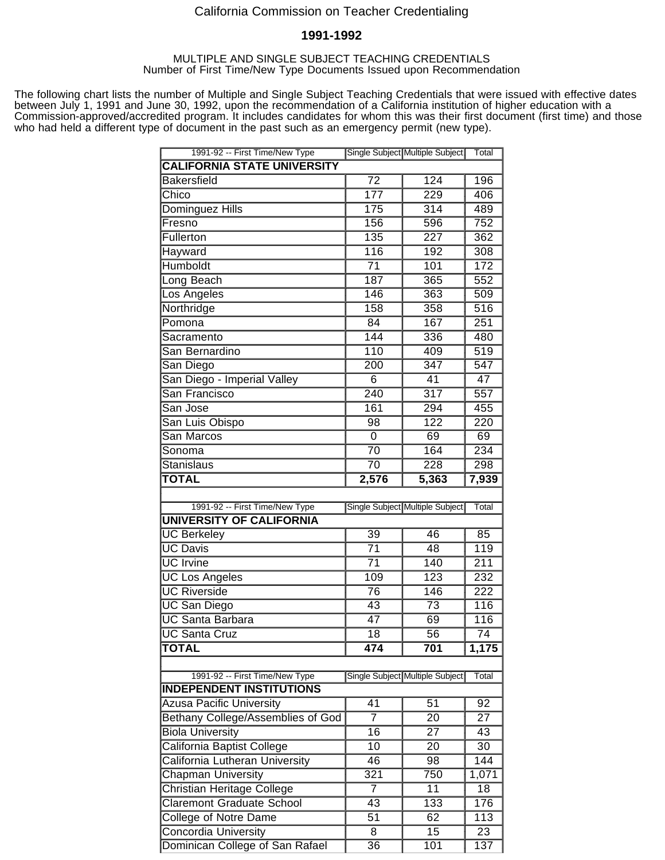## **1991-1992**

#### MULTIPLE AND SINGLE SUBJECT TEACHING CREDENTIALS Number of First Time/New Type Documents Issued upon Recommendation

The following chart lists the number of Multiple and Single Subject Teaching Credentials that were issued with effective dates between July 1, 1991 and June 30, 1992, upon the recommendation of a California institution of higher education with a Commission-approved/accredited program. It includes candidates for whom this was their first document (first time) and those who had held a different type of document in the past such as an emergency permit (new type).

| 1991-92 -- First Time/New Type                                 |                  | <b>Single Subject Multiple Subject</b> | Total            |
|----------------------------------------------------------------|------------------|----------------------------------------|------------------|
| <b>CALIFORNIA STATE UNIVERSITY</b>                             |                  |                                        |                  |
| <b>Bakersfield</b>                                             | $\overline{72}$  | 124                                    | 196              |
| Chico                                                          | 177              | 229                                    | 406              |
| Dominguez Hills                                                | 175              | 314                                    | 489              |
| Fresno                                                         | 156              | 596                                    | 752              |
| Fullerton                                                      | 135              | $\overline{227}$                       | $\overline{362}$ |
| Hayward                                                        | 116              | 192                                    | 308              |
| <b>Humboldt</b>                                                | $\overline{71}$  | 101                                    | 172              |
| Long Beach                                                     | 187              | 365                                    | 552              |
| Los Angeles                                                    | $\overline{146}$ | 363                                    | 509              |
| Northridge                                                     | 158              | 358                                    | $\overline{516}$ |
| Pomona                                                         | 84               | 167                                    | 251              |
| Sacramento                                                     | 144              | 336                                    | 480              |
| San Bernardino                                                 | 110              | 409                                    | 519              |
| San Diego                                                      | 200              | 347                                    | 547              |
| San Diego - Imperial Valley                                    | 6                | 41                                     | 47               |
| San Francisco                                                  | $\overline{240}$ | 317                                    | 557              |
| San Jose                                                       | 161              | 294                                    | 455              |
| San Luis Obispo                                                | 98               | 122                                    | 220              |
| San Marcos                                                     | 0                | 69                                     | 69               |
| Sonoma                                                         | $\overline{70}$  | 164                                    | 234              |
| <b>Stanislaus</b>                                              | $\overline{70}$  | $\overline{228}$                       | 298              |
| <b>TOTAL</b>                                                   | 2,576            | 5,363                                  | 7,939            |
|                                                                |                  |                                        |                  |
| 1991-92 -- First Time/New Type                                 |                  | Single Subject Multiple Subject        | Total            |
| UNIVERSITY OF CALIFORNIA                                       |                  |                                        |                  |
| <b>UC Berkeley</b>                                             | 39               | 46                                     | 85               |
| <b>UC Davis</b>                                                | $\overline{71}$  | 48                                     | 119              |
| <b>UC</b> Irvine                                               | $\overline{71}$  | 140                                    | $\overline{211}$ |
| <b>UC Los Angeles</b>                                          | 109              | 123                                    | 232              |
| <b>UC Riverside</b>                                            | 76               | 146                                    | 222              |
| <b>UC San Diego</b>                                            | 43               | 73                                     | 116              |
| <b>UC Santa Barbara</b>                                        | 47               | 69                                     | 116              |
| <b>UC Santa Cruz</b>                                           | 18               | $\overline{56}$                        | 74               |
| <b>TOTAL</b>                                                   | 474              | 701                                    | 1,175            |
|                                                                |                  |                                        |                  |
| 1991-92 -- First Time/New Type                                 |                  | Single Subject Multiple Subject        | Total            |
| <b>INDEPENDENT INSTITUTIONS</b>                                |                  |                                        |                  |
| Azusa Pacific University                                       | 41               | 51                                     | 92               |
| Bethany College/Assemblies of God                              |                  |                                        |                  |
| <b>Biola University</b>                                        | 7                | 20                                     | 27               |
|                                                                | 16               | 27                                     | 43               |
| California Baptist College                                     | 10               | $\overline{2}0$                        | $\overline{30}$  |
| <b>California Lutheran University</b>                          | 46               | 98                                     | 144              |
| <b>Chapman University</b>                                      | 321              | 750                                    | 1,071            |
| <b>Christian Heritage College</b>                              | $\overline{7}$   | 11                                     | 18               |
| <b>Claremont Graduate School</b>                               | 43               | 133                                    | 176              |
| <b>College of Notre Dame</b>                                   | 51               | 62                                     | 113              |
| <b>Concordia University</b><br>Dominican College of San Rafael | 8<br>36          | 15<br>101                              | 23<br>137        |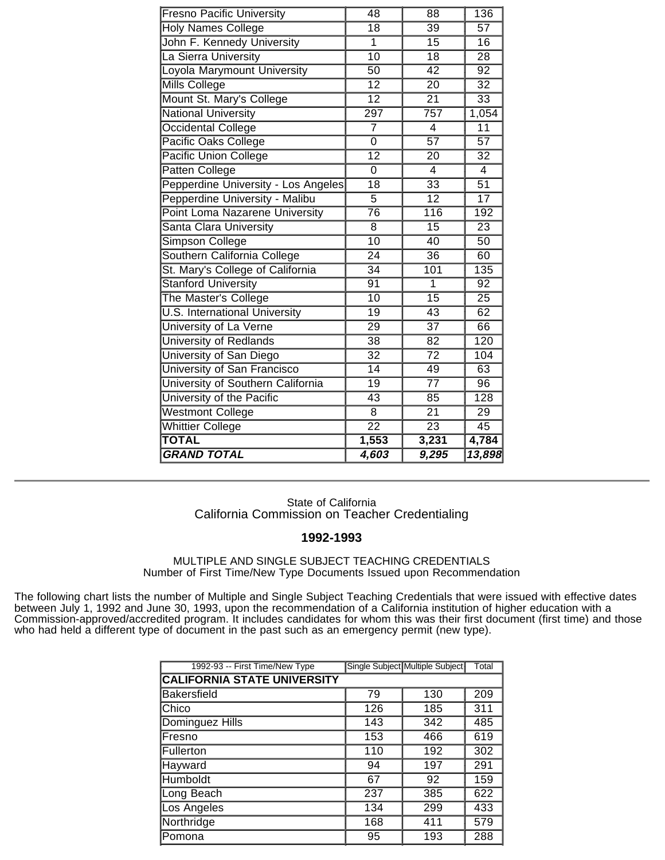| <b>Fresno Pacific University</b>     | 48              | 88              | 136              |
|--------------------------------------|-----------------|-----------------|------------------|
| <b>Holy Names College</b>            | 18              | 39              | 57               |
| John F. Kennedy University           | 1               | $\overline{15}$ | 16               |
| La Sierra University                 | $\overline{10}$ | $\overline{18}$ | $\overline{28}$  |
| Loyola Marymount University          | 50              | 42              | 92               |
| <b>Mills College</b>                 | $\overline{12}$ | $\overline{20}$ | $\overline{32}$  |
| Mount St. Mary's College             | $\overline{12}$ | $\overline{21}$ | 33               |
| <b>National University</b>           | 297             | 757             | 1,054            |
| <b>Occidental College</b>            | $\overline{7}$  | 4               | 11               |
| Pacific Oaks College                 | $\overline{0}$  | 57              | $\overline{57}$  |
| <b>Pacific Union College</b>         | $\overline{12}$ | $\overline{20}$ | $\overline{32}$  |
| <b>Patten College</b>                | $\overline{0}$  | $\overline{4}$  | 4                |
| Pepperdine University - Los Angeles  | 18              | $\overline{33}$ | $\overline{51}$  |
| Pepperdine University - Malibu       | $\overline{5}$  | $\overline{12}$ | $\overline{17}$  |
| Point Loma Nazarene University       | $\overline{76}$ | 116             | 192              |
| <b>Santa Clara University</b>        | $\overline{8}$  | $\overline{15}$ | $\overline{23}$  |
| Simpson College                      | $\overline{10}$ | 40              | 50               |
| Southern California College          | $\overline{24}$ | $\overline{36}$ | 60               |
| St. Mary's College of California     | $\overline{34}$ | 101             | 135              |
| <b>Stanford University</b>           | $\overline{91}$ | 1               | 92               |
| The Master's College                 | $\overline{10}$ | $\overline{15}$ | $\overline{25}$  |
| <b>U.S. International University</b> | 19              | 43              | 62               |
| University of La Verne               | 29              | $\overline{37}$ | 66               |
| <b>University of Redlands</b>        | $\overline{38}$ | $\overline{82}$ | 120              |
| University of San Diego              | $\overline{32}$ | $\overline{72}$ | 104              |
| University of San Francisco          | $\overline{14}$ | 49              | 63               |
| University of Southern California    | 19              | $\overline{77}$ | $\overline{96}$  |
| University of the Pacific            | $\overline{43}$ | 85              | $\overline{128}$ |
| <b>Westmont College</b>              | 8               | 21              | 29               |
| <b>Whittier College</b>              | $\overline{22}$ | $\overline{23}$ | 45               |
| <b>TOTAL</b>                         | 1,553           | 3,231           | 4,784            |
| <b>GRAND TOTAL</b>                   | 4,603           | 9,295           | 13,898           |

## **1992-1993**

#### MULTIPLE AND SINGLE SUBJECT TEACHING CREDENTIALS Number of First Time/New Type Documents Issued upon Recommendation

The following chart lists the number of Multiple and Single Subject Teaching Credentials that were issued with effective dates between July 1, 1992 and June 30, 1993, upon the recommendation of a California institution of higher education with a Commission-approved/accredited program. It includes candidates for whom this was their first document (first time) and those who had held a different type of document in the past such as an emergency permit (new type).

| 1992-93 -- First Time/New Type     |     | Single Subject Multiple Subject | Total |
|------------------------------------|-----|---------------------------------|-------|
| <b>CALIFORNIA STATE UNIVERSITY</b> |     |                                 |       |
| Bakersfield                        | 79  | 130                             | 209   |
| Chico                              | 126 | 185                             | 311   |
| Dominguez Hills                    | 143 | 342                             | 485   |
| Fresno                             | 153 | 466                             | 619   |
| Fullerton                          | 110 | 192                             | 302   |
| Hayward                            | 94  | 197                             | 291   |
| <b>Humboldt</b>                    | 67  | 92                              | 159   |
| Long Beach                         | 237 | 385                             | 622   |
| Los Angeles                        | 134 | 299                             | 433   |
| Northridge                         | 168 | 411                             | 579   |
| Pomona                             | 95  | 193                             | 288   |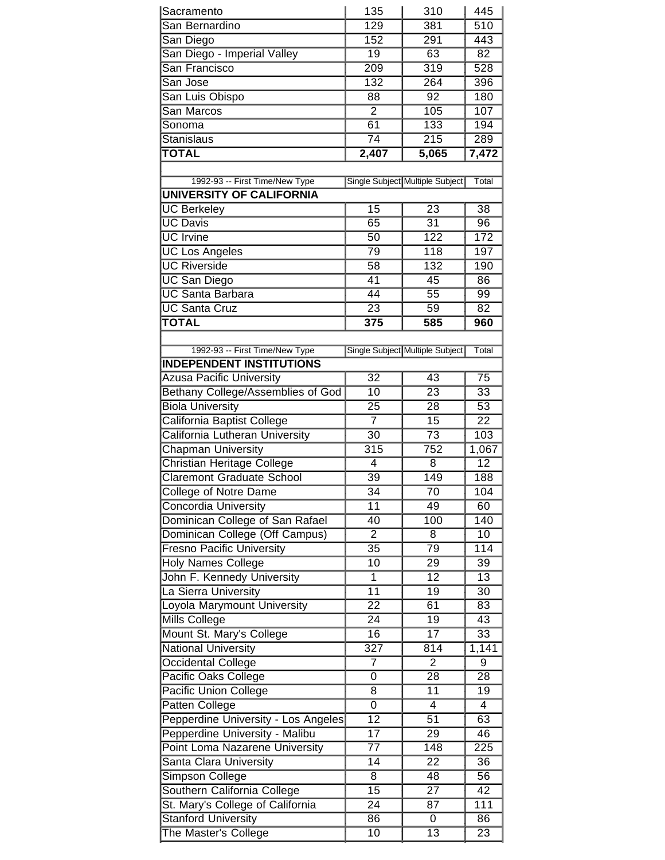| Sacramento                            | 135              | 310                                    | 445              |
|---------------------------------------|------------------|----------------------------------------|------------------|
| San Bernardino                        | $\overline{129}$ | 381                                    | $\overline{510}$ |
| San Diego                             | 152              | 291                                    | 443              |
| San Diego - Imperial Valley           | $\overline{19}$  | 63                                     | 82               |
| San Francisco                         | $\frac{209}{ }$  | 319                                    | 528              |
| San Jose                              | 132              | 264                                    | 396              |
| San Luis Obispo                       | 88               | $\overline{92}$                        | 180              |
| San Marcos                            | 2                | 105                                    | 107              |
| Sonoma                                | 61               | 133                                    | 194              |
| <b>Stanislaus</b>                     | $\overline{74}$  | 215                                    | 289              |
| <b>TOTAL</b>                          | 2,407            | 5,065                                  | 7,472            |
|                                       |                  |                                        |                  |
| 1992-93 -- First Time/New Type        |                  | Single Subject Multiple Subject        | Total            |
| <b>UNIVERSITY OF CALIFORNIA</b>       |                  |                                        |                  |
| <b>UC Berkeley</b>                    | 15               | 23                                     | 38               |
| <b>UC Davis</b>                       | 65               | 31                                     | 96               |
| <b>UC</b> Irvine                      | 50               | $\overline{122}$                       | 172              |
| <b>UC Los Angeles</b>                 | $\overline{79}$  | $\overline{118}$                       | 197              |
| <b>UC Riverside</b>                   | $\overline{58}$  | 132                                    | 190              |
| <b>UC San Diego</b>                   | 41               | 45                                     | 86               |
| <b>UC Santa Barbara</b>               | 44               | 55                                     | 99               |
| <b>UC Santa Cruz</b>                  | $\overline{23}$  | $\overline{59}$                        | 82               |
| <b>TOTAL</b>                          | 375              | 585                                    | 960              |
|                                       |                  |                                        |                  |
| 1992-93 -- First Time/New Type        |                  | <b>Single Subject Multiple Subject</b> | Total            |
| <b>INDEPENDENT INSTITUTIONS</b>       |                  |                                        |                  |
| <b>Azusa Pacific University</b>       | 32               | 43                                     | 75               |
| Bethany College/Assemblies of God     | 10               | 23                                     | 33               |
| <b>Biola University</b>               | 25               | 28                                     | 53               |
| California Baptist College            | $\overline{7}$   | $\overline{15}$                        | 22               |
| <b>California Lutheran University</b> | 30               | 73                                     | 103              |
| <b>Chapman University</b>             | 315              | $\overline{752}$                       | 1,067            |
| <b>Christian Heritage College</b>     | 4                | 8                                      | 12               |
| <b>Claremont Graduate School</b>      | 39               | 149                                    | 188              |
| College of Notre Dame                 | $\overline{34}$  | 70                                     | 104              |
| Concordia University                  | 11               | 49                                     | 60               |
|                                       | 40               | 100                                    | 140              |
| Dominican College of San Rafael       |                  |                                        |                  |
| Dominican College (Off Campus)        | 2                | 8                                      | 10               |
| <b>Fresno Pacific University</b>      | 35               | 79                                     | 114              |
| <b>Holy Names College</b>             | 10               | 29                                     | 39               |
| John F. Kennedy University            | $\overline{1}$   | $\overline{12}$                        | $\overline{13}$  |
| La Sierra University                  | 11               | 19                                     | $\overline{3}0$  |
| Loyola Marymount University           | 22               | 61                                     | 83               |
| Mills College                         | 24               | $\overline{19}$                        | 43               |
| Mount St. Mary's College              | $\overline{16}$  | $\overline{17}$                        | $\overline{33}$  |
| <b>National University</b>            | $\overline{327}$ | 814                                    | 1,141            |
| <b>Occidental College</b>             | 7                | $\overline{2}$                         | 9                |
| Pacific Oaks College                  | 0                | $\overline{28}$                        | $\overline{28}$  |
| Pacific Union College                 | 8                | 11                                     | 19               |
| Patten College                        | 0                | 4                                      | 4                |
| Pepperdine University - Los Angeles   | $\overline{12}$  | $\overline{51}$                        | 63               |
| Pepperdine University - Malibu        | $\overline{17}$  | 29                                     | 46               |
| Point Loma Nazarene University        | $\overline{77}$  | 148                                    | 225              |
| Santa Clara University                | $\overline{14}$  | 22                                     | 36               |
| Simpson College                       | 8                | 48                                     | 56               |
| Southern California College           | $\overline{15}$  | $\overline{27}$                        | 42               |
| St. Mary's College of California      | 24               | 87                                     | 111              |
| <b>Stanford University</b>            | 86               | 0                                      | 86               |
| The Master's College                  | 10               | $\overline{13}$                        | 23               |
|                                       |                  |                                        |                  |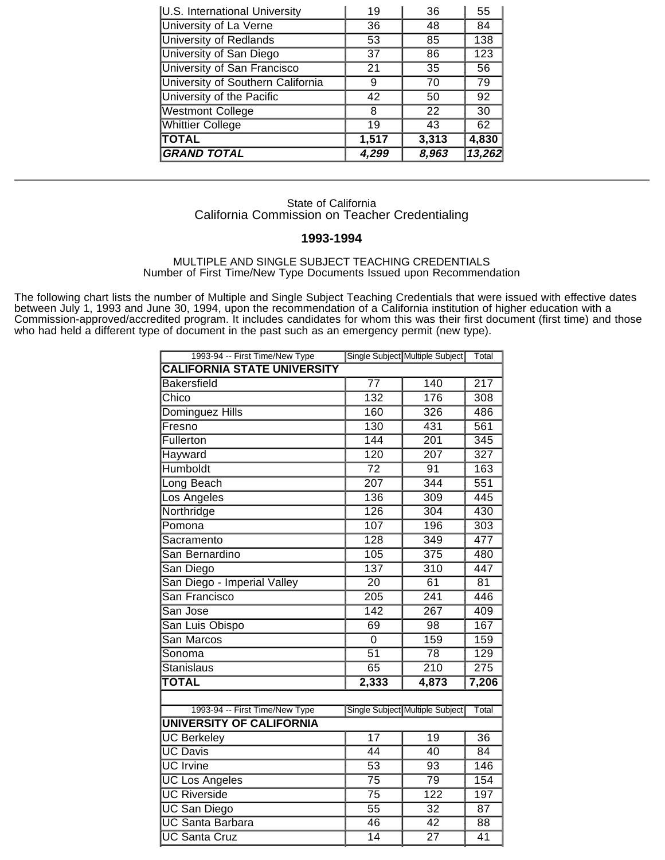| <b>U.S. International University</b> | 19    | 36    | 55     |
|--------------------------------------|-------|-------|--------|
| University of La Verne               | 36    | 48    | 84     |
| <b>University of Redlands</b>        | 53    | 85    | 138    |
| University of San Diego              | 37    | 86    | 123    |
| University of San Francisco          | 21    | 35    | 56     |
| University of Southern California    | 9     | 70    | 79     |
| University of the Pacific            | 42    | 50    | 92     |
| <b>Westmont College</b>              | 8     | 22    | 30     |
| <b>Whittier College</b>              | 19    | 43    | 62     |
| <b>TOTAL</b>                         | 1,517 | 3,313 | 4,830  |
| <b>GRAND TOTAL</b>                   | 4,299 | 8,963 | 13,262 |

## **1993-1994**

#### MULTIPLE AND SINGLE SUBJECT TEACHING CREDENTIALS Number of First Time/New Type Documents Issued upon Recommendation

The following chart lists the number of Multiple and Single Subject Teaching Credentials that were issued with effective dates between July 1, 1993 and June 30, 1994, upon the recommendation of a California institution of higher education with a Commission-approved/accredited program. It includes candidates for whom this was their first document (first time) and those who had held a different type of document in the past such as an emergency permit (new type).

| 1993-94 -- First Time/New Type     |                  | Single Subject Multiple Subject | Total            |
|------------------------------------|------------------|---------------------------------|------------------|
| <b>CALIFORNIA STATE UNIVERSITY</b> |                  |                                 |                  |
| <b>Bakersfield</b>                 | $\overline{77}$  | $\overline{140}$                | $\overline{217}$ |
| Chico                              | 132              | 176                             | $\overline{308}$ |
| Dominguez Hills                    | 160              | 326                             | 486              |
| Fresno                             | 130              | 431                             | 561              |
| Fullerton                          | $\overline{144}$ | 201                             | 345              |
| Hayward                            | $\overline{120}$ | $\overline{207}$                | 327              |
| <b>Humboldt</b>                    | $\overline{72}$  | $\overline{91}$                 | 163              |
| Long Beach                         | 207              | 344                             | 551              |
| Los Angeles                        | 136              | 309                             | 445              |
| Northridge                         | 126              | 304                             | 430              |
| Pomona                             | 107              | 196                             | 303              |
| Sacramento                         | $\overline{128}$ | 349                             | 477              |
| San Bernardino                     | 105              | 375                             | 480              |
| San Diego                          | 137              | 310                             | 447              |
| San Diego - Imperial Valley        | 20               | 61                              | 81               |
| San Francisco                      | $\overline{205}$ | $\overline{241}$                | 446              |
| San Jose                           | $\overline{142}$ | 267                             | 409              |
| San Luis Obispo                    | $\overline{69}$  | 98                              | 167              |
| San Marcos                         | $\Omega$         | 159                             | 159              |
| Sonoma                             | $\overline{51}$  | 78                              | 129              |
| Stanislaus                         | 65               | 210                             | $\overline{275}$ |
| <b>TOTAL</b>                       | 2,333            | 4,873                           | 7,206            |
| 1993-94 -- First Time/New Type     |                  | Single Subject Multiple Subject | Total            |
| <b>UNIVERSITY OF CALIFORNIA</b>    |                  |                                 |                  |
| <b>UC Berkeley</b>                 | $\overline{17}$  | $\overline{19}$                 | 36               |
| <b>UC Davis</b>                    | 44               | 40                              | 84               |
| <b>UC</b> Irvine                   | 53               | 93                              | 146              |
| <b>UC Los Angeles</b>              | 75               | 79                              | 154              |
| <b>UC Riverside</b>                | $\overline{75}$  | $\overline{122}$                | 197              |
| <b>UC San Diego</b>                | $\overline{55}$  | $\overline{32}$                 | $\overline{87}$  |
| <b>UC Santa Barbara</b>            | 46               | $\overline{42}$                 | 88               |
| <b>UC Santa Cruz</b>               | $\overline{14}$  | $\overline{27}$                 | $\overline{41}$  |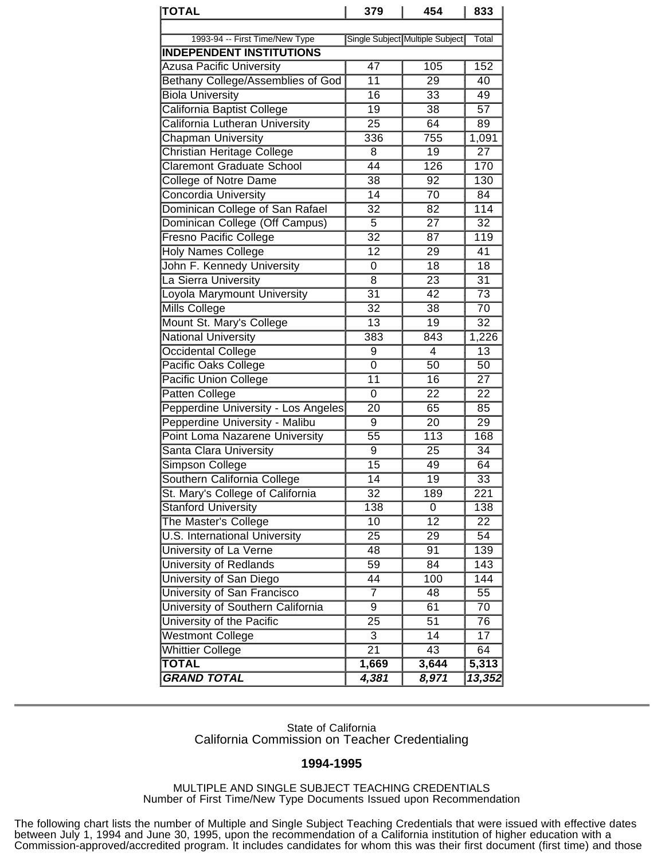| <b>TOTAL</b>                                                      | 379             | 454                             | 833             |
|-------------------------------------------------------------------|-----------------|---------------------------------|-----------------|
|                                                                   |                 |                                 |                 |
| 1993-94 -- First Time/New Type<br><b>INDEPENDENT INSTITUTIONS</b> |                 | Single Subject Multiple Subject | Total           |
| <b>Azusa Pacific University</b>                                   | 47              | 105                             | 152             |
| Bethany College/Assemblies of God                                 | $\overline{11}$ | 29                              | 40              |
| <b>Biola University</b>                                           | 16              | 33                              | 49              |
| California Baptist College                                        | $\overline{19}$ | $\overline{38}$                 | 57              |
| California Lutheran University                                    | $\overline{25}$ | 64                              | 89              |
| <b>Chapman University</b>                                         | 336             | 755                             | 1,091           |
| Christian Heritage College                                        | 8               | 19                              | 27              |
| <b>Claremont Graduate School</b>                                  | 44              | 126                             | 170             |
| College of Notre Dame                                             | 38              | 92                              | 130             |
| Concordia University                                              | 14              | 70                              | 84              |
| Dominican College of San Rafael                                   | $\overline{32}$ | $\overline{82}$                 | 114             |
| Dominican College (Off Campus)                                    | $\overline{5}$  | $\overline{27}$                 | $\overline{32}$ |
| <b>Fresno Pacific College</b>                                     | $\overline{32}$ | 87                              | 119             |
| <b>Holy Names College</b>                                         | 12              | 29                              | 41              |
| John F. Kennedy University                                        | $\mathbf 0$     | $\overline{18}$                 | 18              |
| La Sierra University                                              | 8               | $\overline{23}$                 | $\overline{31}$ |
| Loyola Marymount University                                       | $\overline{31}$ | $\overline{42}$                 | $\overline{73}$ |
| <b>Mills College</b>                                              | 32              | 38                              | 70              |
| Mount St. Mary's College                                          | $\overline{13}$ | $\overline{19}$                 | $\overline{32}$ |
| <b>National University</b>                                        | 383             | 843                             | 1,226           |
| Occidental College                                                | 9               | 4                               | $\overline{13}$ |
| Pacific Oaks College                                              | $\Omega$        | 50                              | 50              |
| <b>Pacific Union College</b>                                      | 11              | 16                              | 27              |
| Patten College                                                    | 0               | 22                              | 22              |
| Pepperdine University - Los Angeles                               | 20              | 65                              | 85              |
| Pepperdine University - Malibu                                    | 9               | 20                              | 29              |
| Point Loma Nazarene University                                    | $\overline{55}$ | $\overline{113}$                | 168             |
| Santa Clara University                                            | 9               | $\overline{25}$                 | $\overline{34}$ |
| Simpson College                                                   | $\overline{15}$ | 49                              | 64              |
| Southern California College                                       | $\overline{14}$ | $\overline{19}$                 | 33              |
| St. Mary's College of California                                  | 32              | 189                             | 221             |
| <b>Stanford University</b>                                        | 138             | 0                               | 138             |
| The Master's College                                              | 10              | $\overline{12}$                 | 22              |
| U.S. International University                                     | $\overline{25}$ | 29                              | 54              |
| University of La Verne                                            | 48              | 91                              | 139             |
| <b>University of Redlands</b>                                     | 59              | 84                              | 143             |
| University of San Diego                                           | 44              | 100                             | 144             |
| University of San Francisco                                       | $\overline{7}$  | 48                              | 55              |
| University of Southern California                                 | 9               | 61                              | 70              |
| University of the Pacific                                         | 25              | 51                              | 76              |
| <b>Westmont College</b>                                           | 3               | 14                              | 17              |
| <b>Whittier College</b>                                           | $\overline{21}$ | $\overline{43}$                 | 64              |
| <b>TOTAL</b>                                                      | 1,669           | 3,644                           | 5,313           |
| <b>GRAND TOTAL</b>                                                | 4,381           | 8,971                           | 13,352          |

#### **1994-1995**

MULTIPLE AND SINGLE SUBJECT TEACHING CREDENTIALS Number of First Time/New Type Documents Issued upon Recommendation

The following chart lists the number of Multiple and Single Subject Teaching Credentials that were issued with effective dates between July 1, 1994 and June 30, 1995, upon the recommendation of a California institution of higher education with a Commission-approved/accredited program. It includes candidates for whom this was their first document (first time) and those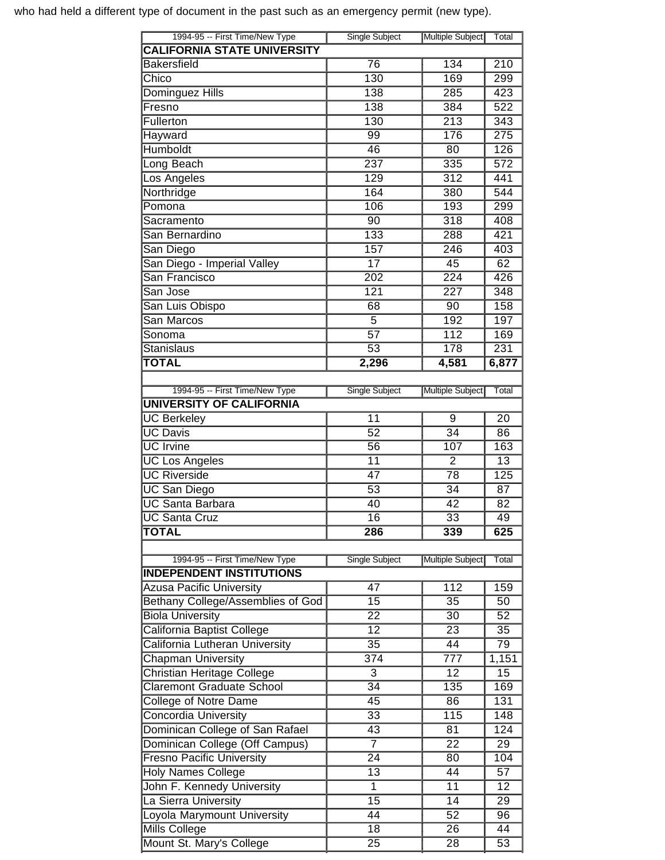# who had held a different type of document in the past such as an emergency permit (new type).

| 1994-95 -- First Time/New Type        | <b>Single Subject</b> | Multiple Subject        | Total           |
|---------------------------------------|-----------------------|-------------------------|-----------------|
| <b>CALIFORNIA STATE UNIVERSITY</b>    |                       |                         |                 |
| <b>Bakersfield</b>                    | 76                    | 134                     | 210             |
| Chico                                 | 130                   | 169                     | 299             |
| Dominguez Hills                       | 138                   | 285                     | 423             |
| Fresno                                | 138                   | 384                     | 522             |
| Fullerton                             | 130                   | $\overline{213}$        | 343             |
| Hayward                               | 99                    | 176                     | 275             |
| <b>Humboldt</b>                       | 46                    | 80                      | 126             |
| Long Beach                            | 237                   | 335                     | 572             |
| Los Angeles                           | 129                   | 312                     | 441             |
| Northridge                            | 164                   | 380                     | 544             |
| Pomona                                | 106                   | 193                     | 299             |
| Sacramento                            | 90                    | 318                     | 408             |
| San Bernardino                        | 133                   | 288                     | 421             |
| San Diego                             |                       |                         |                 |
|                                       | 157                   | 246                     | 403             |
| San Diego - Imperial Valley           | $\overline{17}$       | $\overline{45}$         | 62              |
| San Francisco                         | $\overline{202}$      | $\overline{224}$        | 426             |
| San Jose                              | 121                   | 227                     | 348             |
| San Luis Obispo                       | 68                    | 90                      | 158             |
| San Marcos                            | $\overline{5}$        | 192                     | 197             |
| Sonoma                                | $\overline{57}$       | $\overline{112}$        | 169             |
| Stanislaus                            | $\overline{53}$       | 178                     | 231             |
| <b>TOTAL</b>                          | 2,296                 | 4,581                   | 6,877           |
|                                       |                       |                         |                 |
| 1994-95 -- First Time/New Type        | <b>Single Subject</b> | <b>Multiple Subject</b> | Total           |
| UNIVERSITY OF CALIFORNIA              |                       |                         |                 |
| <b>UC Berkeley</b>                    | 11                    | 9                       | 20              |
| <b>UC Davis</b>                       | 52                    | 34                      | 86              |
| <b>UC</b> Irvine                      | 56                    | 107                     | 163             |
| <b>UC Los Angeles</b>                 | $\overline{11}$       | $\overline{2}$          | $\overline{13}$ |
| <b>UC Riverside</b>                   | $\overline{47}$       | $\overline{78}$         | 125             |
| <b>UC San Diego</b>                   | $\overline{53}$       | $\overline{34}$         | 87              |
| <b>UC Santa Barbara</b>               | 40                    | 42                      | 82              |
| <b>UC Santa Cruz</b>                  | 16                    | 33                      | 49              |
| <b>TOTAL</b>                          | 286                   | 339                     | 625             |
|                                       |                       |                         |                 |
| 1994-95 -- First Time/New Type        | <b>Single Subject</b> | <b>Multiple Subject</b> | Total           |
| <b>INDEPENDENT INSTITUTIONS</b>       |                       |                         |                 |
| <b>Azusa Pacific University</b>       | 47                    | 112                     | 159             |
| Bethany College/Assemblies of God     | 15                    | 35                      | 50              |
| <b>Biola University</b>               | 22                    | 30                      | 52              |
| <b>California Baptist College</b>     | $\overline{12}$       | $\overline{23}$         | 35              |
| <b>California Lutheran University</b> | 35                    | 44                      | 79              |
| <b>Chapman University</b>             | 374                   | 777                     |                 |
|                                       |                       |                         | 1,151           |
| <b>Christian Heritage College</b>     | $\overline{3}$        | 12                      | 15              |
| <b>Claremont Graduate School</b>      | $\overline{34}$       | $\overline{135}$        | 169             |
| College of Notre Dame                 | $\overline{45}$       | 86                      | 131             |
| <b>Concordia University</b>           | 33                    | $\overline{115}$        | 148             |
| Dominican College of San Rafael       | 43                    | 81                      | 124             |
| Dominican College (Off Campus)        | 7                     | 22                      | 29              |
| <b>Fresno Pacific University</b>      | 24                    | 80                      | 104             |
| <b>Holy Names College</b>             | 13                    | 44                      | 57              |
| John F. Kennedy University            | $\overline{1}$        | $\overline{11}$         | $\overline{12}$ |
| La Sierra University                  | $\overline{15}$       | $\overline{14}$         | 29              |
| Loyola Marymount University           | 44                    | 52                      | 96              |
| Mills College                         | 18                    | 26                      | 44              |
| Mount St. Mary's College              | $\overline{25}$       | 28                      | 53              |
|                                       |                       |                         |                 |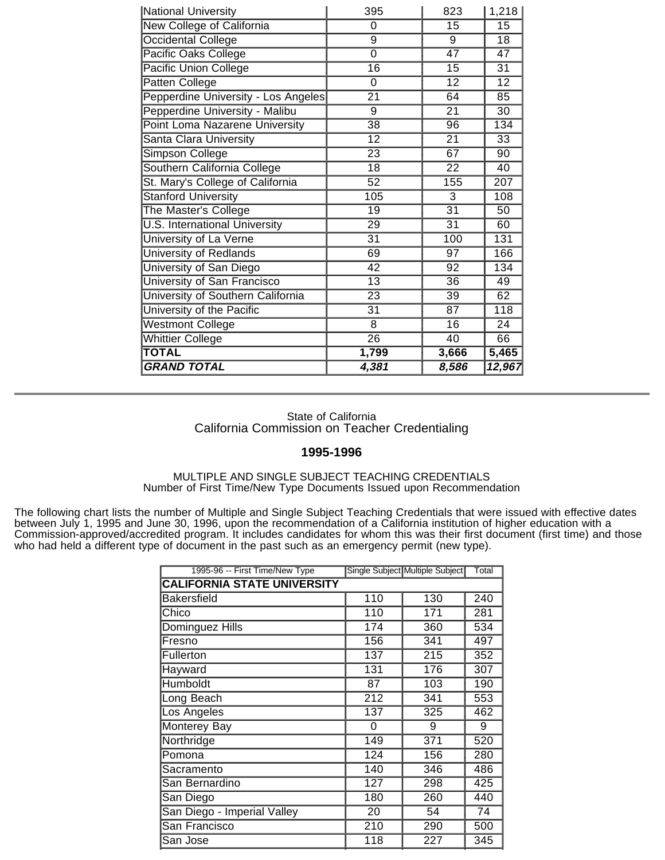| National University                  | 395             | 823             | 1,218           |
|--------------------------------------|-----------------|-----------------|-----------------|
| New College of California            | 0               | 15              | 15              |
| Occidental College                   | 9               | 9               | 18              |
| Pacific Oaks College                 | $\overline{0}$  | $\overline{47}$ | 47              |
| <b>Pacific Union College</b>         | 16              | $\overline{15}$ | 31              |
| <b>Patten College</b>                | 0               | $\overline{12}$ | $\overline{12}$ |
| Pepperdine University - Los Angeles  | $\overline{21}$ | 64              | 85              |
| Pepperdine University - Malibu       | 9               | 21              | 30              |
| Point Loma Nazarene University       | $\overline{38}$ | 96              | 134             |
| Santa Clara University               | $\overline{12}$ | 21              | 33              |
| <b>Simpson College</b>               | 23              | 67              | 90              |
| Southern California College          | 18              | 22              | 40              |
| St. Mary's College of California     | 52              | 155             | 207             |
| <b>Stanford University</b>           | 105             | 3               | 108             |
| The Master's College                 | 19              | 31              | 50              |
| <b>U.S. International University</b> | $\overline{29}$ | $\overline{31}$ | 60              |
| University of La Verne               | 31              | 100             | 131             |
| University of Redlands               | 69              | 97              | 166             |
| University of San Diego              | $\overline{42}$ | $\overline{92}$ | 134             |
| University of San Francisco          | $\overline{13}$ | $\overline{36}$ | 49              |
| University of Southern California    | 23              | 39              | 62              |
| University of the Pacific            | $\overline{31}$ | 87              | 118             |
| <b>Westmont College</b>              | 8               | 16              | 24              |
| <b>Whittier College</b>              | 26              | 40              | 66              |
| <b>TOTAL</b>                         | 1,799           | 3,666           | 5,465           |
| <b>GRAND TOTAL</b>                   | 4,381           | 8,586           | 12,967          |

## **1995-1996**

#### MULTIPLE AND SINGLE SUBJECT TEACHING CREDENTIALS Number of First Time/New Type Documents Issued upon Recommendation

The following chart lists the number of Multiple and Single Subject Teaching Credentials that were issued with effective dates between July 1, 1995 and June 30, 1996, upon the recommendation of a California institution of higher education with a Commission-approved/accredited program. It includes candidates for whom this was their first document (first time) and those who had held a different type of document in the past such as an emergency permit (new type).

| 1995-96 -- First Time/New Type     |     | Single Subject Multiple Subject | Total |  |
|------------------------------------|-----|---------------------------------|-------|--|
| <b>CALIFORNIA STATE UNIVERSITY</b> |     |                                 |       |  |
| <b>Bakersfield</b>                 | 110 | 130                             | 240   |  |
| Chico                              | 110 | 171                             | 281   |  |
| Dominguez Hills                    | 174 | 360                             | 534   |  |
| Fresno                             | 156 | 341                             | 497   |  |
| Fullerton                          | 137 | 215                             | 352   |  |
| Hayward                            | 131 | 176                             | 307   |  |
| Humboldt                           | 87  | 103                             | 190   |  |
| Long Beach                         | 212 | 341                             | 553   |  |
| Los Angeles                        | 137 | 325                             | 462   |  |
| <b>Monterey Bay</b>                | 0   | 9                               | 9     |  |
| Northridge                         | 149 | 371                             | 520   |  |
| Pomona                             | 124 | 156                             | 280   |  |
| Sacramento                         | 140 | 346                             | 486   |  |
| San Bernardino                     | 127 | 298                             | 425   |  |
| San Diego                          | 180 | 260                             | 440   |  |
| San Diego - Imperial Valley        | 20  | 54                              | 74    |  |
| San Francisco                      | 210 | 290                             | 500   |  |
| San Jose                           | 118 | 227                             | 345   |  |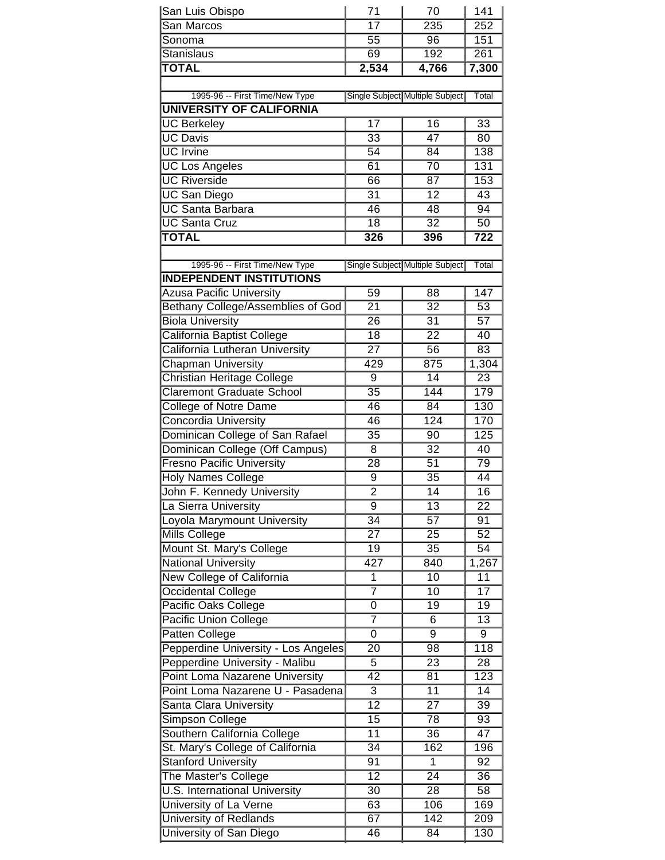| San Luis Obispo                      | 71              | 70                              | 141              |
|--------------------------------------|-----------------|---------------------------------|------------------|
| San Marcos                           | $\overline{17}$ | 235                             | 252              |
| Sonoma                               | 55              | 96                              | 151              |
| <b>Stanislaus</b>                    | 69              | $\overline{192}$                | 261              |
| <b>TOTAL</b>                         | 2,534           | 4,766                           | 7,300            |
|                                      |                 |                                 |                  |
| 1995-96 -- First Time/New Type       |                 | Single Subject Multiple Subject | Total            |
| <b>UNIVERSITY OF CALIFORNIA</b>      |                 |                                 |                  |
| <b>UC Berkeley</b>                   | 17              | 16                              | 33               |
| <b>UC Davis</b>                      | 33              | 47                              | 80               |
| <b>UC</b> Irvine                     | $\overline{54}$ | 84                              | 138              |
| <b>UC Los Angeles</b>                | 61              | $\overline{70}$                 | 131              |
| <b>UC Riverside</b>                  | 66              | 87                              | 153              |
| <b>UC San Diego</b>                  | 31              | 12                              | 43               |
| <b>UC Santa Barbara</b>              | 46              | 48                              | 94               |
| <b>UC Santa Cruz</b>                 | 18              | 32                              | 50               |
| <b>TOTAL</b>                         |                 |                                 |                  |
|                                      | 326             | 396                             | $\overline{722}$ |
|                                      |                 |                                 |                  |
| 1995-96 -- First Time/New Type       |                 | Single Subject Multiple Subject | Total            |
| <b>INDEPENDENT INSTITUTIONS</b>      |                 |                                 |                  |
| <b>Azusa Pacific University</b>      | 59              | 88                              | 147              |
| Bethany College/Assemblies of God    | 21              | 32                              | 53               |
| <b>Biola University</b>              | 26              | 31                              | 57               |
| California Baptist College           | 18              | 22                              | 40               |
| California Lutheran University       | $\overline{27}$ | 56                              | 83               |
| <b>Chapman University</b>            | 429             | 875                             | 1,304            |
| Christian Heritage College           | 9               | 14                              | 23               |
| <b>Claremont Graduate School</b>     | 35              | 144                             | 179              |
| College of Notre Dame                | 46              | 84                              | 130              |
| Concordia University                 | 46              | 124                             | 170              |
| Dominican College of San Rafael      | 35              | 90                              | 125              |
| Dominican College (Off Campus)       | 8               | 32                              | 40               |
| <b>Fresno Pacific University</b>     | 28              | 51                              | 79               |
| <b>Holy Names College</b>            | 9               | $\overline{35}$                 | 44               |
| John F. Kennedy University           | $\mathfrak{p}$  | 14                              | 16               |
| La Sierra University                 | 9               | 13                              | $\overline{22}$  |
| Loyola Marymount University          | $\overline{34}$ | $\overline{57}$                 | 91               |
| Mills College                        | 27              | 25                              | 52               |
| Mount St. Mary's College             | 19              | 35                              | 54               |
| <b>National University</b>           | 427             | 840                             | 1,267            |
| <b>New College of California</b>     | $\overline{1}$  | 10                              | 11               |
| Occidental College                   | $\overline{7}$  | 10                              | 17               |
| Pacific Oaks College                 | 0               | 19                              | 19               |
| <b>Pacific Union College</b>         | 7               | 6                               | 13               |
| <b>Patten College</b>                | $\overline{0}$  | 9                               | 9                |
| Pepperdine University - Los Angeles  | 20              | 98                              | $\overline{118}$ |
| Pepperdine University - Malibu       | 5               | $\overline{23}$                 | $\overline{2}8$  |
|                                      | 42              | 81                              | $\overline{123}$ |
| Point Loma Nazarene University       |                 |                                 |                  |
| Point Loma Nazarene U - Pasadena     | 3               | 11                              | 14               |
| <b>Santa Clara University</b>        | 12              | 27                              | 39               |
| Simpson College                      | $\overline{15}$ | 78                              | 93               |
| Southern California College          | $\overline{11}$ | $\overline{36}$                 | 47               |
| St. Mary's College of California     | $\overline{34}$ | 162                             | 196              |
| <b>Stanford University</b>           | 91              | 1                               | 92               |
| The Master's College                 | $\overline{12}$ | 24                              | 36               |
| <b>U.S. International University</b> | 30              | 28                              | 58               |
| University of La Verne               | 63              | 106                             | 169              |
| <b>University of Redlands</b>        | 67              | $\overline{142}$                | 209              |
| University of San Diego              | 46              | $\overline{84}$                 | 130              |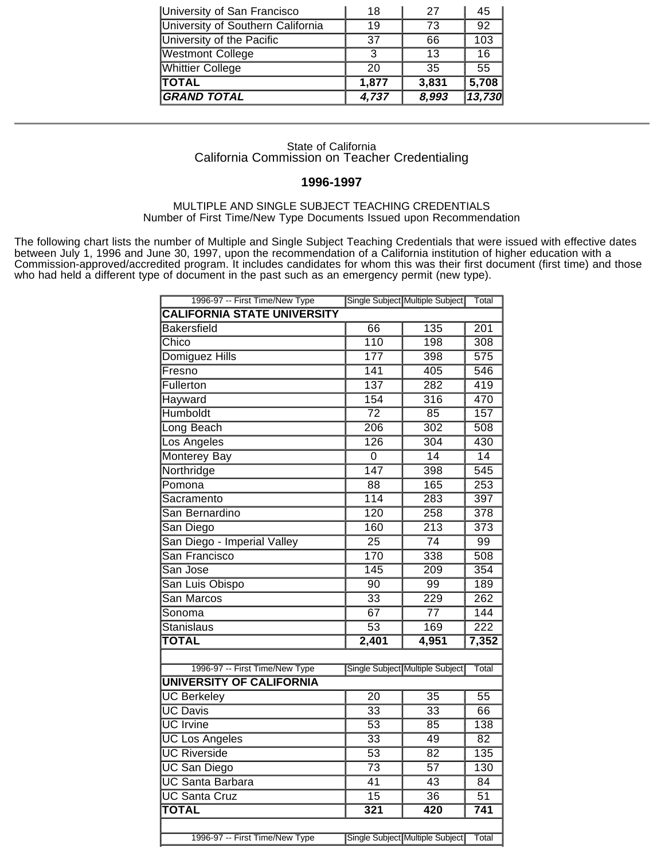| <b>GRAND TOTAL</b>                | 4,737 | 8,993 | $\sqrt{13,730}$ |
|-----------------------------------|-------|-------|-----------------|
| <b>TOTAL</b>                      | 1,877 | 3,831 | 5,708           |
| <b>Whittier College</b>           | 20    | 35    | 55              |
| <b>Westmont College</b>           | 3     | 13    | 16              |
| University of the Pacific         | 37    | 66    | 103             |
| University of Southern California | 19    | 73    | 92              |
| University of San Francisco       | 18    | 27    | 45              |

## **1996-1997**

MULTIPLE AND SINGLE SUBJECT TEACHING CREDENTIALS Number of First Time/New Type Documents Issued upon Recommendation

The following chart lists the number of Multiple and Single Subject Teaching Credentials that were issued with effective dates between July 1, 1996 and June 30, 1997, upon the recommendation of a California institution of higher education with a Commission-approved/accredited program. It includes candidates for whom this was their first document (first time) and those who had held a different type of document in the past such as an emergency permit (new type).

| 1996-97 -- First Time/New Type     |                  | Single Subject Multiple Subject | Total            |
|------------------------------------|------------------|---------------------------------|------------------|
| <b>CALIFORNIA STATE UNIVERSITY</b> |                  |                                 |                  |
| Bakersfield                        | 66               | 135                             | 201              |
| Chico                              | 110              | 198                             | $\overline{308}$ |
| Domiguez Hills                     | 177              | 398                             | $\overline{575}$ |
| Fresno                             | 141              | 405                             | 546              |
| Fullerton                          | 137              | 282                             | 419              |
| Hayward                            | 154              | $\overline{316}$                | 470              |
| <b>Humboldt</b>                    | $\overline{72}$  | 85                              | 157              |
| Long Beach                         | 206              | $\overline{302}$                | 508              |
| Los Angeles                        | 126              | 304                             | 430              |
| <b>Monterey Bay</b>                | 0                | $\overline{14}$                 | $\overline{14}$  |
| Northridge                         | $\overline{147}$ | 398                             | 545              |
| Pomona                             | 88               | 165                             | 253              |
| Sacramento                         | $\overline{114}$ | 283                             | 397              |
| San Bernardino                     | $\overline{120}$ | 258                             | 378              |
| San Diego                          | 160              | $\overline{213}$                | 373              |
| San Diego - Imperial Valley        | $\overline{25}$  | $\overline{74}$                 | 99               |
| San Francisco                      | 170              | 338                             | 508              |
| San Jose                           | $\overline{145}$ | 209                             | 354              |
| San Luis Obispo                    | 90               | 99                              | 189              |
| San Marcos                         | $\overline{33}$  | $\overline{229}$                | 262              |
| Sonoma                             | 67               | $\overline{77}$                 | 144              |
| Stanislaus                         | $\overline{53}$  | 169                             | $\overline{222}$ |
| <b>TOTAL</b>                       | 2,401            | 4,951                           | 7,352            |
|                                    |                  |                                 |                  |
| 1996-97 -- First Time/New Type     |                  | Single Subject Multiple Subject | Total            |
| UNIVERSITY OF CALIFORNIA           |                  |                                 |                  |
| <b>UC Berkeley</b>                 | $\overline{20}$  | 35                              | 55               |
| <b>UC Davis</b>                    | $\overline{33}$  | $\overline{33}$                 | 66               |
| <b>UC</b> Irvine                   | 53               | 85                              | 138              |
| <b>UC Los Angeles</b>              | $\overline{33}$  | 49                              | 82               |
| <b>UC Riverside</b>                | $\overline{53}$  | $\overline{82}$                 | 135              |
| <b>UC San Diego</b>                | $\overline{73}$  | $\overline{57}$                 | 130              |
| <b>UC Santa Barbara</b>            | 41               | $\overline{43}$                 | $\overline{84}$  |
| <b>UC Santa Cruz</b>               | $\overline{15}$  | 36                              | $\overline{51}$  |
| <b>TOTAL</b>                       | 321              | 420                             | 741              |
|                                    |                  |                                 |                  |
| 1996-97 -- First Time/New Type     |                  | Single Subject Multiple Subject | Total            |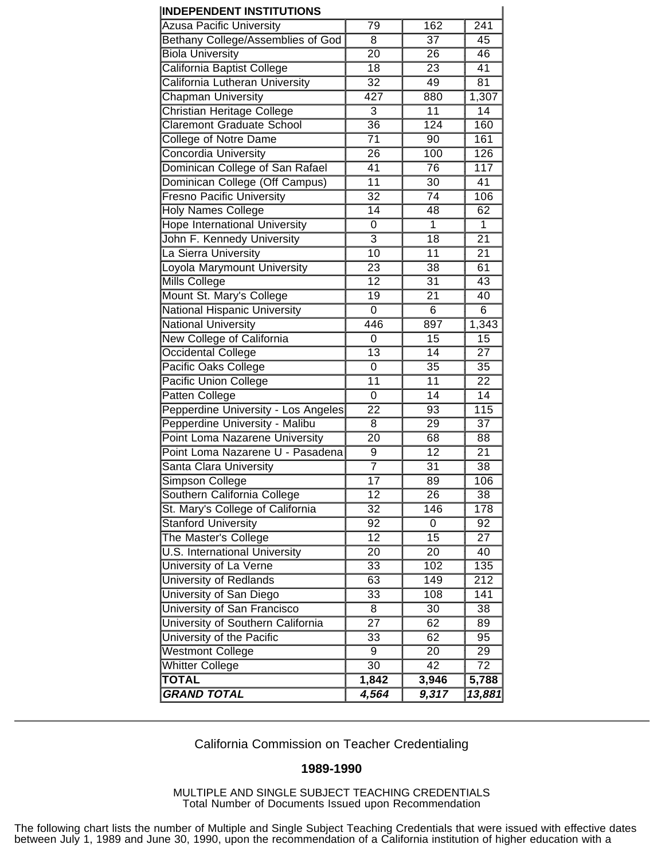| <b>IINDEPENDENT INSTITUTIONS</b>      |                  |                 |                 |
|---------------------------------------|------------------|-----------------|-----------------|
| <b>Azusa Pacific University</b>       | 79               | 162             | 241             |
| Bethany College/Assemblies of God     | $\overline{8}$   | $\overline{37}$ | 45              |
| <b>Biola University</b>               | 20               | 26              | 46              |
| California Baptist College            | 18               | 23              | $\overline{41}$ |
| California Lutheran University        | $\overline{32}$  | 49              | 81              |
| <b>Chapman University</b>             | $\overline{427}$ | 880             | 1,307           |
| <b>Christian Heritage College</b>     | $\overline{3}$   | $\overline{11}$ | $\overline{14}$ |
| <b>Claremont Graduate School</b>      | 36               | 124             | 160             |
| <b>College of Notre Dame</b>          | $\overline{71}$  | 90              | 161             |
| Concordia University                  | 26               | 100             | 126             |
| Dominican College of San Rafael       | 41               | 76              | 117             |
| Dominican College (Off Campus)        | $\overline{11}$  | $\overline{30}$ | $\overline{41}$ |
| <b>Fresno Pacific University</b>      | $\overline{32}$  | $\overline{74}$ | 106             |
| <b>Holy Names College</b>             | 14               | 48              | 62              |
| <b>Hope International University</b>  | 0                | $\overline{1}$  | 1               |
| John F. Kennedy University            | 3                | $\overline{18}$ | $\overline{21}$ |
| La Sierra University                  | 10               | $\overline{11}$ | $\overline{21}$ |
| Loyola Marymount University           | 23               | $\overline{38}$ | 61              |
| <b>Mills College</b>                  | $\overline{12}$  | $\overline{31}$ | 43              |
| Mount St. Mary's College              | $\overline{19}$  | $\overline{21}$ | 40              |
| <b>National Hispanic University</b>   | $\overline{0}$   | $\overline{6}$  | 6               |
| <b>National University</b>            | 446              | 897             | 1,343           |
| <b>New College of California</b>      | 0                | $\overline{15}$ | $\overline{15}$ |
| <b>Occidental College</b>             | $\overline{13}$  | $\overline{14}$ | $\overline{27}$ |
| Pacific Oaks College                  | 0                | 35              | $\overline{35}$ |
| Pacific Union College                 | $\overline{11}$  | $\overline{11}$ | 22              |
| Patten College                        | 0                | $\overline{14}$ | $\overline{14}$ |
| Pepperdine University - Los Angeles   | 22               | 93              | 115             |
| Pepperdine University - Malibu        | 8                | 29              | $\overline{37}$ |
| <b>Point Loma Nazarene University</b> | 20               | 68              | 88              |
| Point Loma Nazarene U - Pasadena      | 9                | $\overline{12}$ | $\overline{21}$ |
| Santa Clara University                | 7                | $\overline{31}$ | 38              |
| Simpson College                       | $\overline{17}$  | 89              | 106             |
| Southern California College           | 12               | 26              | 38              |
| St. Mary's College of California      | $\overline{32}$  | 146             | 178             |
| <b>Stanford University</b>            | 92               | 0               | 92              |
| The Master's College                  | 12               | 15              | 27              |
| U.S. International University         | 20               | 20              | 40              |
| University of La Verne                | 33               | 102             | 135             |
| University of Redlands                | 63               | 149             | 212             |
| University of San Diego               | $\overline{33}$  | 108             | 141             |
| University of San Francisco           | 8                | 30              | 38              |
| University of Southern California     | 27               | 62              | 89              |
| University of the Pacific             | 33               | 62              | 95              |
| <b>Westmont College</b>               | 9                | 20              | 29              |
| <b>Whitter College</b>                | 30               | $\overline{42}$ | 72              |
| <b>TOTAL</b>                          | 1,842            | 3,946           | 5,788           |
| <b>GRAND TOTAL</b>                    | 4,564            | 9,317           | 13,881          |

#### **1989-1990**

MULTIPLE AND SINGLE SUBJECT TEACHING CREDENTIALS Total Number of Documents Issued upon Recommendation

The following chart lists the number of Multiple and Single Subject Teaching Credentials that were issued with effective dates between July 1, 1989 and June 30, 1990, upon the recommendation of a California institution of higher education with a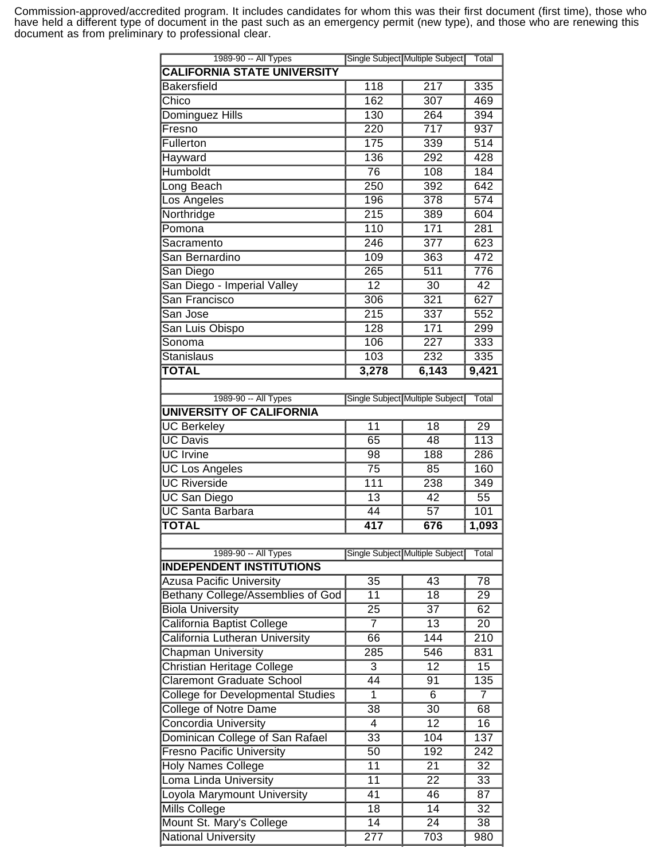Commission-approved/accredited program. It includes candidates for whom this was their first document (first time), those who have held a different type of document in the past such as an emergency permit (new type), and those who are renewing this document as from preliminary to professional clear.

| 1989-90 -- All Types                     |                        | Single Subject Multiple Subject | Total            |
|------------------------------------------|------------------------|---------------------------------|------------------|
| <b>CALIFORNIA STATE UNIVERSITY</b>       |                        |                                 |                  |
| Bakersfield                              | $\overline{118}$       | $\overline{217}$                | 335              |
| Chico                                    | 162                    | 307                             | 469              |
| Dominguez Hills                          | 130                    | 264                             | 394              |
| Fresno                                   | 220                    | $\overline{717}$                | 937              |
| Fullerton                                | 175                    | 339                             | $\overline{514}$ |
| Hayward                                  | 136                    | 292                             | 428              |
| <b>Humboldt</b>                          | 76                     | 108                             | 184              |
| Long Beach                               | 250                    | 392                             | 642              |
| Los Angeles                              | 196                    | $\overline{378}$                | $\overline{574}$ |
| Northridge                               | $\overline{215}$       | 389                             | 604              |
| Pomona                                   | $\overline{110}$       | 171                             | 281              |
| Sacramento                               | $\frac{246}{ }$        | $\overline{377}$                | 623              |
| San Bernardino                           | 109                    | 363                             | 472              |
|                                          |                        | 511                             |                  |
| San Diego                                | 265<br>$\overline{12}$ |                                 | 776              |
| San Diego - Imperial Valley              |                        | $\overline{30}$                 | $\overline{42}$  |
| San Francisco                            | 306                    | 321                             | 627              |
| San Jose                                 | $\overline{215}$       | 337                             | 552              |
| San Luis Obispo                          | $\overline{128}$       | 171                             | 299              |
| Sonoma                                   | 106                    | 227                             | 333              |
| Stanislaus                               | 103                    | 232                             | 335              |
| <b>TOTAL</b>                             | 3,278                  | 6,143                           | 9,421            |
|                                          |                        |                                 |                  |
| 1989-90 -- All Types                     |                        | Single Subject Multiple Subject | Total            |
| UNIVERSITY OF CALIFORNIA                 |                        |                                 |                  |
| <b>UC Berkeley</b>                       | 11                     | $\overline{18}$                 | 29               |
| <b>UC Davis</b>                          | $\overline{65}$        | 48                              | 113              |
| <b>UC</b> Irvine                         | 98                     | 188                             | 286              |
| <b>UC Los Angeles</b>                    | $\overline{75}$        | 85                              | 160              |
| <b>UC Riverside</b>                      | $\overline{111}$       | 238                             | 349              |
| <b>UC San Diego</b>                      | $\overline{13}$        | 42                              | 55               |
| <b>UC Santa Barbara</b>                  | 44                     | 57                              | 101              |
| <b>TOTAL</b>                             | 417                    | 676                             | 1,093            |
|                                          |                        |                                 |                  |
| 1989-90 -- All Types                     |                        | Single Subject Multiple Subject | Total            |
| <b>INDEPENDENT INSTITUTIONS</b>          |                        |                                 |                  |
| <b>Azusa Pacific University</b>          | 35                     | 43                              | 78               |
| Bethany College/Assemblies of God        | $\overline{11}$        | 18                              | 29               |
| <b>Biola University</b>                  | 25                     | 37                              | 62               |
| California Baptist College               | 7                      | 13                              | 20               |
| California Lutheran University           | 66                     | $\overline{144}$                | 210              |
| <b>Chapman University</b>                | 285                    | $\overline{546}$                | 831              |
| <b>Christian Heritage College</b>        | 3                      | $\overline{12}$                 | 15               |
| <b>Claremont Graduate School</b>         | 44                     | 91                              | 135              |
| <b>College for Developmental Studies</b> | 1                      | 6                               | $\overline{7}$   |
| <b>College of Notre Dame</b>             | 38                     | 30                              | 68               |
| <b>Concordia University</b>              | $\overline{4}$         | $\overline{12}$                 | 16               |
| Dominican College of San Rafael          | 33                     | 104                             | 137              |
| <b>Fresno Pacific University</b>         | 50                     | 192                             | 242              |
| <b>Holy Names College</b>                | 11                     | 21                              | 32               |
| Loma Linda University                    | $\overline{11}$        | $\overline{22}$                 | 33               |
| Loyola Marymount University              | 41                     | 46                              | 87               |
| <b>Mills College</b>                     | $\overline{18}$        | $\overline{14}$                 | $\overline{32}$  |
| Mount St. Mary's College                 | $\overline{14}$        | $\overline{24}$                 | 38               |
| National University                      | 277                    | 703                             | 980              |
|                                          |                        |                                 |                  |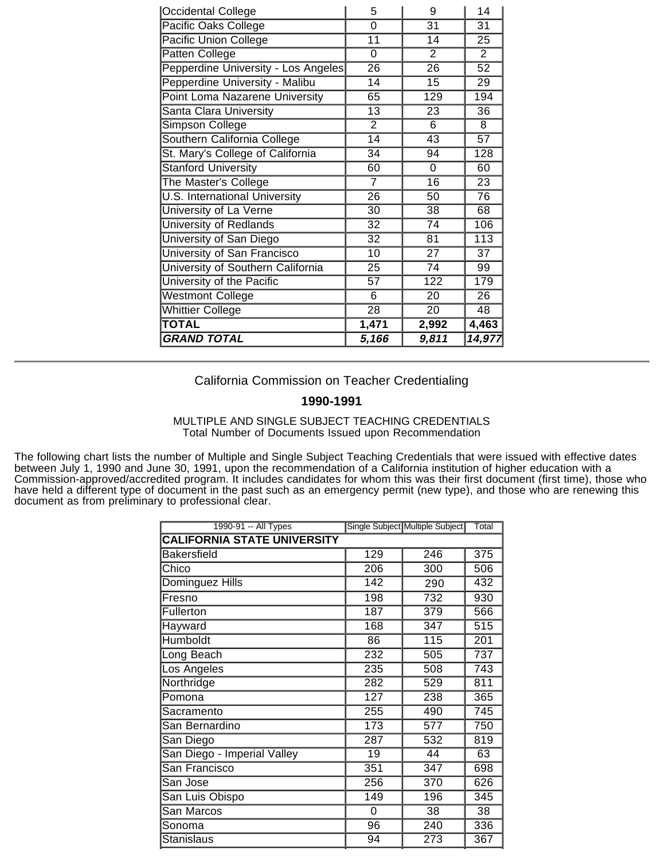| <b>Occidental College</b>            | 5               | 9               | 14              |
|--------------------------------------|-----------------|-----------------|-----------------|
| Pacific Oaks College                 | $\Omega$        | $\overline{31}$ | $\overline{31}$ |
| <b>Pacific Union College</b>         | $\overline{11}$ | $\overline{14}$ | 25              |
| Patten College                       | 0               | $\overline{2}$  | $\overline{2}$  |
| Pepperdine University - Los Angeles  | $\overline{26}$ | $\overline{26}$ | $\overline{52}$ |
| Pepperdine University - Malibu       | 14              | 15              | 29              |
| Point Loma Nazarene University       | 65              | 129             | 194             |
| Santa Clara University               | 13              | 23              | 36              |
| Simpson College                      | $\overline{2}$  | 6               | 8               |
| Southern California College          | 14              | 43              | 57              |
| St. Mary's College of California     | 34              | 94              | 128             |
| <b>Stanford University</b>           | 60              | 0               | 60              |
| The Master's College                 | 7               | 16              | 23              |
| <b>U.S. International University</b> | 26              | 50              | 76              |
| University of La Verne               | 30              | $\overline{38}$ | $\overline{68}$ |
| <b>University of Redlands</b>        | 32              | $\overline{74}$ | 106             |
| University of San Diego              | 32              | 81              | 113             |
| University of San Francisco          | $\overline{10}$ | $\overline{27}$ | $\overline{37}$ |
| University of Southern California    | 25              | $\overline{74}$ | 99              |
| University of the Pacific            | $\overline{57}$ | 122             | 179             |
| <b>Westmont College</b>              | 6               | 20              | 26              |
| <b>Whittier College</b>              | 28              | $\overline{2}0$ | 48              |
| <b>TOTAL</b>                         | 1,471           | 2,992           | 4,463           |
| <b>GRAND TOTAL</b>                   | 5,166           | 9,811           | 14,977          |

## **1990-1991**

MULTIPLE AND SINGLE SUBJECT TEACHING CREDENTIALS Total Number of Documents Issued upon Recommendation

The following chart lists the number of Multiple and Single Subject Teaching Credentials that were issued with effective dates between July 1, 1990 and June 30, 1991, upon the recommendation of a California institution of higher education with a Commission-approved/accredited program. It includes candidates for whom this was their first document (first time), those who have held a different type of document in the past such as an emergency permit (new type), and those who are renewing this document as from preliminary to professional clear.

| 1990-91 -- All Types               |                  | Single Subject Multiple Subject | Total            |
|------------------------------------|------------------|---------------------------------|------------------|
| <b>CALIFORNIA STATE UNIVERSITY</b> |                  |                                 |                  |
| <b>Bakersfield</b>                 | 129              | 246                             | 375              |
| Chico                              | 206              | 300                             | 506              |
| Dominguez Hills                    | $\overline{142}$ | 290                             | 432              |
| Fresno                             | 198              | 732                             | 930              |
| Fullerton                          | 187              | 379                             | 566              |
| Hayward                            | 168              | 347                             | $\overline{515}$ |
| <b>Humboldt</b>                    | 86               | $\overline{115}$                | 201              |
| Long Beach                         | 232              | 505                             | 737              |
| Los Angeles                        | 235              | 508                             | 743              |
| Northridge                         | 282              | 529                             | 811              |
| Pomona                             | 127              | 238                             | 365              |
| Sacramento                         | 255              | 490                             | 745              |
| San Bernardino                     | 173              | 577                             | 750              |
| San Diego                          | 287              | 532                             | 819              |
| San Diego - Imperial Valley        | $\overline{19}$  | 44                              | 63               |
| San Francisco                      | 351              | 347                             | 698              |
| San Jose                           | 256              | 370                             | 626              |
| San Luis Obispo                    | 149              | 196                             | 345              |
| San Marcos                         | $\Omega$         | 38                              | 38               |
| Sonoma                             | 96               | 240                             | 336              |
| <b>Stanislaus</b>                  | 94               | 273                             | 367              |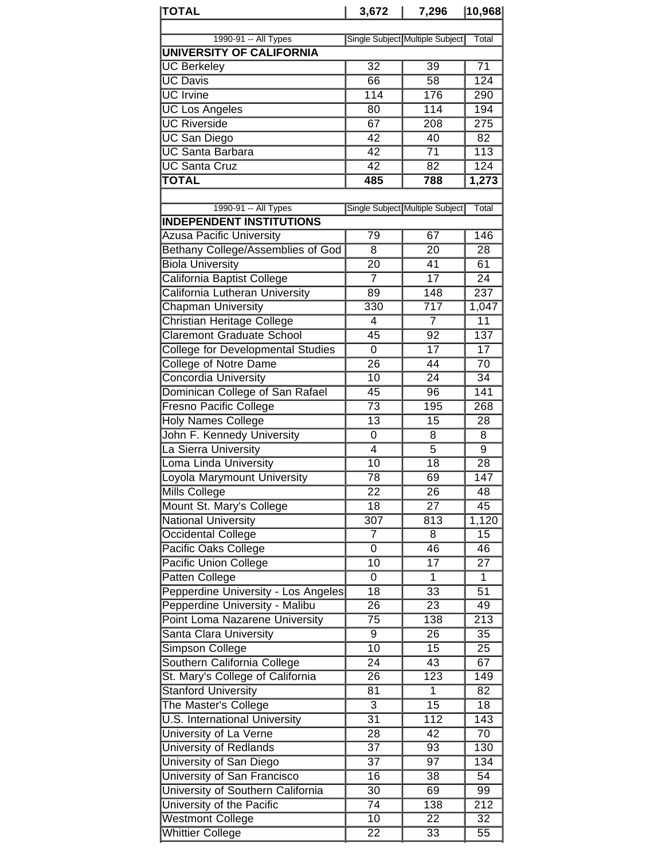| <b>TOTAL</b>                             | 3,672                           | 7,296            | 10,968           |
|------------------------------------------|---------------------------------|------------------|------------------|
|                                          |                                 |                  |                  |
| 1990-91 -- All Types                     | Single Subject Multiple Subject |                  | Total            |
| <b>UNIVERSITY OF CALIFORNIA</b>          |                                 |                  |                  |
| <b>UC</b> Berkeley                       | 32                              | 39               | 71               |
| <b>UC Davis</b>                          | 66                              | $\overline{58}$  | 124              |
| <b>UC</b> Irvine                         | $\overline{114}$                | 176              | 290              |
| <b>UC Los Angeles</b>                    | 80                              | $\overline{114}$ | 194              |
| <b>UC Riverside</b>                      | 67                              | 208              | 275              |
| <b>UC San Diego</b>                      | 42                              | 40               | 82               |
| <b>UC Santa Barbara</b>                  | 42                              | $\overline{71}$  | 113              |
| <b>UC Santa Cruz</b>                     | $\overline{42}$                 | 82               | 124              |
| <b>TOTAL</b>                             | 485                             | 788              | 1,273            |
|                                          |                                 |                  |                  |
| 1990-91 -- All Types                     | Single Subject Multiple Subject |                  | Total            |
| <b>INDEPENDENT INSTITUTIONS</b>          |                                 |                  |                  |
| <b>Azusa Pacific University</b>          | 79                              | 67               | 146              |
| <b>Bethany College/Assemblies of God</b> | $\overline{8}$                  | 20               | 28               |
| <b>Biola University</b>                  | 20                              | 41               | 61               |
| California Baptist College               | 7                               | 17               | 24               |
| California Lutheran University           | 89                              | 148              | 237              |
| <b>Chapman University</b>                | 330                             | 717              | 1,047            |
| <b>Christian Heritage College</b>        | 4                               | $\overline{7}$   | $\overline{11}$  |
| <b>Claremont Graduate School</b>         | 45                              | 92               | 137              |
| <b>College for Developmental Studies</b> | 0                               | $\overline{17}$  | $\overline{17}$  |
| <b>College of Notre Dame</b>             | 26                              | 44               | $\overline{70}$  |
| Concordia University                     | 10                              | 24               | $\overline{34}$  |
| Dominican College of San Rafael          | 45                              | 96               | 141              |
| <b>Fresno Pacific College</b>            | 73                              | 195              | 268              |
| <b>Holy Names College</b>                | $\overline{13}$                 | 15               | 28               |
| John F. Kennedy University               | 0                               | 8                | 8                |
| La Sierra University                     | 4                               | 5                | 9                |
| Loma Linda University                    | 10                              | 18               | 28               |
| Loyola Marymount University              | 78                              | 69               | 147              |
| <b>Mills College</b>                     | 22                              | 26               | 48               |
| Mount St. Mary's College                 | 18                              | 27               | 45               |
| <b>National University</b>               | $\overline{307}$                | 813              | 1,120            |
| Occidental College                       | 7                               | 8                | 15               |
| Pacific Oaks College                     | 0                               | 46               | 46               |
| <b>Pacific Union College</b>             | 10                              | $\overline{17}$  | $\overline{27}$  |
| <b>Patten College</b>                    | 0                               | $\overline{1}$   | $\overline{1}$   |
| Pepperdine University - Los Angeles      | 18                              | 33               | $\overline{51}$  |
| Pepperdine University - Malibu           | 26                              | 23               | 49               |
| Point Loma Nazarene University           | 75                              | 138              | 213              |
| <b>Santa Clara University</b>            | 9                               | 26               | 35               |
| <b>Simpson College</b>                   | 10                              | 15               | 25               |
| Southern California College              | $\overline{24}$                 | 43               | 67               |
|                                          |                                 | $\overline{123}$ | $\overline{149}$ |
| St. Mary's College of California         | 26                              |                  |                  |
| <b>Stanford University</b>               | 81                              | 1                | 82               |
| The Master's College                     | 3                               | 15               | 18               |
| <b>U.S. International University</b>     | $\overline{31}$                 | $\overline{112}$ | 143              |
| University of La Verne                   | 28                              | $\overline{42}$  | $\overline{70}$  |
| <b>University of Redlands</b>            | $\overline{37}$                 | 93               | 130              |
| University of San Diego                  | 37                              | 97               | 134              |
| University of San Francisco              | 16                              | 38               | 54               |
| University of Southern California        | 30                              | 69               | 99               |
| University of the Pacific                | 74                              | 138              | 212              |
| <b>Westmont College</b>                  | 10                              | $\overline{22}$  | $\overline{32}$  |
| <b>Whittier College</b>                  | $\overline{22}$                 | $\overline{33}$  | $\overline{55}$  |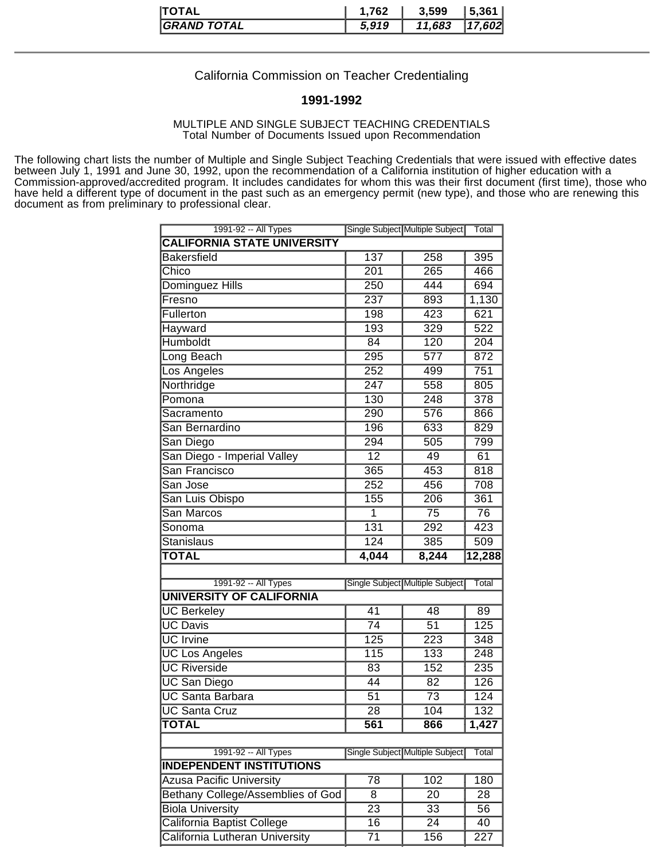| <b>TOTAL</b>       | 1.762 | 3,599   5,361   |  |
|--------------------|-------|-----------------|--|
| <b>GRAND TOTAL</b> | 5.919 | 11,683   17,602 |  |

## **1991-1992**

#### MULTIPLE AND SINGLE SUBJECT TEACHING CREDENTIALS Total Number of Documents Issued upon Recommendation

The following chart lists the number of Multiple and Single Subject Teaching Credentials that were issued with effective dates between July 1, 1991 and June 30, 1992, upon the recommendation of a California institution of higher education with a Commission-approved/accredited program. It includes candidates for whom this was their first document (first time), those who have held a different type of document in the past such as an emergency permit (new type), and those who are renewing this document as from preliminary to professional clear.

| 1991-92 -- All Types                                                |                  | Single Subject Multiple Subject | Total            |
|---------------------------------------------------------------------|------------------|---------------------------------|------------------|
| <b>CALIFORNIA STATE UNIVERSITY</b>                                  |                  |                                 |                  |
| <b>Bakersfield</b>                                                  | $\overline{137}$ | 258                             | 395              |
| Chico                                                               | 201              | 265                             | 466              |
| Dominguez Hills                                                     | 250              | 444                             | 694              |
| Fresno                                                              | 237              | 893                             | 1,130            |
| Fullerton                                                           | 198              | 423                             | 621              |
| Hayward                                                             | 193              | 329                             | 522              |
| Humboldt                                                            | 84               | 120                             | 204              |
| Long Beach                                                          | 295              | 577                             | 872              |
| Los Angeles                                                         | 252              | 499                             | 751              |
| Northridge                                                          | 247              | 558                             | 805              |
| Pomona                                                              | 130              | 248                             | $\overline{378}$ |
| Sacramento                                                          | 290              | 576                             | 866              |
| San Bernardino                                                      | 196              | 633                             | 829              |
| San Diego                                                           | 294              | 505                             | 799              |
| San Diego - Imperial Valley                                         | 12               | 49                              | 61               |
| San Francisco                                                       | 365              | 453                             | 818              |
| San Jose                                                            | 252              | 456                             | 708              |
| San Luis Obispo                                                     | 155              | 206                             | 361              |
| San Marcos                                                          | 1                | 75                              | 76               |
| Sonoma                                                              | 131              | 292                             | 423              |
|                                                                     |                  |                                 |                  |
| <b>Stanislaus</b>                                                   | 124              | 385                             | 509              |
| <b>TOTAL</b>                                                        | 4,044            | 8,244                           | 12,288           |
|                                                                     |                  |                                 |                  |
| 1991-92 -- All Types                                                |                  | Single Subject Multiple Subject | Total            |
| <b>UNIVERSITY OF CALIFORNIA</b>                                     |                  |                                 |                  |
| <b>UC Berkeley</b>                                                  | 41               | 48                              | 89               |
| <b>UC Davis</b>                                                     | 74               | 51                              | 125              |
| <b>UC</b> Irvine                                                    | $\overline{125}$ | 223                             | 348              |
| <b>UC Los Angeles</b>                                               | 115              | 133                             | 248              |
| <b>UC Riverside</b>                                                 | 83               | 152                             | 235              |
| <b>UC San Diego</b>                                                 | $\overline{44}$  | 82                              | 126              |
| <b>UC Santa Barbara</b>                                             | 51               | 73                              | 124              |
| <b>IUC Santa Cruz</b>                                               | 28               | 104                             | 132              |
| <b>TOTAL</b>                                                        | 561              | 866                             | 1,427            |
|                                                                     |                  |                                 |                  |
| 1991-92 -- All Types                                                |                  | Single Subject Multiple Subject | Total            |
| <b>INDEPENDENT INSTITUTIONS</b>                                     |                  |                                 |                  |
| <b>Azusa Pacific University</b>                                     | 78               | 102                             | 180              |
| Bethany College/Assemblies of God                                   | 8                | 20                              | 28               |
| <b>Biola University</b>                                             | 23               | 33                              | $\overline{56}$  |
| California Baptist College<br><b>California Lutheran University</b> | 16<br>71         | 24<br>156                       | 40<br>227        |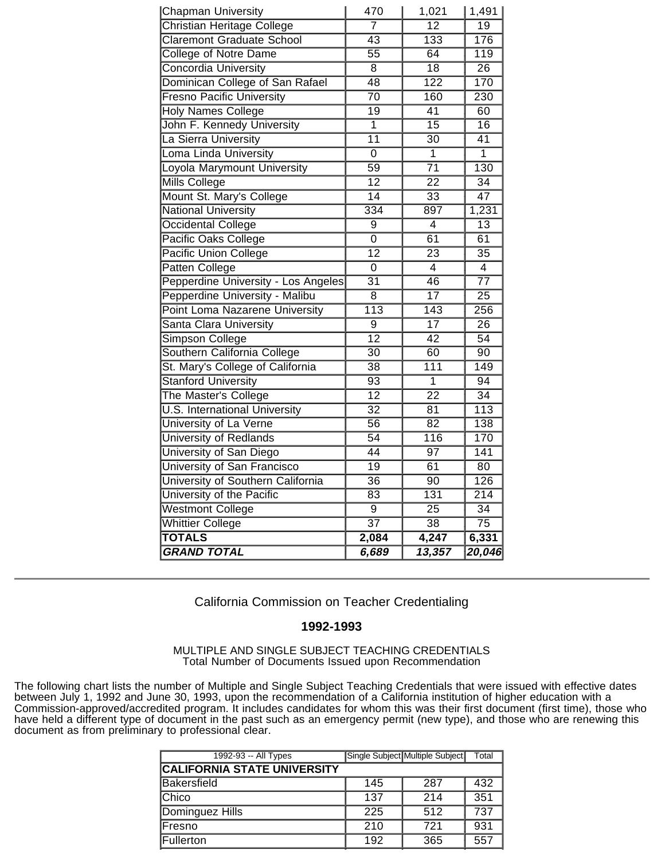| <b>GRAND TOTAL</b>                    | 6,689            | 13,357          | 20,046           |
|---------------------------------------|------------------|-----------------|------------------|
| <b>TOTALS</b>                         | 2,084            | 4,247           | 6,331            |
| <b>Whittier College</b>               | $\overline{37}$  | $\overline{38}$ | $\overline{75}$  |
| <b>Westmont College</b>               | $\overline{9}$   | $\overline{25}$ | $\overline{34}$  |
| University of the Pacific             | $\overline{83}$  | 131             | $\overline{214}$ |
| University of Southern California     | $\overline{36}$  | $\overline{90}$ | 126              |
| University of San Francisco           | $\overline{19}$  | 61              | $\overline{80}$  |
| University of San Diego               | $\overline{44}$  | $\overline{97}$ | 141              |
| <b>University of Redlands</b>         | $\overline{54}$  | 116             | 170              |
| University of La Verne                | 56               | 82              | 138              |
| U.S. International University         | $\overline{32}$  | 81              | 113              |
| The Master's College                  | $\overline{12}$  | $\overline{22}$ | $\overline{34}$  |
| <b>Stanford University</b>            | $\overline{93}$  | 1               | $\overline{94}$  |
| St. Mary's College of California      | $\overline{38}$  | 111             | 149              |
| Southern California College           | $\overline{30}$  | 60              | $\overline{90}$  |
| <b>Simpson College</b>                | $\overline{12}$  | $\overline{42}$ | $\overline{54}$  |
| Santa Clara University                | 9                | $\overline{17}$ | $\overline{26}$  |
| <b>Point Loma Nazarene University</b> | $\overline{113}$ | 143             | 256              |
| Pepperdine University - Malibu        | $\overline{8}$   | $\overline{17}$ | $\overline{25}$  |
| Pepperdine University - Los Angeles   | 31               | 46              | 77               |
| <b>Patten College</b>                 | $\overline{0}$   | 4               | $\overline{4}$   |
| <b>Pacific Union College</b>          | $\overline{12}$  | $\overline{23}$ | $\overline{35}$  |
| Pacific Oaks College                  | 0                | 61              | 61               |
| Occidental College                    | 9                | 4               | $\overline{13}$  |
| <b>National University</b>            | 334              | 897             | 1,231            |
| Mount St. Mary's College              | $\overline{14}$  | $\overline{33}$ | $\overline{47}$  |
| <b>Mills College</b>                  | $\overline{12}$  | $\overline{22}$ | $\overline{34}$  |
| Loyola Marymount University           | 59               | $\overline{71}$ | 130              |
| Loma Linda University                 | $\overline{0}$   | $\overline{1}$  | 7                |
| La Sierra University                  | $\overline{11}$  | $\overline{30}$ | $\overline{41}$  |
| John F. Kennedy University            | $\overline{1}$   | $\overline{15}$ | $\overline{16}$  |
| <b>Holy Names College</b>             | $\overline{19}$  | 41              | 60               |
| <b>Fresno Pacific University</b>      | $\overline{70}$  | 160             | 230              |
| Dominican College of San Rafael       | $\overline{48}$  | 122             | 170              |
| <b>Concordia University</b>           | 8                | $\overline{18}$ | $\overline{26}$  |
| <b>College of Notre Dame</b>          | 55               | 64              | 119              |
| <b>Claremont Graduate School</b>      | $\overline{43}$  | 133             | 176              |
| <b>Christian Heritage College</b>     | 7                | $\overline{12}$ | 19               |
| Chapman University                    | 470              | 1,021           | 1,491            |

#### **1992-1993**

MULTIPLE AND SINGLE SUBJECT TEACHING CREDENTIALS Total Number of Documents Issued upon Recommendation

The following chart lists the number of Multiple and Single Subject Teaching Credentials that were issued with effective dates between July 1, 1992 and June 30, 1993, upon the recommendation of a California institution of higher education with a Commission-approved/accredited program. It includes candidates for whom this was their first document (first time), those who have held a different type of document in the past such as an emergency permit (new type), and those who are renewing this document as from preliminary to professional clear.

| 1992-93 -- All Types               |     | Single Subject Multiple Subject | Total |
|------------------------------------|-----|---------------------------------|-------|
| <b>CALIFORNIA STATE UNIVERSITY</b> |     |                                 |       |
| Bakersfield                        | 145 | 287                             | 432   |
| Chico                              | 137 | 214                             | 351   |
| Dominguez Hills                    | 225 | 512                             | 737   |
| Fresno                             | 210 | 721                             | 931   |
| Fullerton                          | 192 | 365                             | 557   |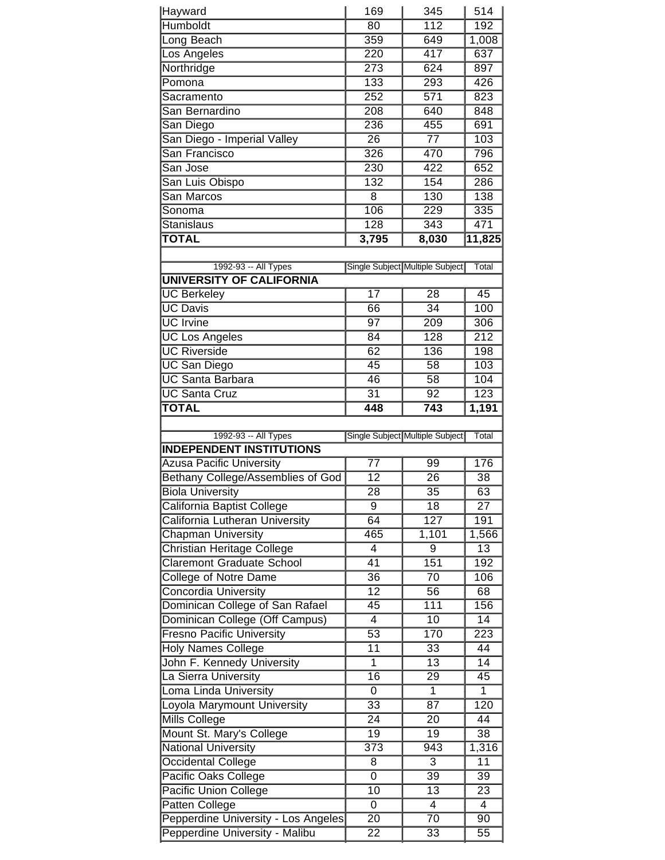| Hayward                                                                                    | 169              | 345                                   | 514                   |
|--------------------------------------------------------------------------------------------|------------------|---------------------------------------|-----------------------|
| Humboldt                                                                                   | 80               | $\overline{112}$                      | 192                   |
| Long Beach                                                                                 | 359              | 649                                   | 1,008                 |
| Los Angeles                                                                                | 220              | $\overline{417}$                      | 637                   |
| Northridge                                                                                 | 273              | 624                                   | 897                   |
| Pomona                                                                                     | 133              | 293                                   | 426                   |
| Sacramento                                                                                 | 252              | 571                                   | 823                   |
| San Bernardino                                                                             | 208              | 640                                   | 848                   |
| San Diego                                                                                  | 236              | 455                                   | 691                   |
| San Diego - Imperial Valley                                                                | 26               | $\overline{77}$                       | 103                   |
| San Francisco                                                                              | 326              | 470                                   | 796                   |
| San Jose                                                                                   | 230              | 422                                   | 652                   |
| San Luis Obispo                                                                            | 132              | 154                                   | 286                   |
| San Marcos                                                                                 | $\overline{8}$   | 130                                   | 138                   |
| Sonoma                                                                                     | 106              | 229                                   | 335                   |
| Stanislaus                                                                                 | 128              | 343                                   | 471                   |
| <b>TOTAL</b>                                                                               | 3,795            | 8,030                                 | 11,825                |
| 1992-93 -- All Types<br>UNIVERSITY OF CALIFORNIA                                           |                  | Single Subject Multiple Subject       | Total                 |
| <b>UC Berkeley</b>                                                                         | 17               | 28                                    | 45                    |
| <b>UC Davis</b>                                                                            | 66               | $\overline{34}$                       | 100                   |
| <b>UC</b> Irvine                                                                           | $\overline{97}$  | 209                                   | 306                   |
| <b>UC Los Angeles</b>                                                                      | 84               | 128                                   | 212                   |
| <b>UC Riverside</b>                                                                        | 62               | 136                                   | 198                   |
| <b>UC San Diego</b>                                                                        | 45               | 58                                    | 103                   |
| <b>UC Santa Barbara</b>                                                                    | 46               | 58                                    | 104                   |
| <b>UC Santa Cruz</b>                                                                       | 31               | 92                                    | 123                   |
| <b>TOTAL</b>                                                                               | 448              | $\overline{743}$                      | 1,191                 |
| 1992-93 -- All Types<br><b>INDEPENDENT INSTITUTIONS</b><br><b>Azusa Pacific University</b> | 77               | Single Subject Multiple Subject<br>99 | Total<br>176          |
| Bethany College/Assemblies of God                                                          | $\overline{12}$  | $\overline{26}$                       | $\overline{38}$       |
| <b>Biola University</b>                                                                    | $\overline{28}$  | $\overline{35}$                       | $\overline{63}$       |
| California Baptist College                                                                 | 9                | 18                                    | 27                    |
| California Lutheran University                                                             | 64               | 127                                   | 191                   |
| <b>Chapman University</b>                                                                  | 465              | 1,101                                 | 1,566                 |
| <b>Christian Heritage College</b>                                                          | 4                | 9                                     | 13                    |
| <b>Claremont Graduate School</b>                                                           | $\overline{41}$  | 151                                   | 192                   |
| College of Notre Dame                                                                      | 36               | 70                                    | 106                   |
| Concordia University                                                                       | $\overline{12}$  | 56                                    | 68                    |
| Dominican College of San Rafael                                                            | 45               | 111                                   | 156                   |
| Dominican College (Off Campus)                                                             | $\overline{4}$   | 10                                    | $\overline{14}$       |
| <b>Fresno Pacific University</b>                                                           | 53               | 170                                   | 223                   |
|                                                                                            | 11               | 33                                    | 44                    |
| <b>Holy Names College</b><br>John F. Kennedy University                                    | $\overline{1}$   | 13                                    | $\overline{14}$       |
| La Sierra University                                                                       | 16               | 29                                    | 45                    |
| Loma Linda University                                                                      | 0                | 1                                     | 1                     |
| Loyola Marymount University                                                                | 33               | 87                                    | 120                   |
| <b>Mills College</b>                                                                       | 24               | $\overline{20}$                       | 44                    |
| Mount St. Mary's College                                                                   | 19               | 19                                    | 38                    |
| <b>National University</b>                                                                 | $\overline{373}$ | 943                                   | 1,316                 |
|                                                                                            |                  | 3                                     | 11                    |
| Occidental College                                                                         | 8<br>0           |                                       | $\overline{39}$       |
| Pacific Oaks College                                                                       |                  | 39                                    |                       |
| <b>Pacific Union College</b>                                                               | 10               | 13                                    | 23                    |
| Patten College<br>Pepperdine University - Los Angeles                                      | 0                | 4                                     | 4                     |
|                                                                                            |                  |                                       |                       |
| Pepperdine University - Malibu                                                             | 20<br>22         | 70<br>$\overline{33}$                 | 90<br>$\overline{55}$ |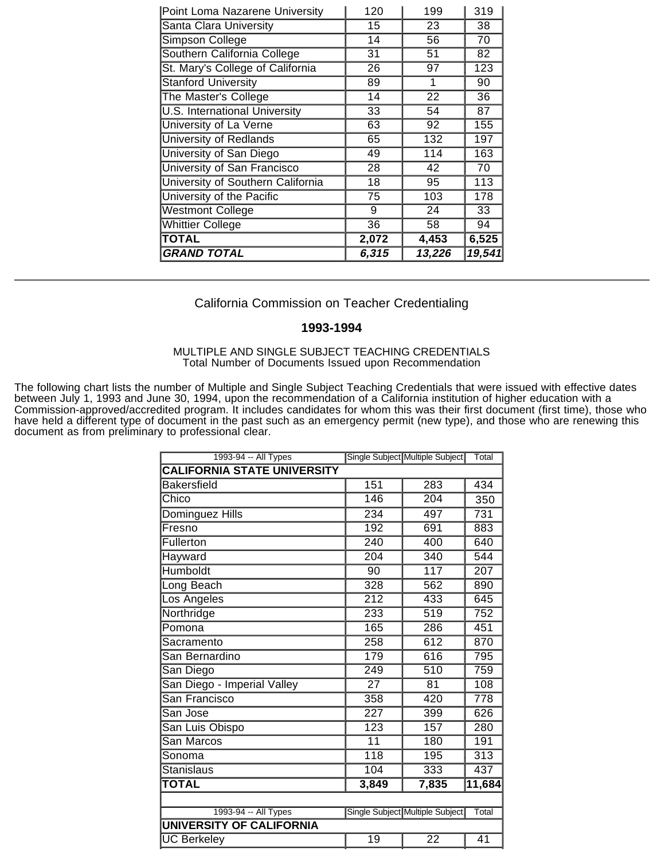| Point Loma Nazarene University       | 120   | 199    | 319    |
|--------------------------------------|-------|--------|--------|
| Santa Clara University               | 15    | 23     | 38     |
| Simpson College                      | 14    | 56     | 70     |
| Southern California College          | 31    | 51     | 82     |
| St. Mary's College of California     | 26    | 97     | 123    |
| <b>Stanford University</b>           | 89    |        | 90     |
| <b>The Master's College</b>          | 14    | 22     | 36     |
| <b>U.S. International University</b> | 33    | 54     | 87     |
| University of La Verne               | 63    | 92     | 155    |
| University of Redlands               | 65    | 132    | 197    |
| University of San Diego              | 49    | 114    | 163    |
| University of San Francisco          | 28    | 42     | 70     |
| University of Southern California    | 18    | 95     | 113    |
| University of the Pacific            | 75    | 103    | 178    |
| <b>Westmont College</b>              | 9     | 24     | 33     |
| <b>Whittier College</b>              | 36    | 58     | 94     |
| <b>TOTAL</b>                         | 2,072 | 4,453  | 6,525  |
| <b>GRAND TOTAL</b>                   | 6,315 | 13,226 | 19,541 |

### **1993-1994**

MULTIPLE AND SINGLE SUBJECT TEACHING CREDENTIALS Total Number of Documents Issued upon Recommendation

The following chart lists the number of Multiple and Single Subject Teaching Credentials that were issued with effective dates between July 1, 1993 and June 30, 1994, upon the recommendation of a California institution of higher education with a Commission-approved/accredited program. It includes candidates for whom this was their first document (first time), those who have held a different type of document in the past such as an emergency permit (new type), and those who are renewing this document as from preliminary to professional clear.

| 1993-94 -- All Types               |                  | <b>Single Subject Multiple Subject</b> | Total            |
|------------------------------------|------------------|----------------------------------------|------------------|
| <b>CALIFORNIA STATE UNIVERSITY</b> |                  |                                        |                  |
| Bakersfield                        | 151              | 283                                    | 434              |
| Chico                              | 146              | 204                                    | 350              |
| Dominguez Hills                    | 234              | 497                                    | 731              |
| Fresno                             | $\overline{192}$ | 691                                    | 883              |
| Fullerton                          | 240              | 400                                    | 640              |
| Hayward                            | 204              | 340                                    | 544              |
| <b>Humboldt</b>                    | 90               | 117                                    | 207              |
| Long Beach                         | 328              | 562                                    | 890              |
| Los Angeles                        | $\overline{212}$ | 433                                    | 645              |
| Northridge                         | 233              | 519                                    | 752              |
| Pomona                             | 165              | 286                                    | 451              |
| Sacramento                         | 258              | 612                                    | 870              |
| San Bernardino                     | 179              | 616                                    | 795              |
| San Diego                          | 249              | 510                                    | 759              |
| San Diego - Imperial Valley        | 27               | 81                                     | 108              |
| San Francisco                      | 358              | 420                                    | 778              |
| San Jose                           | $\overline{227}$ | 399                                    | 626              |
| San Luis Obispo                    | 123              | 157                                    | 280              |
| San Marcos                         | 11               | 180                                    | 191              |
| Sonoma                             | $\overline{118}$ | 195                                    | $\overline{313}$ |
| Stanislaus                         | 104              | 333                                    | 437              |
| <b>TOTAL</b>                       | 3,849            | 7,835                                  | 11,684           |
|                                    |                  |                                        |                  |
| 1993-94 -- All Types               |                  | Single Subject Multiple Subject        | Total            |
| UNIVERSITY OF CALIFORNIA           |                  |                                        |                  |
| <b>UC Berkeley</b>                 | 19               | 22                                     | 41               |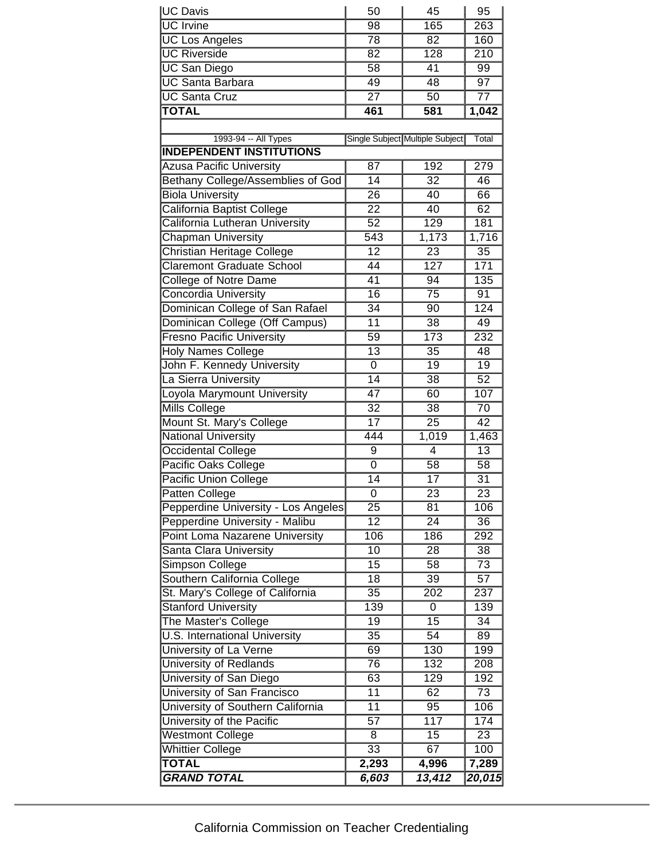| <b>IUC Davis</b>                         | 50              | 45                                     | 95              |
|------------------------------------------|-----------------|----------------------------------------|-----------------|
| <b>UC</b> Irvine                         | 98              | 165                                    | 263             |
| <b>UC Los Angeles</b>                    | 78              | 82                                     | 160             |
| <b>UC Riverside</b>                      | 82              | 128                                    | 210             |
| <b>UC San Diego</b>                      | $\overline{58}$ | 41                                     | 99              |
| <b>UC Santa Barbara</b>                  | 49              | 48                                     | 97              |
| <b>UC Santa Cruz</b>                     | $\overline{27}$ | 50                                     | 77              |
| <b>TOTAL</b>                             | 461             | 581                                    | 1,042           |
|                                          |                 |                                        |                 |
| 1993-94 -- All Types                     |                 | <b>Single Subject Multiple Subject</b> | Total           |
| <b>INDEPENDENT INSTITUTIONS</b>          |                 |                                        |                 |
| <b>Azusa Pacific University</b>          | 87              | 192                                    | 279             |
| <b>Bethany College/Assemblies of God</b> | 14              | 32                                     | 46              |
| <b>Biola University</b>                  | 26              | 40                                     | 66              |
| <b>California Baptist College</b>        | 22              | 40                                     | 62              |
| California Lutheran University           | 52              | 129                                    | 181             |
| <b>Chapman University</b>                | 543             | 1,173                                  | 1,716           |
| <b>Christian Heritage College</b>        | $\overline{12}$ | 23                                     | 35              |
| <b>Claremont Graduate School</b>         | $\overline{44}$ | 127                                    | 171             |
| College of Notre Dame                    | 41              | 94                                     | 135             |
| Concordia University                     | $\overline{16}$ | $\overline{75}$                        | 91              |
| Dominican College of San Rafael          | $\overline{34}$ | $\overline{90}$                        | 124             |
| Dominican College (Off Campus)           | $\overline{11}$ | $\overline{38}$                        | 49              |
| <b>Fresno Pacific University</b>         | 59              | 173                                    | 232             |
| <b>Holy Names College</b>                | $\overline{13}$ | 35                                     | 48              |
| John F. Kennedy University               | 0               | 19                                     | 19              |
| La Sierra University                     | 14              | 38                                     | 52              |
| Loyola Marymount University              | 47              | 60                                     | 107             |
| <b>Mills College</b>                     | $\overline{32}$ | $\overline{38}$                        | $\overline{70}$ |
| Mount St. Mary's College                 | 17              | 25                                     | 42              |
| <b>National University</b>               | 444             | 1,019                                  | 1,463           |
| Occidental College                       | 9               | $\overline{4}$                         | $\overline{13}$ |
| <b>Pacific Oaks College</b>              | $\mathbf 0$     | 58                                     | 58              |
| <b>Pacific Union College</b>             | 14              | 17                                     | $\overline{31}$ |
| Patten College                           | $\overline{0}$  | $\overline{23}$                        | $\overline{23}$ |
| Pepperdine University - Los Angeles      | 25              | 81                                     | 106             |
| Pepperdine University - Malibu           | $\overline{12}$ | 24                                     | 36              |
| Point Loma Nazarene University           | 106             | 186                                    | 292             |
| Santa Clara University                   | 10              | 28                                     | 38              |
| <b>Simpson College</b>                   | 15              | 58                                     | 73              |
| Southern California College              | 18              | 39                                     | 57              |
| St. Mary's College of California         | 35              | 202                                    | 237             |
| <b>Stanford University</b>               | 139             | $\overline{0}$                         | 139             |
| The Master's College                     | $\overline{19}$ | $\overline{15}$                        | 34              |
|                                          | 35              | 54                                     | 89              |
| U.S. International University            | 69              |                                        |                 |
| University of La Verne                   |                 | 130                                    | 199             |
| <b>University of Redlands</b>            | 76              | 132                                    | 208             |
| University of San Diego                  | 63              | 129                                    | 192             |
| University of San Francisco              | $\overline{11}$ | 62                                     | 73              |
| University of Southern California        | $\overline{11}$ | $\overline{95}$                        | 106             |
| University of the Pacific                | $\overline{57}$ | 117                                    | 174             |
| <b>Westmont College</b>                  | 8               | 15                                     | 23              |
| <b>Whittier College</b>                  | 33              | 67                                     | 100             |
| <b>TOTAL</b>                             | 2,293           | 4,996                                  | 7,289           |
| <b>GRAND TOTAL</b>                       | 6,603           | 13,412                                 | 20,015          |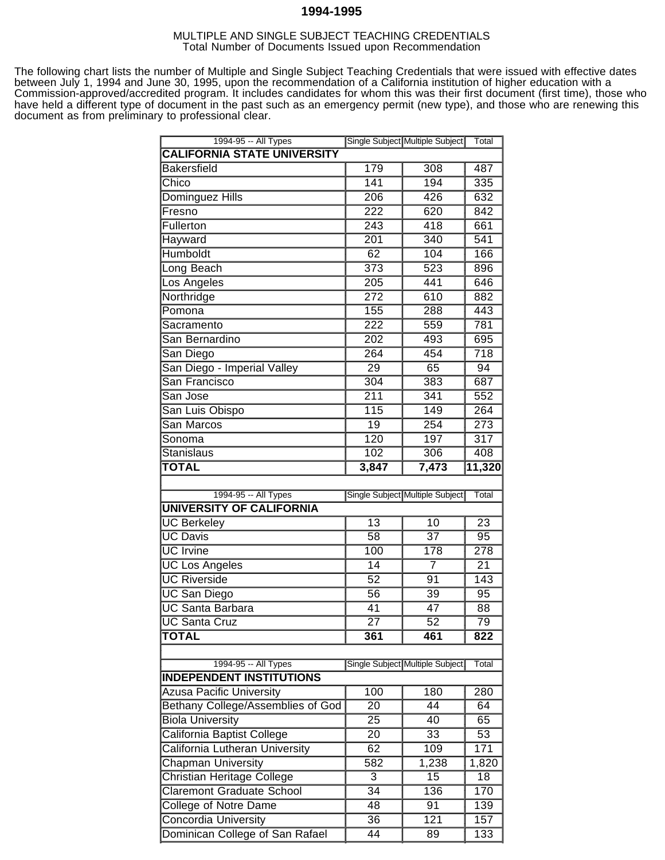#### **1994-1995**

#### MULTIPLE AND SINGLE SUBJECT TEACHING CREDENTIALS Total Number of Documents Issued upon Recommendation

The following chart lists the number of Multiple and Single Subject Teaching Credentials that were issued with effective dates between July 1, 1994 and June 30, 1995, upon the recommendation of a California institution of higher education with a Commission-approved/accredited program. It includes candidates for whom this was their first document (first time), those who have held a different type of document in the past such as an emergency permit (new type), and those who are renewing this document as from preliminary to professional clear.

| 1994-95 -- All Types                                                  |                  | Single Subject Multiple Subject        | Total            |
|-----------------------------------------------------------------------|------------------|----------------------------------------|------------------|
| <b>CALIFORNIA STATE UNIVERSITY</b>                                    |                  |                                        |                  |
| <b>Bakersfield</b>                                                    | 179              | 308                                    | 487              |
| Chico                                                                 | 141              | 194                                    | 335              |
| <b>Dominguez Hills</b>                                                | 206              | 426                                    | 632              |
| Fresno                                                                | $\overline{222}$ | 620                                    | $\overline{842}$ |
| Fullerton                                                             | $\overline{243}$ | 418                                    | 661              |
| Hayward                                                               | $\overline{201}$ | 340                                    | 541              |
| <b>Humboldt</b>                                                       | 62               | 104                                    | 166              |
| Long Beach                                                            | 373              | 523                                    | 896              |
| Los Angeles                                                           | 205              | 441                                    | 646              |
| Northridge                                                            | $\overline{272}$ | 610                                    | 882              |
| Pomona                                                                | 155              | 288                                    | 443              |
| Sacramento                                                            | 222              | 559                                    | 781              |
| San Bernardino                                                        | 202              | 493                                    | 695              |
| San Diego                                                             | 264              | 454                                    | 718              |
| San Diego - Imperial Valley                                           | $\overline{29}$  | 65                                     | 94               |
| San Francisco                                                         | 304              | 383                                    | 687              |
| San Jose                                                              | 211              | 341                                    | 552              |
| San Luis Obispo                                                       | 115              | 149                                    | 264              |
| San Marcos                                                            | 19               | 254                                    | 273              |
| Sonoma                                                                | $\overline{120}$ | 197                                    | $\overline{317}$ |
| Stanislaus                                                            | $\overline{102}$ | 306                                    | 408              |
| <b>TOTAL</b>                                                          | 3,847            | 7,473                                  | 11,320           |
|                                                                       |                  |                                        |                  |
| 1994-95 -- All Types                                                  |                  | <b>Single Subject Multiple Subject</b> | Total            |
| <b>UNIVERSITY OF CALIFORNIA</b>                                       |                  |                                        |                  |
| <b>UC</b> Berkeley                                                    | 13               | 10                                     | 23               |
| <b>UC Davis</b>                                                       | 58               | $\overline{37}$                        | 95               |
| <b>UC</b> Irvine                                                      | 100              | 178                                    | 278              |
| <b>UC Los Angeles</b>                                                 | 14               | $\overline{7}$                         | 21               |
| <b>UC Riverside</b>                                                   | 52               | 91                                     |                  |
| <b>UC San Diego</b>                                                   |                  |                                        | 143              |
| <b>UC Santa Barbara</b>                                               | 56               | 39                                     | 95               |
|                                                                       | $\overline{41}$  | $\overline{47}$                        | 88               |
| <b>UC Santa Cruz</b>                                                  | $\overline{27}$  | $\overline{52}$                        | 79               |
| <b>TOTAL</b>                                                          | $\overline{361}$ | 461                                    | 822              |
|                                                                       |                  |                                        |                  |
| 1994-95 -- All Types                                                  |                  | <b>Single Subject Multiple Subject</b> | Total            |
| <b>INDEPENDENT INSTITUTIONS</b>                                       |                  |                                        |                  |
| <b>Azusa Pacific University</b>                                       | 100              | 180                                    | 280              |
| Bethany College/Assemblies of God                                     | 20               | 44                                     | 64               |
| <b>Biola University</b>                                               | 25               | 40                                     | 65               |
| California Baptist College                                            | 20               | 33                                     | 53               |
| California Lutheran University                                        | 62               | 109                                    | 171              |
| <b>Chapman University</b>                                             | 582              | 1,238                                  | 1,820            |
|                                                                       | 3                | 15                                     | 18               |
| <b>Christian Heritage College</b><br><b>Claremont Graduate School</b> | 34               | 136                                    | 170              |
| <b>College of Notre Dame</b>                                          | 48               | 91                                     | 139              |
| Concordia University                                                  | 36               | 121                                    | 157              |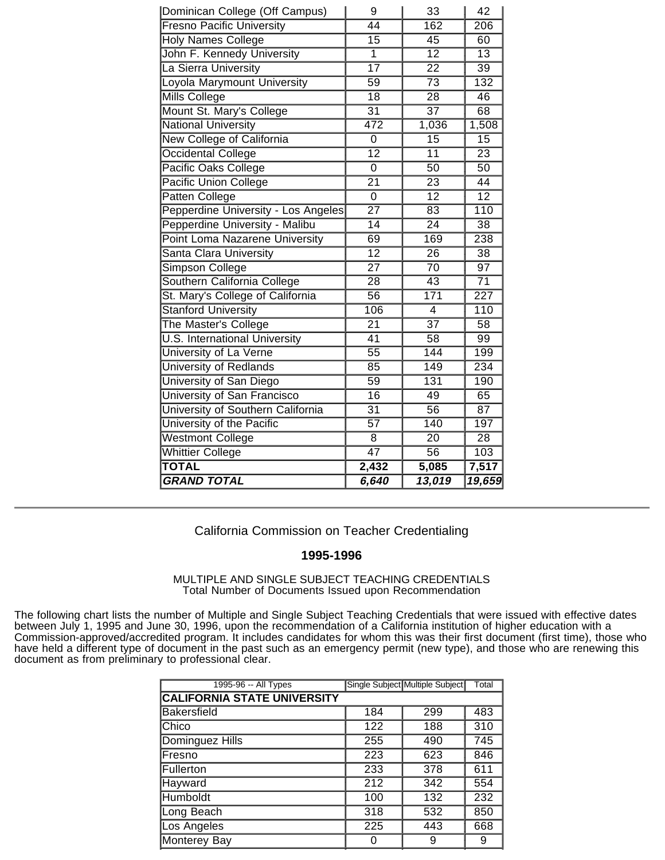| Dominican College (Off Campus)       | 9               | 33              | 42               |
|--------------------------------------|-----------------|-----------------|------------------|
| <b>Fresno Pacific University</b>     | 44              | 162             | 206              |
| <b>Holy Names College</b>            | $\overline{15}$ | $\overline{45}$ | 60               |
| John F. Kennedy University           | $\overline{1}$  | $\overline{12}$ | $\overline{13}$  |
| La Sierra University                 | $\overline{17}$ | $\overline{22}$ | $\overline{39}$  |
| Loyola Marymount University          | $\overline{59}$ | $\overline{73}$ | 132              |
| <b>Mills College</b>                 | $\overline{18}$ | $\overline{28}$ | 46               |
| Mount St. Mary's College             | $\overline{31}$ | $\overline{37}$ | $\overline{68}$  |
| <b>National University</b>           | 472             | 1,036           | 1,508            |
| <b>New College of California</b>     | 0               | $\overline{15}$ | $\overline{15}$  |
| Occidental College                   | $\overline{12}$ | 11              | $\overline{23}$  |
| Pacific Oaks College                 | $\overline{0}$  | 50              | 50               |
| <b>Pacific Union College</b>         | $\overline{21}$ | 23              | 44               |
| <b>Patten College</b>                | 0               | $\overline{12}$ | $\overline{12}$  |
| Pepperdine University - Los Angeles  | $\overline{27}$ | 83              | 110              |
| Pepperdine University - Malibu       | $\overline{14}$ | $\overline{24}$ | $\overline{38}$  |
| Point Loma Nazarene University       | 69              | 169             | 238              |
| <b>Santa Clara University</b>        | $\overline{12}$ | 26              | 38               |
| Simpson College                      | $\overline{27}$ | $\overline{70}$ | $\overline{97}$  |
| Southern California College          | $\overline{28}$ | 43              | $\overline{71}$  |
| St. Mary's College of California     | $\overline{56}$ | 171             | $\overline{227}$ |
| <b>Stanford University</b>           | 106             | 4               | 110              |
| The Master's College                 | $\overline{21}$ | $\overline{37}$ | $\overline{58}$  |
| <b>U.S. International University</b> | $\overline{41}$ | $\overline{58}$ | $\overline{99}$  |
| University of La Verne               | $\overline{55}$ | 144             | 199              |
| <b>University of Redlands</b>        | 85              | 149             | 234              |
| University of San Diego              | 59              | 131             | 190              |
| University of San Francisco          | $\overline{16}$ | 49              | 65               |
| University of Southern California    | $\overline{31}$ | 56              | 87               |
| University of the Pacific            | $\overline{57}$ | 140             | 197              |
| <b>Westmont College</b>              | 8               | $\overline{20}$ | $\overline{28}$  |
| <b>Whittier College</b>              | $\overline{47}$ | $\overline{56}$ | 103              |
| <b>TOTAL</b>                         | 2,432           | 5,085           | 7,517            |
| <b>GRAND TOTAL</b>                   | 6,640           | 13,019          | 19,659           |

### **1995-1996**

MULTIPLE AND SINGLE SUBJECT TEACHING CREDENTIALS Total Number of Documents Issued upon Recommendation

The following chart lists the number of Multiple and Single Subject Teaching Credentials that were issued with effective dates between July 1, 1995 and June 30, 1996, upon the recommendation of a California institution of higher education with a Commission-approved/accredited program. It includes candidates for whom this was their first document (first time), those who have held a different type of document in the past such as an emergency permit (new type), and those who are renewing this document as from preliminary to professional clear.

| 1995-96 -- All Types               |     | Single Subject Multiple Subject | Total |
|------------------------------------|-----|---------------------------------|-------|
| <b>CALIFORNIA STATE UNIVERSITY</b> |     |                                 |       |
| Bakersfield                        | 184 | 299                             | 483   |
| Chico                              | 122 | 188                             | 310   |
| Dominguez Hills                    | 255 | 490                             | 745   |
| <b> Fresno</b>                     | 223 | 623                             | 846   |
| Fullerton                          | 233 | 378                             | 611   |
| Hayward                            | 212 | 342                             | 554   |
| Humboldt                           | 100 | 132                             | 232   |
| Long Beach                         | 318 | 532                             | 850   |
| Los Angeles                        | 225 | 443                             | 668   |
| Monterey Bay                       | 0   | 9                               | 9     |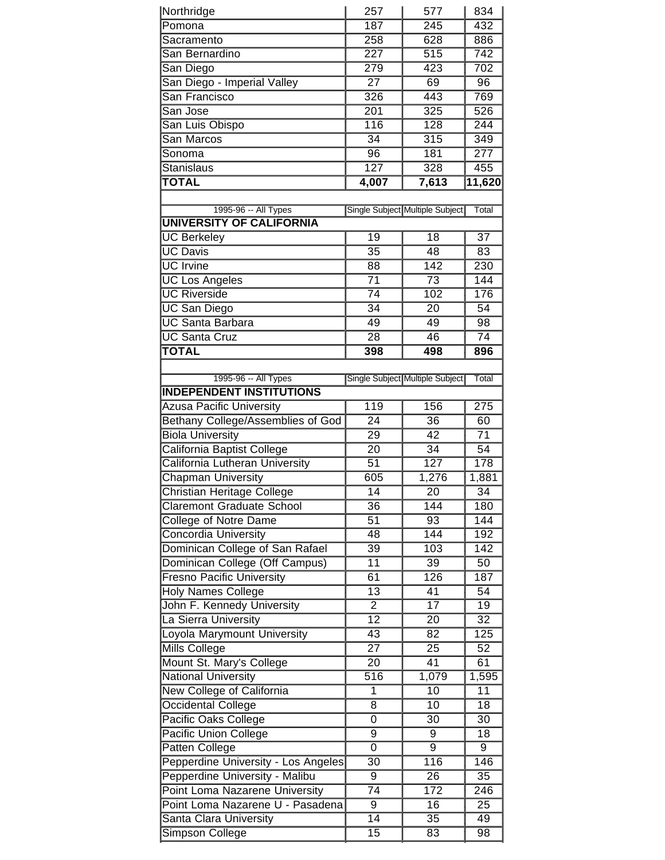| Northridge                            | 257              | 577                             | 834             |
|---------------------------------------|------------------|---------------------------------|-----------------|
| Pomona                                | 187              | 245                             | 432             |
| Sacramento                            | 258              | 628                             | 886             |
| San Bernardino                        | $\overline{227}$ | 515                             | 742             |
| San Diego                             | 279              | 423                             | 702             |
| San Diego - Imperial Valley           | $\overline{27}$  | 69                              | 96              |
| San Francisco                         | 326              | 443                             | 769             |
| San Jose                              | 201              | 325                             | 526             |
| San Luis Obispo                       | $\overline{116}$ | 128                             | 244             |
| San Marcos                            | 34               | 315                             | 349             |
| Sonoma                                | 96               | 181                             | 277             |
| <b>Stanislaus</b>                     | 127              | 328                             | 455             |
| <b>TOTAL</b>                          | 4,007            | 7,613                           | 11,620          |
|                                       |                  |                                 |                 |
| 1995-96 -- All Types                  |                  | Single Subject Multiple Subject | Total           |
| UNIVERSITY OF CALIFORNIA              |                  |                                 |                 |
| <b>UC</b> Berkeley                    | 19               | 18                              | 37              |
| <b>UC Davis</b>                       | $\overline{35}$  | 48                              | 83              |
| <b>UC</b> Irvine                      | 88               | 142                             | 230             |
|                                       |                  |                                 |                 |
| <b>UC Los Angeles</b>                 | 71               | 73                              | 144             |
| <b>UC Riverside</b>                   | 74               | 102                             | 176             |
| UC San Diego                          | $\overline{34}$  | $\overline{20}$                 | $\overline{54}$ |
| <b>UC Santa Barbara</b>               | 49               | 49                              | 98              |
| <b>UC Santa Cruz</b>                  | 28               | 46                              | $\overline{7}4$ |
| <b>TOTAL</b>                          | 398              | 498                             | 896             |
|                                       |                  |                                 |                 |
| 1995-96 -- All Types                  |                  | Single Subject Multiple Subject | Total           |
| <b>INDEPENDENT INSTITUTIONS</b>       |                  |                                 |                 |
| <b>Azusa Pacific University</b>       | 119              | 156                             | 275             |
| Bethany College/Assemblies of God     | 24               | $\overline{36}$                 | 60              |
| <b>Biola University</b>               | 29               | 42                              | 71              |
| California Baptist College            | 20               | 34                              | 54              |
| California Lutheran University        | $\overline{51}$  | $\overline{127}$                | 178             |
| <b>Chapman University</b>             | 605              | 1,276                           | 1,881           |
| <b>Christian Heritage College</b>     | 14               | 20                              | $\overline{34}$ |
| <b>Claremont Graduate School</b>      | $\overline{3}6$  | 144                             | 180             |
| <b>College of Notre Dame</b>          | $\overline{51}$  | $\overline{93}$                 | 144             |
| Concordia University                  | 48               | 144                             | 192             |
| Dominican College of San Rafael       | 39               | 103                             | 142             |
| Dominican College (Off Campus)        | $\overline{11}$  | $\overline{39}$                 | 50              |
| <b>Fresno Pacific University</b>      | 61               | 126                             | 187             |
| <b>Holy Names College</b>             | $\overline{13}$  | 41                              | 54              |
| John F. Kennedy University            | $\overline{c}$   | 17                              | 19              |
| La Sierra University                  | 12               | 20                              | $\overline{32}$ |
| <b>Loyola Marymount University</b>    | 43               | 82                              | 125             |
| <b>Mills College</b>                  | $\overline{27}$  | 25                              | 52              |
| Mount St. Mary's College              | 20               | 41                              | 61              |
| <b>National University</b>            | $\overline{516}$ | 1,079                           | 1,595           |
|                                       |                  | 10                              |                 |
| New College of California             | 1                |                                 | 11              |
| Occidental College                    | 8                | 10                              | 18              |
| Pacific Oaks College                  | $\mathbf 0$      | 30                              | 30              |
| <b>Pacific Union College</b>          | 9                | $\overline{9}$                  | 18              |
| <b>Patten College</b>                 | 0                | $\overline{9}$                  | 9               |
| Pepperdine University - Los Angeles   | 30               | 116                             | 146             |
| Pepperdine University - Malibu        | 9                | 26                              | 35              |
| <b>Point Loma Nazarene University</b> | $\overline{74}$  | 172                             | 246             |
| Point Loma Nazarene U - Pasadena      | 9                | 16                              | 25              |
| Santa Clara University                | $\overline{14}$  | $\overline{35}$                 | 49              |
| <b>Simpson College</b>                | $\overline{15}$  | 83                              | 98              |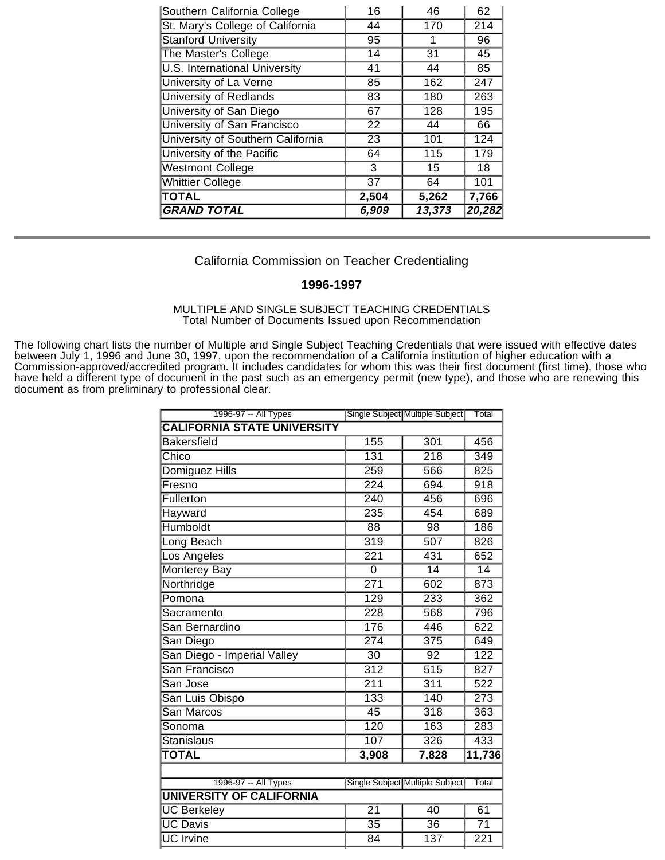| Southern California College          | 16    | 46     | 62     |
|--------------------------------------|-------|--------|--------|
| St. Mary's College of California     | 44    | 170    | 214    |
| <b>Stanford University</b>           | 95    |        | 96     |
| The Master's College                 | 14    | 31     | 45     |
| <b>U.S. International University</b> | 41    | 44     | 85     |
| University of La Verne               | 85    | 162    | 247    |
| <b>University of Redlands</b>        | 83    | 180    | 263    |
| University of San Diego              | 67    | 128    | 195    |
| University of San Francisco          | 22    | 44     | 66     |
| University of Southern California    | 23    | 101    | 124    |
| University of the Pacific            | 64    | 115    | 179    |
| <b>Westmont College</b>              | 3     | 15     | 18     |
| <b>Whittier College</b>              | 37    | 64     | 101    |
| <b>TOTAL</b>                         | 2,504 | 5,262  | 7,766  |
| <b>GRAND TOTAL</b>                   | 6,909 | 13,373 | 20,282 |

#### **1996-1997**

#### MULTIPLE AND SINGLE SUBJECT TEACHING CREDENTIALS Total Number of Documents Issued upon Recommendation

The following chart lists the number of Multiple and Single Subject Teaching Credentials that were issued with effective dates between July 1, 1996 and June 30, 1997, upon the recommendation of a California institution of higher education with a Commission-approved/accredited program. It includes candidates for whom this was their first document (first time), those who have held a different type of document in the past such as an emergency permit (new type), and those who are renewing this document as from preliminary to professional clear.

| 1996-97 -- All Types               |                  | Single Subject Multiple Subject | Total            |  |
|------------------------------------|------------------|---------------------------------|------------------|--|
| <b>CALIFORNIA STATE UNIVERSITY</b> |                  |                                 |                  |  |
| <b>Bakersfield</b>                 | 155              | 301                             | 456              |  |
| Chico                              | 131              | $\overline{218}$                | 349              |  |
| Domiguez Hills                     | 259              | 566                             | 825              |  |
| Fresno                             | 224              | 694                             | 918              |  |
| Fullerton                          | 240              | 456                             | 696              |  |
| Hayward                            | 235              | 454                             | 689              |  |
| <b>Humboldt</b>                    | $\overline{88}$  | 98                              | 186              |  |
| Long Beach                         | 319              | 507                             | 826              |  |
| Los Angeles                        | $\overline{221}$ | 431                             | 652              |  |
| Monterey Bay                       | 0                | $\overline{14}$                 | 14               |  |
| Northridge                         | $\overline{271}$ | 602                             | $\overline{873}$ |  |
| Pomona                             | 129              | 233                             | 362              |  |
| Sacramento                         | $\overline{228}$ | 568                             | 796              |  |
| San Bernardino                     | $\overline{176}$ | 446                             | 622              |  |
| San Diego                          | $\overline{274}$ | 375                             | 649              |  |
| San Diego - Imperial Valley        | 30               | 92                              | 122              |  |
| San Francisco                      | 312              | 515                             | 827              |  |
| San Jose                           | $\overline{211}$ | 311                             | 522              |  |
| San Luis Obispo                    | 133              | 140                             | 273              |  |
| San Marcos                         | 45               | 318                             | 363              |  |
| Sonoma                             | 120              | 163                             | 283              |  |
| <b>Stanislaus</b>                  | 107              | 326                             | 433              |  |
| <b>TOTAL</b>                       | 3,908            | 7,828                           | 11,736           |  |
|                                    |                  |                                 |                  |  |
| 1996-97 -- All Types               |                  | Single Subject Multiple Subject | Total            |  |
| <b>UNIVERSITY OF CALIFORNIA</b>    |                  |                                 |                  |  |
| <b>UC Berkeley</b>                 | $\overline{21}$  | 40                              | 61               |  |
| <b>UC Davis</b>                    | $\overline{35}$  | $\overline{36}$                 | 71               |  |
| <b>UC</b> Irvine                   | 84               | 137                             | 221              |  |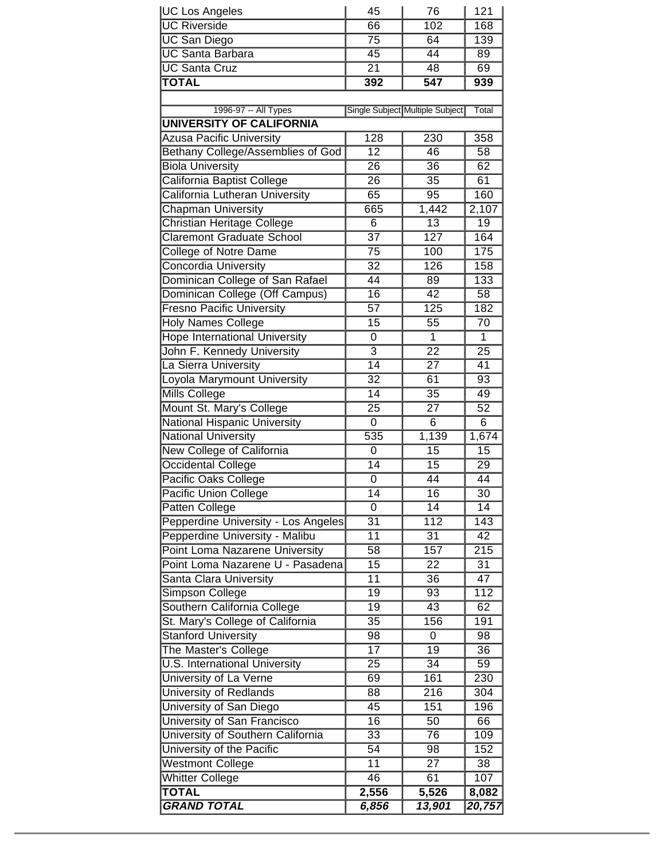| <b>IUC Los Angeles</b>                 | 45              | 76                                     | 121              |
|----------------------------------------|-----------------|----------------------------------------|------------------|
| <b>UC Riverside</b>                    | 66              | 102                                    | 168              |
| <b>UC San Diego</b>                    | $\overline{75}$ | 64                                     | 139              |
| <b>UC Santa Barbara</b>                | $\overline{45}$ | $\overline{44}$                        | 89               |
| <b>UC Santa Cruz</b>                   | 21              | 48                                     | 69               |
| <b>TOTAL</b>                           | 392             | 547                                    | 939              |
|                                        |                 |                                        |                  |
| 1996-97 -- All Types                   |                 | <b>Single Subject Multiple Subject</b> | Total            |
| UNIVERSITY OF CALIFORNIA               |                 |                                        |                  |
| <b>Azusa Pacific University</b>        | 128             | 230                                    | 358              |
| Bethany College/Assemblies of God      | $\overline{12}$ | 46                                     | 58               |
| <b>Biola University</b>                | 26              | $\overline{36}$                        | 62               |
| California Baptist College             | 26              | 35                                     | 61               |
| California Lutheran University         | 65              | 95                                     | 160              |
| <b>Chapman University</b>              | 665             | 1,442                                  | 2,107            |
| <b>Christian Heritage College</b>      | 6               | $\overline{13}$                        | 19               |
| <b>Claremont Graduate School</b>       | $\overline{37}$ | 127                                    | 164              |
| <b>College of Notre Dame</b>           | $\overline{75}$ | 100                                    | 175              |
| Concordia University                   | 32              | 126                                    | 158              |
| Dominican College of San Rafael        | 44              | 89                                     | 133              |
| Dominican College (Off Campus)         | 16              | 42                                     | 58               |
| <b>Fresno Pacific University</b>       | $\overline{57}$ | 125                                    | 182              |
| <b>Holy Names College</b>              | $\overline{15}$ | $\overline{55}$                        | $\overline{70}$  |
| <b>Hope International University</b>   | 0               | $\mathbf 1$                            | 1                |
| John F. Kennedy University             | $\overline{3}$  | $\overline{22}$                        | 25               |
| La Sierra University                   | 14              | 27                                     | 41               |
| Loyola Marymount University            | $\overline{32}$ | 61                                     | 93               |
| Mills College                          | 14              | $\overline{35}$                        | 49               |
| Mount St. Mary's College               | $\overline{25}$ | $\overline{27}$                        | 52               |
| National Hispanic University           | 0               | 6                                      | 6                |
| <b>National University</b>             | 535             | 1,139                                  | 1,674            |
| New College of California              | 0               | 15                                     | $\overline{15}$  |
| Occidental College                     | $\overline{14}$ | $\overline{15}$                        | 29               |
| Pacific Oaks College                   | 0               | 44                                     | 44               |
| Pacific Union College                  | $\overline{14}$ | $\overline{16}$                        | $\overline{30}$  |
| Patten College                         | 0               | 14                                     | 14               |
| Pepperdine University - Los Angeles    | $\overline{31}$ | 112                                    | 143              |
| Pepperdine University - Malibu         | $\overline{11}$ | $\overline{31}$                        | $\overline{42}$  |
| Point Loma Nazarene University         | 58              | 157                                    | 215              |
| Point Loma Nazarene U - Pasadena       | $\overline{15}$ | 22                                     | 31               |
| Santa Clara University                 | 11              | 36                                     | 47               |
| <b>Simpson College</b>                 | $\overline{19}$ | 93                                     | 112              |
| Southern California College            | $\overline{19}$ | $\overline{43}$                        | 62               |
| St. Mary's College of California       | $\overline{35}$ | 156                                    | 191              |
| <b>Stanford University</b>             | 98              | 0                                      | 98               |
| The Master's College                   | 17              | 19                                     | 36               |
| U.S. International University          | 25              | 34                                     | 59               |
| University of La Verne                 | 69              | 161                                    | $\overline{230}$ |
| <b>University of Redlands</b>          | 88              | 216                                    | 304              |
| University of San Diego                | 45              | 151                                    | 196              |
| University of San Francisco            | $\overline{16}$ | 50                                     | 66               |
| University of Southern California      | 33              | 76                                     | 109              |
| University of the Pacific              | 54              | 98                                     | 152              |
| <b>Westmont College</b>                | 11<br>46        | 27                                     | $\overline{38}$  |
| <b>Whitter College</b><br><b>TOTAL</b> | 2,556           | 61<br>5,526                            | 107              |
| <b>GRAND TOTAL</b>                     |                 |                                        | 8,082            |
|                                        | 6,856           | 13,901                                 | 20,757           |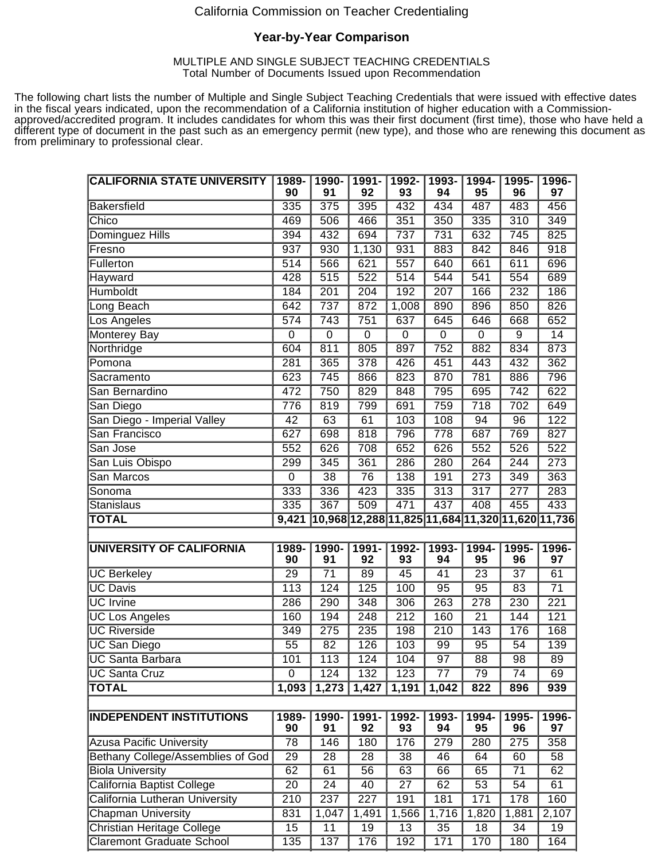## **Year-by-Year Comparison**

#### MULTIPLE AND SINGLE SUBJECT TEACHING CREDENTIALS Total Number of Documents Issued upon Recommendation

The following chart lists the number of Multiple and Single Subject Teaching Credentials that were issued with effective dates in the fiscal years indicated, upon the recommendation of a California institution of higher education with a Commissionapproved/accredited program. It includes candidates for whom this was their first document (first time), those who have held a different type of document in the past such as an emergency permit (new type), and those who are renewing this document as from preliminary to professional clear.

| <b>CALIFORNIA STATE UNIVERSITY</b>             | 1989-<br>90      | 1990-<br>91      | 1991-<br>92      | 1992-<br>93      | 1993-<br>94      | 1994-<br>95            | 1995-<br>96                                      | 1996-<br>97            |
|------------------------------------------------|------------------|------------------|------------------|------------------|------------------|------------------------|--------------------------------------------------|------------------------|
| <b>Bakersfield</b>                             | 335              | 375              | 395              | 432              | 434              | 487                    | 483                                              | 456                    |
| Chico                                          | 469              | 506              | 466              | 351              | 350              | 335                    | $\overline{310}$                                 | 349                    |
| Dominguez Hills                                | 394              | 432              | 694              | 737              | 731              | 632                    | 745                                              | 825                    |
| Fresno                                         | 937              | 930              | 1,130            | 931              | 883              | 842                    | 846                                              | 918                    |
| Fullerton                                      | 514              | 566              | 621              | 557              | 640              | 661                    | 611                                              | 696                    |
| Hayward                                        | 428              | 515              | 522              | $\overline{514}$ | 544              | 541                    | 554                                              | 689                    |
| <b>Humboldt</b>                                | 184              | 201              | $\overline{204}$ | 192              | 207              | 166                    | 232                                              | 186                    |
|                                                | 642              | 737              | 872              |                  | 890              | 896                    | 850                                              | 826                    |
| Long Beach                                     | $\overline{574}$ | 743              | $\overline{751}$ | 1,008<br>637     | 645              | 646                    | 668                                              | 652                    |
| Los Angeles                                    | $\overline{0}$   | $\overline{0}$   | $\overline{0}$   | $\overline{0}$   | $\overline{0}$   | $\overline{0}$         | $\overline{9}$                                   | $\overline{14}$        |
| <b>Monterey Bay</b>                            |                  |                  |                  |                  |                  |                        |                                                  |                        |
| Northridge                                     | 604              | 811              | 805              | 897              | 752              | 882                    | 834                                              | 873                    |
| Pomona                                         | 281              | 365              | 378              | 426              | 451              | 443                    | 432                                              | 362                    |
| Sacramento                                     | 623              | 745              | 866              | 823              | 870              | 781                    | 886                                              | 796                    |
| San Bernardino                                 | 472              | 750              | 829              | 848              | 795              | 695                    | 742                                              | 622                    |
| San Diego                                      | 776              | 819              | 799              | 691              | 759              | 718                    | 702                                              | 649                    |
| San Diego - Imperial Valley                    | 42               | 63               | 61               | 103              | 108              | 94                     | 96                                               | 122                    |
| San Francisco                                  | 627              | 698              | 818              | 796              | 778              | 687                    | 769                                              | 827                    |
| San Jose                                       | 552              | 626              | 708              | 652              | 626              | 552                    | 526                                              | 522                    |
| San Luis Obispo                                | 299              | 345              | 361              | 286              | 280              | 264                    | 244                                              | 273                    |
| San Marcos                                     | 0                | $\overline{38}$  | 76               | 138              | 191              | $\overline{273}$       | 349                                              | 363                    |
| Sonoma                                         | 333              | 336              | 423              | 335              | $\overline{313}$ | 317                    | 277                                              | 283                    |
| <b>Stanislaus</b>                              | 335              | 367              | 509              | 471              | 437              | 408                    | 455                                              | 433                    |
|                                                |                  |                  |                  |                  |                  |                        |                                                  |                        |
| <b>TOTAL</b>                                   | 9,421            |                  |                  |                  |                  |                        | 10,968 12,288 11,825 11,684 11,320 11,620 11,736 |                        |
|                                                |                  |                  |                  |                  |                  |                        |                                                  |                        |
| UNIVERSITY OF CALIFORNIA                       | 1989-<br>90      | 1990-<br>91      | $1991 -$<br>92   | 1992-<br>93      | 1993-<br>94      | 1994-<br>95            | 1995-<br>96                                      | 1996-<br>97            |
|                                                | 29               | 71               | 89               | 45               | 41               | 23                     | 37                                               | 61                     |
| <b>UC Berkeley</b><br><b>UC Davis</b>          | 113              | $\overline{124}$ | 125              | 100              |                  |                        | 83                                               | $\overline{71}$        |
|                                                |                  |                  | 348              | 306              | 95               | 95                     |                                                  |                        |
| <b>UC</b> Irvine                               | 286<br>160       | 290<br>194       | 248              | 212              | 263              | 278<br>$\overline{21}$ | 230<br>144                                       | 221<br>121             |
| <b>UC Los Angeles</b>                          | 349              |                  | 235              | 198              | 160<br>210       | 143                    | 176                                              | 168                    |
| <b>UC Riverside</b>                            |                  | 275<br>82        | 126              | 103              | 99               |                        | 54                                               |                        |
| <b>UC San Diego</b><br><b>UC Santa Barbara</b> | 55<br>101        | $\overline{113}$ | 124              | 104              | $\overline{97}$  | 95<br>$\overline{88}$  | $\overline{98}$                                  | 139<br>$\overline{89}$ |
| <b>UC Santa Cruz</b>                           | 0                | 124              | 132              | 123              | 77               | 79                     | 74                                               | 69                     |
| <b>TOTAL</b>                                   | 1,093            | 1,273            | 1,427            | 1,191            | 1,042            | 822                    | 896                                              | 939                    |
|                                                |                  |                  |                  |                  |                  |                        |                                                  |                        |
|                                                |                  |                  |                  |                  |                  |                        |                                                  |                        |
| <b>INDEPENDENT INSTITUTIONS</b>                | 1989-<br>90      | 1990-<br>91      | 1991-<br>92      | 1992-<br>93      | 1993-<br>94      | 1994-<br>95            | 1995-<br>96                                      | 1996-<br>97            |
| <b>Azusa Pacific University</b>                | 78               | 146              | 180              | 176              | 279              | 280                    | 275                                              | 358                    |
| Bethany College/Assemblies of God              | 29               | 28               | 28               | 38               | 46               | 64                     | 60                                               | 58                     |
| <b>Biola University</b>                        | 62               | 61               | 56               | 63               | 66               | 65                     | 71                                               | 62                     |
| California Baptist College                     | 20               | 24               | 40               | 27               | 62               | 53                     | 54                                               | 61                     |
| California Lutheran University                 | 210              | 237              | 227              | 191              | 181              | $\overline{171}$       | 178                                              | 160                    |
| <b>Chapman University</b>                      | 831              | 1,047            | 1,491            | 1,566            | 1,716            | 1,820                  | 1,881                                            | 2,107                  |
| <b>Christian Heritage College</b>              | 15               | 11               | 19               | 13               | 35               | 18                     | 34                                               | 19                     |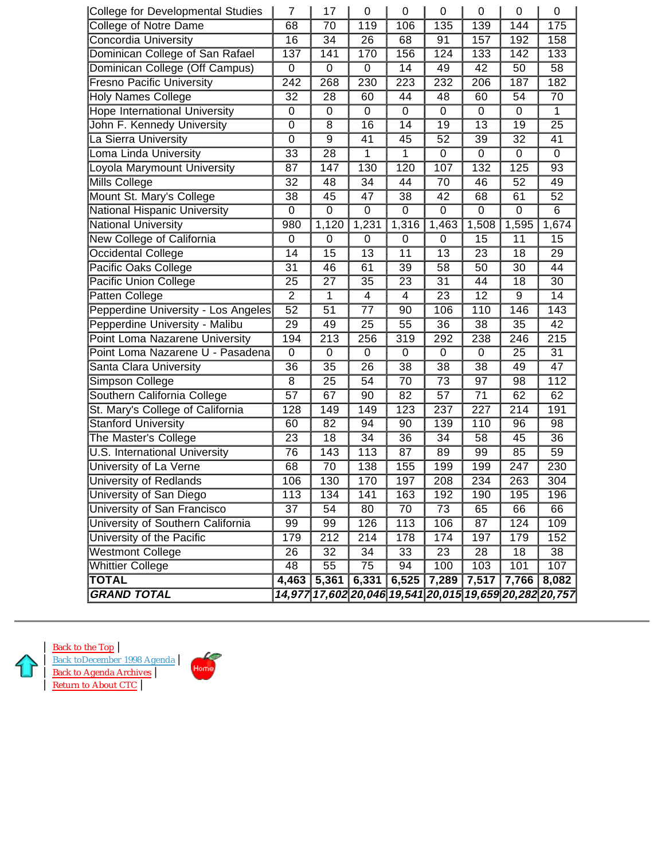| <b>College for Developmental Studies</b> | 7                | 17               | 0                       | 0                       | 0               | 0               | 0                                                       | 0                |
|------------------------------------------|------------------|------------------|-------------------------|-------------------------|-----------------|-----------------|---------------------------------------------------------|------------------|
| College of Notre Dame                    | 68               | 70               | 119                     | 106                     | 135             | 139             | 144                                                     | 175              |
| <b>Concordia University</b>              | 16               | 34               | 26                      | 68                      | 91              | 157             | 192                                                     | 158              |
| Dominican College of San Rafael          | 137              | 141              | 170                     | 156                     | 124             | 133             | 142                                                     | 133              |
| Dominican College (Off Campus)           | 0                | 0                | 0                       | 14                      | 49              | 42              | 50                                                      | 58               |
| <b>Fresno Pacific University</b>         | 242              | 268              | 230                     | 223                     | 232             | 206             | 187                                                     | 182              |
| <b>Holy Names College</b>                | 32               | 28               | 60                      | 44                      | 48              | 60              | 54                                                      | 70               |
| <b>Hope International University</b>     | 0                | 0                | 0                       | 0                       | 0               | 0               | 0                                                       | $\mathbf{1}$     |
| John F. Kennedy University               | 0                | $\overline{8}$   | 16                      | 14                      | 19              | 13              | 19                                                      | $\overline{25}$  |
| La Sierra University                     | 0                | $\overline{9}$   | $\overline{41}$         | 45                      | 52              | 39              | $\overline{32}$                                         | 41               |
| Loma Linda University                    | 33               | 28               | 1                       | 1                       | $\mathbf 0$     | $\mathbf 0$     | 0                                                       | 0                |
| Loyola Marymount University              | 87               | 147              | 130                     | 120                     | 107             | 132             | 125                                                     | 93               |
| Mills College                            | $\overline{32}$  | 48               | 34                      | 44                      | $\overline{70}$ | 46              | 52                                                      | 49               |
| Mount St. Mary's College                 | 38               | 45               | 47                      | 38                      | 42              | 68              | 61                                                      | 52               |
| National Hispanic University             | $\boldsymbol{0}$ | $\overline{0}$   | $\overline{0}$          | $\boldsymbol{0}$        | $\pmb{0}$       | $\overline{0}$  | 0                                                       | $\overline{6}$   |
| <b>National University</b>               | 980              | 1,120            | 1,231                   | 1,316                   | 1,463           | 1,508           | 1,595                                                   | 1,674            |
| New College of California                | 0                | $\boldsymbol{0}$ | 0                       | $\mathbf 0$             | $\mathbf 0$     | 15              | 11                                                      | 15               |
| Occidental College                       | 14               | 15               | 13                      | 11                      | 13              | 23              | 18                                                      | 29               |
| <b>Pacific Oaks College</b>              | 31               | 46               | 61                      | 39                      | 58              | 50              | 30                                                      | 44               |
| <b>Pacific Union College</b>             | 25               | $\overline{27}$  | 35                      | 23                      | 31              | 44              | 18                                                      | 30               |
| <b>Patten College</b>                    | $\overline{2}$   | 1                | $\overline{\mathbf{4}}$ | $\overline{\mathbf{4}}$ | $\overline{23}$ | $\overline{12}$ | $\overline{9}$                                          | $\overline{14}$  |
| Pepperdine University - Los Angeles      | 52               | $\overline{51}$  | $\overline{77}$         | 90                      | 106             | 110             | $\overline{146}$                                        | 143              |
| Pepperdine University - Malibu           | 29               | 49               | 25                      | 55                      | 36              | 38              | 35                                                      | 42               |
| Point Loma Nazarene University           | 194              | 213              | 256                     | 319                     | 292             | 238             | 246                                                     | 215              |
| Point Loma Nazarene U - Pasadena         | 0                | 0                | $\pmb{0}$               | $\pmb{0}$               | $\pmb{0}$       | $\pmb{0}$       | 25                                                      | $\overline{31}$  |
| Santa Clara University                   | 36               | 35               | 26                      | 38                      | 38              | 38              | 49                                                      | 47               |
| Simpson College                          | $\overline{8}$   | $\overline{25}$  | 54                      | 70                      | 73              | 97              | 98                                                      | $\overline{112}$ |
| Southern California College              | 57               | 67               | 90                      | 82                      | 57              | 71              | 62                                                      | 62               |
| St. Mary's College of California         | 128              | 149              | 149                     | 123                     | 237             | 227             | 214                                                     | 191              |
| <b>Stanford University</b>               | 60               | 82               | 94                      | 90                      | 139             | 110             | 96                                                      | 98               |
| The Master's College                     | 23               | 18               | 34                      | 36                      | 34              | 58              | 45                                                      | 36               |
| U.S. International University            | $\overline{76}$  | 143              | 113                     | 87                      | 89              | 99              | 85                                                      | $\overline{59}$  |
| University of La Verne                   | 68               | $\overline{70}$  | 138                     | 155                     | 199             | 199             | 247                                                     | 230              |
| University of Redlands                   | 106              | 130              | 170                     | 197                     | 208             | 234             | 263                                                     | 304              |
| University of San Diego                  | 113              | 134              | 141                     | 163                     | 192             | 190             | 195                                                     | 196              |
| University of San Francisco              | 37               | 54               | 80                      | 70                      | 73              | 65              | 66                                                      | 66               |
| University of Southern California        | 99               | $\overline{99}$  | 126                     | 113                     | 106             | 87              | 124                                                     | 109              |
| University of the Pacific                | 179              | 212              | 214                     | 178                     | 174             | 197             | 179                                                     | 152              |
| Westmont College                         | 26               | 32               | 34                      | 33                      | 23              | 28              | 18                                                      | 38               |
| <b>Whittier College</b>                  | 48               | 55               | 75                      | 94                      | 100             | 103             | 101                                                     | 107              |
| <b>TOTAL</b>                             | 4,463            | 5,361            | 6,331                   |                         | $6,525$ 7,289   | 7,517           | 7,766                                                   | 8,082            |
| <b>GRAND TOTAL</b>                       |                  |                  |                         |                         |                 |                 | 14,977 17,602 20,046 19,541 20,015 19,659 20,282 20,757 |                  |



| Back to the Top Back toDecember 1998 Agenda | Back to Agenda Archives | Return to About CTC |

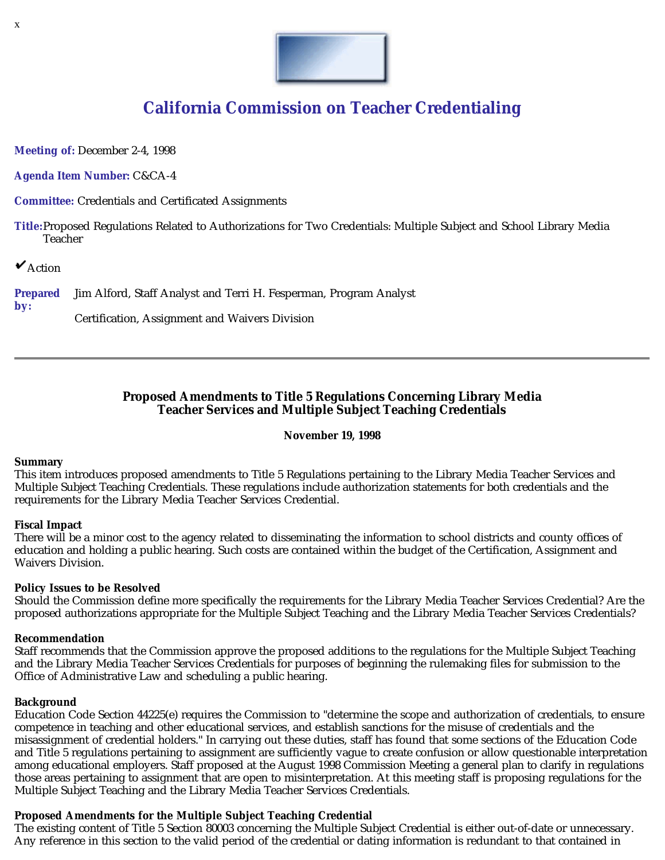

**Meeting of:** December 2-4, 1998

**Agenda Item Number:** C&CA-4

**Committee:** Credentials and Certificated Assignments

**Title:**Proposed Regulations Related to Authorizations for Two Credentials: Multiple Subject and School Library Media Teacher

 $\mathbf{\check{v}}$  Action

**Prepared by:** Jim Alford, Staff Analyst and Terri H. Fesperman, Program Analyst

Certification, Assignment and Waivers Division

## **Proposed Amendments to Title 5 Regulations Concerning Library Media Teacher Services and Multiple Subject Teaching Credentials**

#### **November 19, 1998**

#### **Summary**

This item introduces proposed amendments to Title 5 Regulations pertaining to the Library Media Teacher Services and Multiple Subject Teaching Credentials. These regulations include authorization statements for both credentials and the requirements for the Library Media Teacher Services Credential.

#### **Fiscal Impact**

There will be a minor cost to the agency related to disseminating the information to school districts and county offices of education and holding a public hearing. Such costs are contained within the budget of the Certification, Assignment and Waivers Division.

#### **Policy Issues to be Resolved**

Should the Commission define more specifically the requirements for the Library Media Teacher Services Credential? Are the proposed authorizations appropriate for the Multiple Subject Teaching and the Library Media Teacher Services Credentials?

#### **Recommendation**

Staff recommends that the Commission approve the proposed additions to the regulations for the Multiple Subject Teaching and the Library Media Teacher Services Credentials for purposes of beginning the rulemaking files for submission to the Office of Administrative Law and scheduling a public hearing.

#### **Background**

Education Code Section 44225(e) requires the Commission to "determine the scope and authorization of credentials, to ensure competence in teaching and other educational services, and establish sanctions for the misuse of credentials and the misassignment of credential holders." In carrying out these duties, staff has found that some sections of the Education Code and Title 5 regulations pertaining to assignment are sufficiently vague to create confusion or allow questionable interpretation among educational employers. Staff proposed at the August 1998 Commission Meeting a general plan to clarify in regulations those areas pertaining to assignment that are open to misinterpretation. At this meeting staff is proposing regulations for the Multiple Subject Teaching and the Library Media Teacher Services Credentials.

#### **Proposed Amendments for the Multiple Subject Teaching Credential**

The existing content of Title 5 Section 80003 concerning the Multiple Subject Credential is either out-of-date or unnecessary. Any reference in this section to the valid period of the credential or dating information is redundant to that contained in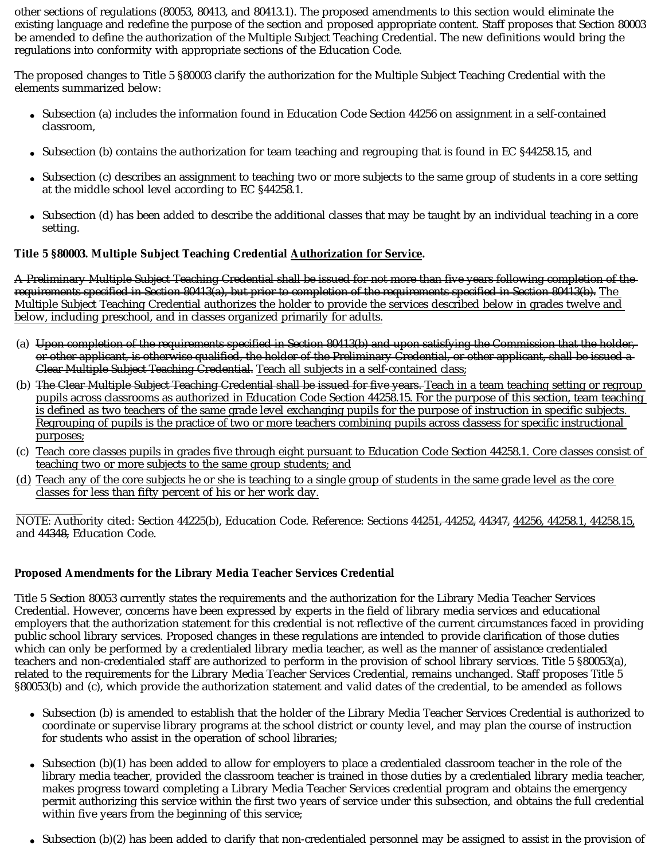other sections of regulations (80053, 80413, and 80413.1). The proposed amendments to this section would eliminate the existing language and redefine the purpose of the section and proposed appropriate content. Staff proposes that Section 80003 be amended to define the authorization of the Multiple Subject Teaching Credential. The new definitions would bring the regulations into conformity with appropriate sections of the Education Code.

The proposed changes to Title 5 §80003 clarify the authorization for the Multiple Subject Teaching Credential with the elements summarized below:

- Subsection (a) includes the information found in Education Code Section 44256 on assignment in a self-contained classroom,
- Subsection (b) contains the authorization for team teaching and regrouping that is found in EC §44258.15, and
- Subsection (c) describes an assignment to teaching two or more subjects to the same group of students in a core setting at the middle school level according to EC §44258.1.
- Subsection (d) has been added to describe the additional classes that may be taught by an individual teaching in a core setting.

## **Title 5 §80003. Multiple Subject Teaching Credential Authorization for Service.**

A Preliminary Multiple Subject Teaching Credential shall be issued for not more than five years following completion of the requirements specified in Section 80413(a), but prior to completion of the requirements specified in Section 80413(b). The Multiple Subject Teaching Credential authorizes the holder to provide the services described below in grades twelve and below, including preschool, and in classes organized primarily for adults.

- (a) Upon completion of the requirements specified in Section 80413(b) and upon satisfying the Commission that the holder, or other applicant, is otherwise qualified, the holder of the Preliminary Credential, or other applicant, shall be issued a Clear Multiple Subject Teaching Credential. Teach all subjects in a self-contained class;
- (b) The Clear Multiple Subject Teaching Credential shall be issued for five years. Teach in a team teaching setting or regroup pupils across classrooms as authorized in Education Code Section 44258.15. For the purpose of this section, team teaching is defined as two teachers of the same grade level exchanging pupils for the purpose of instruction in specific subjects. Regrouping of pupils is the practice of two or more teachers combining pupils across classess for specific instructional purposes;
- (c) Teach core classes pupils in grades five through eight pursuant to Education Code Section 44258.1. Core classes consist of teaching two or more subjects to the same group students; and
- (d) Teach any of the core subjects he or she is teaching to a single group of students in the same grade level as the core classes for less than fifty percent of his or her work day.

\_\_\_\_\_\_\_\_\_\_\_\_ NOTE: Authority cited: Section 44225(b), Education Code. Reference: Sections <del>44251, 44252, 44347, <u>44256, 44258.1, 44258.15</u>,</del> and 44348<del>,</del> Education Code.

### **Proposed Amendments for the Library Media Teacher Services Credential**

Title 5 Section 80053 currently states the requirements and the authorization for the Library Media Teacher Services Credential. However, concerns have been expressed by experts in the field of library media services and educational employers that the authorization statement for this credential is not reflective of the current circumstances faced in providing public school library services. Proposed changes in these regulations are intended to provide clarification of those duties which can only be performed by a credentialed library media teacher, as well as the manner of assistance credentialed teachers and non-credentialed staff are authorized to perform in the provision of school library services. Title 5 §80053(a), related to the requirements for the Library Media Teacher Services Credential, remains unchanged. Staff proposes Title 5 §80053(b) and (c), which provide the authorization statement and valid dates of the credential, to be amended as follows

- Subsection (b) is amended to establish that the holder of the Library Media Teacher Services Credential is authorized to coordinate or supervise library programs at the school district or county level, and may plan the course of instruction for students who assist in the operation of school libraries;
- Subsection (b)(1) has been added to allow for employers to place a credentialed classroom teacher in the role of the library media teacher, provided the classroom teacher is trained in those duties by a credentialed library media teacher, makes progress toward completing a Library Media Teacher Services credential program and obtains the emergency permit authorizing this service within the first two years of service under this subsection, and obtains the full credential within five years from the beginning of this service;
- Subsection (b)(2) has been added to clarify that non-credentialed personnel may be assigned to assist in the provision of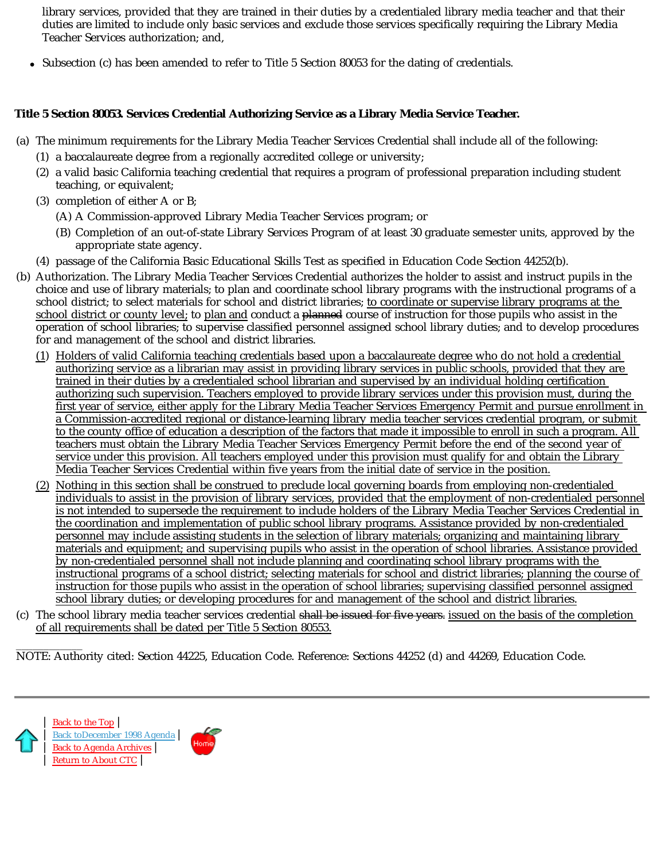library services, provided that they are trained in their duties by a credentialed library media teacher and that their duties are limited to include only basic services and exclude those services specifically requiring the Library Media Teacher Services authorization; and,

Subsection (c) has been amended to refer to Title 5 Section 80053 for the dating of credentials.

## **Title 5 Section 80053. Services Credential Authorizing Service as a Library Media Service Teacher.**

- (a) The minimum requirements for the Library Media Teacher Services Credential shall include all of the following:
	- (1) a baccalaureate degree from a regionally accredited college or university;
	- (2) a valid basic California teaching credential that requires a program of professional preparation including student teaching, or equivalent;
	- (3) completion of either A or B;
		- (A) A Commission-approved Library Media Teacher Services program; or
		- (B) Completion of an out-of-state Library Services Program of at least 30 graduate semester units, approved by the appropriate state agency.
	- (4) passage of the California Basic Educational Skills Test as specified in Education Code Section 44252(b).
- (b) Authorization. The Library Media Teacher Services Credential authorizes the holder to assist and instruct pupils in the choice and use of library materials; to plan and coordinate school library programs with the instructional programs of a school district; to select materials for school and district libraries; <u>to coordinate or supervise library programs at the</u> <u>school district or county level;</u> to <u>plan and</u> conduct a <del>planned</del> course of instruction for those pupils who assist in the operation of school libraries; to supervise classified personnel assigned school library duties; and to develop procedures for and management of the school and district libraries.
	- (1) Holders of valid California teaching credentials based upon a baccalaureate degree who do not hold a credential authorizing service as a librarian may assist in providing library services in public schools, provided that they are trained in their duties by a credentialed school librarian and supervised by an individual holding certification authorizing such supervision. Teachers employed to provide library services under this provision must, during the first year of service, either apply for the Library Media Teacher Services Emergency Permit and pursue enrollment in a Commission-accredited regional or distance-learning library media teacher services credential program, or submit to the county office of education a description of the factors that made it impossible to enroll in such a program. All teachers must obtain the Library Media Teacher Services Emergency Permit before the end of the second year of service under this provision. All teachers employed under this provision must qualify for and obtain the Library Media Teacher Services Credential within five years from the initial date of service in the position.
	- (2) Nothing in this section shall be construed to preclude local governing boards from employing non-credentialed individuals to assist in the provision of library services, provided that the employment of non-credentialed personnel is not intended to supersede the requirement to include holders of the Library Media Teacher Services Credential in the coordination and implementation of public school library programs. Assistance provided by non-credentialed personnel may include assisting students in the selection of library materials; organizing and maintaining library materials and equipment; and supervising pupils who assist in the operation of school libraries. Assistance provided by non-credentialed personnel shall not include planning and coordinating school library programs with the instructional programs of a school district; selecting materials for school and district libraries; planning the course of instruction for those pupils who assist in the operation of school libraries; supervising classified personnel assigned school library duties; or developing procedures for and management of the school and district libraries.
- (c) The school library media teacher services credential shall be issued for five years, issued on the basis of the completion of all requirements shall be dated per Title 5 Section 80553.

\_\_\_\_\_\_\_\_\_\_\_\_ NOTE: Authority cited: Section 44225, Education Code. Reference: Sections 44252 (d) and 44269, Education Code.



Back to the Top Back toDecember 1998 Agenda Back to Agenda Archives Return to About CTC |

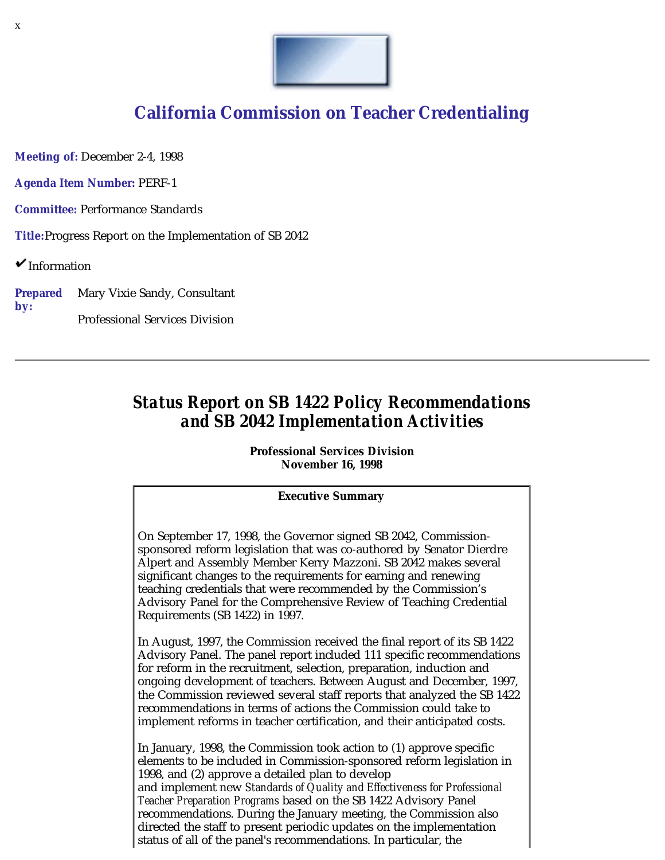

**Meeting of:** December 2-4, 1998

**Agenda Item Number:** PERF-1

**Committee:** Performance Standards

**Title:**Progress Report on the Implementation of SB 2042

 $\mathbf{\check{v}}$  Information

**Prepared by:** Mary Vixie Sandy, Consultant

Professional Services Division

# *Status Report on SB 1422 Policy Recommendations and SB 2042 Implementation Activities*

**Professional Services Division November 16, 1998**

#### **Executive Summary**

On September 17, 1998, the Governor signed SB 2042, Commissionsponsored reform legislation that was co-authored by Senator Dierdre Alpert and Assembly Member Kerry Mazzoni. SB 2042 makes several significant changes to the requirements for earning and renewing teaching credentials that were recommended by the Commission's Advisory Panel for the Comprehensive Review of Teaching Credential Requirements (SB 1422) in 1997.

In August, 1997, the Commission received the final report of its SB 1422 Advisory Panel. The panel report included 111 specific recommendations for reform in the recruitment, selection, preparation, induction and ongoing development of teachers. Between August and December, 1997, the Commission reviewed several staff reports that analyzed the SB 1422 recommendations in terms of actions the Commission could take to implement reforms in teacher certification, and their anticipated costs.

In January, 1998, the Commission took action to (1) approve specific elements to be included in Commission-sponsored reform legislation in 1998, and (2) approve a detailed plan to develop and implement new *Standards of Quality and Effectiveness for Professional Teacher Preparation Programs* based on the SB 1422 Advisory Panel recommendations. During the January meeting, the Commission also directed the staff to present periodic updates on the implementation status of all of the panel's recommendations. In particular, the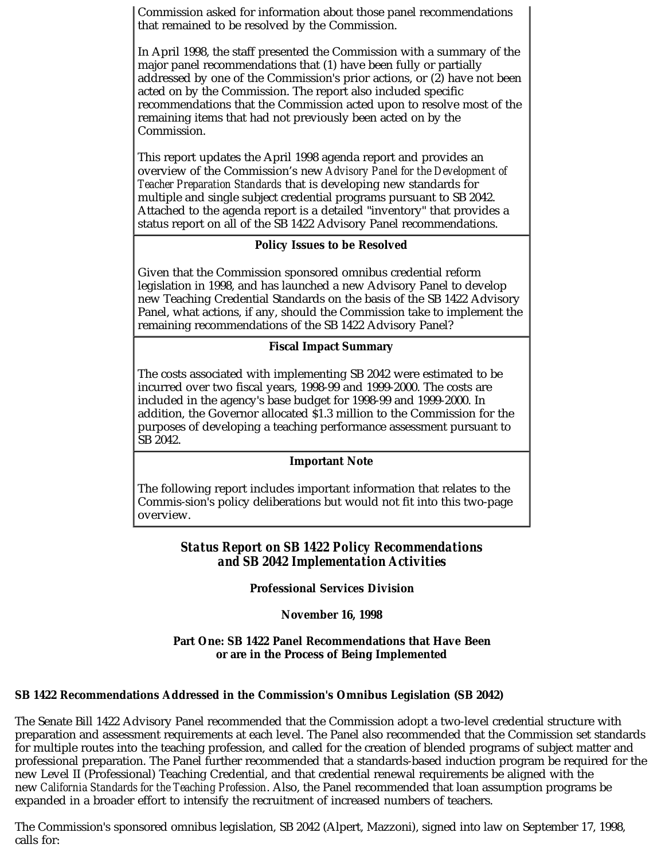Commission asked for information about those panel recommendations that remained to be resolved by the Commission.

In April 1998, the staff presented the Commission with a summary of the major panel recommendations that (1) have been fully or partially addressed by one of the Commission's prior actions, or (2) have not been acted on by the Commission. The report also included specific recommendations that the Commission acted upon to resolve most of the remaining items that had not previously been acted on by the Commission.

This report updates the April 1998 agenda report and provides an overview of the Commission's new  *Advisory Panel for the Development of*  Teacher Preparation Standards that is developing new standards for multiple and single subject credential programs pursuant to SB 2042. Attached to the agenda report is a detailed "inventory" that provides a status report on all of the SB 1422 Advisory Panel recommendations.

### **Policy Issues to be Resolved**

Given that the Commission sponsored omnibus credential reform legislation in 1998, and has launched a new Advisory Panel to develop new Teaching Credential Standards on the basis of the SB 1422 Advisory Panel, what actions, if any, should the Commission take to implement the remaining recommendations of the SB 1422 Advisory Panel?

#### **Fiscal Impact Summary**

The costs associated with implementing SB 2042 were estimated to be incurred over two fiscal years, 1998-99 and 1999-2000. The costs are included in the agency's base budget for 1998-99 and 1999-2000. In addition, the Governor allocated \$1.3 million to the Commission for the purposes of developing a teaching performance assessment pursuant to SB 2042.

#### **Important Note**

The following report includes important information that relates to the Commis-sion's policy deliberations but would not fit into this two-page overview.

## *Status Report on SB 1422 Policy Recommendations and SB 2042 Implementation Activities*

**Professional Services Division**

#### **November 16, 1998**

#### **Part One: SB 1422 Panel Recommendations that Have Been or are in the Process of Being Implemented**

#### **SB 1422 Recommendations Addressed in the Commission's Omnibus Legislation (SB 2042)**

The Senate Bill 1422 Advisory Panel recommended that the Commission adopt a two-level credential structure with preparation and assessment requirements at each level. The Panel also recommended that the Commission set standards for multiple routes into the teaching profession, and called for the creation of blended programs of subject matter and professional preparation. The Panel further recommended that a standards-based induction program be required for the new Level II (Professional) Teaching Credential, and that credential renewal requirements be aligned with the new *California Standards for the Teaching Profession*. Also, the Panel recommended that loan assumption programs be expanded in a broader effort to intensify the recruitment of increased numbers of teachers.

The Commission's sponsored omnibus legislation, SB 2042 (Alpert, Mazzoni), signed into law on September 17, 1998, calls for: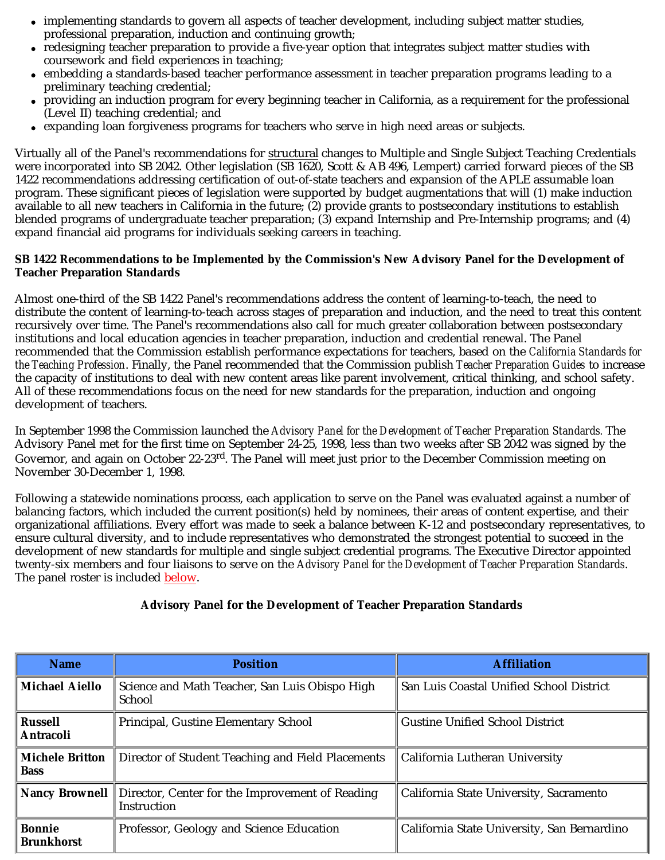- implementing standards to govern all aspects of teacher development, including subject matter studies, professional preparation, induction and continuing growth;
- redesigning teacher preparation to provide a five-year option that integrates subject matter studies with coursework and field experiences in teaching;
- embedding a standards-based teacher performance assessment in teacher preparation programs leading to a  $\bullet$ preliminary teaching credential;
- providing an induction program for every beginning teacher in California, as a requirement for the professional  $\bullet$ (Level II) teaching credential; and
- expanding loan forgiveness programs for teachers who serve in high need areas or subjects.

Virtually all of the Panel's recommendations for <u>structural</u> changes to Multiple and Single Subject Teaching Credentials were incorporated into SB 2042. Other legislation (SB 1620, Scott & AB 496, Lempert) carried forward pieces of the SB 1422 recommendations addressing certification of out-of-state teachers and expansion of the APLE assumable loan program. These significant pieces of legislation were supported by budget augmentations that will (1) make induction available to all new teachers in California in the future; (2) provide grants to postsecondary institutions to establish blended programs of undergraduate teacher preparation; (3) expand Internship and Pre-Internship programs; and (4) expand financial aid programs for individuals seeking careers in teaching.

## **SB 1422 Recommendations to be Implemented by the Commission's New Advisory Panel for the Development of Teacher Preparation Standards**

Almost one-third of the SB 1422 Panel's recommendations address the content of learning-to-teach, the need to distribute the content of learning-to-teach across stages of preparation and induction, and the need to treat this content recursively over time. The Panel's recommendations also call for much greater collaboration between postsecondary institutions and local education agencies in teacher preparation, induction and credential renewal. The Panel recommended that the Commission establish performance expectations for teachers, based on the *California Standards for*  the Teaching Profession. Finally, the Panel recommended that the Commission publish Teacher Preparation Guides to increase the capacity of institutions to deal with new content areas like parent involvement, critical thinking, and school safety. All of these recommendations focus on the need for new standards for the preparation, induction and ongoing development of teachers.

In September 1998 the Commission launched the *Advisory Panel for the Development of Teacher Preparation Standards.* The Advisory Panel met for the first time on September 24-25, 1998, less than two weeks after SB 2042 was signed by the Governor, and again on October 22-23<sup>rd</sup>. The Panel will meet just prior to the December Commission meeting on November 30-December 1, 1998.

Following a statewide nominations process, each application to serve on the Panel was evaluated against a number of balancing factors, which included the current position(s) held by nominees, their areas of content expertise, and their organizational affiliations. Every effort was made to seek a balance between K-12 and postsecondary representatives, to ensure cultural diversity, and to include representatives who demonstrated the strongest potential to succeed in the development of new standards for multiple and single subject credential programs. The Executive Director appointed twenty-six members and four liaisons to serve on the *Advisory Panel for the Development of Teacher Preparation Standards*. The panel roster is included **below**.

| <b>Name</b>                           | <b>Position</b>                                                | <b>Affiliation</b>                          |
|---------------------------------------|----------------------------------------------------------------|---------------------------------------------|
| <b>Michael Aiello</b>                 | Science and Math Teacher, San Luis Obispo High<br>School       | San Luis Coastal Unified School District    |
| <b>Russell</b><br>Antracoli           | Principal, Gustine Elementary School                           | <b>Gustine Unified School District</b>      |
| <b>Michele Britton</b><br><b>Bass</b> | Director of Student Teaching and Field Placements              | California Lutheran University              |
| <b>Nancy Brownell</b>                 | Director, Center for the Improvement of Reading<br>Instruction | California State University, Sacramento     |
| <b>Bonnie</b><br><b>Brunkhorst</b>    | Professor, Geology and Science Education                       | California State University, San Bernardino |

## **Advisory Panel for the Development of Teacher Preparation Standards**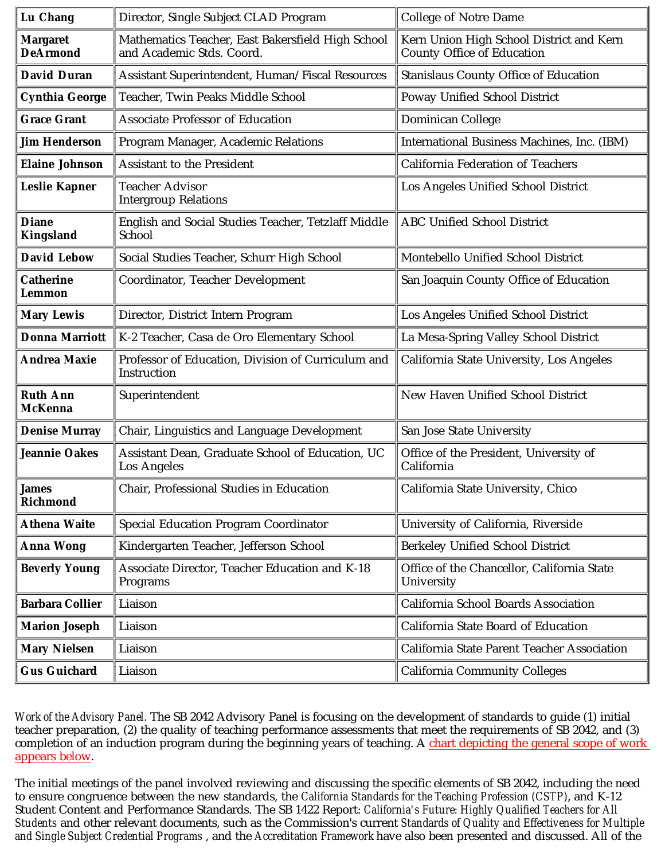| Lu Chang                           | Director, Single Subject CLAD Program                                          | <b>College of Notre Dame</b>                                                  |
|------------------------------------|--------------------------------------------------------------------------------|-------------------------------------------------------------------------------|
| <b>Margaret</b><br><b>DeArmond</b> | Mathematics Teacher, East Bakersfield High School<br>and Academic Stds. Coord. | Kern Union High School District and Kern<br><b>County Office of Education</b> |
| <b>David Duran</b>                 | Assistant Superintendent, Human/Fiscal Resources                               | <b>Stanislaus County Office of Education</b>                                  |
| <b>Cynthia George</b>              | Teacher, Twin Peaks Middle School                                              | Poway Unified School District                                                 |
| <b>Grace Grant</b>                 | <b>Associate Professor of Education</b>                                        | Dominican College                                                             |
| <b>Jim Henderson</b>               | Program Manager, Academic Relations                                            | <b>International Business Machines, Inc. (IBM)</b>                            |
| <b>Elaine Johnson</b>              | <b>Assistant to the President</b>                                              | <b>California Federation of Teachers</b>                                      |
| <b>Leslie Kapner</b>               | <b>Teacher Advisor</b><br><b>Intergroup Relations</b>                          | Los Angeles Unified School District                                           |
| <b>Diane</b><br><b>Kingsland</b>   | English and Social Studies Teacher, Tetzlaff Middle<br>School                  | <b>ABC Unified School District</b>                                            |
| <b>David Lebow</b>                 | Social Studies Teacher, Schurr High School                                     | Montebello Unified School District                                            |
| <b>Catherine</b><br>Lemmon         | Coordinator, Teacher Development                                               | San Joaquin County Office of Education                                        |
| <b>Mary Lewis</b>                  | Director, District Intern Program                                              | Los Angeles Unified School District                                           |
| <b>Donna Marriott</b>              | K-2 Teacher, Casa de Oro Elementary School                                     | La Mesa-Spring Valley School District                                         |
| <b>Andrea Maxie</b>                | Professor of Education, Division of Curriculum and<br>Instruction              | California State University, Los Angeles                                      |
| <b>Ruth Ann</b><br><b>McKenna</b>  | Superintendent                                                                 | New Haven Unified School District                                             |
| <b>Denise Murray</b>               | Chair, Linguistics and Language Development                                    | San Jose State University                                                     |
| <b>Jeannie Oakes</b>               | Assistant Dean, Graduate School of Education, UC<br>Los Angeles                | Office of the President, University of<br>California                          |
| <b>James</b><br>Richmond           | Chair, Professional Studies in Education                                       | California State University, Chico                                            |
| <b>Athena Waite</b>                | <b>Special Education Program Coordinator</b>                                   | University of California, Riverside                                           |
| <b>Anna Wong</b>                   | Kindergarten Teacher, Jefferson School                                         | Berkeley Unified School District                                              |
| <b>Beverly Young</b>               | Associate Director, Teacher Education and K-18<br>Programs                     | Office of the Chancellor, California State<br>University                      |
| <b>Barbara Collier</b>             | Liaison                                                                        | California School Boards Association                                          |
| <b>Marion Joseph</b>               | Liaison                                                                        | California State Board of Education                                           |
| <b>Mary Nielsen</b>                | Liaison                                                                        | California State Parent Teacher Association                                   |
| <b>Gus Guichard</b>                | Liaison                                                                        | <b>California Community Colleges</b>                                          |

Work of the Advisory Panel. The SB 2042 Advisory Panel is focusing on the development of standards to guide (1) initial teacher preparation, (2) the quality of teaching performance assessments that meet the requirements of SB 2042, and (3) completion of an induction program during the beginning years of teaching. A <u>chart depicting the general scope of work</u> appears below.

The initial meetings of the panel involved reviewing and discussing the specific elements of SB 2042, including the need to ensure congruence between the new standards, the *California Standards for the Teaching Profession (CSTP)*, and K-12  $\,$ Student Content and Performance Standards. The SB 1422 Report: *California's Future: Highly Qualified Teachers for All Students* and other relevant documents, such as the Commission's current *Standards of Quality and Effectiveness for Multiple* and Single Subject Credential Programs , and the Accreditation Framework have also been presented and discussed. All of the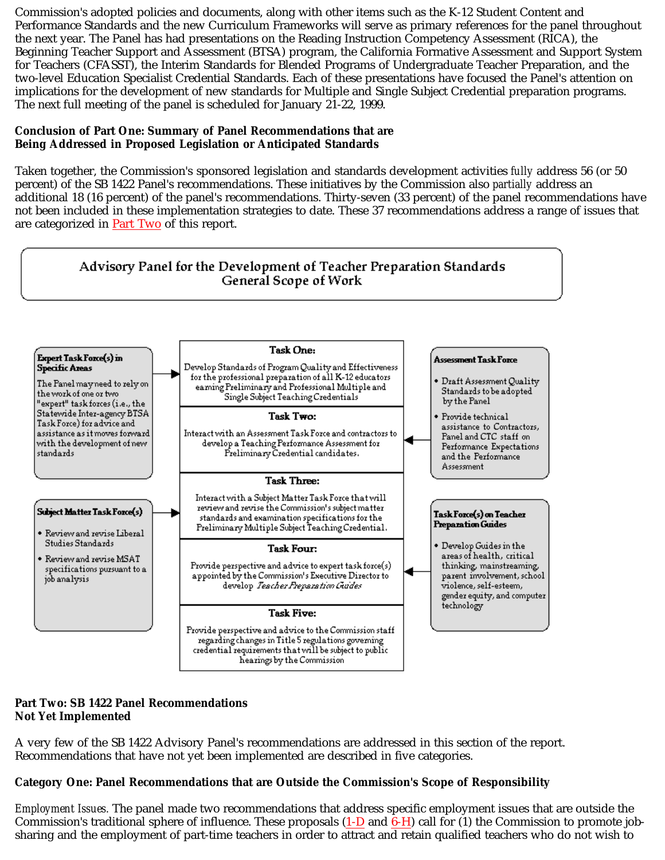Commission's adopted policies and documents, along with other items such as the K-12 Student Content and Performance Standards and the new Curriculum Frameworks will serve as primary references for the panel throughout the next year. The Panel has had presentations on the Reading Instruction Competency Assessment (RICA), the Beginning Teacher Support and Assessment (BTSA) program, the California Formative Assessment and Support System for Teachers (CFASST), the Interim Standards for Blended Programs of Undergraduate Teacher Preparation, and the two-level Education Specialist Credential Standards. Each of these presentations have focused the Panel's attention on implications for the development of new standards for Multiple and Single Subject Credential preparation programs. The next full meeting of the panel is scheduled for January 21-22, 1999.

## **Conclusion of Part One: Summary of Panel Recommendations that are Being Addressed in Proposed Legislation or Anticipated Standards**

Taken together, the Commission's sponsored legislation and standards development activities *fully* address 56 (or 50 percent) of the SB 1422 Panel's recommendations. These initiatives by the Commission also *partially* address an additional 18 (16 percent) of the panel's recommendations. Thirty-seven (33 percent) of the panel recommendations have not been included in these implementation strategies to date. These 37 recommendations address a range of issues that are categorized in <u>Part Two</u> of this report.



## **Part Two: SB 1422 Panel Recommendations Not Yet Implemented**

A very few of the SB 1422 Advisory Panel's recommendations are addressed in this section of the report. Recommendations that have not yet been implemented are described in five categories.

## **Category One: Panel Recommendations that are Outside the Commission's Scope of Responsibility**

*Employment Issues.* The panel made two recommendations that address specific employment issues that are outside the Commission's traditional sphere of influence. These proposals (<u>1-D</u> and <u>6-H</u>) call for (1) the Commission to promote jobsharing and the employment of part-time teachers in order to attract and retain qualified teachers who do not wish to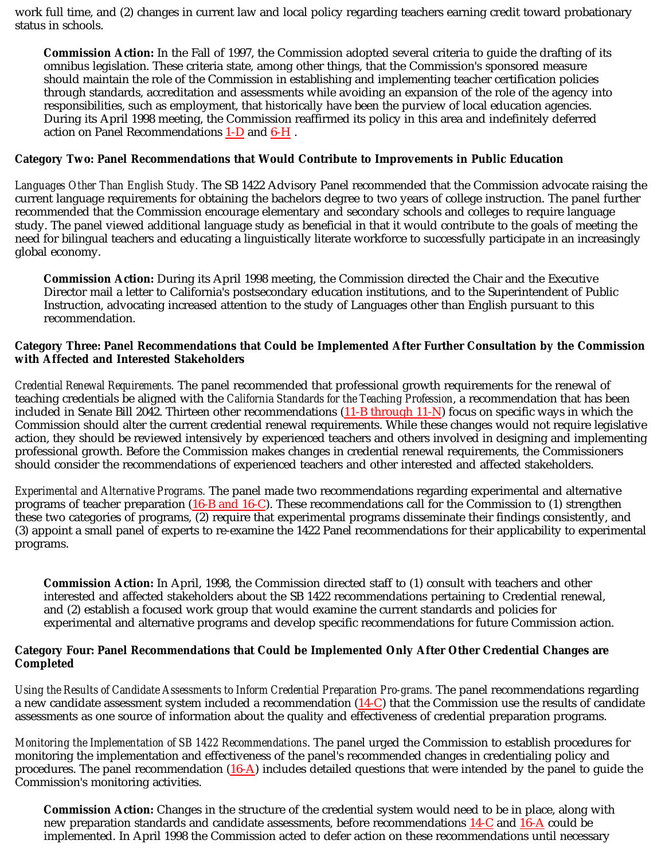work full time, and (2) changes in current law and local policy regarding teachers earning credit toward probationary status in schools.

**Commission Action:** In the Fall of 1997, the Commission adopted several criteria to guide the drafting of its omnibus legislation. These criteria state, among other things, that the Commission's sponsored measure should maintain the role of the Commission in establishing and implementing teacher certification policies through standards, accreditation and assessments while avoiding an expansion of the role of the agency into responsibilities, such as employment, that historically have been the purview of local education agencies. During its April 1998 meeting, the Commission reaffirmed its policy in this area and indefinitely deferred action on Panel Recommendations <u>1-D</u> and <u>6-H</u> .

## **Category Two: Panel Recommendations that Would Contribute to Improvements in Public Education**

Languages Other Than English Study. The SB 1422 Advisory Panel recommended that the Commission advocate raising the current language requirements for obtaining the bachelors degree to two years of college instruction. The panel further recommended that the Commission encourage elementary and secondary schools and colleges to require language study. The panel viewed additional language study as beneficial in that it would contribute to the goals of meeting the need for bilingual teachers and educating a linguistically literate workforce to successfully participate in an increasingly global economy.

**Commission Action:** During its April 1998 meeting, the Commission directed the Chair and the Executive Director mail a letter to California's postsecondary education institutions, and to the Superintendent of Public Instruction, advocating increased attention to the study of Languages other than English pursuant to this recommendation.

### **Category Three: Panel Recommendations that Could be Implemented After Further Consultation by the Commission with Affected and Interested Stakeholders**

*Credential Renewal Requirements.* The panel recommended that professional growth requirements for the renewal of teaching credentials be aligned with the *California Standards for the Teaching Profession*, a recommendation that has been included in Senate Bill 2042. Thirteen other recommendations (<u>11-B through 11-N</u>) focus on specific ways in which the Commission should alter the current credential renewal requirements. While these changes would not require legislative action, they should be reviewed intensively by experienced teachers and others involved in designing and implementing professional growth. Before the Commission makes changes in credential renewal requirements, the Commissioners should consider the recommendations of experienced teachers and other interested and affected stakeholders.

*Experimental and Alternative Programs.* The panel made two recommendations regarding experimental and alternative programs of teacher preparation (<u>16-B and 16-C</u>). These recommendations call for the Commission to (1) strengthen these two categories of programs, (2) require that experimental programs disseminate their findings consistently, and (3) appoint a small panel of experts to re-examine the 1422 Panel recommendations for their applicability to experimental programs.

**Commission Action:** In April, 1998, the Commission directed staff to (1) consult with teachers and other interested and affected stakeholders about the SB 1422 recommendations pertaining to Credential renewal, and (2) establish a focused work group that would examine the current standards and policies for experimental and alternative programs and develop specific recommendations for future Commission action.

### **Category Four: Panel Recommendations that Could be Implemented Only After Other Credential Changes are Completed**

Using the Results of Candidate Assessments to Inform Credential Preparation Pro-grams. The panel recommendations regarding a new candidate assessment system included a recommendation (<u>14-C</u>) that the Commission use the results of candidate assessments as one source of information about the quality and effectiveness of credential preparation programs.

*Monitoring the Implementation of SB 1422 Recommendations*. The panel urged the Commission to establish procedures for monitoring the implementation and effectiveness of the panel's recommended changes in credentialing policy and procedures. The panel recommendation (<u>16-A</u>) includes detailed questions that were intended by the panel to guide the Commission's monitoring activities.

**Commission Action:** Changes in the structure of the credential system would need to be in place, along with new preparation standards and candidate assessments, before recommendations <u>14-C</u> and <u>16-A</u> could be implemented. In April 1998 the Commission acted to defer action on these recommendations until necessary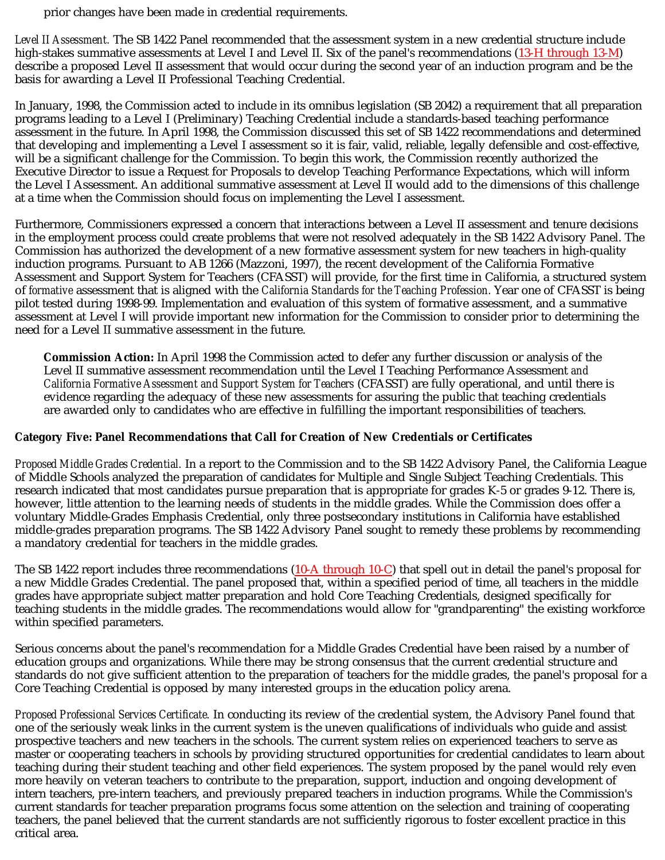prior changes have been made in credential requirements.

Level II Assessment. The SB 1422 Panel recommended that the assessment system in a new credential structure include high-stakes summative assessments at Level I and Level II. Six of the panel's recommendations (<u>13-H through 13-M</u>) describe a proposed Level II assessment that would occur during the second year of an induction program and be the basis for awarding a Level II Professional Teaching Credential.

In January, 1998, the Commission acted to include in its omnibus legislation (SB 2042) a requirement that all preparation programs leading to a Level I (Preliminary) Teaching Credential include a standards-based teaching performance assessment in the future. In April 1998, the Commission discussed this set of SB 1422 recommendations and determined that developing and implementing a Level I assessment so it is fair, valid, reliable, legally defensible and cost-effective, will be a significant challenge for the Commission. To begin this work, the Commission recently authorized the Executive Director to issue a Request for Proposals to develop Teaching Performance Expectations, which will inform the Level I Assessment. An additional summative assessment at Level II would add to the dimensions of this challenge at a time when the Commission should focus on implementing the Level I assessment.

Furthermore, Commissioners expressed a concern that interactions between a Level II assessment and tenure decisions in the employment process could create problems that were not resolved adequately in the SB 1422 Advisory Panel. The Commission has authorized the development of a new formative assessment system for new teachers in high-quality induction programs. Pursuant to AB 1266 (Mazzoni, 1997), the recent development of the California Formative Assessment and Support System for Teachers (CFASST) will provide, for the first time in California, a structured system of *formative* assessment that is aligned with the *California Standards for the Teaching Profession.* Year one of CFASST is being pilot tested during 1998-99. Implementation and evaluation of this system of formative assessment, and a summative assessment at Level I will provide important new information for the Commission to consider prior to determining the need for a Level II summative assessment in the future.

**Commission Action:** In April 1998 the Commission acted to defer any further discussion or analysis of the Level II summative assessment recommendation until the Level I Teaching Performance Assessment *and*  California Formative Assessment and Support System for Teachers (CFASST) are fully operational, and until there is evidence regarding the adequacy of these new assessments for assuring the public that teaching credentials are awarded only to candidates who are effective in fulfilling the important responsibilities of teachers.

## **Category Five: Panel Recommendations that Call for Creation of New Credentials or Certificates**

Proposed Middle Grades Credential. In a report to the Commission and to the SB 1422 Advisory Panel, the California League of Middle Schools analyzed the preparation of candidates for Multiple and Single Subject Teaching Credentials. This research indicated that most candidates pursue preparation that is appropriate for grades K-5 or grades 9-12. There is, however, little attention to the learning needs of students in the middle grades. While the Commission does offer a voluntary Middle-Grades Emphasis Credential, only three postsecondary institutions in California have established middle-grades preparation programs. The SB 1422 Advisory Panel sought to remedy these problems by recommending a mandatory credential for teachers in the middle grades.

The SB 1422 report includes three recommendations (<u>10-A through 10-C</u>) that spell out in detail the panel's proposal for a new Middle Grades Credential. The panel proposed that, within a specified period of time, all teachers in the middle grades have appropriate subject matter preparation and hold Core Teaching Credentials, designed specifically for teaching students in the middle grades. The recommendations would allow for "grandparenting" the existing workforce within specified parameters.

Serious concerns about the panel's recommendation for a Middle Grades Credential have been raised by a number of education groups and organizations. While there may be strong consensus that the current credential structure and standards do not give sufficient attention to the preparation of teachers for the middle grades, the panel's proposal for a Core Teaching Credential is opposed by many interested groups in the education policy arena.

Proposed Professional Services Certificate. In conducting its review of the credential system, the Advisory Panel found that one of the seriously weak links in the current system is the uneven qualifications of individuals who guide and assist prospective teachers and new teachers in the schools. The current system relies on experienced teachers to serve as master or cooperating teachers in schools by providing structured opportunities for credential candidates to learn about teaching during their student teaching and other field experiences. The system proposed by the panel would rely even more heavily on veteran teachers to contribute to the preparation, support, induction and ongoing development of intern teachers, pre-intern teachers, and previously prepared teachers in induction programs. While the Commission's current standards for teacher preparation programs focus some attention on the selection and training of cooperating teachers, the panel believed that the current standards are not sufficiently rigorous to foster excellent practice in this critical area.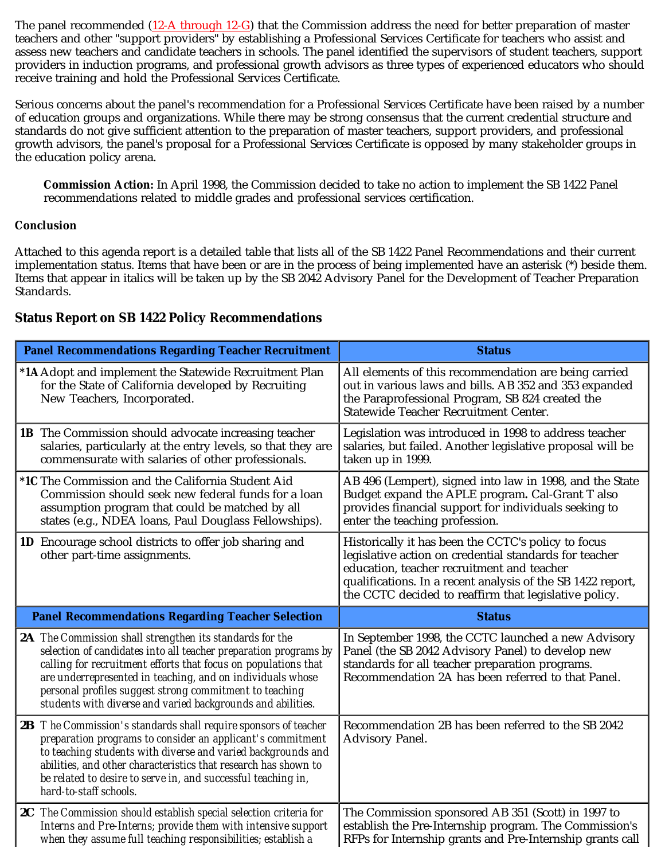The panel recommended (12-A through 12-G) that the Commission address the need for better preparation of master teachers and other "support providers" by establishing a Professional Services Certificate for teachers who assist and assess new teachers and candidate teachers in schools. The panel identified the supervisors of student teachers, support providers in induction programs, and professional growth advisors as three types of experienced educators who should receive training and hold the Professional Services Certificate.

Serious concerns about the panel's recommendation for a Professional Services Certificate have been raised by a number of education groups and organizations. While there may be strong consensus that the current credential structure and standards do not give sufficient attention to the preparation of master teachers, support providers, and professional growth advisors, the panel's proposal for a Professional Services Certificate is opposed by many stakeholder groups in the education policy arena.

**Commission Action:** In April 1998, the Commission decided to take no action to implement the SB 1422 Panel recommendations related to middle grades and professional services certification.

## **Conclusion**

Attached to this agenda report is a detailed table that lists all of the SB 1422 Panel Recommendations and their current implementation status. Items that have been or are in the process of being implemented have an asterisk (\*) beside them. Items that appear in italics will be taken up by the SB 2042 Advisory Panel for the Development of Teacher Preparation Standards.

## **Status Report on SB 1422 Policy Recommendations**

| <b>Panel Recommendations Regarding Teacher Recruitment</b>                                                                                                                                                                                                                                                                                                          | <b>Status</b>                                                                                                                                                                                                                                                                       |
|---------------------------------------------------------------------------------------------------------------------------------------------------------------------------------------------------------------------------------------------------------------------------------------------------------------------------------------------------------------------|-------------------------------------------------------------------------------------------------------------------------------------------------------------------------------------------------------------------------------------------------------------------------------------|
| *1AAdopt and implement the Statewide Recruitment Plan<br>for the State of California developed by Recruiting<br>New Teachers, Incorporated.                                                                                                                                                                                                                         | All elements of this recommendation are being carried<br>out in various laws and bills. AB 352 and 353 expanded<br>the Paraprofessional Program, SB 824 created the<br>Statewide Teacher Recruitment Center.                                                                        |
| <b>1B</b> The Commission should advocate increasing teacher<br>salaries, particularly at the entry levels, so that they are<br>commensurate with salaries of other professionals.                                                                                                                                                                                   | Legislation was introduced in 1998 to address teacher<br>salaries, but failed. Another legislative proposal will be<br>taken up in 1999.                                                                                                                                            |
| *1CThe Commission and the California Student Aid<br>Commission should seek new federal funds for a loan<br>assumption program that could be matched by all<br>states (e.g., NDEA loans, Paul Douglass Fellowships).                                                                                                                                                 | AB 496 (Lempert), signed into law in 1998, and the State<br>Budget expand the APLE program. Cal-Grant T also<br>provides financial support for individuals seeking to<br>enter the teaching profession.                                                                             |
| 1D Encourage school districts to offer job sharing and<br>other part-time assignments.                                                                                                                                                                                                                                                                              | Historically it has been the CCTC's policy to focus<br>legislative action on credential standards for teacher<br>education, teacher recruitment and teacher<br>qualifications. In a recent analysis of the SB 1422 report,<br>the CCTC decided to reaffirm that legislative policy. |
| <b>Panel Recommendations Regarding Teacher Selection</b>                                                                                                                                                                                                                                                                                                            | <b>Status</b>                                                                                                                                                                                                                                                                       |
| 2A The Commission shall strengthen its standards for the<br>selection of candidates into all teacher preparation programs by                                                                                                                                                                                                                                        | In September 1998, the CCTC launched a new Advisory                                                                                                                                                                                                                                 |
| calling for recruitment efforts that focus on populations that<br>are underrepresented in teaching, and on individuals whose<br>personal profiles suggest strong commitment to teaching<br>students with diverse and varied backgrounds and abilities.                                                                                                              | Panel (the SB 2042 Advisory Panel) to develop new<br>standards for all teacher preparation programs.<br>Recommendation 2A has been referred to that Panel.                                                                                                                          |
| <b>2B</b> T he Commission's standards shall require sponsors of teacher<br>preparation programs to consider an applicant's commitment<br>to teaching students with diverse and varied backgrounds and<br>abilities, and other characteristics that research has shown to<br>be related to desire to serve in, and successful teaching in,<br>hard-to-staff schools. | Recommendation 2B has been referred to the SB 2042<br><b>Advisory Panel.</b>                                                                                                                                                                                                        |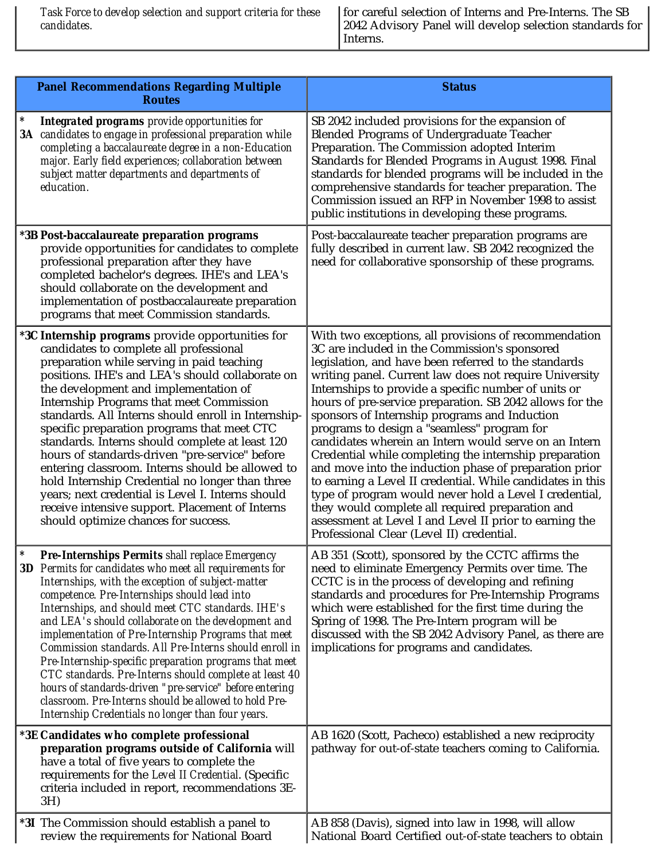for careful selection of Interns and Pre-Interns. The SB 2042 Advisory Panel will develop selection standards for Interns.

| <b>Panel Recommendations Regarding Multiple</b><br><b>Routes</b>                                                                                                                                                                                                                                                                                                                                                                                                                                                                                                                                                                                                                                                                                             | <b>Status</b>                                                                                                                                                                                                                                                                                                                                                                                                                                                                                                                                                                                                                                                                                                                                                                                                                                                                                                 |
|--------------------------------------------------------------------------------------------------------------------------------------------------------------------------------------------------------------------------------------------------------------------------------------------------------------------------------------------------------------------------------------------------------------------------------------------------------------------------------------------------------------------------------------------------------------------------------------------------------------------------------------------------------------------------------------------------------------------------------------------------------------|---------------------------------------------------------------------------------------------------------------------------------------------------------------------------------------------------------------------------------------------------------------------------------------------------------------------------------------------------------------------------------------------------------------------------------------------------------------------------------------------------------------------------------------------------------------------------------------------------------------------------------------------------------------------------------------------------------------------------------------------------------------------------------------------------------------------------------------------------------------------------------------------------------------|
| <b>Integrated programs</b> provide opportunities for<br>3A candidates to engage in professional preparation while<br>completing a baccalaureate degree in a non-Education<br>major. Early field experiences; collaboration between<br>subject matter departments and departments of<br>education.                                                                                                                                                                                                                                                                                                                                                                                                                                                            | SB 2042 included provisions for the expansion of<br><b>Blended Programs of Undergraduate Teacher</b><br>Preparation. The Commission adopted Interim<br>Standards for Blended Programs in August 1998. Final<br>standards for blended programs will be included in the<br>comprehensive standards for teacher preparation. The<br>Commission issued an RFP in November 1998 to assist<br>public institutions in developing these programs.                                                                                                                                                                                                                                                                                                                                                                                                                                                                     |
| *3B Post-baccalaureate preparation programs<br>provide opportunities for candidates to complete<br>professional preparation after they have<br>completed bachelor's degrees. IHE's and LEA's<br>should collaborate on the development and<br>implementation of postbaccalaureate preparation<br>programs that meet Commission standards.                                                                                                                                                                                                                                                                                                                                                                                                                     | Post-baccalaureate teacher preparation programs are<br>fully described in current law. SB 2042 recognized the<br>need for collaborative sponsorship of these programs.                                                                                                                                                                                                                                                                                                                                                                                                                                                                                                                                                                                                                                                                                                                                        |
| *3C Internship programs provide opportunities for<br>candidates to complete all professional<br>preparation while serving in paid teaching<br>positions. IHE's and LEA's should collaborate on<br>the development and implementation of<br><b>Internship Programs that meet Commission</b><br>standards. All Interns should enroll in Internship-<br>specific preparation programs that meet CTC<br>standards. Interns should complete at least 120<br>hours of standards-driven "pre-service" before<br>entering classroom. Interns should be allowed to<br>hold Internship Credential no longer than three<br>years; next credential is Level I. Interns should<br>receive intensive support. Placement of Interns<br>should optimize chances for success. | With two exceptions, all provisions of recommendation<br>3C are included in the Commission's sponsored<br>legislation, and have been referred to the standards<br>writing panel. Current law does not require University<br>Internships to provide a specific number of units or<br>hours of pre-service preparation. SB 2042 allows for the<br>sponsors of Internship programs and Induction<br>programs to design a "seamless" program for<br>candidates wherein an Intern would serve on an Intern<br>Credential while completing the internship preparation<br>and move into the induction phase of preparation prior<br>to earning a Level II credential. While candidates in this<br>type of program would never hold a Level I credential,<br>they would complete all required preparation and<br>assessment at Level I and Level II prior to earning the<br>Professional Clear (Level II) credential. |
| ∗<br><b>Pre-Internships Permits shall replace Emergency</b><br><b>3D</b> Permits for candidates who meet all requirements for<br>Internships, with the exception of subject-matter<br>competence. Pre-Internships should lead into<br>Internships, and should meet CTC standards. IHE's<br>and LEA's should collaborate on the development and<br>implementation of Pre-Internship Programs that meet<br>Commission standards. All Pre-Interns should enroll in<br>Pre-Internship-specific preparation programs that meet<br>CTC standards. Pre-Interns should complete at least 40<br>hours of standards-driven "pre-service" before entering<br>classroom. Pre-Interns should be allowed to hold Pre-<br>Internship Credentials no longer than four years. | AB 351 (Scott), sponsored by the CCTC affirms the<br>need to eliminate Emergency Permits over time. The<br>CCTC is in the process of developing and refining<br>standards and procedures for Pre-Internship Programs<br>which were established for the first time during the<br>Spring of 1998. The Pre-Intern program will be<br>discussed with the SB 2042 Advisory Panel, as there are<br>implications for programs and candidates.                                                                                                                                                                                                                                                                                                                                                                                                                                                                        |
| *3E Candidates who complete professional<br>preparation programs outside of California will<br>have a total of five years to complete the<br>requirements for the Level II Credential. (Specific<br>criteria included in report, recommendations 3E-<br>3H)                                                                                                                                                                                                                                                                                                                                                                                                                                                                                                  | AB 1620 (Scott, Pacheco) established a new reciprocity<br>pathway for out-of-state teachers coming to California.                                                                                                                                                                                                                                                                                                                                                                                                                                                                                                                                                                                                                                                                                                                                                                                             |
| *3I The Commission should establish a panel to<br>review the requirements for National Board                                                                                                                                                                                                                                                                                                                                                                                                                                                                                                                                                                                                                                                                 | AB 858 (Davis), signed into law in 1998, will allow<br>National Board Certified out-of-state teachers to obtain                                                                                                                                                                                                                                                                                                                                                                                                                                                                                                                                                                                                                                                                                                                                                                                               |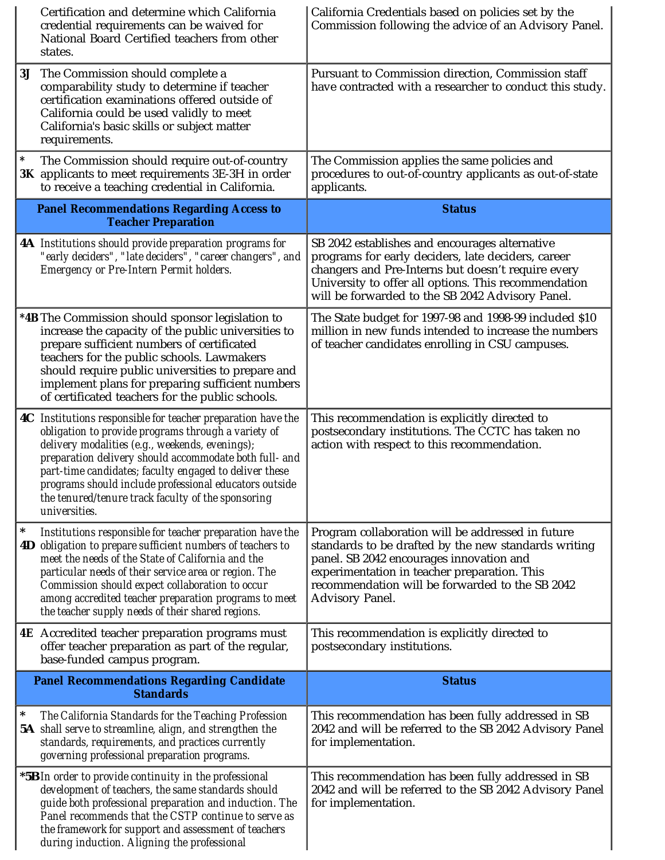|        | Certification and determine which California<br>credential requirements can be waived for<br>National Board Certified teachers from other<br>states.                                                                                                                                                                                                                                                                        | California Credentials based on policies set by the<br>Commission following the advice of an Advisory Panel.                                                                                                                                                                       |
|--------|-----------------------------------------------------------------------------------------------------------------------------------------------------------------------------------------------------------------------------------------------------------------------------------------------------------------------------------------------------------------------------------------------------------------------------|------------------------------------------------------------------------------------------------------------------------------------------------------------------------------------------------------------------------------------------------------------------------------------|
| 3J     | The Commission should complete a<br>comparability study to determine if teacher<br>certification examinations offered outside of<br>California could be used validly to meet<br>California's basic skills or subject matter<br>requirements.                                                                                                                                                                                | Pursuant to Commission direction, Commission staff<br>have contracted with a researcher to conduct this study.                                                                                                                                                                     |
| $\ast$ | The Commission should require out-of-country<br>3K applicants to meet requirements 3E-3H in order<br>to receive a teaching credential in California.                                                                                                                                                                                                                                                                        | The Commission applies the same policies and<br>procedures to out-of-country applicants as out-of-state<br>applicants.                                                                                                                                                             |
|        | <b>Panel Recommendations Regarding Access to</b><br><b>Teacher Preparation</b>                                                                                                                                                                                                                                                                                                                                              | <b>Status</b>                                                                                                                                                                                                                                                                      |
|        | 4A Institutions should provide preparation programs for<br>"early deciders", "late deciders", "career changers", and<br><b>Emergency or Pre-Intern Permit holders.</b>                                                                                                                                                                                                                                                      | SB 2042 establishes and encourages alternative<br>programs for early deciders, late deciders, career<br>changers and Pre-Interns but doesn't require every<br>University to offer all options. This recommendation<br>will be forwarded to the SB 2042 Advisory Panel.             |
|        | *4B The Commission should sponsor legislation to<br>increase the capacity of the public universities to<br>prepare sufficient numbers of certificated<br>teachers for the public schools. Lawmakers<br>should require public universities to prepare and<br>implement plans for preparing sufficient numbers<br>of certificated teachers for the public schools.                                                            | The State budget for 1997-98 and 1998-99 included \$10<br>million in new funds intended to increase the numbers<br>of teacher candidates enrolling in CSU campuses.                                                                                                                |
|        | 4C Institutions responsible for teacher preparation have the<br>obligation to provide programs through a variety of<br>delivery modalities (e.g., weekends, evenings);<br>preparation delivery should accommodate both full- and<br>part-time candidates; faculty engaged to deliver these<br>programs should include professional educators outside<br>the tenured/tenure track faculty of the sponsoring<br>universities. | This recommendation is explicitly directed to<br>postsecondary institutions. The CCTC has taken no<br>action with respect to this recommendation.                                                                                                                                  |
| *      | Institutions responsible for teacher preparation have the<br>4D obligation to prepare sufficient numbers of teachers to<br>meet the needs of the State of California and the<br>particular needs of their service area or region. The<br>Commission should expect collaboration to occur<br>among accredited teacher preparation programs to meet<br>the teacher supply needs of their shared regions.                      | Program collaboration will be addressed in future<br>standards to be drafted by the new standards writing<br>panel. SB 2042 encourages innovation and<br>experimentation in teacher preparation. This<br>recommendation will be forwarded to the SB 2042<br><b>Advisory Panel.</b> |
|        | <b>4E</b> Accredited teacher preparation programs must<br>offer teacher preparation as part of the regular,<br>base-funded campus program.                                                                                                                                                                                                                                                                                  | This recommendation is explicitly directed to<br>postsecondary institutions.                                                                                                                                                                                                       |
|        | <b>Panel Recommendations Regarding Candidate</b><br><b>Standards</b>                                                                                                                                                                                                                                                                                                                                                        | <b>Status</b>                                                                                                                                                                                                                                                                      |
| *      | The California Standards for the Teaching Profession<br>5A shall serve to streamline, align, and strengthen the<br>standards, requirements, and practices currently<br>governing professional preparation programs.                                                                                                                                                                                                         | This recommendation has been fully addressed in SB<br>2042 and will be referred to the SB 2042 Advisory Panel<br>for implementation.                                                                                                                                               |
|        | <i>*5B In order to provide continuity in the professional</i><br>development of teachers, the same standards should<br>guide both professional preparation and induction. The<br>Panel recommends that the CSTP continue to serve as<br>the framework for support and assessment of teachers<br>during induction. Aligning the professional                                                                                 | This recommendation has been fully addressed in SB<br>2042 and will be referred to the SB 2042 Advisory Panel<br>for implementation.                                                                                                                                               |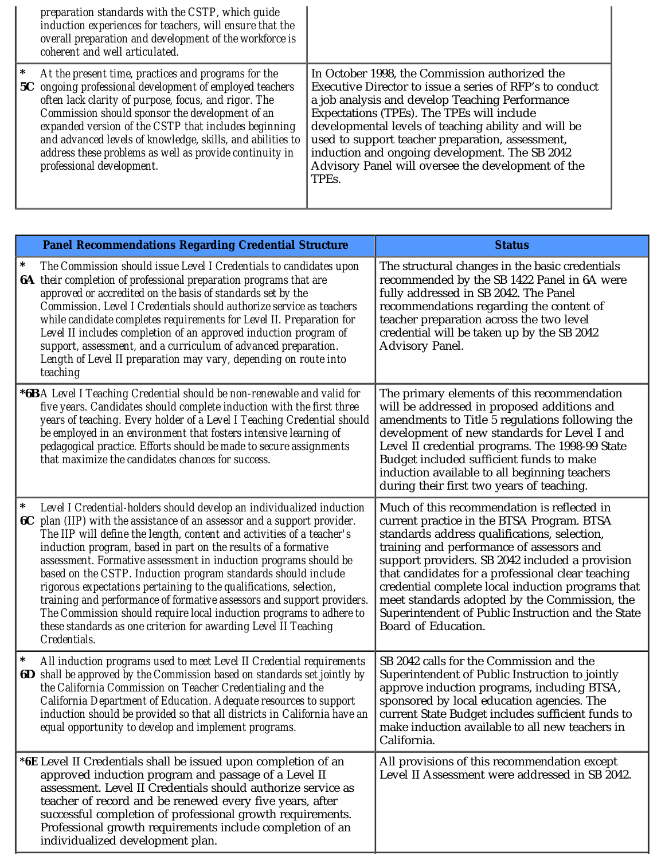| coherent and well articulated. | preparation standards with the CSTP, which guide<br>induction experiences for teachers, will ensure that the<br>overall preparation and development of the workforce is                                                                                                                                                                                                                                     |                                                                                                                                                                                                                                                                                                                                                                                                                                                     |
|--------------------------------|-------------------------------------------------------------------------------------------------------------------------------------------------------------------------------------------------------------------------------------------------------------------------------------------------------------------------------------------------------------------------------------------------------------|-----------------------------------------------------------------------------------------------------------------------------------------------------------------------------------------------------------------------------------------------------------------------------------------------------------------------------------------------------------------------------------------------------------------------------------------------------|
| professional development.      | At the present time, practices and programs for the<br>5C ongoing professional development of employed teachers<br>often lack clarity of purpose, focus, and rigor. The<br>Commission should sponsor the development of an<br>expanded version of the CSTP that includes beginning<br>and advanced levels of knowledge, skills, and abilities to<br>address these problems as well as provide continuity in | In October 1998, the Commission authorized the<br>Executive Director to issue a series of RFP's to conduct<br>a job analysis and develop Teaching Performance<br>Expectations (TPEs). The TPEs will include<br>developmental levels of teaching ability and will be<br>used to support teacher preparation, assessment,<br>induction and ongoing development. The SB 2042<br>Advisory Panel will oversee the development of the<br>TPE <sub>S</sub> |

|              | <b>Panel Recommendations Regarding Credential Structure</b>                                                                                                                                                                                                                                                                                                                                                                                                                                                                                                                                                                                                                                                                                        | <b>Status</b>                                                                                                                                                                                                                                                                                                                                                                                                                                                                     |
|--------------|----------------------------------------------------------------------------------------------------------------------------------------------------------------------------------------------------------------------------------------------------------------------------------------------------------------------------------------------------------------------------------------------------------------------------------------------------------------------------------------------------------------------------------------------------------------------------------------------------------------------------------------------------------------------------------------------------------------------------------------------------|-----------------------------------------------------------------------------------------------------------------------------------------------------------------------------------------------------------------------------------------------------------------------------------------------------------------------------------------------------------------------------------------------------------------------------------------------------------------------------------|
| $\ast$<br>6A | The Commission should issue Level I Credentials to candidates upon<br>their completion of professional preparation programs that are<br>approved or accredited on the basis of standards set by the<br>Commission. Level I Credentials should authorize service as teachers<br>while candidate completes requirements for Level II. Preparation for<br>Level II includes completion of an approved induction program of<br>support, assessment, and a curriculum of advanced preparation.<br>Length of Level II preparation may vary, depending on route into<br>teaching                                                                                                                                                                          | The structural changes in the basic credentials<br>recommended by the SB 1422 Panel in 6A were<br>fully addressed in SB 2042. The Panel<br>recommendations regarding the content of<br>teacher preparation across the two level<br>credential will be taken up by the SB 2042<br><b>Advisory Panel.</b>                                                                                                                                                                           |
|              | *6B A Level I Teaching Credential should be non-renewable and valid for<br>five years. Candidates should complete induction with the first three<br>years of teaching. Every holder of a Level I Teaching Credential should<br>be employed in an environment that fosters intensive learning of<br>pedagogical practice. Efforts should be made to secure assignments<br>that maximize the candidates chances for success.                                                                                                                                                                                                                                                                                                                         | The primary elements of this recommendation<br>will be addressed in proposed additions and<br>amendments to Title 5 regulations following the<br>development of new standards for Level I and<br>Level II credential programs. The 1998-99 State<br>Budget included sufficient funds to make<br>induction available to all beginning teachers<br>during their first two years of teaching.                                                                                        |
| $\ast$       | Level I Credential-holders should develop an individualized induction<br><b>6C</b> plan (IIP) with the assistance of an assessor and a support provider.<br>The IIP will define the length, content and activities of a teacher's<br>induction program, based in part on the results of a formative<br>assessment. Formative assessment in induction programs should be<br>based on the CSTP. Induction program standards should include<br>rigorous expectations pertaining to the qualifications, selection,<br>training and performance of formative assessors and support providers.<br>The Commission should require local induction programs to adhere to<br>these standards as one criterion for awarding Level II Teaching<br>Credentials. | Much of this recommendation is reflected in<br>current practice in the BTSA Program. BTSA<br>standards address qualifications, selection,<br>training and performance of assessors and<br>support providers. SB 2042 included a provision<br>that candidates for a professional clear teaching<br>credential complete local induction programs that<br>meet standards adopted by the Commission, the<br>Superintendent of Public Instruction and the State<br>Board of Education. |
|              | All induction programs used to meet Level II Credential requirements<br><b>6D</b> shall be approved by the Commission based on standards set jointly by<br>the California Commission on Teacher Credentialing and the<br>California Department of Education. Adequate resources to support<br>induction should be provided so that all districts in California have an<br>equal opportunity to develop and implement programs.                                                                                                                                                                                                                                                                                                                     | SB 2042 calls for the Commission and the<br>Superintendent of Public Instruction to jointly<br>approve induction programs, including BTSA,<br>sponsored by local education agencies. The<br>current State Budget includes sufficient funds to<br>make induction available to all new teachers in<br>California.                                                                                                                                                                   |
|              | *6E Level II Credentials shall be issued upon completion of an<br>approved induction program and passage of a Level II<br>assessment. Level II Credentials should authorize service as<br>teacher of record and be renewed every five years, after<br>successful completion of professional growth requirements.<br>Professional growth requirements include completion of an<br>individualized development plan.                                                                                                                                                                                                                                                                                                                                  | All provisions of this recommendation except<br>Level II Assessment were addressed in SB 2042.                                                                                                                                                                                                                                                                                                                                                                                    |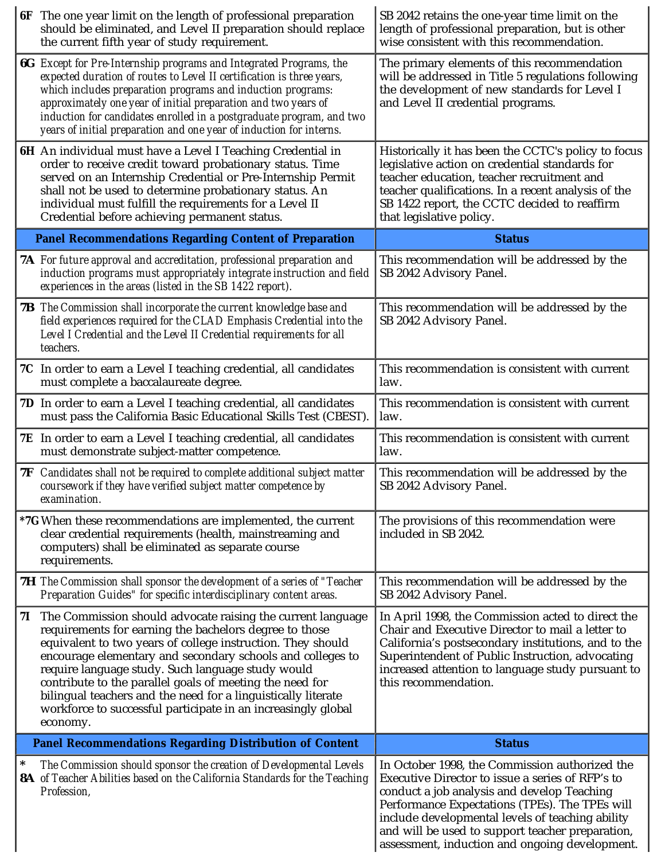|   | <b>6F</b> The one year limit on the length of professional preparation<br>should be eliminated, and Level II preparation should replace<br>the current fifth year of study requirement.                                                                                                                                                                                                                                                                                                                                     | SB 2042 retains the one-year time limit on the<br>length of professional preparation, but is other<br>wise consistent with this recommendation.                                                                                                                                                                                                               |
|---|-----------------------------------------------------------------------------------------------------------------------------------------------------------------------------------------------------------------------------------------------------------------------------------------------------------------------------------------------------------------------------------------------------------------------------------------------------------------------------------------------------------------------------|---------------------------------------------------------------------------------------------------------------------------------------------------------------------------------------------------------------------------------------------------------------------------------------------------------------------------------------------------------------|
|   | 6G Except for Pre-Internship programs and Integrated Programs, the<br>expected duration of routes to Level II certification is three years,<br>which includes preparation programs and induction programs:<br>approximately one year of initial preparation and two years of<br>induction for candidates enrolled in a postgraduate program, and two<br>years of initial preparation and one year of induction for interns.                                                                                                 | The primary elements of this recommendation<br>will be addressed in Title 5 regulations following<br>the development of new standards for Level I<br>and Level II credential programs.                                                                                                                                                                        |
|   | 6H An individual must have a Level I Teaching Credential in<br>order to receive credit toward probationary status. Time<br>served on an Internship Credential or Pre-Internship Permit<br>shall not be used to determine probationary status. An<br>individual must fulfill the requirements for a Level II<br>Credential before achieving permanent status.                                                                                                                                                                | Historically it has been the CCTC's policy to focus<br>legislative action on credential standards for<br>teacher education, teacher recruitment and<br>teacher qualifications. In a recent analysis of the<br>SB 1422 report, the CCTC decided to reaffirm<br>that legislative policy.                                                                        |
|   | <b>Panel Recommendations Regarding Content of Preparation</b>                                                                                                                                                                                                                                                                                                                                                                                                                                                               | <b>Status</b>                                                                                                                                                                                                                                                                                                                                                 |
|   | 7A For future approval and accreditation, professional preparation and<br>induction programs must appropriately integrate instruction and field<br>experiences in the areas (listed in the SB 1422 report).                                                                                                                                                                                                                                                                                                                 | This recommendation will be addressed by the<br>SB 2042 Advisory Panel.                                                                                                                                                                                                                                                                                       |
|   | <b>7B</b> The Commission shall incorporate the current knowledge base and<br>field experiences required for the CLAD Emphasis Credential into the<br>Level I Credential and the Level II Credential requirements for all<br><i>teachers.</i>                                                                                                                                                                                                                                                                                | This recommendation will be addressed by the<br>SB 2042 Advisory Panel.                                                                                                                                                                                                                                                                                       |
|   | 7C In order to earn a Level I teaching credential, all candidates<br>must complete a baccalaureate degree.                                                                                                                                                                                                                                                                                                                                                                                                                  | This recommendation is consistent with current<br>law.                                                                                                                                                                                                                                                                                                        |
|   | 7D In order to earn a Level I teaching credential, all candidates<br>must pass the California Basic Educational Skills Test (CBEST).                                                                                                                                                                                                                                                                                                                                                                                        | This recommendation is consistent with current<br>law.                                                                                                                                                                                                                                                                                                        |
|   | <b>7E</b> In order to earn a Level I teaching credential, all candidates<br>must demonstrate subject-matter competence.                                                                                                                                                                                                                                                                                                                                                                                                     | This recommendation is consistent with current<br>law.                                                                                                                                                                                                                                                                                                        |
|   | <b>7F</b> Candidates shall not be required to complete additional subject matter<br>coursework if they have verified subject matter competence by<br>examination.                                                                                                                                                                                                                                                                                                                                                           | This recommendation will be addressed by the<br>SB 2042 Advisory Panel.                                                                                                                                                                                                                                                                                       |
|   | <i>*7GWhen these recommendations are implemented, the current</i><br>clear credential requirements (health, mainstreaming and<br>computers) shall be eliminated as separate course<br>requirements.                                                                                                                                                                                                                                                                                                                         | The provisions of this recommendation were<br>included in SB 2042.                                                                                                                                                                                                                                                                                            |
|   | <b>7H</b> The Commission shall sponsor the development of a series of "Teacher<br>Preparation Guides" for specific interdisciplinary content areas.                                                                                                                                                                                                                                                                                                                                                                         | This recommendation will be addressed by the<br>SB 2042 Advisory Panel.                                                                                                                                                                                                                                                                                       |
|   | <b>7I</b> The Commission should advocate raising the current language<br>requirements for earning the bachelors degree to those<br>equivalent to two years of college instruction. They should<br>encourage elementary and secondary schools and colleges to<br>require language study. Such language study would<br>contribute to the parallel goals of meeting the need for<br>bilingual teachers and the need for a linguistically literate<br>workforce to successful participate in an increasingly global<br>economy. | In April 1998, the Commission acted to direct the<br>Chair and Executive Director to mail a letter to<br>California's postsecondary institutions, and to the<br>Superintendent of Public Instruction, advocating<br>increased attention to language study pursuant to<br>this recommendation.                                                                 |
|   | <b>Panel Recommendations Regarding Distribution of Content</b>                                                                                                                                                                                                                                                                                                                                                                                                                                                              | <b>Status</b>                                                                                                                                                                                                                                                                                                                                                 |
| * | The Commission should sponsor the creation of Developmental Levels<br>8A of Teacher Abilities based on the California Standards for the Teaching<br>Profession,                                                                                                                                                                                                                                                                                                                                                             | In October 1998, the Commission authorized the<br>Executive Director to issue a series of RFP's to<br>conduct a job analysis and develop Teaching<br>Performance Expectations (TPEs). The TPEs will<br>include developmental levels of teaching ability<br>and will be used to support teacher preparation,<br>assessment, induction and ongoing development. |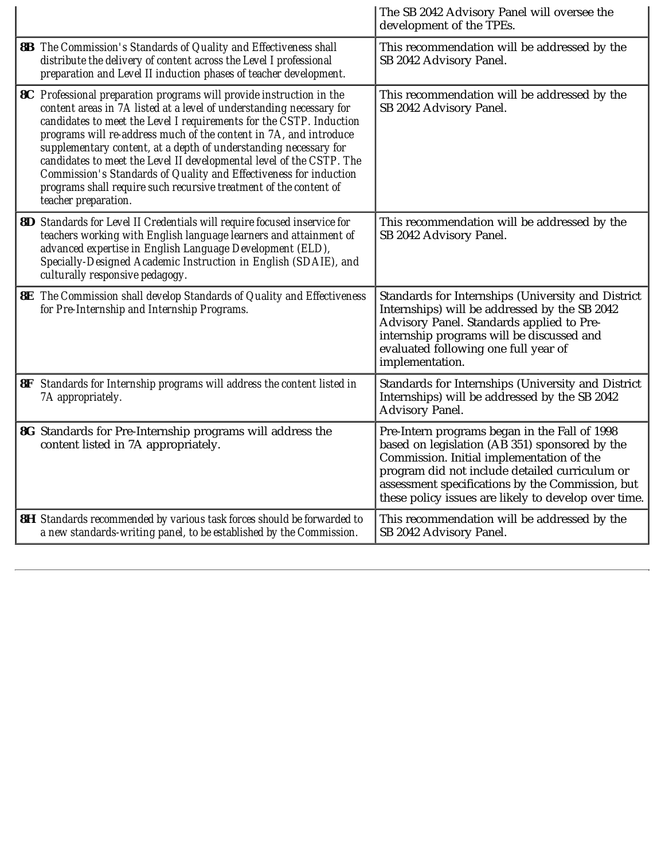|                                                                                                                                                                                                                                                                                                                                                                                                                                                                                                                                                                                                        | The SB 2042 Advisory Panel will oversee the<br>development of the TPEs.                                                                                                                                                                                                                                    |
|--------------------------------------------------------------------------------------------------------------------------------------------------------------------------------------------------------------------------------------------------------------------------------------------------------------------------------------------------------------------------------------------------------------------------------------------------------------------------------------------------------------------------------------------------------------------------------------------------------|------------------------------------------------------------------------------------------------------------------------------------------------------------------------------------------------------------------------------------------------------------------------------------------------------------|
| <b>8B</b> The Commission's Standards of Quality and Effectiveness shall<br>distribute the delivery of content across the Level I professional<br>preparation and Level II induction phases of teacher development.                                                                                                                                                                                                                                                                                                                                                                                     | This recommendation will be addressed by the<br>SB 2042 Advisory Panel.                                                                                                                                                                                                                                    |
| 8C Professional preparation programs will provide instruction in the<br>content areas in 7A listed at a level of understanding necessary for<br>candidates to meet the Level I requirements for the CSTP. Induction<br>programs will re-address much of the content in 7A, and introduce<br>supplementary content, at a depth of understanding necessary for<br>candidates to meet the Level II developmental level of the CSTP. The<br>Commission's Standards of Quality and Effectiveness for induction<br>programs shall require such recursive treatment of the content of<br>teacher preparation. | This recommendation will be addressed by the<br>SB 2042 Advisory Panel.                                                                                                                                                                                                                                    |
| <b>8D</b> Standards for Level II Credentials will require focused inservice for<br>teachers working with English language learners and attainment of<br>advanced expertise in English Language Development (ELD),<br>Specially-Designed Academic Instruction in English (SDAIE), and<br>culturally responsive pedagogy.                                                                                                                                                                                                                                                                                | This recommendation will be addressed by the<br>SB 2042 Advisory Panel.                                                                                                                                                                                                                                    |
| <b>8E</b> The Commission shall develop Standards of Quality and Effectiveness<br>for Pre-Internship and Internship Programs.                                                                                                                                                                                                                                                                                                                                                                                                                                                                           | Standards for Internships (University and District<br>Internships) will be addressed by the SB 2042<br>Advisory Panel. Standards applied to Pre-<br>internship programs will be discussed and<br>evaluated following one full year of<br>implementation.                                                   |
| <b>8F</b> Standards for Internship programs will address the content listed in<br>7A appropriately.                                                                                                                                                                                                                                                                                                                                                                                                                                                                                                    | Standards for Internships (University and District<br>Internships) will be addressed by the SB 2042<br><b>Advisory Panel.</b>                                                                                                                                                                              |
| 8G Standards for Pre-Internship programs will address the<br>content listed in 7A appropriately.                                                                                                                                                                                                                                                                                                                                                                                                                                                                                                       | Pre-Intern programs began in the Fall of 1998<br>based on legislation (AB 351) sponsored by the<br>Commission. Initial implementation of the<br>program did not include detailed curriculum or<br>assessment specifications by the Commission, but<br>these policy issues are likely to develop over time. |
| 8H Standards recommended by various task forces should be forwarded to<br>a new standards-writing panel, to be established by the Commission.                                                                                                                                                                                                                                                                                                                                                                                                                                                          | This recommendation will be addressed by the<br>SB 2042 Advisory Panel.                                                                                                                                                                                                                                    |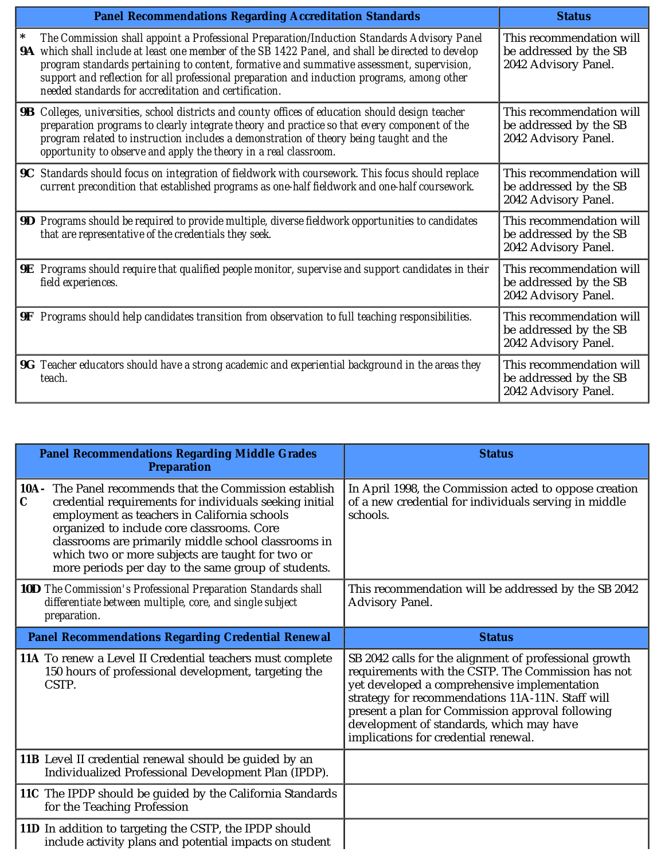|         | <b>Panel Recommendations Regarding Accreditation Standards</b>                                                                                                                                                                                                                                                                                                                                                                                    | <b>Status</b>                                                              |
|---------|---------------------------------------------------------------------------------------------------------------------------------------------------------------------------------------------------------------------------------------------------------------------------------------------------------------------------------------------------------------------------------------------------------------------------------------------------|----------------------------------------------------------------------------|
| ∗<br>9A | The Commission shall appoint a Professional Preparation/Induction Standards Advisory Panel<br>which shall include at least one member of the SB 1422 Panel, and shall be directed to develop<br>program standards pertaining to content, formative and summative assessment, supervision,<br>support and reflection for all professional preparation and induction programs, among other<br>needed standards for accreditation and certification. | This recommendation will<br>be addressed by the SB<br>2042 Advisory Panel. |
|         | <b>9B</b> Colleges, universities, school districts and county offices of education should design teacher<br>preparation programs to clearly integrate theory and practice so that every component of the<br>program related to instruction includes a demonstration of theory being taught and the<br>opportunity to observe and apply the theory in a real classroom.                                                                            | This recommendation will<br>be addressed by the SB<br>2042 Advisory Panel. |
|         | 9C Standards should focus on integration of fieldwork with coursework. This focus should replace<br>current precondition that established programs as one-half fieldwork and one-half coursework.                                                                                                                                                                                                                                                 | This recommendation will<br>be addressed by the SB<br>2042 Advisory Panel. |
|         | <b>9D</b> Programs should be required to provide multiple, diverse fieldwork opportunities to candidates<br>that are representative of the credentials they seek.                                                                                                                                                                                                                                                                                 | This recommendation will<br>be addressed by the SB<br>2042 Advisory Panel. |
|         | <b>9E</b> Programs should require that qualified people monitor, supervise and support candidates in their<br>field experiences.                                                                                                                                                                                                                                                                                                                  | This recommendation will<br>be addressed by the SB<br>2042 Advisory Panel. |
| 9F      | Programs should help candidates transition from observation to full teaching responsibilities.                                                                                                                                                                                                                                                                                                                                                    | This recommendation will<br>be addressed by the SB<br>2042 Advisory Panel. |
|         | 9G Teacher educators should have a strong academic and experiential background in the areas they<br>teach.                                                                                                                                                                                                                                                                                                                                        | This recommendation will<br>be addressed by the SB<br>2042 Advisory Panel. |

| <b>Panel Recommendations Regarding Middle Grades</b><br><b>Preparation</b>                                                                                                                                                                                                                                                                                                                            | <b>Status</b>                                                                                                                                                                                                                                                                                  |
|-------------------------------------------------------------------------------------------------------------------------------------------------------------------------------------------------------------------------------------------------------------------------------------------------------------------------------------------------------------------------------------------------------|------------------------------------------------------------------------------------------------------------------------------------------------------------------------------------------------------------------------------------------------------------------------------------------------|
| The Panel recommends that the Commission establish<br>10A-<br>$\mathbf C$<br>credential requirements for individuals seeking initial<br>employment as teachers in California schools<br>organized to include core classrooms. Core<br>classrooms are primarily middle school classrooms in<br>which two or more subjects are taught for two or<br>more periods per day to the same group of students. | In April 1998, the Commission acted to oppose creation<br>of a new credential for individuals serving in middle<br>schools.                                                                                                                                                                    |
| <b>10D</b> The Commission's Professional Preparation Standards shall<br>differentiate between multiple, core, and single subject<br>preparation.                                                                                                                                                                                                                                                      | This recommendation will be addressed by the SB 2042<br><b>Advisory Panel.</b>                                                                                                                                                                                                                 |
| <b>Panel Recommendations Regarding Credential Renewal</b>                                                                                                                                                                                                                                                                                                                                             | <b>Status</b>                                                                                                                                                                                                                                                                                  |
| 11A To renew a Level II Credential teachers must complete                                                                                                                                                                                                                                                                                                                                             | SB 2042 calls for the alignment of professional growth                                                                                                                                                                                                                                         |
| 150 hours of professional development, targeting the<br>CSTP.                                                                                                                                                                                                                                                                                                                                         | requirements with the CSTP. The Commission has not<br>yet developed a comprehensive implementation<br>strategy for recommendations 11A-11N. Staff will<br>present a plan for Commission approval following<br>development of standards, which may have<br>implications for credential renewal. |
| 11B Level II credential renewal should be guided by an<br>Individualized Professional Development Plan (IPDP).                                                                                                                                                                                                                                                                                        |                                                                                                                                                                                                                                                                                                |
| 11C The IPDP should be guided by the California Standards<br>for the Teaching Profession                                                                                                                                                                                                                                                                                                              |                                                                                                                                                                                                                                                                                                |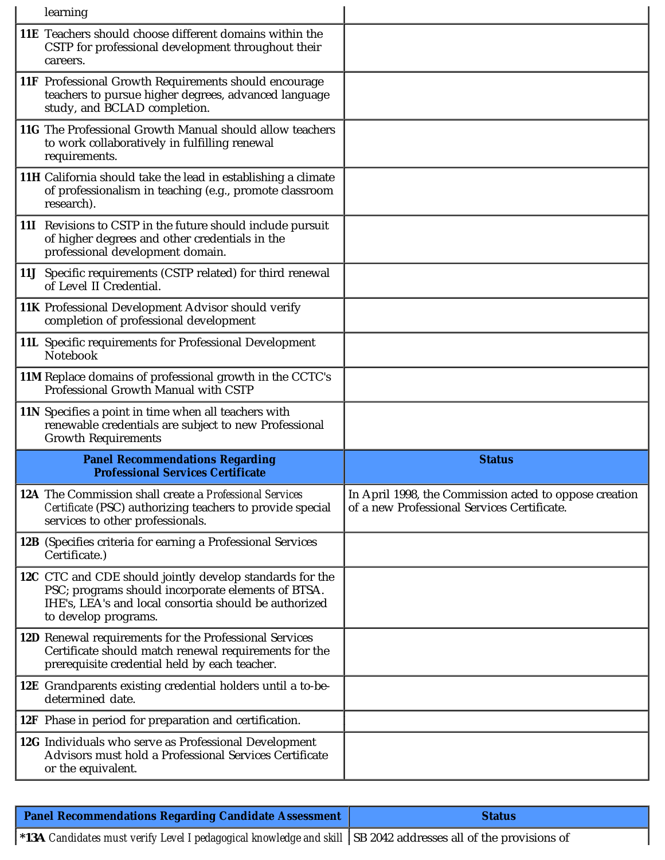| learning                                                                                                                                                                                        |                                                                                                       |
|-------------------------------------------------------------------------------------------------------------------------------------------------------------------------------------------------|-------------------------------------------------------------------------------------------------------|
| 11E Teachers should choose different domains within the<br>CSTP for professional development throughout their<br>careers.                                                                       |                                                                                                       |
| 11F Professional Growth Requirements should encourage<br>teachers to pursue higher degrees, advanced language<br>study, and BCLAD completion.                                                   |                                                                                                       |
| 11G The Professional Growth Manual should allow teachers<br>to work collaboratively in fulfilling renewal<br>requirements.                                                                      |                                                                                                       |
| 11H California should take the lead in establishing a climate<br>of professionalism in teaching (e.g., promote classroom<br>research).                                                          |                                                                                                       |
| 11I Revisions to CSTP in the future should include pursuit<br>of higher degrees and other credentials in the<br>professional development domain.                                                |                                                                                                       |
| 11J Specific requirements (CSTP related) for third renewal<br>of Level II Credential.                                                                                                           |                                                                                                       |
| <b>11K</b> Professional Development Advisor should verify<br>completion of professional development                                                                                             |                                                                                                       |
| 11L Specific requirements for Professional Development<br>Notebook                                                                                                                              |                                                                                                       |
| 11M Replace domains of professional growth in the CCTC's<br>Professional Growth Manual with CSTP                                                                                                |                                                                                                       |
| 11N Specifies a point in time when all teachers with<br>renewable credentials are subject to new Professional<br><b>Growth Requirements</b>                                                     |                                                                                                       |
| <b>Panel Recommendations Regarding</b><br><b>Professional Services Certificate</b>                                                                                                              | <b>Status</b>                                                                                         |
| 12A The Commission shall create a Professional Services<br>Certificate (PSC) authorizing teachers to provide special<br>services to other professionals.                                        | In April 1998, the Commission acted to oppose creation<br>of a new Professional Services Certificate. |
| 12B (Specifies criteria for earning a Professional Services<br>Certificate.)                                                                                                                    |                                                                                                       |
| 12C CTC and CDE should jointly develop standards for the<br>PSC; programs should incorporate elements of BTSA.<br>IHE's, LEA's and local consortia should be authorized<br>to develop programs. |                                                                                                       |
| 12D Renewal requirements for the Professional Services<br>Certificate should match renewal requirements for the                                                                                 |                                                                                                       |
| prerequisite credential held by each teacher.                                                                                                                                                   |                                                                                                       |
| 12E Grandparents existing credential holders until a to-be-<br>determined date.                                                                                                                 |                                                                                                       |
| 12F Phase in period for preparation and certification.                                                                                                                                          |                                                                                                       |

| <b>Panel Recommendations Regarding Candidate Assessment</b>                                                      | <b>Status</b> |
|------------------------------------------------------------------------------------------------------------------|---------------|
| *13A Candidates must verify Level I pedagogical knowledge and skill   SB 2042 addresses all of the provisions of |               |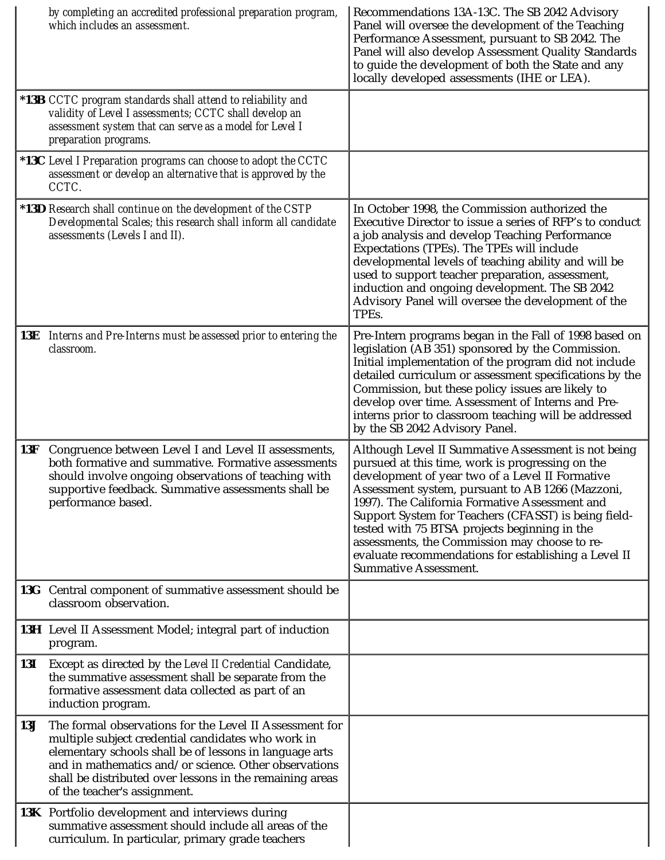|            | by completing an accredited professional preparation program,<br>which includes an assessment.                                                                                                                                                                                                                                | Recommendations 13A-13C. The SB 2042 Advisory<br>Panel will oversee the development of the Teaching<br>Performance Assessment, pursuant to SB 2042. The<br>Panel will also develop Assessment Quality Standards<br>to guide the development of both the State and any<br>locally developed assessments (IHE or LEA).                                                                                                                                                                                               |
|------------|-------------------------------------------------------------------------------------------------------------------------------------------------------------------------------------------------------------------------------------------------------------------------------------------------------------------------------|--------------------------------------------------------------------------------------------------------------------------------------------------------------------------------------------------------------------------------------------------------------------------------------------------------------------------------------------------------------------------------------------------------------------------------------------------------------------------------------------------------------------|
|            | *13B CCTC program standards shall attend to reliability and<br>validity of Level I assessments; CCTC shall develop an<br>assessment system that can serve as a model for Level I<br>preparation programs.                                                                                                                     |                                                                                                                                                                                                                                                                                                                                                                                                                                                                                                                    |
|            | *13C Level I Preparation programs can choose to adopt the CCTC<br>assessment or develop an alternative that is approved by the<br>CCTC.                                                                                                                                                                                       |                                                                                                                                                                                                                                                                                                                                                                                                                                                                                                                    |
|            | *13D Research shall continue on the development of the CSTP<br>Developmental Scales; this research shall inform all candidate<br>assessments (Levels I and II).                                                                                                                                                               | In October 1998, the Commission authorized the<br>Executive Director to issue a series of RFP's to conduct<br>a job analysis and develop Teaching Performance<br>Expectations (TPEs). The TPEs will include<br>developmental levels of teaching ability and will be<br>used to support teacher preparation, assessment,<br>induction and ongoing development. The SB 2042<br>Advisory Panel will oversee the development of the<br>TPEs.                                                                           |
|            | 13E Interns and Pre-Interns must be assessed prior to entering the<br>classroom.                                                                                                                                                                                                                                              | Pre-Intern programs began in the Fall of 1998 based on<br>legislation (AB 351) sponsored by the Commission.<br>Initial implementation of the program did not include<br>detailed curriculum or assessment specifications by the<br>Commission, but these policy issues are likely to<br>develop over time. Assessment of Interns and Pre-<br>interns prior to classroom teaching will be addressed<br>by the SB 2042 Advisory Panel.                                                                               |
| 13F        | Congruence between Level I and Level II assessments,<br>both formative and summative. Formative assessments<br>should involve ongoing observations of teaching with<br>supportive feedback. Summative assessments shall be<br>performance based.                                                                              | Although Level II Summative Assessment is not being<br>pursued at this time, work is progressing on the<br>development of year two of a Level II Formative<br>Assessment system, pursuant to AB 1266 (Mazzoni,<br>1997). The California Formative Assessment and<br>Support System for Teachers (CFASST) is being field-<br>tested with 75 BTSA projects beginning in the<br>assessments, the Commission may choose to re-<br>evaluate recommendations for establishing a Level II<br><b>Summative Assessment.</b> |
|            | 13G Central component of summative assessment should be<br>classroom observation.                                                                                                                                                                                                                                             |                                                                                                                                                                                                                                                                                                                                                                                                                                                                                                                    |
|            | 13H Level II Assessment Model; integral part of induction<br>program.                                                                                                                                                                                                                                                         |                                                                                                                                                                                                                                                                                                                                                                                                                                                                                                                    |
| <b>13I</b> | Except as directed by the Level II Credential Candidate,<br>the summative assessment shall be separate from the<br>formative assessment data collected as part of an<br>induction program.                                                                                                                                    |                                                                                                                                                                                                                                                                                                                                                                                                                                                                                                                    |
| <b>13J</b> | The formal observations for the Level II Assessment for<br>multiple subject credential candidates who work in<br>elementary schools shall be of lessons in language arts<br>and in mathematics and/or science. Other observations<br>shall be distributed over lessons in the remaining areas<br>of the teacher's assignment. |                                                                                                                                                                                                                                                                                                                                                                                                                                                                                                                    |
|            | <b>13K</b> Portfolio development and interviews during<br>summative assessment should include all areas of the<br>curriculum. In particular, primary grade teachers                                                                                                                                                           |                                                                                                                                                                                                                                                                                                                                                                                                                                                                                                                    |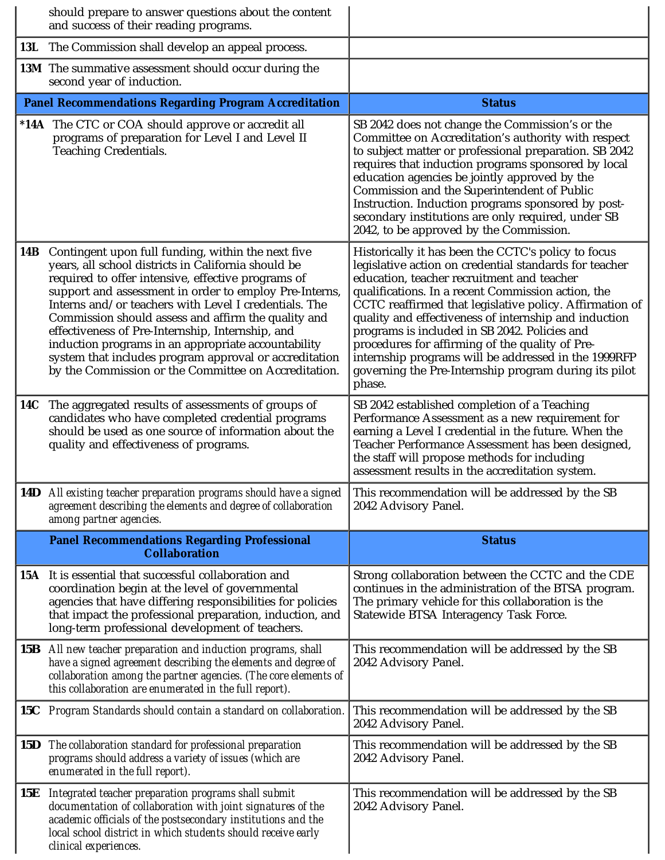|            | should prepare to answer questions about the content<br>and success of their reading programs.                                                                                                                                                                                                                                                                                                                                                                                                                                                                         |                                                                                                                                                                                                                                                                                                                                                                                                                                                                                                                                                                      |
|------------|------------------------------------------------------------------------------------------------------------------------------------------------------------------------------------------------------------------------------------------------------------------------------------------------------------------------------------------------------------------------------------------------------------------------------------------------------------------------------------------------------------------------------------------------------------------------|----------------------------------------------------------------------------------------------------------------------------------------------------------------------------------------------------------------------------------------------------------------------------------------------------------------------------------------------------------------------------------------------------------------------------------------------------------------------------------------------------------------------------------------------------------------------|
|            | 13L The Commission shall develop an appeal process.                                                                                                                                                                                                                                                                                                                                                                                                                                                                                                                    |                                                                                                                                                                                                                                                                                                                                                                                                                                                                                                                                                                      |
|            | 13M The summative assessment should occur during the<br>second year of induction.                                                                                                                                                                                                                                                                                                                                                                                                                                                                                      |                                                                                                                                                                                                                                                                                                                                                                                                                                                                                                                                                                      |
|            | <b>Panel Recommendations Regarding Program Accreditation</b>                                                                                                                                                                                                                                                                                                                                                                                                                                                                                                           | <b>Status</b>                                                                                                                                                                                                                                                                                                                                                                                                                                                                                                                                                        |
|            | *14A The CTC or COA should approve or accredit all<br>programs of preparation for Level I and Level II<br><b>Teaching Credentials.</b>                                                                                                                                                                                                                                                                                                                                                                                                                                 | SB 2042 does not change the Commission's or the<br>Committee on Accreditation's authority with respect<br>to subject matter or professional preparation. SB 2042<br>requires that induction programs sponsored by local<br>education agencies be jointly approved by the<br>Commission and the Superintendent of Public<br>Instruction. Induction programs sponsored by post-<br>secondary institutions are only required, under SB<br>2042, to be approved by the Commission.                                                                                       |
| <b>14B</b> | Contingent upon full funding, within the next five<br>years, all school districts in California should be<br>required to offer intensive, effective programs of<br>support and assessment in order to employ Pre-Interns,<br>Interns and/or teachers with Level I credentials. The<br>Commission should assess and affirm the quality and<br>effectiveness of Pre-Internship, Internship, and<br>induction programs in an appropriate accountability<br>system that includes program approval or accreditation<br>by the Commission or the Committee on Accreditation. | Historically it has been the CCTC's policy to focus<br>legislative action on credential standards for teacher<br>education, teacher recruitment and teacher<br>qualifications. In a recent Commission action, the<br>CCTC reaffirmed that legislative policy. Affirmation of<br>quality and effectiveness of internship and induction<br>programs is included in SB 2042. Policies and<br>procedures for affirming of the quality of Pre-<br>internship programs will be addressed in the 1999RFP<br>governing the Pre-Internship program during its pilot<br>phase. |
|            | 14C The aggregated results of assessments of groups of<br>candidates who have completed credential programs<br>should be used as one source of information about the<br>quality and effectiveness of programs.                                                                                                                                                                                                                                                                                                                                                         | SB 2042 established completion of a Teaching<br>Performance Assessment as a new requirement for<br>earning a Level I credential in the future. When the<br>Teacher Performance Assessment has been designed,<br>the staff will propose methods for including<br>assessment results in the accreditation system.                                                                                                                                                                                                                                                      |
|            | 14D All existing teacher preparation programs should have a signed<br>agreement describing the elements and degree of collaboration<br>among partner agencies.                                                                                                                                                                                                                                                                                                                                                                                                         | This recommendation will be addressed by the SB<br>2042 Advisory Panel.                                                                                                                                                                                                                                                                                                                                                                                                                                                                                              |
|            | <b>Panel Recommendations Regarding Professional</b><br><b>Collaboration</b>                                                                                                                                                                                                                                                                                                                                                                                                                                                                                            | <b>Status</b>                                                                                                                                                                                                                                                                                                                                                                                                                                                                                                                                                        |
|            | 15A It is essential that successful collaboration and<br>coordination begin at the level of governmental<br>agencies that have differing responsibilities for policies<br>that impact the professional preparation, induction, and<br>long-term professional development of teachers.                                                                                                                                                                                                                                                                                  | Strong collaboration between the CCTC and the CDE<br>continues in the administration of the BTSA program.<br>The primary vehicle for this collaboration is the<br>Statewide BTSA Interagency Task Force.                                                                                                                                                                                                                                                                                                                                                             |
|            | <b>15B</b> All new teacher preparation and induction programs, shall<br>have a signed agreement describing the elements and degree of<br>collaboration among the partner agencies. (The core elements of<br>this collaboration are enumerated in the full report).                                                                                                                                                                                                                                                                                                     | This recommendation will be addressed by the SB<br>2042 Advisory Panel.                                                                                                                                                                                                                                                                                                                                                                                                                                                                                              |
|            | 15C Program Standards should contain a standard on collaboration.                                                                                                                                                                                                                                                                                                                                                                                                                                                                                                      | This recommendation will be addressed by the SB<br>2042 Advisory Panel.                                                                                                                                                                                                                                                                                                                                                                                                                                                                                              |
| 15D        | The collaboration standard for professional preparation<br>programs should address a variety of issues (which are<br>enumerated in the full report).                                                                                                                                                                                                                                                                                                                                                                                                                   | This recommendation will be addressed by the SB<br>2042 Advisory Panel.                                                                                                                                                                                                                                                                                                                                                                                                                                                                                              |
|            | <b>15E</b> Integrated teacher preparation programs shall submit<br>documentation of collaboration with joint signatures of the<br>academic officials of the postsecondary institutions and the<br>local school district in which students should receive early<br>clinical experiences.                                                                                                                                                                                                                                                                                | This recommendation will be addressed by the SB<br>2042 Advisory Panel.                                                                                                                                                                                                                                                                                                                                                                                                                                                                                              |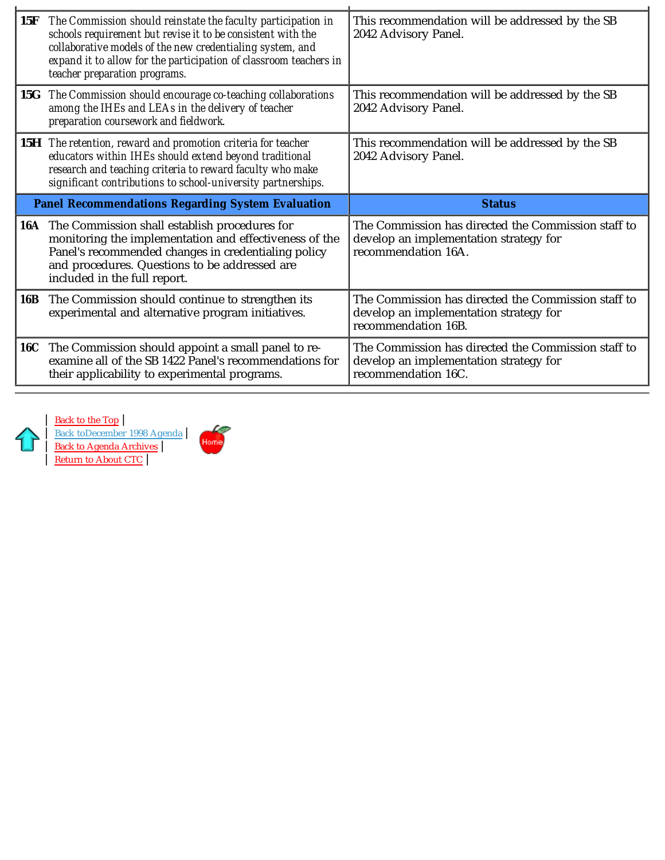| <b>15F</b> | The Commission should reinstate the faculty participation in<br>schools requirement but revise it to be consistent with the<br>collaborative models of the new credentialing system, and<br>expand it to allow for the participation of classroom teachers in<br>teacher preparation programs. | This recommendation will be addressed by the SB<br>2042 Advisory Panel.                                              |
|------------|------------------------------------------------------------------------------------------------------------------------------------------------------------------------------------------------------------------------------------------------------------------------------------------------|----------------------------------------------------------------------------------------------------------------------|
|            | <b>15G</b> The Commission should encourage co-teaching collaborations<br>among the IHEs and LEAs in the delivery of teacher<br>preparation coursework and fieldwork.                                                                                                                           | This recommendation will be addressed by the SB<br>2042 Advisory Panel.                                              |
|            | <b>15H</b> The retention, reward and promotion criteria for teacher<br>educators within IHEs should extend beyond traditional<br>research and teaching criteria to reward faculty who make<br>significant contributions to school-university partnerships.                                     | This recommendation will be addressed by the SB<br>2042 Advisory Panel.                                              |
|            |                                                                                                                                                                                                                                                                                                |                                                                                                                      |
|            | <b>Panel Recommendations Regarding System Evaluation</b>                                                                                                                                                                                                                                       | <b>Status</b>                                                                                                        |
|            | <b>16A</b> The Commission shall establish procedures for<br>monitoring the implementation and effectiveness of the<br>Panel's recommended changes in credentialing policy<br>and procedures. Questions to be addressed are<br>included in the full report.                                     | The Commission has directed the Commission staff to<br>develop an implementation strategy for<br>recommendation 16A. |
| <b>16B</b> | The Commission should continue to strengthen its<br>experimental and alternative program initiatives.                                                                                                                                                                                          | The Commission has directed the Commission staff to<br>develop an implementation strategy for<br>recommendation 16B. |



| Back to the Top Back toDecember 1998 Agenda | Back to Agenda Archives | Return to About CTC |

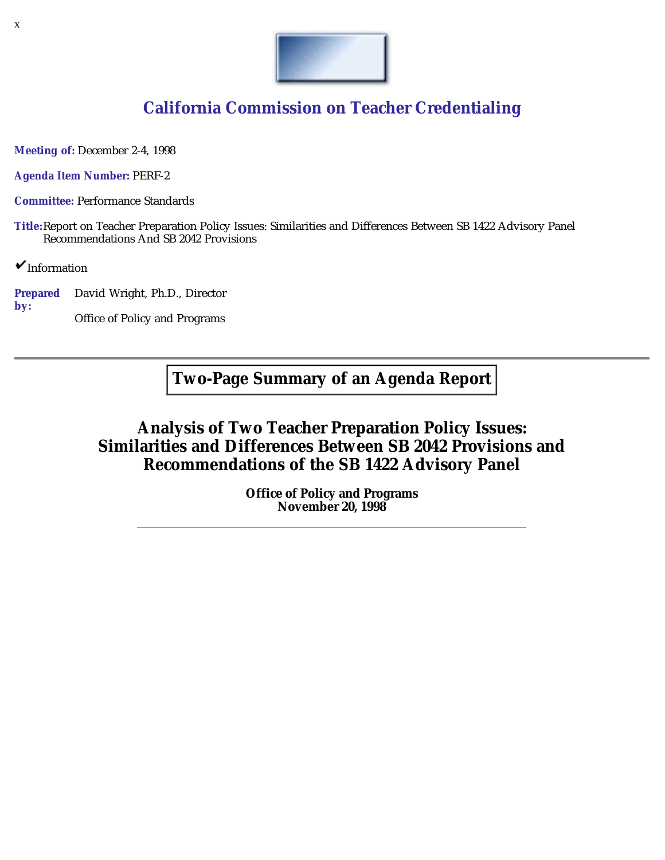

**Meeting of:** December 2-4, 1998

**Agenda Item Number:** PERF-2

**Committee:** Performance Standards

**Title:**Report on Teacher Preparation Policy Issues: Similarities and Differences Between SB 1422 Advisory Panel Recommendations And SB 2042 Provisions

 $\mathbf{\check{v}}$ Information

**Prepared by:** David Wright, Ph.D., Director

Office of Policy and Programs

**Two-Page Summary of an Agenda Report**

# **Analysis of Two Teacher Preparation Policy Issues: Similarities and Differences Between SB 2042 Provisions and Recommendations of the SB 1422 Advisory Panel**

**Office of Policy and Programs November 20, 1998**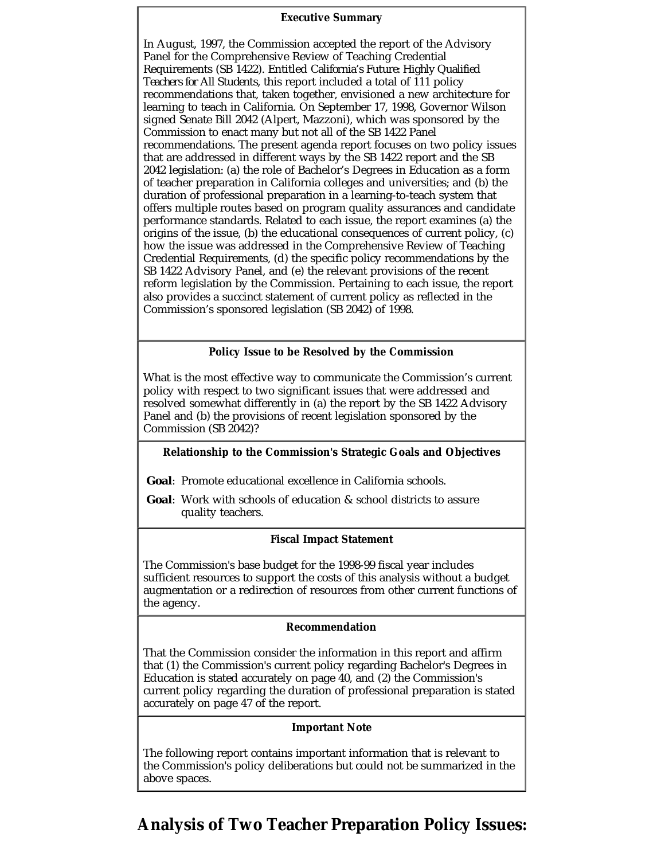#### **Executive Summary**

In August, 1997, the Commission accepted the report of the Advisory Panel for the Comprehensive Review of Teaching Credential Requirements (SB 1422). Entitled *California's Future: Highly Qualified Teachers for All Students,* this report included a total of 111 policy recommendations that, taken together, envisioned a new architecture for learning to teach in California. On September 17, 1998, Governor Wilson signed Senate Bill 2042 (Alpert, Mazzoni), which was sponsored by the Commission to enact many but not all of the SB 1422 Panel recommendations. The present agenda report focuses on two policy issues that are addressed in different ways by the SB 1422 report and the SB 2042 legislation: (a) the role of Bachelor's Degrees in Education as a form of teacher preparation in California colleges and universities; and (b) the duration of professional preparation in a learning-to-teach system that offers multiple routes based on program quality assurances and candidate performance standards. Related to each issue, the report examines (a) the origins of the issue, (b) the educational consequences of current policy, (c) how the issue was addressed in the Comprehensive Review of Teaching Credential Requirements, (d) the specific policy recommendations by the SB 1422 Advisory Panel, and (e) the relevant provisions of the recent reform legislation by the Commission. Pertaining to each issue, the report also provides a succinct statement of current policy as reflected in the Commission's sponsored legislation (SB 2042) of 1998.

#### **Policy Issue to be Resolved by the Commission**

What is the most effective way to communicate the Commission's current policy with respect to two significant issues that were addressed and resolved somewhat differently in (a) the report by the SB 1422 Advisory Panel and (b) the provisions of recent legislation sponsored by the Commission (SB 2042)?

#### **Relationship to the Commission's Strategic Goals and Objectives**

*Goal:* Promote educational excellence in California schools.

*Goal:* Work with schools of education & school districts to assure quality teachers.

#### **Fiscal Impact Statement**

The Commission's base budget for the 1998-99 fiscal year includes sufficient resources to support the costs of this analysis without a budget augmentation or a redirection of resources from other current functions of the agency.

#### **Recommendation**

That the Commission consider the information in this report and affirm that (1) the Commission's current policy regarding Bachelor's Degrees in Education is stated accurately on page 40, and (2) the Commission's current policy regarding the duration of professional preparation is stated accurately on page 47 of the report.

#### **Important Note**

The following report contains important information that is relevant to the Commission's policy deliberations but could not be summarized in the above spaces.

## **Analysis of Two Teacher Preparation Policy Issues:**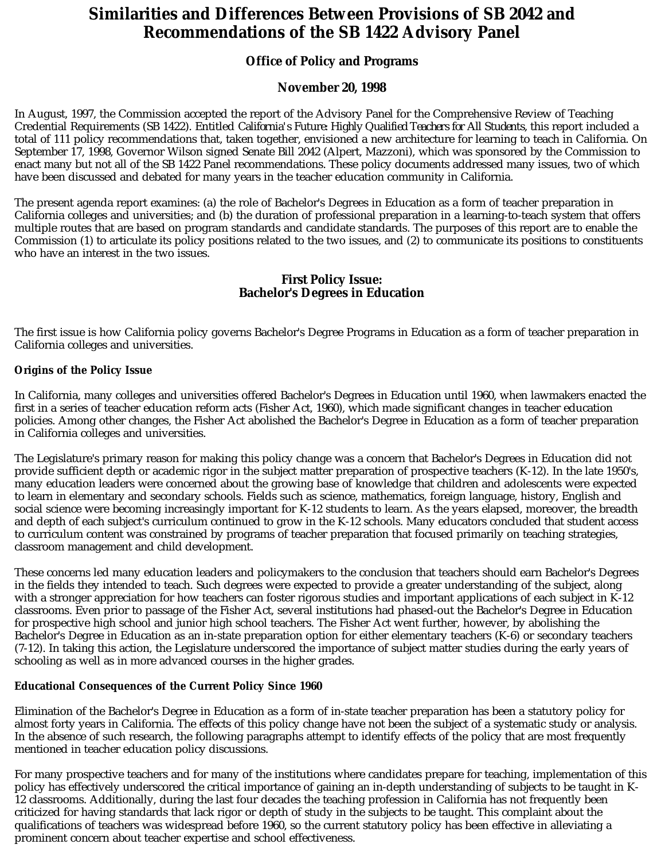# **Similarities and Differences Between Provisions of SB 2042 and Recommendations of the SB 1422 Advisory Panel**

## **Office of Policy and Programs**

## **November 20, 1998**

In August, 1997, the Commission accepted the report of the Advisory Panel for the Comprehensive Review of Teaching Credential Requirements (SB 1422). Entitled *California's Future: Highly Qualified Teachers for All Students,* this report included a total of 111 policy recommendations that, taken together, envisioned a new architecture for learning to teach in California. On September 17, 1998, Governor Wilson signed Senate Bill 2042 (Alpert, Mazzoni), which was sponsored by the Commission to enact many but not all of the SB 1422 Panel recommendations. These policy documents addressed many issues, two of which have been discussed and debated for many years in the teacher education community in California.

The present agenda report examines: (a) the role of Bachelor's Degrees in Education as a form of teacher preparation in California colleges and universities; and (b) the duration of professional preparation in a learning-to-teach system that offers multiple routes that are based on program standards and candidate standards. The purposes of this report are to enable the Commission (1) to articulate its policy positions related to the two issues, and (2) to communicate its positions to constituents who have an interest in the two issues.

## **First Policy Issue: Bachelor's Degrees in Education**

The first issue is how California policy governs Bachelor's Degree Programs in Education as a form of teacher preparation in California colleges and universities.

### **Origins of the Policy Issue**

In California, many colleges and universities offered Bachelor's Degrees in Education until 1960, when lawmakers enacted the first in a series of teacher education reform acts (Fisher Act, 1960), which made significant changes in teacher education policies. Among other changes, the Fisher Act abolished the Bachelor's Degree in Education as a form of teacher preparation in California colleges and universities.

The Legislature's primary reason for making this policy change was a concern that Bachelor's Degrees in Education did not provide sufficient depth or academic rigor in the subject matter preparation of prospective teachers (K-12). In the late 1950's, many education leaders were concerned about the growing base of knowledge that children and adolescents were expected to learn in elementary and secondary schools. Fields such as science, mathematics, foreign language, history, English and social science were becoming increasingly important for K-12 students to learn. As the years elapsed, moreover, the breadth and depth of each subject's curriculum continued to grow in the K-12 schools. Many educators concluded that student access to curriculum content was constrained by programs of teacher preparation that focused primarily on teaching strategies, classroom management and child development.

These concerns led many education leaders and policymakers to the conclusion that teachers should earn Bachelor's Degrees in the fields they intended to teach. Such degrees were expected to provide a greater understanding of the subject, along with a stronger appreciation for how teachers can foster rigorous studies and important applications of each subject in K-12 classrooms. Even prior to passage of the Fisher Act, several institutions had phased-out the Bachelor's Degree in Education for prospective high school and junior high school teachers. The Fisher Act went further, however, by abolishing the Bachelor's Degree in Education as an in-state preparation option for either elementary teachers (K-6) or secondary teachers (7-12). In taking this action, the Legislature underscored the importance of subject matter studies during the early years of schooling as well as in more advanced courses in the higher grades.

### **Educational Consequences of the Current Policy Since 1960**

Elimination of the Bachelor's Degree in Education as a form of in-state teacher preparation has been a statutory policy for almost forty years in California. The effects of this policy change have not been the subject of a systematic study or analysis. In the absence of such research, the following paragraphs attempt to identify effects of the policy that are most frequently mentioned in teacher education policy discussions.

For many prospective teachers and for many of the institutions where candidates prepare for teaching, implementation of this policy has effectively underscored the critical importance of gaining an in-depth understanding of subjects to be taught in K-12 classrooms. Additionally, during the last four decades the teaching profession in California has not frequently been criticized for having standards that lack rigor or depth of study in the subjects to be taught. This complaint about the qualifications of teachers was widespread before 1960, so the current statutory policy has been effective in alleviating a prominent concern about teacher expertise and school effectiveness.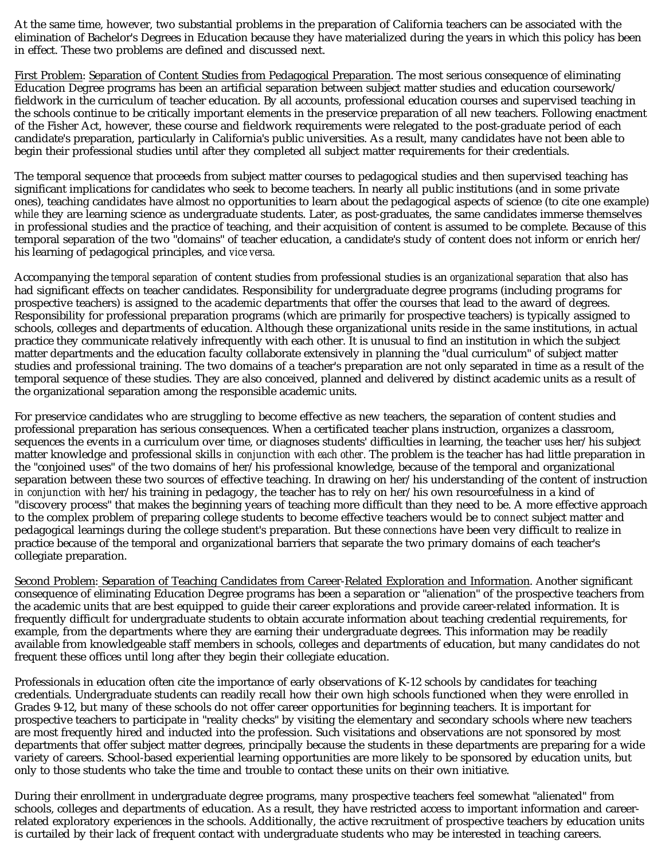At the same time, however, two substantial problems in the preparation of California teachers can be associated with the elimination of Bachelor's Degrees in Education because they have materialized during the years in which this policy has been in effect. These two problems are defined and discussed next.

<u>First Problem</u>: <u>Separation of Content Studies from Pedagogical Preparation</u>. The most serious consequence of eliminating Education Degree programs has been an artificial separation between subject matter studies and education coursework/ fieldwork in the curriculum of teacher education. By all accounts, professional education courses and supervised teaching in the schools continue to be critically important elements in the preservice preparation of all new teachers. Following enactment of the Fisher Act, however, these course and fieldwork requirements were relegated to the post-graduate period of each candidate's preparation, particularly in California's public universities. As a result, many candidates have not been able to begin their professional studies until after they completed all subject matter requirements for their credentials.

The temporal sequence that proceeds from subject matter courses to pedagogical studies and then supervised teaching has significant implications for candidates who seek to become teachers. In nearly all public institutions (and in some private ones), teaching candidates have almost no opportunities to learn about the pedagogical aspects of science (to cite one example) while they are learning science as undergraduate students. Later, as post-graduates, the same candidates immerse themselves in professional studies and the practice of teaching, and their acquisition of content is assumed to be complete. Because of this temporal separation of the two "domains" of teacher education, a candidate's study of content does not inform or enrich her/ his learning of pedagogical principles, and *vice versa.*

Accompanying the *temporal separation* of content studies from professional studies is an *organizational separation* that also has had significant effects on teacher candidates. Responsibility for undergraduate degree programs (including programs for prospective teachers) is assigned to the academic departments that offer the courses that lead to the award of degrees. Responsibility for professional preparation programs (which are primarily for prospective teachers) is typically assigned to schools, colleges and departments of education. Although these organizational units reside in the same institutions, in actual practice they communicate relatively infrequently with each other. It is unusual to find an institution in which the subject matter departments and the education faculty collaborate extensively in planning the "dual curriculum" of subject matter studies and professional training. The two domains of a teacher's preparation are not only separated in time as a result of the temporal sequence of these studies. They are also conceived, planned and delivered by distinct academic units as a result of the organizational separation among the responsible academic units.

For preservice candidates who are struggling to become effective as new teachers, the separation of content studies and professional preparation has serious consequences. When a certificated teacher plans instruction, organizes a classroom, sequences the events in a curriculum over time, or diagnoses students' difficulties in learning, the teacher *uses* her/his subject matter knowledge and professional skills *in conjunction with each other*. The problem is the teacher has had little preparation in the "conjoined uses" of the two domains of her/his professional knowledge, because of the temporal and organizational separation between these two sources of effective teaching. In drawing on her/his understanding of the content of instruction *in conjunction with* her/his training in pedagogy, the teacher has to rely on her/his own resourcefulness in a kind of "discovery process" that makes the beginning years of teaching more difficult than they need to be. A more effective approach to the complex problem of preparing college students to become effective teachers would be to *connect* subject matter and pedagogical learnings during the college student's preparation. But these *connections* have been very difficult to realize in practice because of the temporal and organizational barriers that separate the two primary domains of each teacher's collegiate preparation.

<u>Second Problem: Separation of Teaching Candidates from Career-Related Exploration and Information</u>. Another significant consequence of eliminating Education Degree programs has been a separation or "alienation" of the prospective teachers from the academic units that are best equipped to guide their career explorations and provide career-related information. It is frequently difficult for undergraduate students to obtain accurate information about teaching credential requirements, for example, from the departments where they are earning their undergraduate degrees. This information may be readily available from knowledgeable staff members in schools, colleges and departments of education, but many candidates do not frequent these offices until long after they begin their collegiate education.

Professionals in education often cite the importance of early observations of K-12 schools by candidates for teaching credentials. Undergraduate students can readily recall how their own high schools functioned when they were enrolled in Grades 9-12, but many of these schools do not offer career opportunities for beginning teachers. It is important for prospective teachers to participate in "reality checks" by visiting the elementary and secondary schools where new teachers are most frequently hired and inducted into the profession. Such visitations and observations are not sponsored by most departments that offer subject matter degrees, principally because the students in these departments are preparing for a wide variety of careers. School-based experiential learning opportunities are more likely to be sponsored by education units, but only to those students who take the time and trouble to contact these units on their own initiative.

During their enrollment in undergraduate degree programs, many prospective teachers feel somewhat "alienated" from schools, colleges and departments of education. As a result, they have restricted access to important information and careerrelated exploratory experiences in the schools. Additionally, the active recruitment of prospective teachers by education units is curtailed by their lack of frequent contact with undergraduate students who may be interested in teaching careers.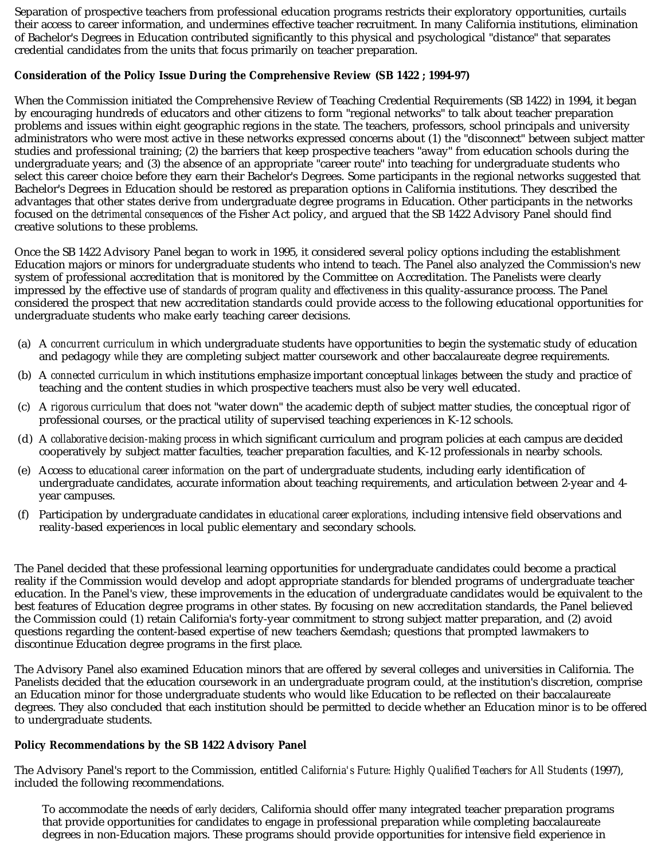Separation of prospective teachers from professional education programs restricts their exploratory opportunities, curtails their access to career information, and undermines effective teacher recruitment. In many California institutions, elimination of Bachelor's Degrees in Education contributed significantly to this physical and psychological "distance" that separates credential candidates from the units that focus primarily on teacher preparation.

### **Consideration of the Policy Issue During the Comprehensive Review (SB 1422 ; 1994-97)**

When the Commission initiated the Comprehensive Review of Teaching Credential Requirements (SB 1422) in 1994, it began by encouraging hundreds of educators and other citizens to form "regional networks" to talk about teacher preparation problems and issues within eight geographic regions in the state. The teachers, professors, school principals and university administrators who were most active in these networks expressed concerns about (1) the "disconnect" between subject matter studies and professional training; (2) the barriers that keep prospective teachers "away" from education schools during the undergraduate years; and (3) the absence of an appropriate "career route" into teaching for undergraduate students who select this career choice before they earn their Bachelor's Degrees. Some participants in the regional networks suggested that Bachelor's Degrees in Education should be restored as preparation options in California institutions. They described the advantages that other states derive from undergraduate degree programs in Education. Other participants in the networks focused on the *detrimental consequences* of the Fisher Act policy, and argued that the SB 1422 Advisory Panel should find creative solutions to these problems.

Once the SB 1422 Advisory Panel began to work in 1995, it considered several policy options including the establishment Education majors or minors for undergraduate students who intend to teach. The Panel also analyzed the Commission's new system of professional accreditation that is monitored by the Committee on Accreditation. The Panelists were clearly impressed by the effective use of *standards of program quality and effectiveness* in this quality-assurance process. The Panel considered the prospect that new accreditation standards could provide access to the following educational opportunities for undergraduate students who make early teaching career decisions.

- (a) A *concurrent curriculum* in which undergraduate students have opportunities to begin the systematic study of education and pedagogy *while* they are completing subject matter coursework and other baccalaureate degree requirements.
- (b) A *connected curriculum* in which institutions emphasize important conceptual *linkages* between the study and practice of teaching and the content studies in which prospective teachers must also be very well educated.
- (c) A *rigorous curriculum* that does not "water down" the academic depth of subject matter studies, the conceptual rigor of professional courses, or the practical utility of supervised teaching experiences in K-12 schools.
- (d) A *collaborative decision-making process* in which significant curriculum and program policies at each campus are decided cooperatively by subject matter faculties, teacher preparation faculties, and K-12 professionals in nearby schools.
- (e) Access to *educational career information* on the part of undergraduate students, including early identification of undergraduate candidates, accurate information about teaching requirements, and articulation between 2-year and 4 year campuses.
- (f) Participation by undergraduate candidates in *educational career explorations,* including intensive field observations and reality-based experiences in local public elementary and secondary schools.

The Panel decided that these professional learning opportunities for undergraduate candidates could become a practical reality if the Commission would develop and adopt appropriate standards for blended programs of undergraduate teacher education. In the Panel's view, these improvements in the education of undergraduate candidates would be equivalent to the best features of Education degree programs in other states. By focusing on new accreditation standards, the Panel believed the Commission could (1) retain California's forty-year commitment to strong subject matter preparation, and (2) avoid questions regarding the content-based expertise of new teachers &emdash; questions that prompted lawmakers to discontinue Education degree programs in the first place.

The Advisory Panel also examined Education minors that are offered by several colleges and universities in California. The Panelists decided that the education coursework in an undergraduate program could, at the institution's discretion, comprise an Education minor for those undergraduate students who would like Education to be reflected on their baccalaureate degrees. They also concluded that each institution should be permitted to decide whether an Education minor is to be offered to undergraduate students.

### **Policy Recommendations by the SB 1422 Advisory Panel**

The Advisory Panel's report to the Commission, entitled *California's Future: Highly Qualified Teachers for All Students* (1997), included the following recommendations.

To accommodate the needs of *early deciders,* California should offer many integrated teacher preparation programs that provide opportunities for candidates to engage in professional preparation while completing baccalaureate degrees in non-Education majors. These programs should provide opportunities for intensive field experience in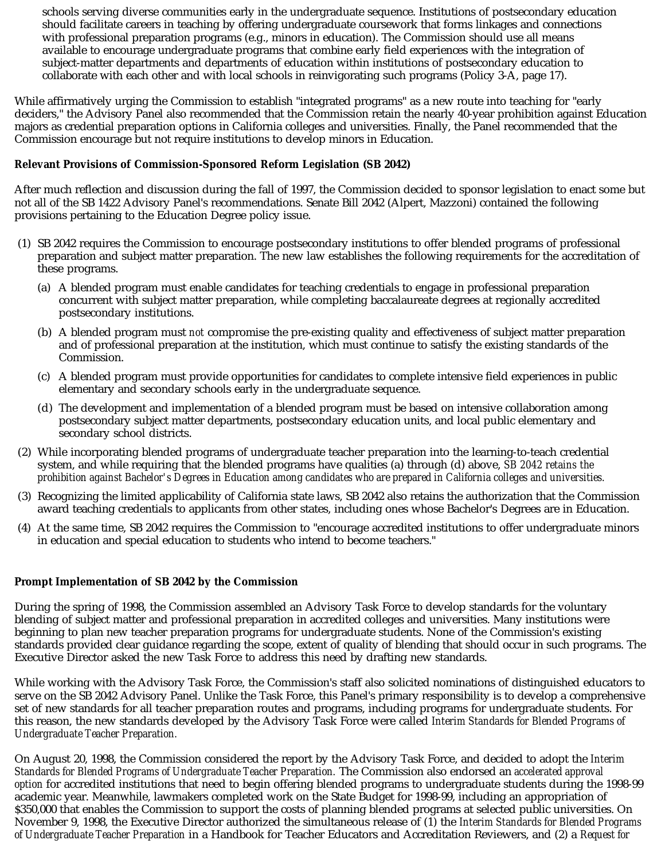schools serving diverse communities early in the undergraduate sequence. Institutions of postsecondary education should facilitate careers in teaching by offering undergraduate coursework that forms linkages and connections with professional preparation programs (e.g., minors in education). The Commission should use all means available to encourage undergraduate programs that combine early field experiences with the integration of subject-matter departments and departments of education within institutions of postsecondary education to collaborate with each other and with local schools in reinvigorating such programs (Policy 3-A, page 17).

While affirmatively urging the Commission to establish "integrated programs" as a new route into teaching for "early deciders," the Advisory Panel also recommended that the Commission retain the nearly 40-year prohibition against Education majors as credential preparation options in California colleges and universities. Finally, the Panel recommended that the Commission encourage but not require institutions to develop minors in Education.

### **Relevant Provisions of Commission-Sponsored Reform Legislation (SB 2042)**

After much reflection and discussion during the fall of 1997, the Commission decided to sponsor legislation to enact some but not all of the SB 1422 Advisory Panel's recommendations. Senate Bill 2042 (Alpert, Mazzoni) contained the following provisions pertaining to the Education Degree policy issue.

- (1) SB 2042 requires the Commission to encourage postsecondary institutions to offer blended programs of professional preparation and subject matter preparation. The new law establishes the following requirements for the accreditation of these programs.
	- (a) A blended program must enable candidates for teaching credentials to engage in professional preparation concurrent with subject matter preparation, while completing baccalaureate degrees at regionally accredited postsecondary institutions.
	- (b) A blended program must *not* compromise the pre-existing quality and effectiveness of subject matter preparation and of professional preparation at the institution, which must continue to satisfy the existing standards of the Commission.
	- (c) A blended program must provide opportunities for candidates to complete intensive field experiences in public elementary and secondary schools early in the undergraduate sequence.
	- (d) The development and implementation of a blended program must be based on intensive collaboration among postsecondary subject matter departments, postsecondary education units, and local public elementary and secondary school districts.
- (2) While incorporating blended programs of undergraduate teacher preparation into the learning-to-teach credential system, and while requiring that the blended programs have qualities (a) through (d) above, *SB 2042 retains the prohibition against Bachelor's Degrees in Education among candidates who are prepared in California colleges and universities.*
- (3) Recognizing the limited applicability of California state laws, SB 2042 also retains the authorization that the Commission award teaching credentials to applicants from other states, including ones whose Bachelor's Degrees are in Education.
- (4) At the same time, SB 2042 requires the Commission to "encourage accredited institutions to offer undergraduate minors in education and special education to students who intend to become teachers."

#### **Prompt Implementation of SB 2042 by the Commission**

During the spring of 1998, the Commission assembled an Advisory Task Force to develop standards for the voluntary blending of subject matter and professional preparation in accredited colleges and universities. Many institutions were beginning to plan new teacher preparation programs for undergraduate students. None of the Commission's existing standards provided clear guidance regarding the scope, extent of quality of blending that should occur in such programs. The Executive Director asked the new Task Force to address this need by drafting new standards.

While working with the Advisory Task Force, the Commission's staff also solicited nominations of distinguished educators to serve on the SB 2042 Advisory Panel. Unlike the Task Force, this Panel's primary responsibility is to develop a comprehensive set of new standards for all teacher preparation routes and programs, including programs for undergraduate students. For this reason, the new standards developed by the Advisory Task Force were called *Interim Standards for Blended Programs of Undergraduate Teacher Preparation.*

On August 20, 1998, the Commission considered the report by the Advisory Task Force, and decided to adopt the *Interim*  Standards for Blended Programs of Undergraduate Teacher Preparation. The Commission also endorsed an accelerated approval for accredited institutions that need to begin offering blended programs to undergraduate students during the 1998-99 *option* academic year. Meanwhile, lawmakers completed work on the State Budget for 1998-99, including an appropriation of \$350,000 that enables the Commission to support the costs of planning blended programs at selected public universities. On November 9, 1998, the Executive Director authorized the simultaneous release of (1) the *Interim Standards for Blended Programs*  of Undergraduate Teacher Preparation in a Handbook for Teacher Educators and Accreditation Reviewers, and (2) a Request for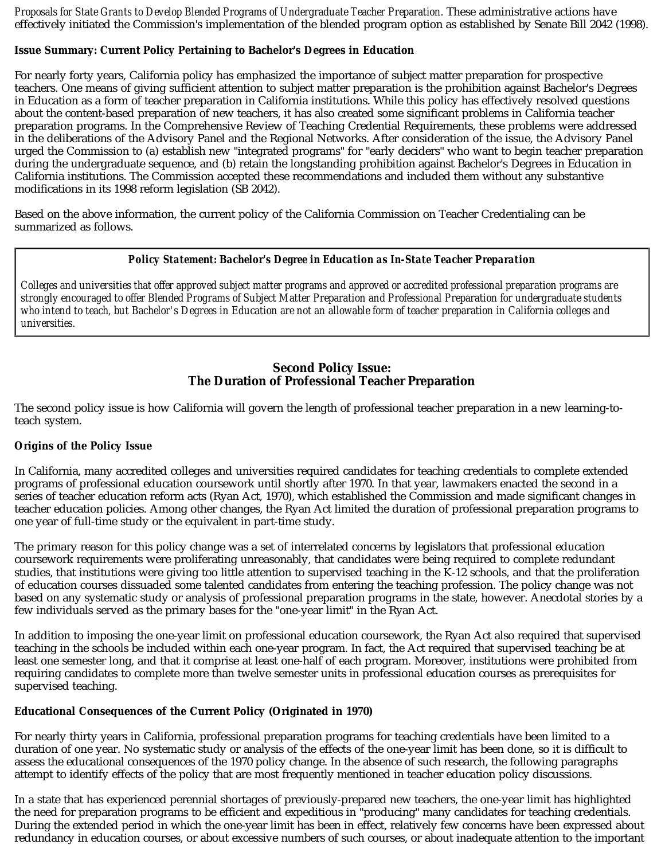Proposals for State Grants to Develop Blended Programs of Undergraduate Teacher Preparation. These administrative actions have effectively initiated the Commission's implementation of the blended program option as established by Senate Bill 2042 (1998).

### **Issue Summary: Current Policy Pertaining to Bachelor's Degrees in Education**

For nearly forty years, California policy has emphasized the importance of subject matter preparation for prospective teachers. One means of giving sufficient attention to subject matter preparation is the prohibition against Bachelor's Degrees in Education as a form of teacher preparation in California institutions. While this policy has effectively resolved questions about the content-based preparation of new teachers, it has also created some significant problems in California teacher preparation programs. In the Comprehensive Review of Teaching Credential Requirements, these problems were addressed in the deliberations of the Advisory Panel and the Regional Networks. After consideration of the issue, the Advisory Panel urged the Commission to (a) establish new "integrated programs" for "early deciders" who want to begin teacher preparation during the undergraduate sequence, and (b) retain the longstanding prohibition against Bachelor's Degrees in Education in California institutions. The Commission accepted these recommendations and included them without any substantive modifications in its 1998 reform legislation (SB 2042).

Based on the above information, the current policy of the California Commission on Teacher Credentialing can be summarized as follows.

#### *Policy Statement: Bachelor's Degree in Education as In-State Teacher Preparation*

*Colleges and universities that offer approved subject matter programs and approved or accredited professional preparation programs are strongly encouraged to offer Blended Programs of Subject Matter Preparation and Professional Preparation for undergraduate students who intend to teach, but Bachelor's Degrees in Education are not an allowable form of teacher preparation in California colleges and universities.*

## **Second Policy Issue: The Duration of Professional Teacher Preparation**

The second policy issue is how California will govern the length of professional teacher preparation in a new learning-toteach system.

### **Origins of the Policy Issue**

In California, many accredited colleges and universities required candidates for teaching credentials to complete extended programs of professional education coursework until shortly after 1970. In that year, lawmakers enacted the second in a series of teacher education reform acts (Ryan Act, 1970), which established the Commission and made significant changes in teacher education policies. Among other changes, the Ryan Act limited the duration of professional preparation programs to one year of full-time study or the equivalent in part-time study.

The primary reason for this policy change was a set of interrelated concerns by legislators that professional education coursework requirements were proliferating unreasonably, that candidates were being required to complete redundant studies, that institutions were giving too little attention to supervised teaching in the  $\overline{K-12}$  schools, and that the proliferation of education courses dissuaded some talented candidates from entering the teaching profession. The policy change was not based on any systematic study or analysis of professional preparation programs in the state, however. Anecdotal stories by a few individuals served as the primary bases for the "one-year limit" in the Ryan Act.

In addition to imposing the one-year limit on professional education coursework, the Ryan Act also required that supervised teaching in the schools be included within each one-year program. In fact, the Act required that supervised teaching be at least one semester long, and that it comprise at least one-half of each program. Moreover, institutions were prohibited from requiring candidates to complete more than twelve semester units in professional education courses as prerequisites for supervised teaching.

### **Educational Consequences of the Current Policy (Originated in 1970)**

For nearly thirty years in California, professional preparation programs for teaching credentials have been limited to a duration of one year. No systematic study or analysis of the effects of the one-year limit has been done, so it is difficult to assess the educational consequences of the 1970 policy change. In the absence of such research, the following paragraphs attempt to identify effects of the policy that are most frequently mentioned in teacher education policy discussions.

In a state that has experienced perennial shortages of previously-prepared new teachers, the one-year limit has highlighted the need for preparation programs to be efficient and expeditious in "producing" many candidates for teaching credentials. During the extended period in which the one-year limit has been in effect, relatively few concerns have been expressed about redundancy in education courses, or about excessive numbers of such courses, or about inadequate attention to the important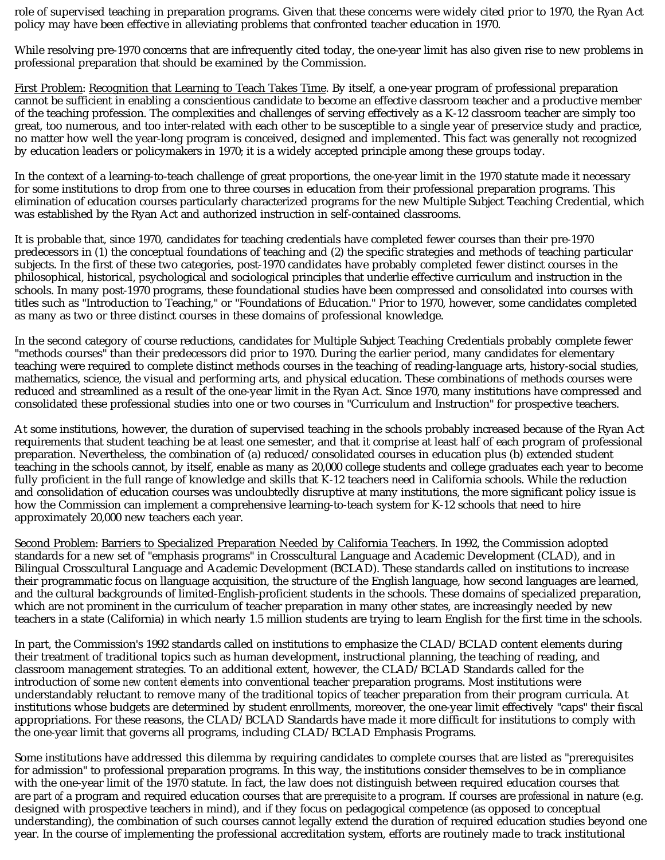role of supervised teaching in preparation programs. Given that these concerns were widely cited prior to 1970, the Ryan Act policy may have been effective in alleviating problems that confronted teacher education in 1970.

While resolving pre-1970 concerns that are infrequently cited today, the one-year limit has also given rise to new problems in professional preparation that should be examined by the Commission.

<u>First Problem</u>: <u>Recognition that Learning to Teach Takes Time</u>. By itself, a one-year program of professional preparation cannot be sufficient in enabling a conscientious candidate to become an effective classroom teacher and a productive member of the teaching profession. The complexities and challenges of serving effectively as a K-12 classroom teacher are simply too great, too numerous, and too inter-related with each other to be susceptible to a single year of preservice study and practice, no matter how well the year-long program is conceived, designed and implemented. This fact was generally not recognized by education leaders or policymakers in 1970; it is a widely accepted principle among these groups today.

In the context of a learning-to-teach challenge of great proportions, the one-year limit in the 1970 statute made it necessary for some institutions to drop from one to three courses in education from their professional preparation programs. This elimination of education courses particularly characterized programs for the new Multiple Subject Teaching Credential, which was established by the Ryan Act and authorized instruction in self-contained classrooms.

It is probable that, since 1970, candidates for teaching credentials have completed fewer courses than their pre-1970 predecessors in (1) the conceptual foundations of teaching and (2) the specific strategies and methods of teaching particular subjects. In the first of these two categories, post-1970 candidates have probably completed fewer distinct courses in the philosophical, historical, psychological and sociological principles that underlie effective curriculum and instruction in the schools. In many post-1970 programs, these foundational studies have been compressed and consolidated into courses with titles such as "Introduction to Teaching," or "Foundations of Education." Prior to 1970, however, some candidates completed as many as two or three distinct courses in these domains of professional knowledge.

In the second category of course reductions, candidates for Multiple Subject Teaching Credentials probably complete fewer "methods courses" than their predecessors did prior to 1970. During the earlier period, many candidates for elementary teaching were required to complete distinct methods courses in the teaching of reading-language arts, history-social studies, mathematics, science, the visual and performing arts, and physical education. These combinations of methods courses were reduced and streamlined as a result of the one-year limit in the Ryan Act. Since 1970, many institutions have compressed and consolidated these professional studies into one or two courses in "Curriculum and Instruction" for prospective teachers.

At some institutions, however, the duration of supervised teaching in the schools probably increased because of the Ryan Act requirements that student teaching be at least one semester, and that it comprise at least half of each program of professional preparation. Nevertheless, the combination of (a) reduced/consolidated courses in education plus (b) extended student teaching in the schools cannot, by itself, enable as many as 20,000 college students and college graduates each year to become fully proficient in the full range of knowledge and skills that K-12 teachers need in California schools. While the reduction and consolidation of education courses was undoubtedly disruptive at many institutions, the more significant policy issue is how the Commission can implement a comprehensive learning-to-teach system for K-12 schools that need to hire approximately 20,000 new teachers each year.

<u>Second Problem</u>: <u>Barriers to Specialized Preparation Needed by California Teachers</u>. In 1992, the Commission adopted standards for a new set of "emphasis programs" in Crosscultural Language and Academic Development (CLAD), and in Bilingual Crosscultural Language and Academic Development (BCLAD). These standards called on institutions to increase their programmatic focus on llanguage acquisition, the structure of the English language, how second languages are learned, and the cultural backgrounds of limited-English-proficient students in the schools. These domains of specialized preparation, which are not prominent in the curriculum of teacher preparation in many other states, are increasingly needed by new teachers in a state (California) in which nearly 1.5 million students are trying to learn English for the first time in the schools.

In part, the Commission's 1992 standards called on institutions to emphasize the CLAD/BCLAD content elements during their treatment of traditional topics such as human development, instructional planning, the teaching of reading, and classroom management strategies. To an additional extent, however, the CLAD/BCLAD Standards called for the introduction of some *new content elements* into conventional teacher preparation programs. Most institutions were understandably reluctant to remove many of the traditional topics of teacher preparation from their program curricula. At institutions whose budgets are determined by student enrollments, moreover, the one-year limit effectively "caps" their fiscal appropriations. For these reasons, the CLAD/BCLAD Standards have made it more difficult for institutions to comply with the one-year limit that governs all programs, including CLAD/BCLAD Emphasis Programs.

Some institutions have addressed this dilemma by requiring candidates to complete courses that are listed as "prerequisites for admission" to professional preparation programs. In this way, the institutions consider themselves to be in compliance with the one-year limit of the 1970 statute. In fact, the law does not distinguish between required education courses that are *part of* a program and required education courses that are *prerequisite to* a program. If courses are *professional* in nature (e.g. designed with prospective teachers in mind), and if they focus on pedagogical competence (as opposed to conceptual understanding), the combination of such courses cannot legally extend the duration of required education studies beyond one year. In the course of implementing the professional accreditation system, efforts are routinely made to track institutional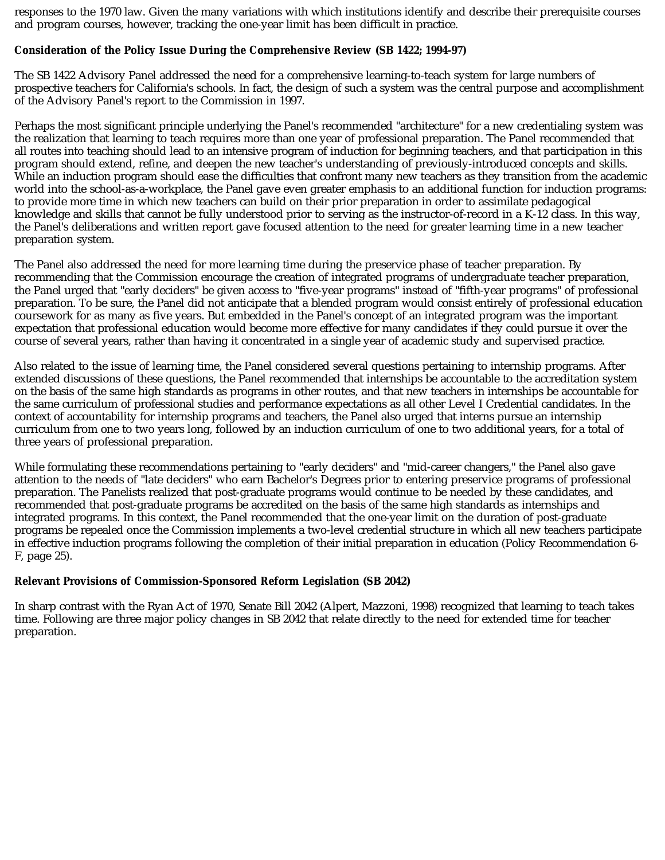responses to the 1970 law. Given the many variations with which institutions identify and describe their prerequisite courses and program courses, however, tracking the one-year limit has been difficult in practice.

#### **Consideration of the Policy Issue During the Comprehensive Review (SB 1422; 1994-97)**

The SB 1422 Advisory Panel addressed the need for a comprehensive learning-to-teach system for large numbers of prospective teachers for California's schools. In fact, the design of such a system was the central purpose and accomplishment of the Advisory Panel's report to the Commission in 1997.

Perhaps the most significant principle underlying the Panel's recommended "architecture" for a new credentialing system was the realization that learning to teach requires more than one year of professional preparation. The Panel recommended that all routes into teaching should lead to an intensive program of induction for beginning teachers, and that participation in this program should extend, refine, and deepen the new teacher's understanding of previously-introduced concepts and skills. While an induction program should ease the difficulties that confront many new teachers as they transition from the academic world into the school-as-a-workplace, the Panel gave even greater emphasis to an additional function for induction programs: to provide more time in which new teachers can build on their prior preparation in order to assimilate pedagogical knowledge and skills that cannot be fully understood prior to serving as the instructor-of-record in a K-12 class. In this way, the Panel's deliberations and written report gave focused attention to the need for greater learning time in a new teacher preparation system.

The Panel also addressed the need for more learning time during the preservice phase of teacher preparation. By recommending that the Commission encourage the creation of integrated programs of undergraduate teacher preparation, the Panel urged that "early deciders" be given access to "five-year programs" instead of "fifth-year programs" of professional preparation. To be sure, the Panel did not anticipate that a blended program would consist entirely of professional education coursework for as many as five years. But embedded in the Panel's concept of an integrated program was the important expectation that professional education would become more effective for many candidates if they could pursue it over the course of several years, rather than having it concentrated in a single year of academic study and supervised practice.

Also related to the issue of learning time, the Panel considered several questions pertaining to internship programs. After extended discussions of these questions, the Panel recommended that internships be accountable to the accreditation system on the basis of the same high standards as programs in other routes, and that new teachers in internships be accountable for the same curriculum of professional studies and performance expectations as all other Level I Credential candidates. In the context of accountability for internship programs and teachers, the Panel also urged that interns pursue an internship curriculum from one to two years long, followed by an induction curriculum of one to two additional years, for a total of three years of professional preparation.

While formulating these recommendations pertaining to "early deciders" and "mid-career changers," the Panel also gave attention to the needs of "late deciders" who earn Bachelor's Degrees prior to entering preservice programs of professional preparation. The Panelists realized that post-graduate programs would continue to be needed by these candidates, and recommended that post-graduate programs be accredited on the basis of the same high standards as internships and integrated programs. In this context, the Panel recommended that the one-year limit on the duration of post-graduate programs be repealed once the Commission implements a two-level credential structure in which all new teachers participate in effective induction programs following the completion of their initial preparation in education (Policy Recommendation 6- F, page 25).

#### **Relevant Provisions of Commission-Sponsored Reform Legislation (SB 2042)**

In sharp contrast with the Ryan Act of 1970, Senate Bill 2042 (Alpert, Mazzoni, 1998) recognized that learning to teach takes time. Following are three major policy changes in SB 2042 that relate directly to the need for extended time for teacher preparation.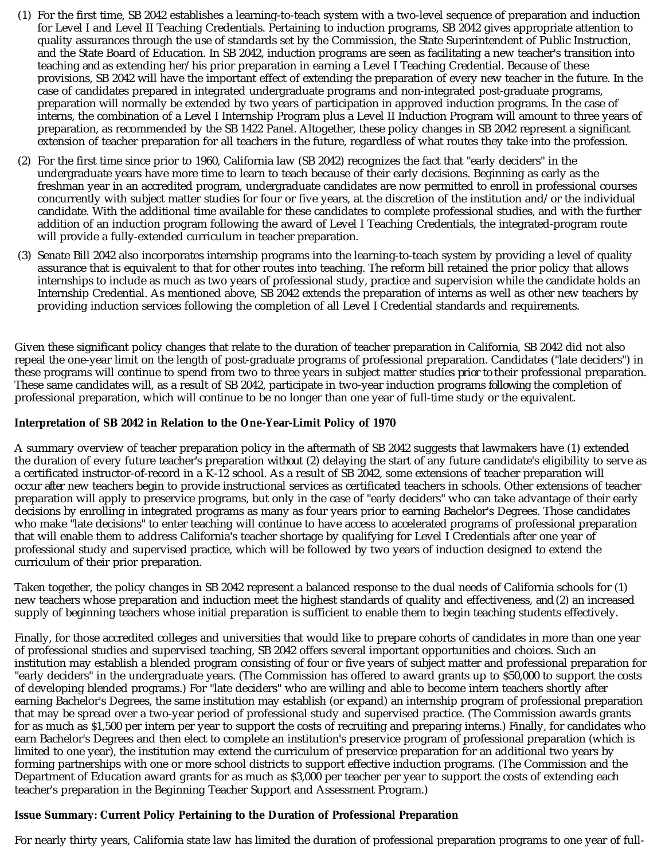- (1) For the first time, SB 2042 establishes a learning-to-teach system with a two-level sequence of preparation and induction for Level I and Level II Teaching Credentials. Pertaining to induction programs, SB 2042 gives appropriate attention to quality assurances through the use of standards set by the Commission, the State Superintendent of Public Instruction, and the State Board of Education. In SB 2042, induction programs are seen as facilitating a new teacher's transition into teaching *and* as extending her/his prior preparation in earning a Level I Teaching Credential. Because of these provisions, SB 2042 will have the important effect of extending the preparation of every new teacher in the future. In the case of candidates prepared in integrated undergraduate programs and non-integrated post-graduate programs, preparation will normally be extended by two years of participation in approved induction programs. In the case of interns, the combination of a Level I Internship Program plus a Level II Induction Program will amount to three years of preparation, as recommended by the SB 1422 Panel. Altogether, these policy changes in SB 2042 represent a significant extension of teacher preparation for all teachers in the future, regardless of what routes they take into the profession.
- (2) For the first time since prior to 1960, California law (SB 2042) recognizes the fact that "early deciders" in the undergraduate years have more time to learn to teach because of their early decisions. Beginning as early as the freshman year in an accredited program, undergraduate candidates are now permitted to enroll in professional courses concurrently with subject matter studies for four or five years, at the discretion of the institution and/or the individual candidate. With the additional time available for these candidates to complete professional studies, and with the further addition of an induction program following the award of Level I Teaching Credentials, the integrated-program route will provide a fully-extended curriculum in teacher preparation.
- (3) Senate Bill 2042 also incorporates internship programs into the learning-to-teach system by providing a level of quality assurance that is equivalent to that for other routes into teaching. The reform bill retained the prior policy that allows internships to include as much as two years of professional study, practice and supervision while the candidate holds an Internship Credential. As mentioned above, SB 2042 extends the preparation of interns as well as other new teachers by providing induction services following the completion of all Level I Credential standards and requirements.

Given these significant policy changes that relate to the duration of teacher preparation in California, SB 2042 did not also repeal the one-year limit on the length of post-graduate programs of professional preparation. Candidates ("late deciders") in these programs will continue to spend from two to three years in subject matter studies *prior to* their professional preparation. These same candidates will, as a result of SB 2042, participate in two-year induction programs *following* the completion of professional preparation, which will continue to be no longer than one year of full-time study or the equivalent.

#### **Interpretation of SB 2042 in Relation to the One-Year-Limit Policy of 1970**

A summary overview of teacher preparation policy in the aftermath of SB 2042 suggests that lawmakers have (1) extended the duration of every future teacher's preparation *without* (2) delaying the start of any future candidate's eligibility to serve as a certificated instructor-of-record in a K-12 school. As a result of SB 2042, some extensions of teacher preparation will occur *after* new teachers begin to provide instructional services as certificated teachers in schools. Other extensions of teacher preparation will apply to preservice programs, but only in the case of "early deciders" who can take advantage of their early decisions by enrolling in integrated programs as many as four years prior to earning Bachelor's Degrees. Those candidates who make "late decisions" to enter teaching will continue to have access to accelerated programs of professional preparation that will enable them to address California's teacher shortage by qualifying for Level I Credentials after one year of professional study and supervised practice, which will be followed by two years of induction designed to extend the curriculum of their prior preparation.

Taken together, the policy changes in SB 2042 represent a balanced response to the dual needs of California schools for (1) new teachers whose preparation and induction meet the highest standards of quality and effectiveness, *and* (2) an increased supply of beginning teachers whose initial preparation is sufficient to enable them to begin teaching students effectively.

Finally, for those accredited colleges and universities that would like to prepare cohorts of candidates in more than one year of professional studies and supervised teaching, SB 2042 offers several important opportunities and choices. Such an institution may establish a blended program consisting of four or five years of subject matter and professional preparation for "early deciders" in the undergraduate years. (The Commission has offered to award grants up to \$50,000 to support the costs of developing blended programs.) For "late deciders" who are willing and able to become intern teachers shortly after earning Bachelor's Degrees, the same institution may establish (or expand) an internship program of professional preparation that may be spread over a two-year period of professional study and supervised practice. (The Commission awards grants for as much as \$1,500 per intern per year to support the costs of recruiting and preparing interns.) Finally, for candidates who earn Bachelor's Degrees and then elect to complete an institution's preservice program of professional preparation (which is limited to one year), the institution may extend the curriculum of preservice preparation for an additional two years by forming partnerships with one or more school districts to support effective induction programs. (The Commission and the Department of Education award grants for as much as \$3,000 per teacher per year to support the costs of extending each teacher's preparation in the Beginning Teacher Support and Assessment Program.)

### **Issue Summary: Current Policy Pertaining to the Duration of Professional Preparation**

For nearly thirty years, California state law has limited the duration of professional preparation programs to one year of full-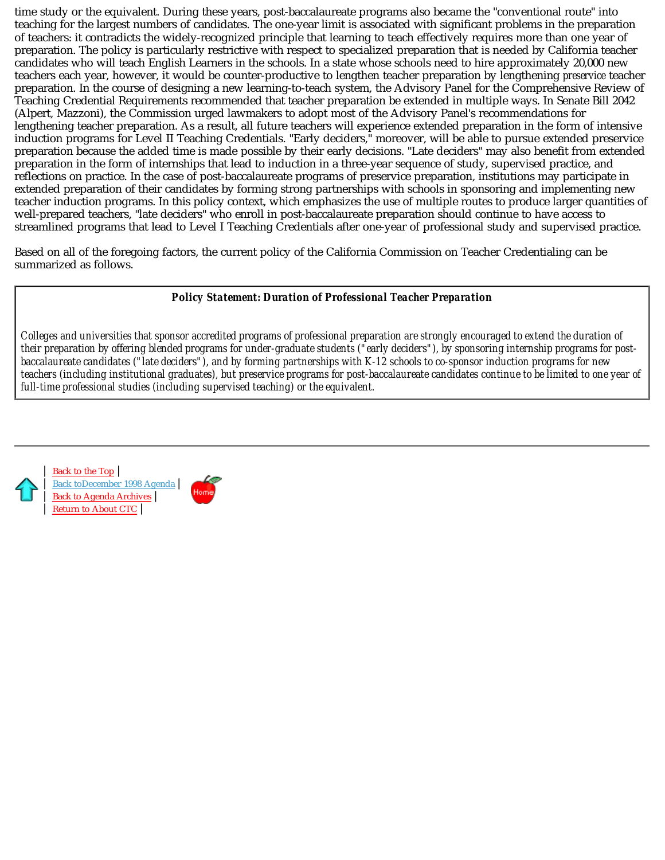time study or the equivalent. During these years, post-baccalaureate programs also became the "conventional route" into teaching for the largest numbers of candidates. The one-year limit is associated with significant problems in the preparation of teachers: it contradicts the widely-recognized principle that learning to teach effectively requires more than one year of preparation. The policy is particularly restrictive with respect to specialized preparation that is needed by California teacher candidates who will teach English Learners in the schools. In a state whose schools need to hire approximately 20,000 new teachers each year, however, it would be counter-productive to lengthen teacher preparation by lengthening *preservice* teacher preparation. In the course of designing a new learning-to-teach system, the Advisory Panel for the Comprehensive Review of Teaching Credential Requirements recommended that teacher preparation be extended in multiple ways. In Senate Bill 2042 (Alpert, Mazzoni), the Commission urged lawmakers to adopt most of the Advisory Panel's recommendations for lengthening teacher preparation. As a result, all future teachers will experience extended preparation in the form of intensive induction programs for Level II Teaching Credentials. "Early deciders," moreover, will be able to pursue extended preservice preparation because the added time is made possible by their early decisions. "Late deciders" may also benefit from extended preparation in the form of internships that lead to induction in a three-year sequence of study, supervised practice, and reflections on practice. In the case of post-baccalaureate programs of preservice preparation, institutions may participate in extended preparation of their candidates by forming strong partnerships with schools in sponsoring and implementing new teacher induction programs. In this policy context, which emphasizes the use of multiple routes to produce larger quantities of well-prepared teachers, "late deciders" who enroll in post-baccalaureate preparation should continue to have access to streamlined programs that lead to Level I Teaching Credentials after one-year of professional study and supervised practice.

Based on all of the foregoing factors, the current policy of the California Commission on Teacher Credentialing can be summarized as follows.

## *Policy Statement: Duration of Professional Teacher Preparation*

*Colleges and universities that sponsor accredited programs of professional preparation are strongly encouraged to extend the duration of their preparation by offering blended programs for under-graduate students ("early deciders"), by sponsoring internship programs for postbaccalaureate candidates ("late deciders"), and by forming partnerships with K-12 schools to co-sponsor induction programs for new teachers (including institutional graduates), but preservice programs for post-baccalaureate candidates continue to be limited to one year of full-time professional studies (including supervised teaching) or the equivalent.*



| Back to the Top | Back toDecember 1998 Agenda | Back to Agenda Archives | | Return to About CTC |

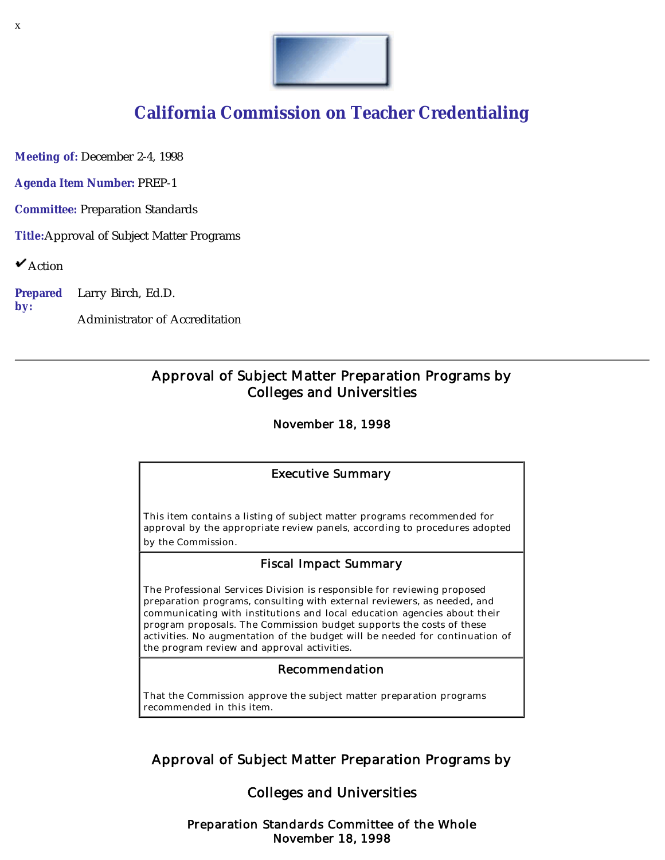

# **California Commission on Teacher Credentialing**

**Meeting of:** December 2-4, 1998

**Agenda Item Number:** PREP-1

**Committee:** Preparation Standards

**Title:**Approval of Subject Matter Programs

 $\mathbf{\mathsf{v}}$  Action

**Prepared by:** Larry Birch, Ed.D.

Administrator of Accreditation

## Approval of Subject Matter Preparation Programs by Colleges and Universities

November 18, 1998

## Executive Summary

This item contains a listing of subject matter programs recommended for approval by the appropriate review panels, according to procedures adopted by the Commission.

## Fiscal Impact Summary

The Professional Services Division is responsible for reviewing proposed preparation programs, consulting with external reviewers, as needed, and communicating with institutions and local education agencies about their program proposals. The Commission budget supports the costs of these activities. No augmentation of the budget will be needed for continuation of the program review and approval activities.

## Recommendation

That the Commission approve the subject matter preparation programs recommended in this item.

Approval of Subject Matter Preparation Programs by

## Colleges and Universities

Preparation Standards Committee of the Whole November 18, 1998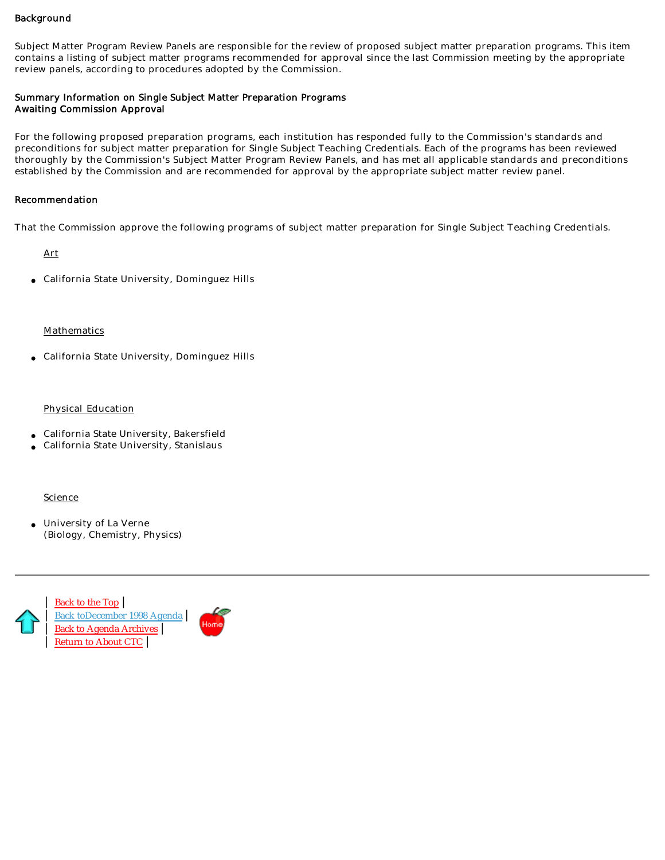#### Background

Subject Matter Program Review Panels are responsible for the review of proposed subject matter preparation programs. This item contains a listing of subject matter programs recommended for approval since the last Commission meeting by the appropriate review panels, according to procedures adopted by the Commission.

#### Summary Information on Single Subject Matter Preparation Programs Awaiting Commission Approval

For the following proposed preparation programs, each institution has responded fully to the Commission's standards and preconditions for subject matter preparation for Single Subject Teaching Credentials. Each of the programs has been reviewed thoroughly by the Commission's Subject Matter Program Review Panels, and has met all applicable standards and preconditions established by the Commission and are recommended for approval by the appropriate subject matter review panel.

#### Recommendation

That the Commission approve the following programs of subject matter preparation for Single Subject Teaching Credentials.

Art

California State University, Dominguez Hills  $\bullet$ 

#### **Mathematics**

California State University, Dominguez Hills  $\bullet$ 

#### **Physical Education**

- California State University, Bakersfield  $\bullet$
- California State University, Stanislaus  $\bullet$

#### Science

 $\bullet$ University of La Verne (Biology, Chemistry, Physics)



| Back to the Top | | Back toDecember 1998 Agenda | | Back to Agenda Archives | Return to About CTC |

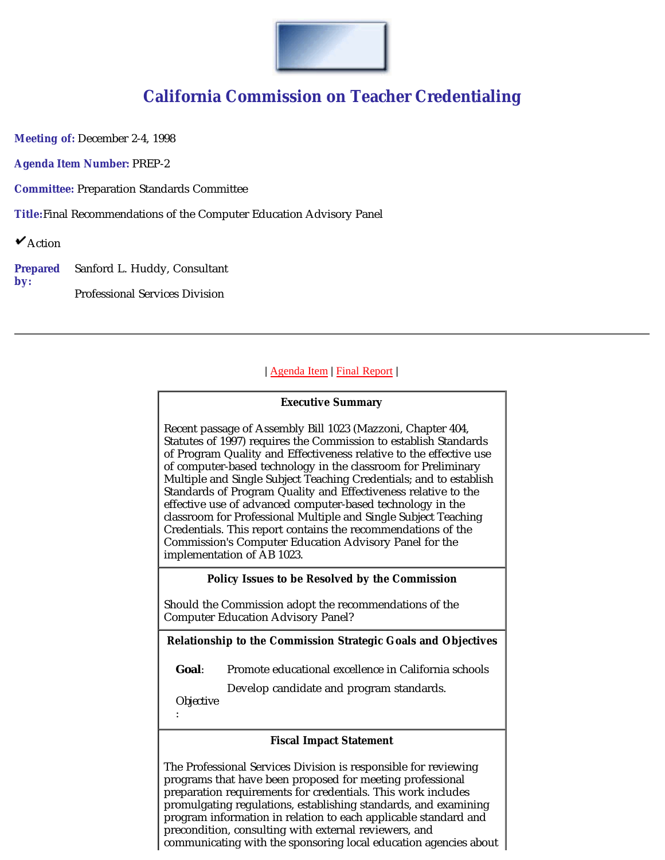

# **California Commission on Teacher Credentialing**

**Meeting of:** December 2-4, 1998

**Agenda Item Number:** PREP-2

**Committee:** Preparation Standards Committee

**Title:**Final Recommendations of the Computer Education Advisory Panel

 $\mathbf{v}_{\text{Action}}$ 

**Prepared by:** Sanford L. Huddy, Consultant

Professional Services Division

## **|** Agenda Item **|** Final Report **|**

#### **Executive Summary**

Recent passage of Assembly Bill 1023 (Mazzoni, Chapter 404, Statutes of 1997) requires the Commission to establish Standards of Program Quality and Effectiveness relative to the effective use of computer-based technology in the classroom for Preliminary Multiple and Single Subject Teaching Credentials; and to establish Standards of Program Quality and Effectiveness relative to the effective use of advanced computer-based technology in the classroom for Professional Multiple and Single Subject Teaching Credentials. This report contains the recommendations of the Commission's Computer Education Advisory Panel for the implementation of AB 1023.

#### **Policy Issues to be Resolved by the Commission**

Should the Commission adopt the recommendations of the Computer Education Advisory Panel?

**Relationship to the Commission Strategic Goals and Objectives**

*Goal*: Promote educational excellence in California schools

Develop candidate and program standards.

*Objective*

:

#### **Fiscal Impact Statement**

The Professional Services Division is responsible for reviewing programs that have been proposed for meeting professional preparation requirements for credentials. This work includes promulgating regulations, establishing standards, and examining program information in relation to each applicable standard and precondition, consulting with external reviewers, and communicating with the sponsoring local education agencies about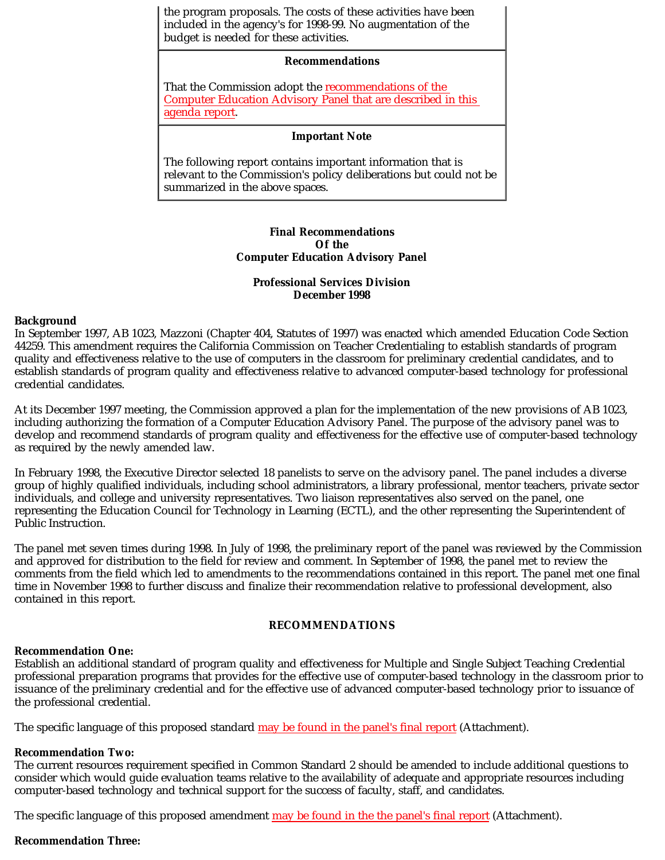the program proposals. The costs of these activities have been included in the agency's for 1998-99. No augmentation of the budget is needed for these activities.

#### **Recommendations**

That the Commission adopt the recommendations of the Computer Education Advisory Panel that are described in this agenda report.

#### **Important Note**

The following report contains important information that is relevant to the Commission's policy deliberations but could not be summarized in the above spaces.

#### **Final Recommendations Of the Computer Education Advisory Panel**

#### **Professional Services Division December 1998**

#### **Background**

In September 1997, AB 1023, Mazzoni (Chapter 404, Statutes of 1997) was enacted which amended Education Code Section 44259. This amendment requires the California Commission on Teacher Credentialing to establish standards of program quality and effectiveness relative to the use of computers in the classroom for preliminary credential candidates, and to establish standards of program quality and effectiveness relative to advanced computer-based technology for professional credential candidates.

At its December 1997 meeting, the Commission approved a plan for the implementation of the new provisions of AB 1023, including authorizing the formation of a Computer Education Advisory Panel. The purpose of the advisory panel was to develop and recommend standards of program quality and effectiveness for the effective use of computer-based technology as required by the newly amended law.

In February 1998, the Executive Director selected 18 panelists to serve on the advisory panel. The panel includes a diverse group of highly qualified individuals, including school administrators, a library professional, mentor teachers, private sector individuals, and college and university representatives. Two liaison representatives also served on the panel, one representing the Education Council for Technology in Learning (ECTL), and the other representing the Superintendent of Public Instruction.

The panel met seven times during 1998. In July of 1998, the preliminary report of the panel was reviewed by the Commission and approved for distribution to the field for review and comment. In September of 1998, the panel met to review the comments from the field which led to amendments to the recommendations contained in this report. The panel met one final time in November 1998 to further discuss and finalize their recommendation relative to professional development, also contained in this report.

#### **RECOMMENDATIONS**

#### **Recommendation One:**

Establish an additional standard of program quality and effectiveness for Multiple and Single Subject Teaching Credential professional preparation programs that provides for the effective use of computer-based technology in the classroom prior to issuance of the preliminary credential and for the effective use of advanced computer-based technology prior to issuance of the professional credential.

The specific language of this proposed standard <u>may be found in the panel's final report</u> (Attachment).

#### **Recommendation Two:**

The current resources requirement specified in Common Standard 2 should be amended to include additional questions to consider which would guide evaluation teams relative to the availability of adequate and appropriate resources including computer-based technology and technical support for the success of faculty, staff, and candidates.

The specific language of this proposed amendment <u>may be found in the the panel's final report</u> (Attachment).

#### **Recommendation Three:**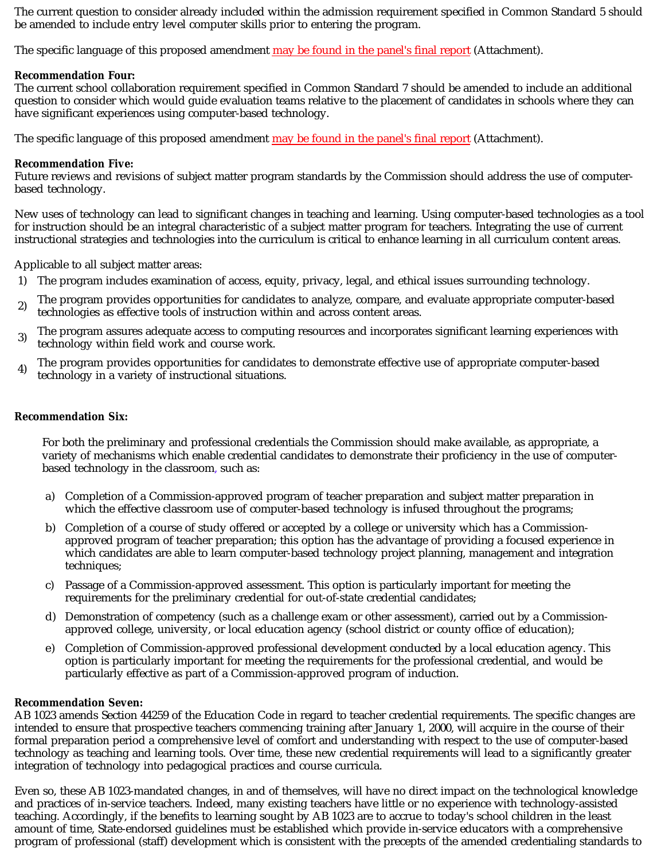The current question to consider already included within the admission requirement specified in Common Standard 5 should be amended to include entry level computer skills prior to entering the program.

The specific language of this proposed amendment may be found in the panel's final report (Attachment).

#### **Recommendation Four:**

The current school collaboration requirement specified in Common Standard 7 should be amended to include an additional question to consider which would guide evaluation teams relative to the placement of candidates in schools where they can have significant experiences using computer-based technology.

The specific language of this proposed amendment <u>may be found in the panel's final report</u> (Attachment).

#### **Recommendation Five:**

Future reviews and revisions of subject matter program standards by the Commission should address the use of computerbased technology.

New uses of technology can lead to significant changes in teaching and learning. Using computer-based technologies as a tool for instruction should be an integral characteristic of a subject matter program for teachers. Integrating the use of current instructional strategies and technologies into the curriculum is critical to enhance learning in all curriculum content areas.

Applicable to all subject matter areas:

- 1) The program includes examination of access, equity, privacy, legal, and ethical issues surrounding technology.
- 2) The program provides opportunities for candidates to analyze, compare, and evaluate appropriate computer-based technologies as effective tools of instruction within and across content areas.
- 3) The program assures adequate access to computing resources and incorporates significant learning experiences with technology within field work and course work.
- 4) The program provides opportunities for candidates to demonstrate effective use of appropriate computer-based technology in a variety of instructional situations.

#### **Recommendation Six:**

For both the preliminary and professional credentials the Commission should make available, as appropriate, a variety of mechanisms which enable credential candidates to demonstrate their proficiency in the use of computerbased technology in the classroom, such as:

- a) Completion of a Commission-approved program of teacher preparation and subject matter preparation in which the effective classroom use of computer-based technology is infused throughout the programs;
- b) Completion of a course of study offered or accepted by a college or university which has a Commissionapproved program of teacher preparation; this option has the advantage of providing a focused experience in which candidates are able to learn computer-based technology project planning, management and integration techniques;
- c) Passage of a Commission-approved assessment. This option is particularly important for meeting the requirements for the preliminary credential for out-of-state credential candidates;
- d) Demonstration of competency (such as a challenge exam or other assessment), carried out by a Commissionapproved college, university, or local education agency (school district or county office of education);
- e) Completion of Commission-approved professional development conducted by a local education agency. This option is particularly important for meeting the requirements for the professional credential, and would be particularly effective as part of a Commission-approved program of induction.

#### **Recommendation Seven:**

AB 1023 amends Section 44259 of the Education Code in regard to teacher credential requirements. The specific changes are intended to ensure that prospective teachers commencing training after January 1, 2000, will acquire in the course of their formal preparation period a comprehensive level of comfort and understanding with respect to the use of computer-based technology as teaching and learning tools. Over time, these new credential requirements will lead to a significantly greater integration of technology into pedagogical practices and course curricula.

Even so, these AB 1023-mandated changes, in and of themselves, will have no direct impact on the technological knowledge and practices of in-service teachers. Indeed, many existing teachers have little or no experience with technology-assisted teaching. Accordingly, if the benefits to learning sought by AB 1023 are to accrue to today's school children in the least amount of time, State-endorsed guidelines must be established which provide in-service educators with a comprehensive program of professional (staff) development which is consistent with the precepts of the amended credentialing standards to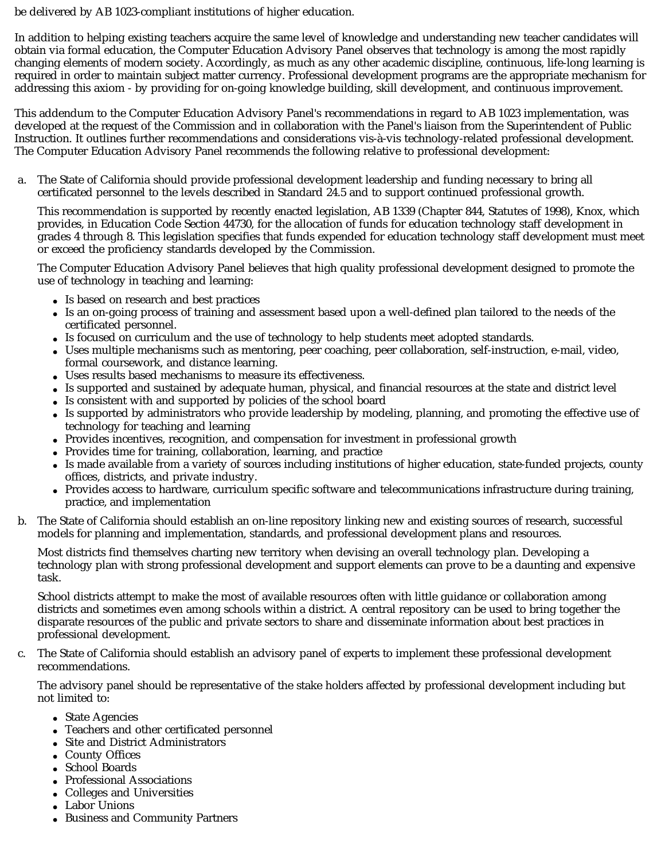be delivered by AB 1023-compliant institutions of higher education.

In addition to helping existing teachers acquire the same level of knowledge and understanding new teacher candidates will obtain via formal education, the Computer Education Advisory Panel observes that technology is among the most rapidly changing elements of modern society. Accordingly, as much as any other academic discipline, continuous, life-long learning is required in order to maintain subject matter currency. Professional development programs are the appropriate mechanism for addressing this axiom - by providing for on-going knowledge building, skill development, and continuous improvement.

This addendum to the Computer Education Advisory Panel's recommendations in regard to AB 1023 implementation, was developed at the request of the Commission and in collaboration with the Panel's liaison from the Superintendent of Public Instruction. It outlines further recommendations and considerations vis-à-vis technology-related professional development. The Computer Education Advisory Panel recommends the following relative to professional development:

a. The State of California should provide professional development leadership and funding necessary to bring all certificated personnel to the levels described in Standard 24.5 and to support continued professional growth.

This recommendation is supported by recently enacted legislation, AB 1339 (Chapter 844, Statutes of 1998), Knox, which provides, in Education Code Section 44730, for the allocation of funds for education technology staff development in grades 4 through 8. This legislation specifies that funds expended for education technology staff development must meet or exceed the proficiency standards developed by the Commission.

The Computer Education Advisory Panel believes that high quality professional development designed to promote the use of technology in teaching and learning:

- Is based on research and best practices
- Is an on-going process of training and assessment based upon a well-defined plan tailored to the needs of the certificated personnel.
- Is focused on curriculum and the use of technology to help students meet adopted standards.
- Uses multiple mechanisms such as mentoring, peer coaching, peer collaboration, self-instruction, e-mail, video, formal coursework, and distance learning.
- Uses results based mechanisms to measure its effectiveness.
- Is supported and sustained by adequate human, physical, and financial resources at the state and district level
- Is consistent with and supported by policies of the school board
- Is supported by administrators who provide leadership by modeling, planning, and promoting the effective use of  $\bullet$ technology for teaching and learning
- Provides incentives, recognition, and compensation for investment in professional growth
- Provides time for training, collaboration, learning, and practice
- Is made available from a variety of sources including institutions of higher education, state-funded projects, county offices, districts, and private industry.
- Provides access to hardware, curriculum specific software and telecommunications infrastructure during training, practice, and implementation
- b. The State of California should establish an on-line repository linking new and existing sources of research, successful models for planning and implementation, standards, and professional development plans and resources.

Most districts find themselves charting new territory when devising an overall technology plan. Developing a technology plan with strong professional development and support elements can prove to be a daunting and expensive task.

School districts attempt to make the most of available resources often with little guidance or collaboration among districts and sometimes even among schools within a district. A central repository can be used to bring together the disparate resources of the public and private sectors to share and disseminate information about best practices in professional development.

c. The State of California should establish an advisory panel of experts to implement these professional development recommendations.

The advisory panel should be representative of the stake holders affected by professional development including but not limited to:

- State Agencies
- Teachers and other certificated personnel
- Site and District Administrators
- County Offices
- School Boards
- Professional Associations
- Colleges and Universities
- Labor Unions
- Business and Community Partners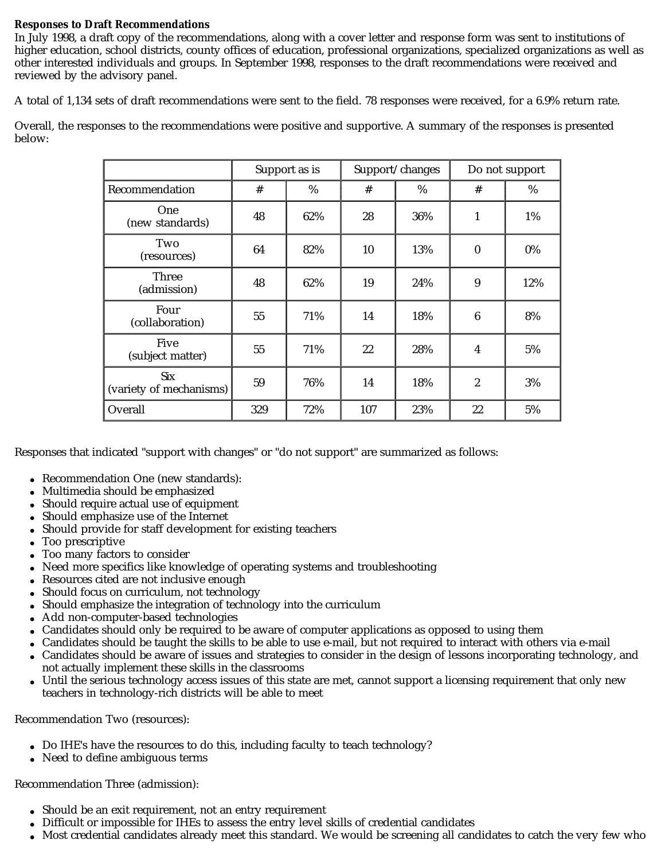### **Responses to Draft Recommendations**

In July 1998, a draft copy of the recommendations, along with a cover letter and response form was sent to institutions of higher education, school districts, county offices of education, professional organizations, specialized organizations as well as other interested individuals and groups. In September 1998, responses to the draft recommendations were received and reviewed by the advisory panel.

A total of 1,134 sets of draft recommendations were sent to the field. 78 responses were received, for a 6.9% return rate.

Overall, the responses to the recommendations were positive and supportive. A summary of the responses is presented below:

|                                       | Support as is |     | Support/changes |     | Do not support   |     |
|---------------------------------------|---------------|-----|-----------------|-----|------------------|-----|
| Recommendation                        | #             | %   | #               | %   | #                | %   |
| One<br>(new standards)                | 48            | 62% | 28              | 36% | 1                | 1%  |
| Two<br>(resources)                    | 64            | 82% | 10              | 13% | $\boldsymbol{0}$ | 0%  |
| <b>Three</b><br>(admission)           | 48            | 62% | 19              | 24% | 9                | 12% |
| Four<br>(collaboration)               | 55            | 71% | 14              | 18% | 6                | 8%  |
| Five<br>(subject matter)              | 55            | 71% | 22              | 28% | 4                | 5%  |
| <b>Six</b><br>(variety of mechanisms) | 59            | 76% | 14              | 18% | $\overline{c}$   | 3%  |
| Overall                               | 329           | 72% | 107             | 23% | 22               | 5%  |

Responses that indicated "support with changes" or "do not support" are summarized as follows:

- Recommendation One (new standards):
- Multimedia should be emphasized
- Should require actual use of equipment  $\bullet$
- Should emphasize use of the Internet  $\bullet$
- Should provide for staff development for existing teachers  $\bullet$
- Too prescriptive
- Too many factors to consider  $\bullet$
- Need more specifics like knowledge of operating systems and troubleshooting  $\bullet$
- Resources cited are not inclusive enough  $\bullet$
- Should focus on curriculum, not technology  $\bullet$
- Should emphasize the integration of technology into the curriculum  $\bullet$
- Add non-computer-based technologies  $\bullet$
- Candidates should only be required to be aware of computer applications as opposed to using them
- Candidates should be taught the skills to be able to use e-mail, but not required to interact with others via e-mail
- Candidates should be aware of issues and strategies to consider in the design of lessons incorporating technology, and not actually implement these skills in the classrooms
- Until the serious technology access issues of this state are met, cannot support a licensing requirement that only new teachers in technology-rich districts will be able to meet

Recommendation Two (resources):

- Do IHE's have the resources to do this, including faculty to teach technology?
- Need to define ambiguous terms

Recommendation Three (admission):

- Should be an exit requirement, not an entry requirement
- Difficult or impossible for IHEs to assess the entry level skills of credential candidates
- Most credential candidates already meet this standard. We would be screening all candidates to catch the very few who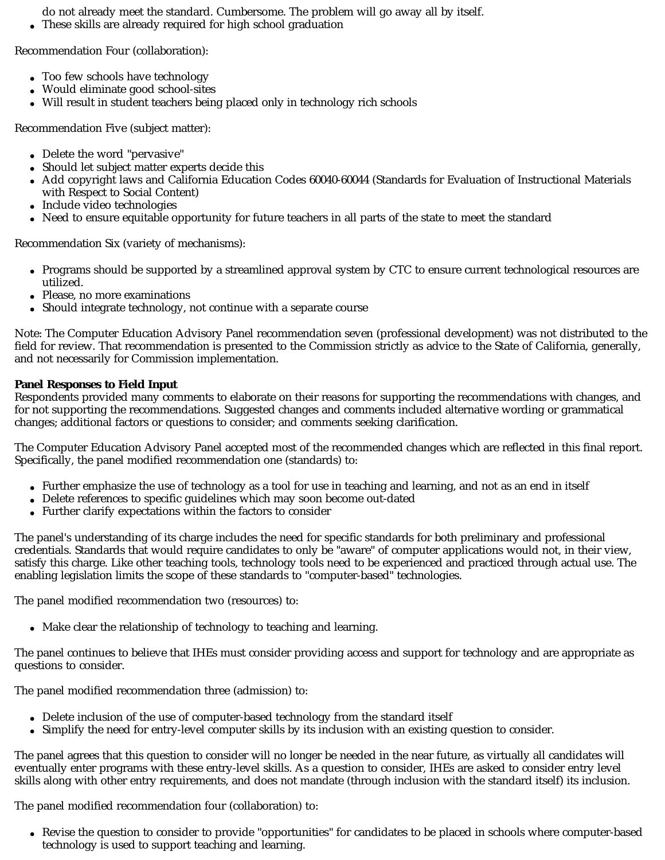do not already meet the standard. Cumbersome. The problem will go away all by itself.

These skills are already required for high school graduation

Recommendation Four (collaboration):

- Too few schools have technology
- Would eliminate good school-sites
- Will result in student teachers being placed only in technology rich schools

Recommendation Five (subject matter):

- Delete the word "pervasive"
- Should let subject matter experts decide this
- Add copyright laws and California Education Codes 60040-60044 (Standards for Evaluation of Instructional Materials with Respect to Social Content)
- Include video technologies
- Need to ensure equitable opportunity for future teachers in all parts of the state to meet the standard

Recommendation Six (variety of mechanisms):

- Programs should be supported by a streamlined approval system by CTC to ensure current technological resources are utilized.
- Please, no more examinations
- Should integrate technology, not continue with a separate course

Note: The Computer Education Advisory Panel recommendation seven (professional development) was not distributed to the field for review. That recommendation is presented to the Commission strictly as advice to the State of California, generally, and not necessarily for Commission implementation.

#### **Panel Responses to Field Input**

Respondents provided many comments to elaborate on their reasons for supporting the recommendations with changes, and for not supporting the recommendations. Suggested changes and comments included alternative wording or grammatical changes; additional factors or questions to consider; and comments seeking clarification.

The Computer Education Advisory Panel accepted most of the recommended changes which are reflected in this final report. Specifically, the panel modified recommendation one (standards) to:

- Further emphasize the use of technology as a tool for use in teaching and learning, and not as an end in itself
- Delete references to specific guidelines which may soon become out-dated
- Further clarify expectations within the factors to consider

The panel's understanding of its charge includes the need for specific standards for both preliminary and professional credentials. Standards that would require candidates to only be "aware" of computer applications would not, in their view, satisfy this charge. Like other teaching tools, technology tools need to be experienced and practiced through actual use. The enabling legislation limits the scope of these standards to "computer-based" technologies.

The panel modified recommendation two (resources) to:

• Make clear the relationship of technology to teaching and learning.

The panel continues to believe that IHEs must consider providing access and support for technology and are appropriate as questions to consider.

The panel modified recommendation three (admission) to:

- Delete inclusion of the use of computer-based technology from the standard itself
- Simplify the need for entry-level computer skills by its inclusion with an existing question to consider.

The panel agrees that this question to consider will no longer be needed in the near future, as virtually all candidates will eventually enter programs with these entry-level skills. As a question to consider, IHEs are asked to consider entry level skills along with other entry requirements, and does not mandate (through inclusion with the standard itself) its inclusion.

The panel modified recommendation four (collaboration) to:

Revise the question to consider to provide "opportunities" for candidates to be placed in schools where computer-based technology is used to support teaching and learning.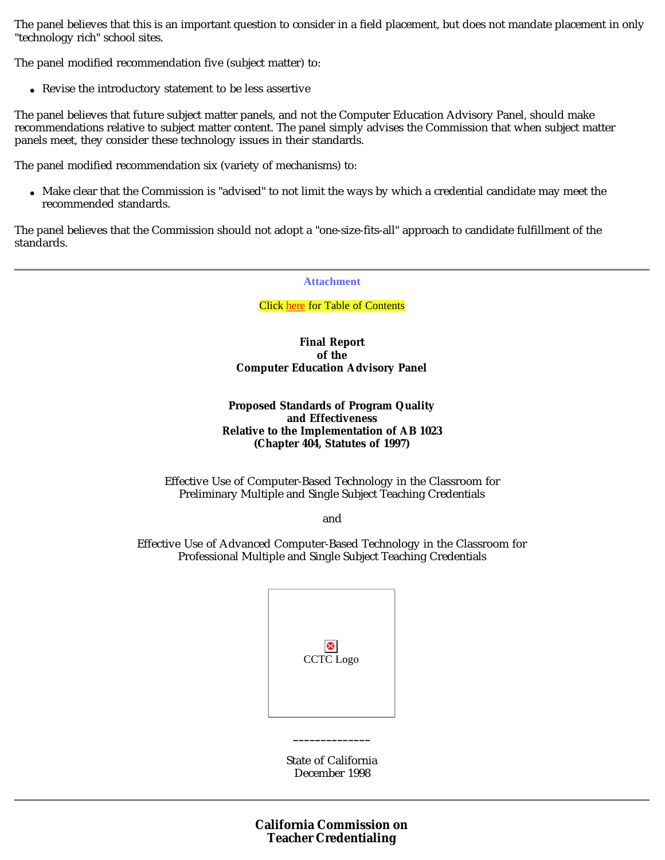The panel believes that this is an important question to consider in a field placement, but does not mandate placement in only "technology rich" school sites.

The panel modified recommendation five (subject matter) to:

Revise the introductory statement to be less assertive

The panel believes that future subject matter panels, and not the Computer Education Advisory Panel, should make recommendations relative to subject matter content. The panel simply advises the Commission that when subject matter panels meet, they consider these technology issues in their standards.

The panel modified recommendation six (variety of mechanisms) to:

Make clear that the Commission is "advised" to not limit the ways by which a credential candidate may meet the recommended standards.

The panel believes that the Commission should not adopt a "one-size-fits-all" approach to candidate fulfillment of the standards.

**Attachment**

#### Click here for Table of Contents

**Final Report of the Computer Education Advisory Panel**

#### **Proposed Standards of Program Quality and Effectiveness Relative to the Implementation of AB 1023 (Chapter 404, Statutes of 1997)**

Effective Use of Computer-Based Technology in the Classroom for Preliminary Multiple and Single Subject Teaching Credentials

and

Effective Use of Advanced Computer-Based Technology in the Classroom for Professional Multiple and Single Subject Teaching Credentials



State of California December 1998

## **California Commission on Teacher Credentialing**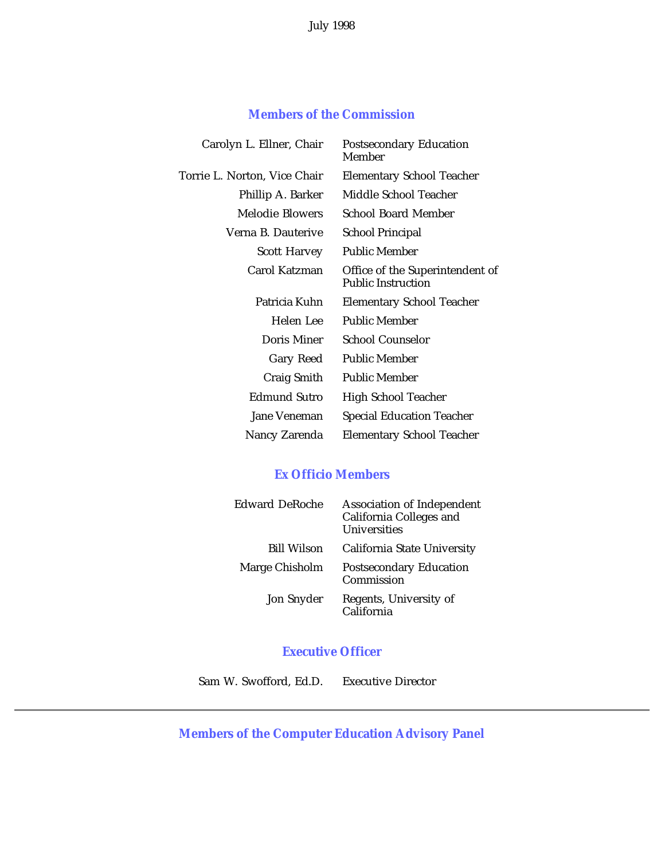## **Members of the Commission**

| Carolyn L. Ellner, Chair     | <b>Postsecondary Education</b><br>Member              |
|------------------------------|-------------------------------------------------------|
| Torrie L. Norton, Vice Chair | <b>Elementary School Teacher</b>                      |
| Phillip A. Barker            | Middle School Teacher                                 |
| <b>Melodie Blowers</b>       | <b>School Board Member</b>                            |
| Verna B. Dauterive           | <b>School Principal</b>                               |
| <b>Scott Harvey</b>          | <b>Public Member</b>                                  |
| Carol Katzman                | Office of the Superintendent of<br>Public Instruction |
| Patricia Kuhn                | <b>Elementary School Teacher</b>                      |
| Helen Lee                    | <b>Public Member</b>                                  |
| Doris Miner                  | School Counselor                                      |
| Gary Reed                    | <b>Public Member</b>                                  |
| Craig Smith                  | <b>Public Member</b>                                  |
| <b>Edmund Sutro</b>          | <b>High School Teacher</b>                            |
| Jane Veneman                 | <b>Special Education Teacher</b>                      |
| Nancy Zarenda                | <b>Elementary School Teacher</b>                      |

## **Ex Officio Members**

| <b>Edward DeRoche</b> | Association of Independent<br>California Colleges and<br><b>Universities</b> |
|-----------------------|------------------------------------------------------------------------------|
| Bill Wilson           | California State University                                                  |
| Marge Chisholm        | <b>Postsecondary Education</b><br>Commission                                 |
| Jon Snyder            | Regents, University of<br>California                                         |

## **Executive Officer**

Sam W. Swofford, Ed.D. Executive Director

**Members of the Computer Education Advisory Panel**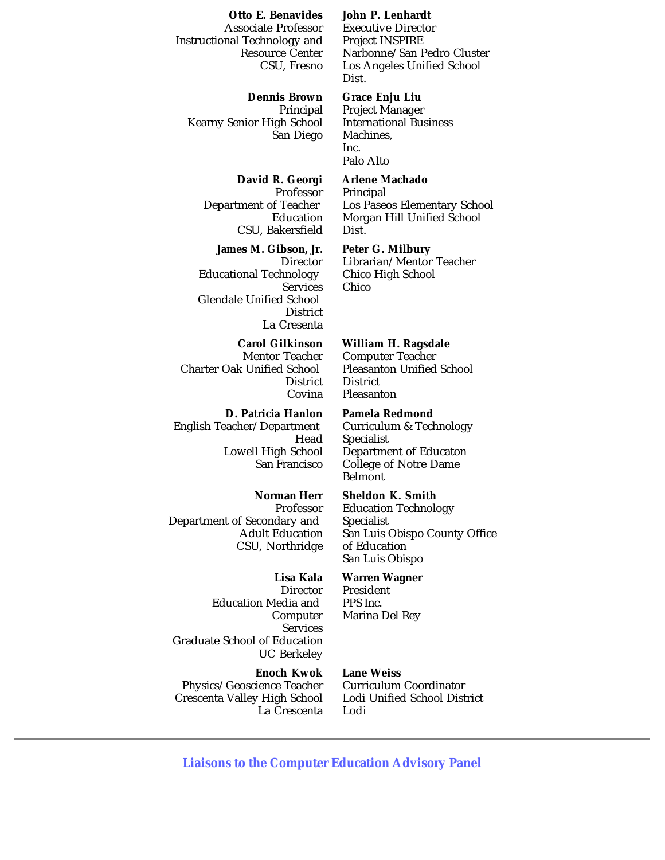#### **Otto E. Benavides**

Associate Professor Instructional Technology and Resource Center CSU, Fresno

#### **Dennis Brown**

Principal Kearny Senior High School San Diego

#### **David R. Georgi**

Professor Department of Teacher Education CSU, Bakersfield

#### **James M. Gibson, Jr.**

Director Educational Technology **Services** Glendale Unified School **District** La Cresenta

#### **Carol Gilkinson**

Mentor Teacher Charter Oak Unified School District Covina

#### **D. Patricia Hanlon**

English Teacher/Department Head Lowell High School San Francisco

#### **Norman Herr**

Professor Department of Secondary and Adult Education CSU, Northridge

#### **Lisa Kala**

**Director** Education Media and Computer **Services** Graduate School of Education UC Berkeley

#### **Enoch Kwok**

Physics/Geoscience Teacher Crescenta Valley High School La Crescenta

#### **John P. Lenhardt**

Executive Director Project INSPIRE Narbonne/San Pedro Cluster Los Angeles Unified School Dist.

#### **Grace Enju Liu**

Project Manager International Business Machines, Inc. Palo Alto

#### **Arlene Machado**

Principal Los Paseos Elementary School Morgan Hill Unified School Dist.

#### **Peter G. Milbury**

Librarian/Mentor Teacher Chico High School Chico

#### **William H. Ragsdale**

Computer Teacher Pleasanton Unified School **District** Pleasanton

#### **Pamela Redmond**

Curriculum & Technology Specialist Department of Educaton College of Notre Dame Belmont

#### **Sheldon K. Smith**

Education Technology Specialist San Luis Obispo County Office of Education San Luis Obispo

#### **Warren Wagner**

President PPS Inc. Marina Del Rey

#### **Lane Weiss**

Curriculum Coordinator Lodi Unified School District Lodi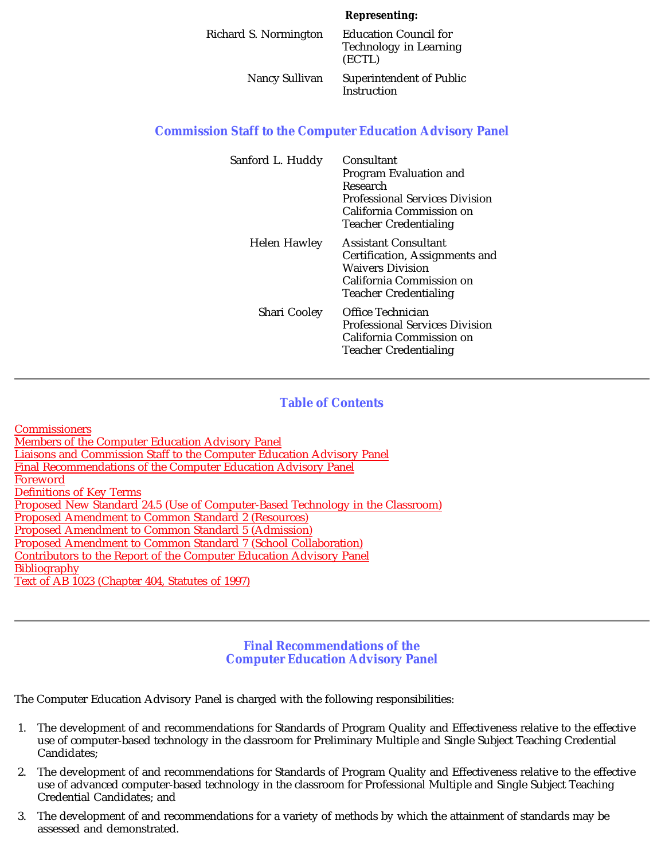#### **Representing:**

| Richard S. Normington | <b>Education Council for</b><br><b>Technology in Learning</b><br>(ECTL) |
|-----------------------|-------------------------------------------------------------------------|
| Nancy Sullivan        | Superintendent of Public<br>Instruction                                 |

## **Commission Staff to the Computer Education Advisory Panel**

| Sanford L. Huddy    | Consultant<br>Program Evaluation and<br>Research<br><b>Professional Services Division</b><br>California Commission on<br><b>Teacher Credentialing</b> |
|---------------------|-------------------------------------------------------------------------------------------------------------------------------------------------------|
| <b>Helen Hawley</b> | Assistant Consultant<br>Certification, Assignments and<br><b>Waivers Division</b><br>California Commission on<br><b>Teacher Credentialing</b>         |
| Shari Cooley        | Office Technician<br><b>Professional Services Division</b><br>California Commission on<br><b>Teacher Credentialing</b>                                |

## **Table of Contents**

**Commissioners** Members of the Computer Education Advisory Panel Liaisons and Commission Staff to the Computer Education Advisory Panel Final Recommendations of the Computer Education Advisory Panel Foreword Definitions of Key Terms Proposed New Standard 24.5 (Use of Computer-Based Technology in the Classroom) Proposed Amendment to Common Standard 2 (Resources) Proposed Amendment to Common Standard 5 (Admission) Proposed Amendment to Common Standard 7 (School Collaboration) Contributors to the Report of the Computer Education Advisory Panel **Bibliography** Text of AB 1023 (Chapter 404, Statutes of 1997)

#### **Final Recommendations of the Computer Education Advisory Panel**

The Computer Education Advisory Panel is charged with the following responsibilities:

- 1. The development of and recommendations for Standards of Program Quality and Effectiveness relative to the effective use of computer-based technology in the classroom for Preliminary Multiple and Single Subject Teaching Credential Candidates;
- 2. The development of and recommendations for Standards of Program Quality and Effectiveness relative to the effective use of advanced computer-based technology in the classroom for Professional Multiple and Single Subject Teaching Credential Candidates; and
- 3. The development of and recommendations for a variety of methods by which the attainment of standards may be assessed and demonstrated.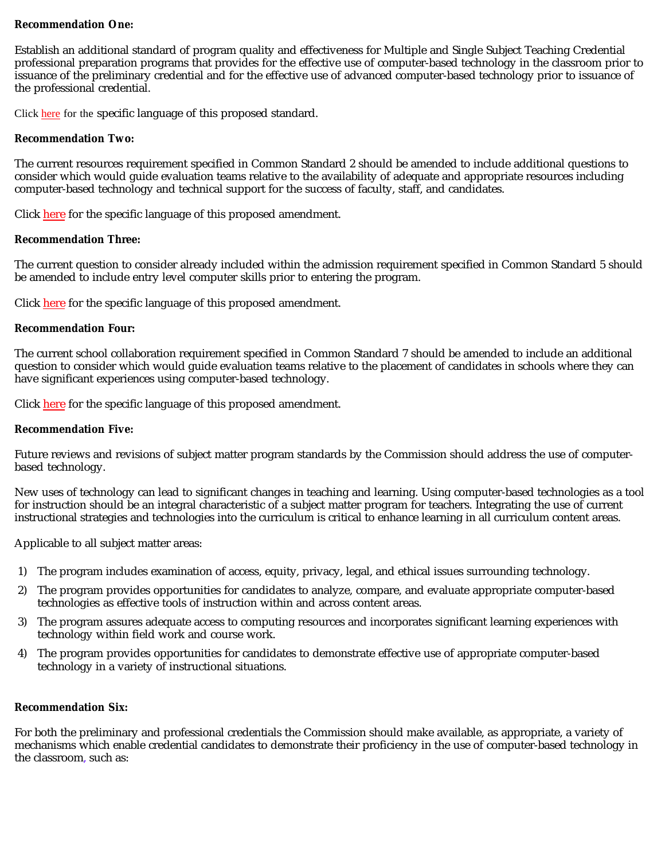#### **Recommendation One:**

Establish an additional standard of program quality and effectiveness for Multiple and Single Subject Teaching Credential professional preparation programs that provides for the effective use of computer-based technology in the classroom prior to issuance of the preliminary credential and for the effective use of advanced computer-based technology prior to issuance of the professional credential.

Click here for the specific language of this proposed standard.

#### **Recommendation Two:**

The current resources requirement specified in Common Standard 2 should be amended to include additional questions to consider which would guide evaluation teams relative to the availability of adequate and appropriate resources including computer-based technology and technical support for the success of faculty, staff, and candidates.

Click <u>here</u> for the specific language of this proposed amendment.

#### **Recommendation Three:**

The current question to consider already included within the admission requirement specified in Common Standard 5 should be amended to include entry level computer skills prior to entering the program.

Click <u>here</u> for the specific language of this proposed amendment.

#### **Recommendation Four:**

The current school collaboration requirement specified in Common Standard 7 should be amended to include an additional question to consider which would guide evaluation teams relative to the placement of candidates in schools where they can have significant experiences using computer-based technology.

Click <u>here</u> for the specific language of this proposed amendment.

#### **Recommendation Five:**

Future reviews and revisions of subject matter program standards by the Commission should address the use of computerbased technology.

New uses of technology can lead to significant changes in teaching and learning. Using computer-based technologies as a tool for instruction should be an integral characteristic of a subject matter program for teachers. Integrating the use of current instructional strategies and technologies into the curriculum is critical to enhance learning in all curriculum content areas.

Applicable to all subject matter areas:

- 1) The program includes examination of access, equity, privacy, legal, and ethical issues surrounding technology.
- 2) The program provides opportunities for candidates to analyze, compare, and evaluate appropriate computer-based technologies as effective tools of instruction within and across content areas.
- 3) The program assures adequate access to computing resources and incorporates significant learning experiences with technology within field work and course work.
- 4) The program provides opportunities for candidates to demonstrate effective use of appropriate computer-based technology in a variety of instructional situations.

#### **Recommendation Six:**

For both the preliminary and professional credentials the Commission should make available, as appropriate, a variety of mechanisms which enable credential candidates to demonstrate their proficiency in the use of computer-based technology in the classroom , such as: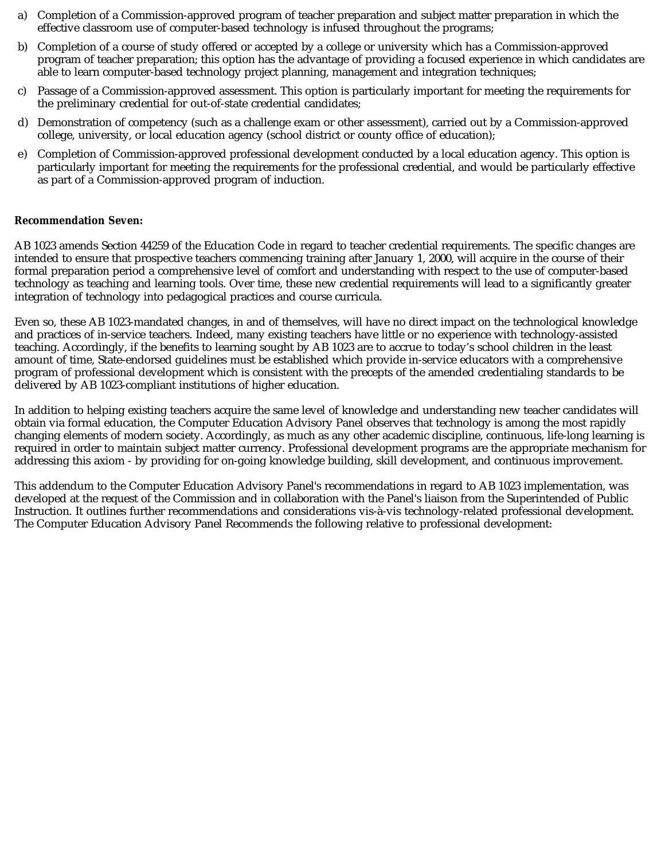- a) Completion of a Commission-approved program of teacher preparation and subject matter preparation in which the effective classroom use of computer-based technology is infused throughout the programs;
- b) Completion of a course of study offered or accepted by a college or university which has a Commission-approved program of teacher preparation; this option has the advantage of providing a focused experience in which candidates are able to learn computer-based technology project planning, management and integration techniques;
- c) Passage of a Commission-approved assessment. This option is particularly important for meeting the requirements for the preliminary credential for out-of-state credential candidates;
- d) Demonstration of competency (such as a challenge exam or other assessment), carried out by a Commission-approved college, university, or local education agency (school district or county office of education);
- e) Completion of Commission-approved professional development conducted by a local education agency. This option is particularly important for meeting the requirements for the professional credential, and would be particularly effective as part of a Commission-approved program of induction.

#### **Recommendation Seven:**

AB 1023 amends Section 44259 of the Education Code in regard to teacher credential requirements. The specific changes are intended to ensure that prospective teachers commencing training after January 1, 2000, will acquire in the course of their formal preparation period a comprehensive level of comfort and understanding with respect to the use of computer-based technology as teaching and learning tools. Over time, these new credential requirements will lead to a significantly greater integration of technology into pedagogical practices and course curricula.

Even so, these AB 1023-mandated changes, in and of themselves, will have no direct impact on the technological knowledge and practices of in-service teachers. Indeed, many existing teachers have little or no experience with technology-assisted teaching. Accordingly, if the benefits to learning sought by AB 1023 are to accrue to today's school children in the least amount of time, State-endorsed guidelines must be established which provide in-service educators with a comprehensive program of professional development which is consistent with the precepts of the amended credentialing standards to be delivered by AB 1023-compliant institutions of higher education.

In addition to helping existing teachers acquire the same level of knowledge and understanding new teacher candidates will obtain via formal education, the Computer Education Advisory Panel observes that technology is among the most rapidly changing elements of modern society. Accordingly, as much as any other academic discipline, continuous, life-long learning is required in order to maintain subject matter currency. Professional development programs are the appropriate mechanism for addressing this axiom - by providing for on-going knowledge building, skill development, and continuous improvement.

This addendum to the Computer Education Advisory Panel's recommendations in regard to AB 1023 implementation, was developed at the request of the Commission and in collaboration with the Panel's liaison from the Superintended of Public Instruction. It outlines further recommendations and considerations vis-à-vis technology-related professional development. The Computer Education Advisory Panel Recommends the following relative to professional development: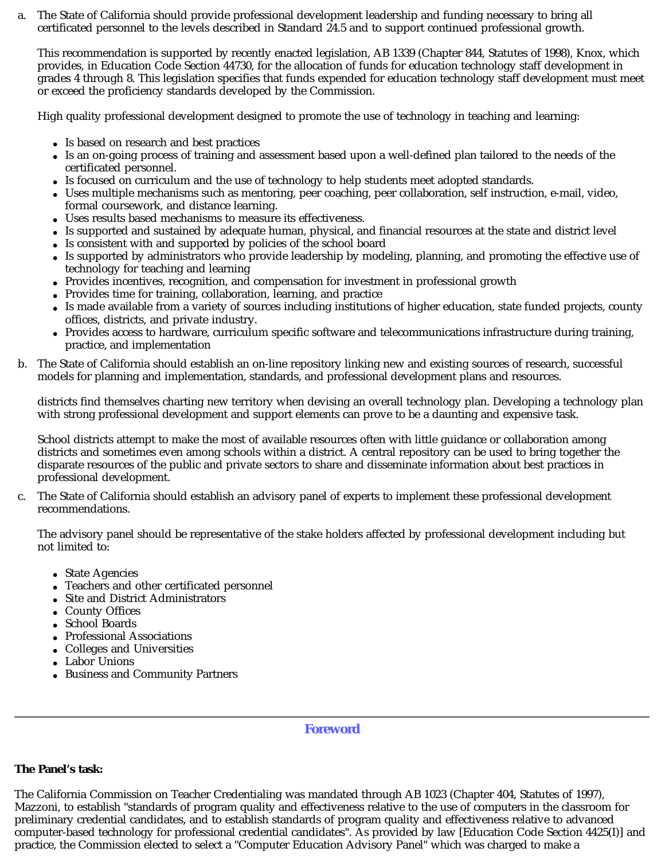a. The State of California should provide professional development leadership and funding necessary to bring all certificated personnel to the levels described in Standard 24.5 and to support continued professional growth.

This recommendation is supported by recently enacted legislation, AB 1339 (Chapter 844, Statutes of 1998), Knox, which provides, in Education Code Section 44730, for the allocation of funds for education technology staff development in grades 4 through 8. This legislation specifies that funds expended for education technology staff development must meet or exceed the proficiency standards developed by the Commission.

High quality professional development designed to promote the use of technology in teaching and learning:

- Is based on research and best practices
- Is an on-going process of training and assessment based upon a well-defined plan tailored to the needs of the certificated personnel.
- Is focused on curriculum and the use of technology to help students meet adopted standards.
- Uses multiple mechanisms such as mentoring, peer coaching, peer collaboration, self instruction, e-mail, video, formal coursework, and distance learning.
- Uses results based mechanisms to measure its effectiveness.
- Is supported and sustained by adequate human, physical, and financial resources at the state and district level  $\bullet$
- Is consistent with and supported by policies of the school board  $\bullet$
- Is supported by administrators who provide leadership by modeling, planning, and promoting the effective use of technology for teaching and learning
- Provides incentives, recognition, and compensation for investment in professional growth
- Provides time for training, collaboration, learning, and practice
- Is made available from a variety of sources including institutions of higher education, state funded projects, county offices, districts, and private industry.
- Provides access to hardware, curriculum specific software and telecommunications infrastructure during training, practice, and implementation
- b. The State of California should establish an on-line repository linking new and existing sources of research, successful models for planning and implementation, standards, and professional development plans and resources.

districts find themselves charting new territory when devising an overall technology plan. Developing a technology plan with strong professional development and support elements can prove to be a daunting and expensive task.

School districts attempt to make the most of available resources often with little guidance or collaboration among districts and sometimes even among schools within a district. A central repository can be used to bring together the disparate resources of the public and private sectors to share and disseminate information about best practices in professional development.

c. The State of California should establish an advisory panel of experts to implement these professional development recommendations.

The advisory panel should be representative of the stake holders affected by professional development including but not limited to:

- State Agencies
- Teachers and other certificated personnel
- Site and District Administrators
- County Offices
- School Boards
- Professional Associations
- Colleges and Universities
- Labor Unions
- Business and Community Partners

#### **Foreword**

#### **The Panel's task:**

The California Commission on Teacher Credentialing was mandated through AB 1023 (Chapter 404, Statutes of 1997), Mazzoni, to establish "standards of program quality and effectiveness relative to the use of computers in the classroom for preliminary credential candidates, and to establish standards of program quality and effectiveness relative to advanced computer-based technology for professional credential candidates". As provided by law [Education Code Section 4425(I)] and practice, the Commission elected to select a "Computer Education Advisory Panel" which was charged to make a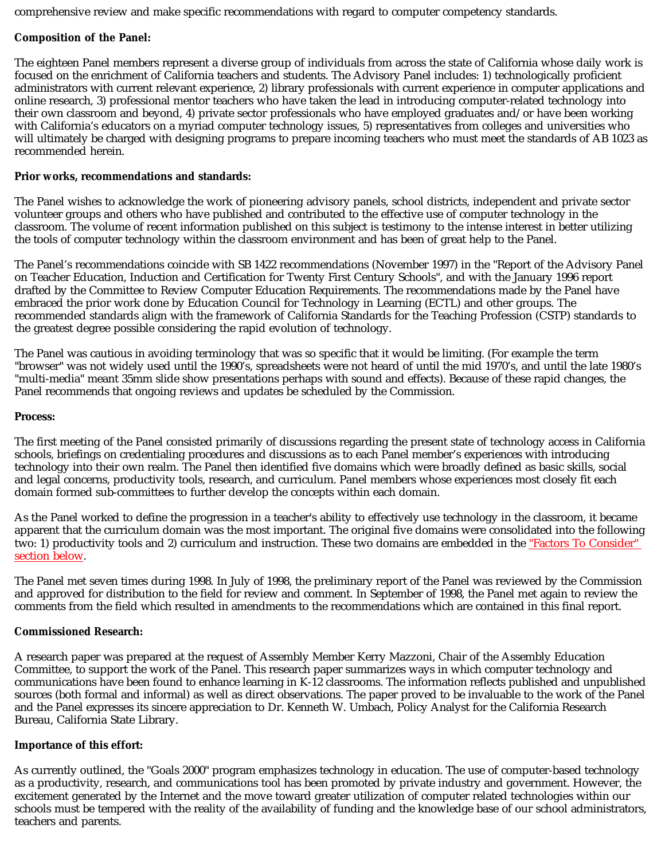comprehensive review and make specific recommendations with regard to computer competency standards.

#### **Composition of the Panel:**

The eighteen Panel members represent a diverse group of individuals from across the state of California whose daily work is focused on the enrichment of California teachers and students. The Advisory Panel includes: 1) technologically proficient administrators with current relevant experience, 2) library professionals with current experience in computer applications and online research, 3) professional mentor teachers who have taken the lead in introducing computer-related technology into their own classroom and beyond, 4) private sector professionals who have employed graduates and/or have been working with California's educators on a myriad computer technology issues, 5) representatives from colleges and universities who will ultimately be charged with designing programs to prepare incoming teachers who must meet the standards of AB 1023 as recommended herein.

#### **Prior works, recommendations and standards:**

The Panel wishes to acknowledge the work of pioneering advisory panels, school districts, independent and private sector volunteer groups and others who have published and contributed to the effective use of computer technology in the classroom. The volume of recent information published on this subject is testimony to the intense interest in better utilizing the tools of computer technology within the classroom environment and has been of great help to the Panel.

The Panel's recommendations coincide with SB 1422 recommendations (November 1997) in the "Report of the Advisory Panel on Teacher Education, Induction and Certification for Twenty First Century Schools", and with the January 1996 report drafted by the Committee to Review Computer Education Requirements. The recommendations made by the Panel have embraced the prior work done by Education Council for Technology in Learning (ECTL) and other groups. The recommended standards align with the framework of California Standards for the Teaching Profession (CSTP) standards to the greatest degree possible considering the rapid evolution of technology.

The Panel was cautious in avoiding terminology that was so specific that it would be limiting. (For example the term "browser" was not widely used until the 1990's, spreadsheets were not heard of until the mid 1970's, and until the late 1980's "multi-media" meant 35mm slide show presentations perhaps with sound and effects). Because of these rapid changes, the Panel recommends that ongoing reviews and updates be scheduled by the Commission.

#### **Process:**

The first meeting of the Panel consisted primarily of discussions regarding the present state of technology access in California schools, briefings on credentialing procedures and discussions as to each Panel member's experiences with introducing technology into their own realm. The Panel then identified five domains which were broadly defined as basic skills, social and legal concerns, productivity tools, research, and curriculum. Panel members whose experiences most closely fit each domain formed sub-committees to further develop the concepts within each domain.

As the Panel worked to define the progression in a teacher's ability to effectively use technology in the classroom, it became apparent that the curriculum domain was the most important. The original five domains were consolidated into the following two: 1) productivity tools and 2) curriculum and instruction. These two domains are embedded in the <u>"Factors To Consider"</u> section below.

The Panel met seven times during 1998. In July of 1998, the preliminary report of the Panel was reviewed by the Commission and approved for distribution to the field for review and comment. In September of 1998, the Panel met again to review the comments from the field which resulted in amendments to the recommendations which are contained in this final report.

#### **Commissioned Research:**

A research paper was prepared at the request of Assembly Member Kerry Mazzoni, Chair of the Assembly Education Committee, to support the work of the Panel. This research paper summarizes ways in which computer technology and communications have been found to enhance learning in K-12 classrooms. The information reflects published and unpublished sources (both formal and informal) as well as direct observations. The paper proved to be invaluable to the work of the Panel and the Panel expresses its sincere appreciation to Dr. Kenneth W. Umbach, Policy Analyst for the California Research Bureau, California State Library.

#### **Importance of this effort:**

As currently outlined, the "Goals 2000" program emphasizes technology in education. The use of computer-based technology as a productivity, research, and communications tool has been promoted by private industry and government. However, the excitement generated by the Internet and the move toward greater utilization of computer related technologies within our schools must be tempered with the reality of the availability of funding and the knowledge base of our school administrators, teachers and parents.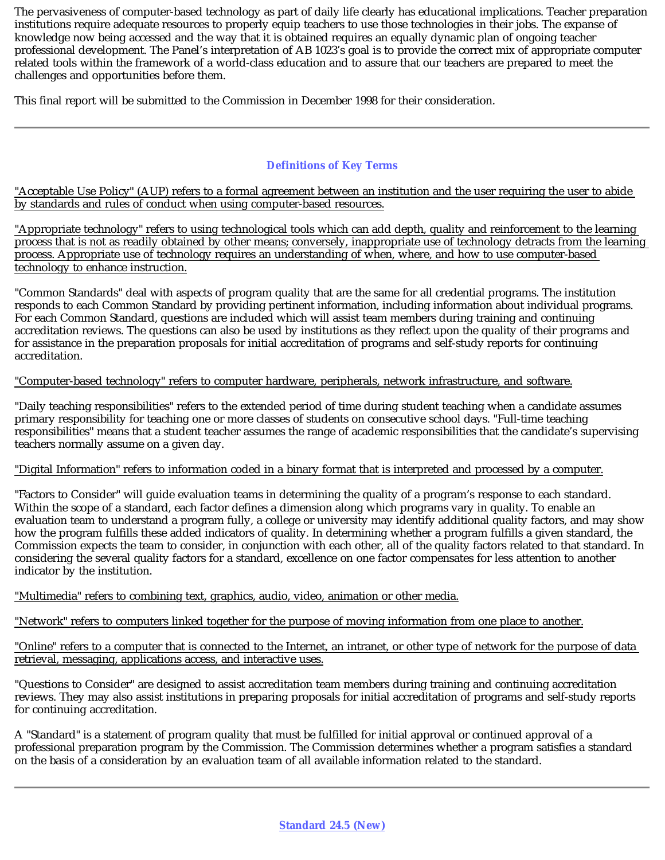The pervasiveness of computer-based technology as part of daily life clearly has educational implications. Teacher preparation institutions require adequate resources to properly equip teachers to use those technologies in their jobs. The expanse of knowledge now being accessed and the way that it is obtained requires an equally dynamic plan of ongoing teacher professional development. The Panel's interpretation of AB 1023's goal is to provide the correct mix of appropriate computer related tools within the framework of a world-class education and to assure that our teachers are prepared to meet the challenges and opportunities before them.

This final report will be submitted to the Commission in December 1998 for their consideration.

### **Definitions of Key Terms**

"Acceptable Use Policy" (AUP) refers to a formal agreement between an institution and the user requiring the user to abide by standards and rules of conduct when using computer-based resources.

"Appropriate technology" refers to using technological tools which can add depth, quality and reinforcement to the learning process that is not as readily obtained by other means; conversely, inappropriate use of technology detracts from the learning process. Appropriate use of technology requires an understanding of when, where, and how to use computer-based technology to enhance instruction.

"Common Standards" deal with aspects of program quality that are the same for all credential programs. The institution responds to each Common Standard by providing pertinent information, including information about individual programs. For each Common Standard, questions are included which will assist team members during training and continuing accreditation reviews. The questions can also be used by institutions as they reflect upon the quality of their programs and for assistance in the preparation proposals for initial accreditation of programs and self-study reports for continuing accreditation.

### "Computer-based technology" refers to computer hardware, peripherals, network infrastructure, and software.

"Daily teaching responsibilities" refers to the extended period of time during student teaching when a candidate assumes primary responsibility for teaching one or more classes of students on consecutive school days. "Full-time teaching responsibilities" means that a student teacher assumes the range of academic responsibilities that the candidate's supervising teachers normally assume on a given day.

### "Digital Information" refers to information coded in a binary format that is interpreted and processed by a computer.

"Factors to Consider" will guide evaluation teams in determining the quality of a program's response to each standard. Within the scope of a standard, each factor defines a dimension along which programs vary in quality. To enable an evaluation team to understand a program fully, a college or university may identify additional quality factors, and may show how the program fulfills these added indicators of quality. In determining whether a program fulfills a given standard, the Commission expects the team to consider, in conjunction with each other, all of the quality factors related to that standard. In considering the several quality factors for a standard, excellence on one factor compensates for less attention to another indicator by the institution.

"Multimedia" refers to combining text, graphics, audio, video, animation or other media.

"Network" refers to computers linked together for the purpose of moving information from one place to another.

"Online" refers to a computer that is connected to the Internet, an intranet, or other type of network for the purpose of data retrieval, messaging, applications access, and interactive uses.

"Questions to Consider" are designed to assist accreditation team members during training and continuing accreditation reviews. They may also assist institutions in preparing proposals for initial accreditation of programs and self-study reports for continuing accreditation.

A "Standard" is a statement of program quality that must be fulfilled for initial approval or continued approval of a professional preparation program by the Commission. The Commission determines whether a program satisfies a standard on the basis of a consideration by an evaluation team of all available information related to the standard.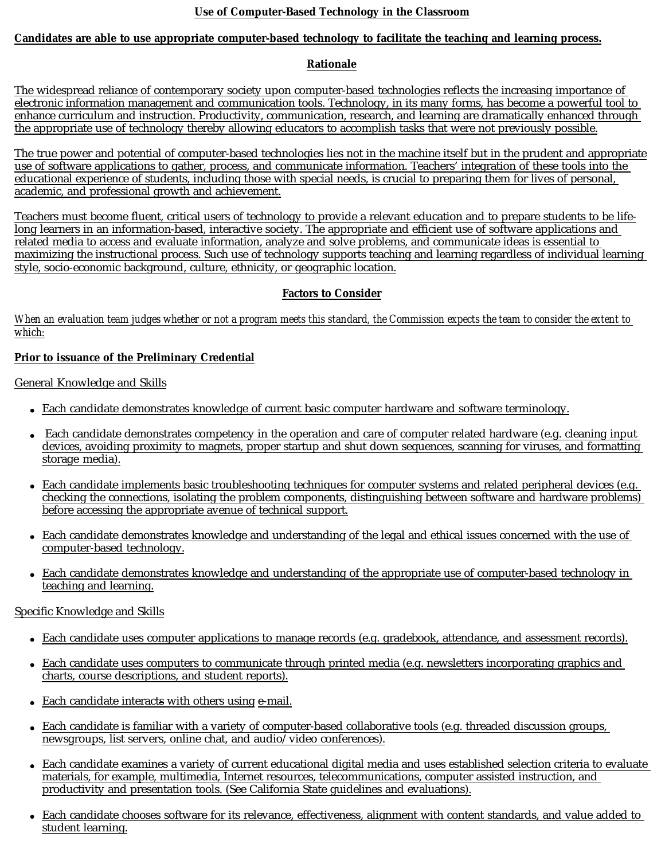## **Use of Computer-Based Technology in the Classroom**

## **Candidates are able to use appropriate computer-based technology to facilitate the teaching and learning process.**

## **Rationale**

The widespread reliance of contemporary society upon computer-based technologies reflects the increasing importance of electronic information management and communication tools. Technology, in its many forms, has become a powerful tool to enhance curriculum and instruction. Productivity, communication, research, and learning are dramatically enhanced through the appropriate use of technology thereby allowing educators to accomplish tasks that were not previously possible.

The true power and potential of computer-based technologies lies not in the machine itself but in the prudent and appropriate use of software applications to gather, process, and communicate information. Teachers' integration of these tools into the educational experience of students, including those with special needs, is crucial to preparing them for lives of personal, academic, and professional growth and achievement.

Teachers must become fluent, critical users of technology to provide a relevant education and to prepare students to be lifelong learners in an information-based, interactive society. The appropriate and efficient use of software applications and related media to access and evaluate information, analyze and solve problems, and communicate ideas is essential to maximizing the instructional process. Such use of technology supports teaching and learning regardless of individual learning style, socio-economic background, culture, ethnicity, or geographic location.

## **Factors to Consider**

*When an evaluation team judges whether or not a program meets this standard, the Commission expects the team to consider the extent to which:*

## **Prior to issuance of the Preliminary Credential**

General Knowledge and Skills

- Each candidate demonstrates knowledge of current basic computer hardware and software terminology.
- Each candidate demonstrates competency in the operation and care of computer related hardware (e.g. cleaning input devices, avoiding proximity to magnets, proper startup and shut down sequences, scanning for viruses, and formatting storage media).
- Each candidate implements basic troubleshooting techniques for computer systems and related peripheral devices (e.g. checking the connections, isolating the problem components, distinguishing between software and hardware problems) before accessing the appropriate avenue of technical support.
- Each candidate demonstrates knowledge and understanding of the legal and ethical issues concerned with the use of computer-based technology.
- Each candidate demonstrates knowledge and understanding of the appropriate use of computer-based technology in teaching and learning.

## Specific Knowledge and Skills

- Each candidate uses computer applications to manage records (e.g. gradebook, attendance, and assessment records).
- Each candidate uses computers to communicate through printed media (e.g. newsletters incorporating graphics and charts, course descriptions, and student reports).
- $\bullet$  Each candidate interacts with others using e-mail.
- Each candidate is familiar with a variety of computer-based collaborative tools (e.g. threaded discussion groups, newsgroups, list servers, online chat, and audio/video conferences).
- Each candidate examines a variety of current educational digital media and uses established selection criteria to evaluate materials, for example, multimedia, Internet resources, telecommunications, computer assisted instruction, and productivity and presentation tools. (See California State guidelines and evaluations).
- Each candidate chooses software for its relevance, effectiveness, alignment with content standards, and value added to student learning.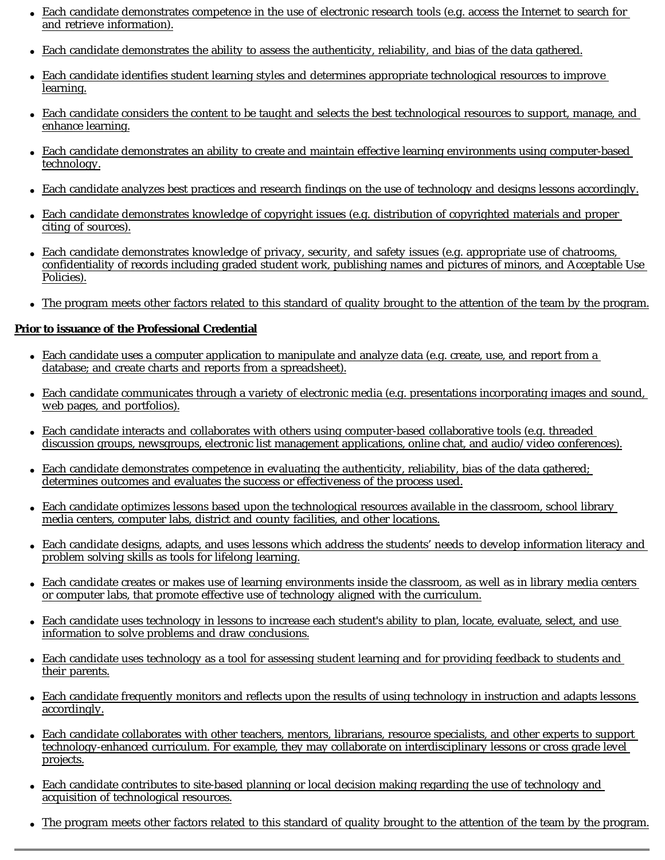- Each candidate demonstrates competence in the use of electronic research tools (e.g. access the Internet to search for and retrieve information).
- Each candidate demonstrates the ability to assess the authenticity, reliability, and bias of the data gathered.
- Each candidate identifies student learning styles and determines appropriate technological resources to improve learning.
- Each candidate considers the content to be taught and selects the best technological resources to support, manage, and enhance learning.
- Each candidate demonstrates an ability to create and maintain effective learning environments using computer-based technology.
- Each candidate analyzes best practices and research findings on the use of technology and designs lessons accordingly.
- Each candidate demonstrates knowledge of copyright issues (e.g. distribution of copyrighted materials and proper citing of sources).
- Each candidate demonstrates knowledge of privacy, security, and safety issues (e.g. appropriate use of chatrooms, confidentiality of records including graded student work, publishing names and pictures of minors, and Acceptable Use Policies).
- The program meets other factors related to this standard of quality brought to the attention of the team by the program.

## **Prior to issuance of the Professional Credential**

- Each candidate uses a computer application to manipulate and analyze data (e.g. create, use, and report from a database; and create charts and reports from a spreadsheet).
- Each candidate communicates through a variety of electronic media (e.g. presentations incorporating images and sound, web pages, and portfolios).
- Each candidate interacts and collaborates with others using computer-based collaborative tools (e.g. threaded discussion groups, newsgroups, electronic list management applications, online chat, and audio/video conferences).
- Each candidate demonstrates competence in evaluating the authenticity, reliability, bias of the data gathered; determines outcomes and evaluates the success or effectiveness of the process used.
- Each candidate optimizes lessons based upon the technological resources available in the classroom, school library media centers, computer labs, district and county facilities, and other locations.
- Each candidate designs, adapts, and uses lessons which address the students' needs to develop information literacy and problem solving skills as tools for lifelong learning.
- Each candidate creates or makes use of learning environments inside the classroom, as well as in library media centers or computer labs, that promote effective use of technology aligned with the curriculum.
- Each candidate uses technology in lessons to increase each student's ability to plan, locate, evaluate, select, and use information to solve problems and draw conclusions.
- Each candidate uses technology as a tool for assessing student learning and for providing feedback to students and their parents.
- Each candidate frequently monitors and reflects upon the results of using technology in instruction and adapts lessons accordingly.
- Each candidate collaborates with other teachers, mentors, librarians, resource specialists, and other experts to support technology-enhanced curriculum. For example, they may collaborate on interdisciplinary lessons or cross grade level projects.
- Each candidate contributes to site-based planning or local decision making regarding the use of technology and acquisition of technological resources.
- The program meets other factors related to this standard of quality brought to the attention of the team by the program.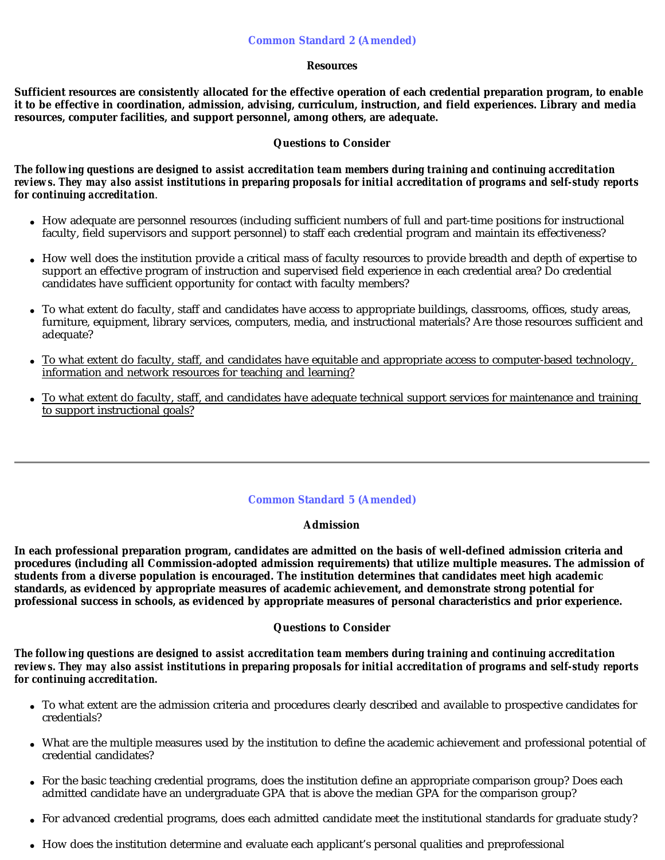#### **Common Standard 2 (Amended)**

#### **Resources**

**Sufficient resources are consistently allocated for the effective operation of each credential preparation program, to enable it to be effective in coordination, admission, advising, curriculum, instruction, and field experiences. Library and media resources, computer facilities, and support personnel, among others, are adequate.**

#### **Questions to Consider**

*The following questions are designed to assist accreditation team members during training and continuing accreditation reviews. They may also assist institutions in preparing proposals for initial accreditation of programs and self-study reports for continuing accreditation.*

- How adequate are personnel resources (including sufficient numbers of full and part-time positions for instructional faculty, field supervisors and support personnel) to staff each credential program and maintain its effectiveness?
- How well does the institution provide a critical mass of faculty resources to provide breadth and depth of expertise to support an effective program of instruction and supervised field experience in each credential area? Do credential candidates have sufficient opportunity for contact with faculty members?
- To what extent do faculty, staff and candidates have access to appropriate buildings, classrooms, offices, study areas, furniture, equipment, library services, computers, media, and instructional materials? Are those resources sufficient and adequate?
- To what extent do faculty, staff, and candidates have equitable and appropriate access to computer-based technology, information and network resources for teaching and learning?
- To what extent do faculty, staff, and candidates have adequate technical support services for maintenance and training to support instructional goals?

### **Common Standard 5 (Amended)**

#### **Admission**

**In each professional preparation program, candidates are admitted on the basis of well-defined admission criteria and procedures (including all Commission-adopted admission requirements) that utilize multiple measures. The admission of students from a diverse population is encouraged. The institution determines that candidates meet high academic standards, as evidenced by appropriate measures of academic achievement, and demonstrate strong potential for professional success in schools, as evidenced by appropriate measures of personal characteristics and prior experience.**

#### **Questions to Consider**

*The following questions are designed to assist accreditation team members during training and continuing accreditation reviews. They may also assist institutions in preparing proposals for initial accreditation of programs and self-study reports for continuing accreditation.*

- To what extent are the admission criteria and procedures clearly described and available to prospective candidates for credentials?
- What are the multiple measures used by the institution to define the academic achievement and professional potential of credential candidates?
- For the basic teaching credential programs, does the institution define an appropriate comparison group? Does each admitted candidate have an undergraduate GPA that is above the median GPA for the comparison group?
- For advanced credential programs, does each admitted candidate meet the institutional standards for graduate study?
- How does the institution determine and evaluate each applicant's personal qualities and preprofessional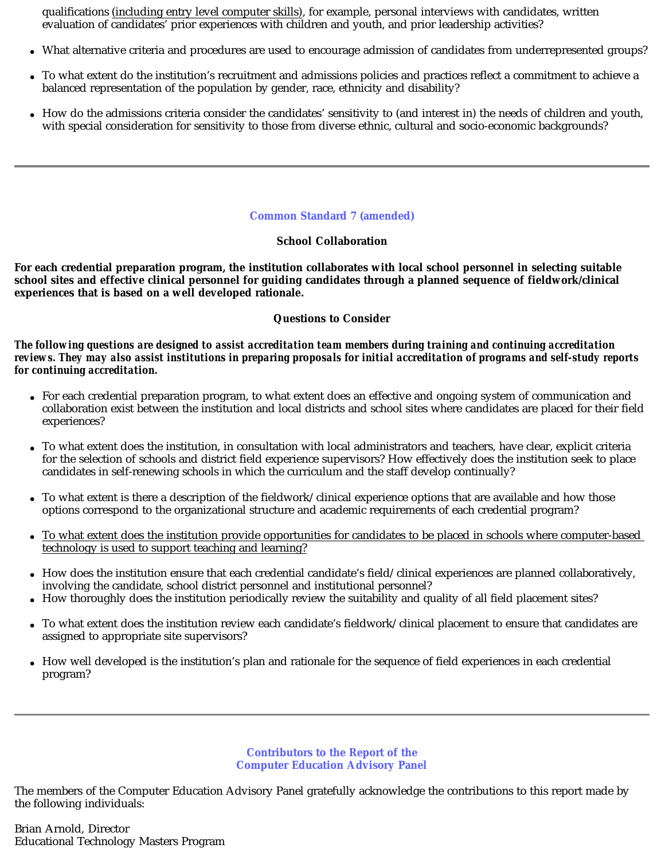qualifications <u>(including entry level computer skills),</u> for example, personal interviews with candidates, written evaluation of candidates' prior experiences with children and youth, and prior leadership activities?

- What alternative criteria and procedures are used to encourage admission of candidates from underrepresented groups?
- To what extent do the institution's recruitment and admissions policies and practices reflect a commitment to achieve a balanced representation of the population by gender, race, ethnicity and disability?
- How do the admissions criteria consider the candidates' sensitivity to (and interest in) the needs of children and youth, with special consideration for sensitivity to those from diverse ethnic, cultural and socio-economic backgrounds?

#### **Common Standard 7 (amended)**

#### **School Collaboration**

**For each credential preparation program, the institution collaborates with local school personnel in selecting suitable school sites and effective clinical personnel for guiding candidates through a planned sequence of fieldwork/clinical experiences that is based on a well developed rationale.**

#### **Questions to Consider**

*The following questions are designed to assist accreditation team members during training and continuing accreditation reviews. They may also assist institutions in preparing proposals for initial accreditation of programs and self-study reports for continuing accreditation.*

- For each credential preparation program, to what extent does an effective and ongoing system of communication and collaboration exist between the institution and local districts and school sites where candidates are placed for their field experiences?
- To what extent does the institution, in consultation with local administrators and teachers, have clear, explicit criteria for the selection of schools and district field experience supervisors? How effectively does the institution seek to place candidates in self-renewing schools in which the curriculum and the staff develop continually?
- To what extent is there a description of the fieldwork/clinical experience options that are available and how those options correspond to the organizational structure and academic requirements of each credential program?
- To what extent does the institution provide opportunities for candidates to be placed in schools where computer-based technology is used to support teaching and learning?
- How does the institution ensure that each credential candidate's field/clinical experiences are planned collaboratively, involving the candidate, school district personnel and institutional personnel?
- How thoroughly does the institution periodically review the suitability and quality of all field placement sites?
- To what extent does the institution review each candidate's fieldwork/clinical placement to ensure that candidates are assigned to appropriate site supervisors?
- How well developed is the institution's plan and rationale for the sequence of field experiences in each credential program?

**Contributors to the Report of the Computer Education Advisory Panel**

The members of the Computer Education Advisory Panel gratefully acknowledge the contributions to this report made by the following individuals: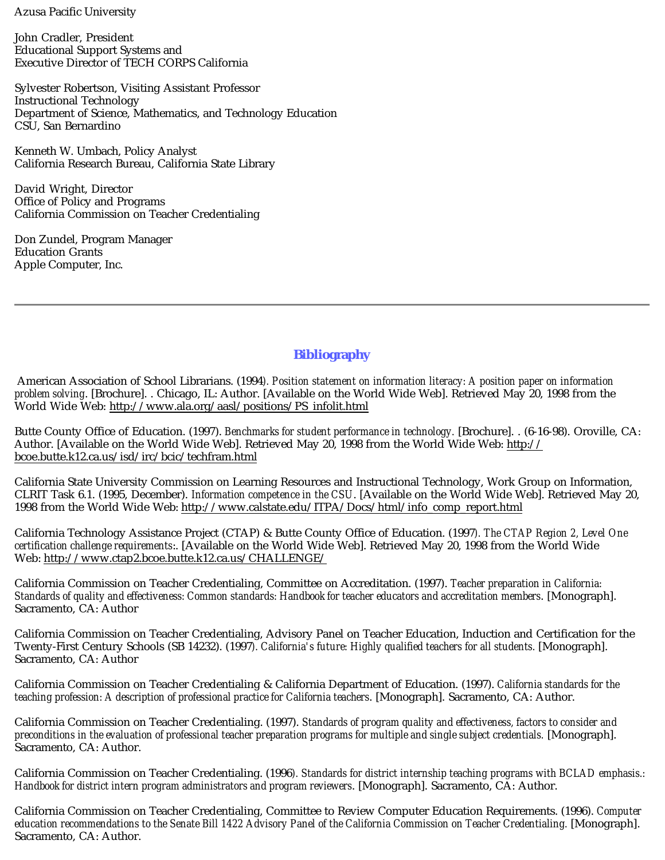Azusa Pacific University

John Cradler, President Educational Support Systems and Executive Director of TECH CORPS California

Sylvester Robertson, Visiting Assistant Professor Instructional Technology Department of Science, Mathematics, and Technology Education CSU, San Bernardino

Kenneth W. Umbach, Policy Analyst California Research Bureau, California State Library

David Wright, Director Office of Policy and Programs California Commission on Teacher Credentialing

Don Zundel, Program Manager Education Grants Apple Computer, Inc.

## **Bibliography**

American Association of School Librarians. (1994*). Position statement on information literacy: A position paper on information* problem solving. [Brochure]. . Chicago, IL: Author. [Available on the World Wide Web]. Retrieved May 20, 1998 from the World Wide Web: <u>http://www.ala.org/aasl/positions/PS\_infolit.html</u>

Butte County Office of Education. (1997). *Benchmarks for student performance in technology.* [Brochure]. . (6-16-98). Oroville, CA: Author. [Available on the World Wide Web]. Retrieved May 20, 1998 from the World Wide Web: <u>http://</u> bcoe.butte.k12.ca.us/isd/irc/bcic/techfram.html

California State University Commission on Learning Resources and Instructional Technology, Work Group on Information, CLRIT Task 6.1. (1995, December). *Information competence in the CSU*. [Available on the World Wide Web]. Retrieved May 20, 1998 from the World Wide Web: http://www.calstate.edu/ITPA/Docs/html/info\_comp\_report.html

California Technology Assistance Project (CTAP) & Butte County Office of Education. (1997 *). The CTAP Region 2, Level One*  certification challenge requirements. [Available on the World Wide Web]. Retrieved May 20, 1998 from the World Wide Web: http://www.ctap2.bcoe.butte.k12.ca.us/CHALLENGE/

California Commission on Teacher Credentialing, Committee on Accreditation. (1997). *Teacher preparation in California:*  . [Monograph]. *Standards of quality and effectiveness: Common standards: Handbook for teacher educators and accreditation members* Sacramento, CA: Author

California Commission on Teacher Credentialing, Advisory Panel on Teacher Education, Induction and Certification for the Twenty-First Century Schools (SB 14232). (1997*). California's future: Highly qualified teachers for all students.* [Monograph]. Sacramento, CA: Author

California Commission on Teacher Credentialing & California Department of Education. (1997). *California standards for the*  teaching profession: A description of professional practice for California teachers. [Monograph]. Sacramento, CA: Author.

California Commission on Teacher Credentialing. (1997). *Standards of program quality and effectiveness, factors to consider and*  preconditions in the evaluation of professional teacher preparation programs for multiple and single subject credentials. [Monograph]. Sacramento, CA: Author.

California Commission on Teacher Credentialing. (1996 *). Standards for district internship teaching programs with BCLAD emphasis.:*  Handbook for district intern program administrators and program reviewers. [Monograph]. Sacramento, CA: Author.

California Commission on Teacher Credentialing, Committee to Review Computer Education Requirements. (1996). *Computer education recommendations to the Senate Bill 1422 Advisory Panel of the California Commission on Teacher Credentialing.* [Monograph]. Sacramento, CA: Author.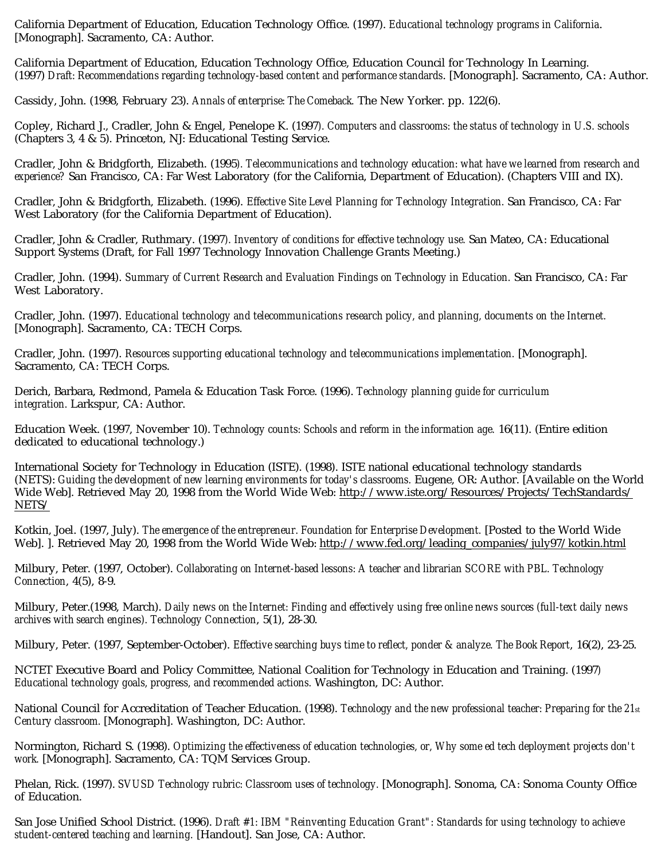California Department of Education, Education Technology Office. (1997). *Educational technology programs in California*. [Monograph]. Sacramento, CA: Author.

California Department of Education, Education Technology Office, Education Council for Technology In Learning. (1997) *Draft: Recommendations regarding technology-based content and performance standards*. [Monograph]. Sacramento, CA: Author.

Cassidy, John. (1998, February 23). *Annals of enterprise: The Comeback*. The New Yorker. pp. 122(6).

Copley, Richard J., Cradler, John & Engel, Penelope K. (1997 *). Computers and classrooms: the status of technology in U.S. schools* (Chapters 3, 4 & 5). Princeton, NJ: Educational Testing Service.

Cradler, John & Bridgforth, Elizabeth. (1995 *). Telecommunications and technology education: what have we learned from research and*  experience? San Francisco, CA: Far West Laboratory (for the California, Department of Education). (Chapters VIII and IX).

Cradler, John & Bridgforth, Elizabeth. (1996). *Effective Site Level Planning for Technology Integration.* San Francisco, CA: Far West Laboratory (for the California Department of Education).

Cradler, John & Cradler, Ruthmary. (1997*). Inventory of conditions for effective technology use.* San Mateo, CA: Educational Support Systems (Draft, for Fall 1997 Technology Innovation Challenge Grants Meeting.)

Cradler, John. (1994). *Summary of Current Research and Evaluation Findings on Technology in Education.* San Francisco, CA: Far West Laboratory.

Cradler, John. (1997). *Educational technology and telecommunications research policy, and planning, documents on the Internet.* [Monograph]. Sacramento, CA: TECH Corps.

Cradler, John. (1997). *Resources supporting educational technology and telecommunications implementation.* [Monograph]. Sacramento, CA: TECH Corps.

Derich, Barbara, Redmond, Pamela & Education Task Force. (1996). *Technology planning guide for curriculum* integration. Larkspur, CA: Author.

Education Week. (1997, November 10). *Technology counts: Schools and reform in the information age.* 16(11). (Entire edition dedicated to educational technology.)

International Society for Technology in Education (ISTE). (1998). ISTE national educational technology standards (NETS): *Guiding the development of new learning environments for today's classrooms.* Eugene, OR: Author. [Available on the World Wide Web]. Retrieved May 20, 1998 from the World Wide Web: <u>http://www.iste.org/Resources/Projects/TechStandards/</u> NETS/

Kotkin, Joel. (1997, July). *The emergence of the entrepreneur. Foundation for Enterprise Development.* [Posted to the World Wide Web]. ]. Retrieved May 20, 1998 from the World Wide Web: <u>http://www.fed.org/leading\_companies/july97/kotkin.html</u>

Milbury, Peter. (1997, October). *Collaborating on Internet-based lessons: A teacher and librarian SCORE with PBL. Technology*  , 4(5), 8-9. *Connection*

Milbury, Peter.(1998, March). *Daily news on the Internet: Finding and effectively using free online news sources (full-text daily news*  , 5(1), 28-30. *archives with search engines). Technology Connection*

Milbury, Peter. (1997, September-October). *Effective searching buys time to reflect, ponder & analyze. The Book Report*, 16(2), 23-25.

NCTET Executive Board and Policy Committee, National Coalition for Technology in Education and Training. (1997 *)*  Educational technology goals, progress, and recommended actions. Washington, DC: Author.

National Council for Accreditation of Teacher Education. (1998). *Technology and the new professional teacher: Preparing for the 21st* Century classroom. [Monograph]. Washington, DC: Author.

Normington, Richard S. (1998). *Optimizing the effectiveness of education technologies, or, Why some ed tech deployment projects don't*  work. [Monograph]. Sacramento, CA: TQM Services Group.

Phelan, Rick. (1997). *SVUSD Technology rubric: Classroom uses of technology.* [Monograph]. Sonoma, CA: Sonoma County Office of Education.

San Jose Unified School District. (1996). *Draft #1: IBM "Reinventing Education Grant": Standards for using technology to achieve student-centered teaching and learning.* [Handout]. San Jose, CA: Author.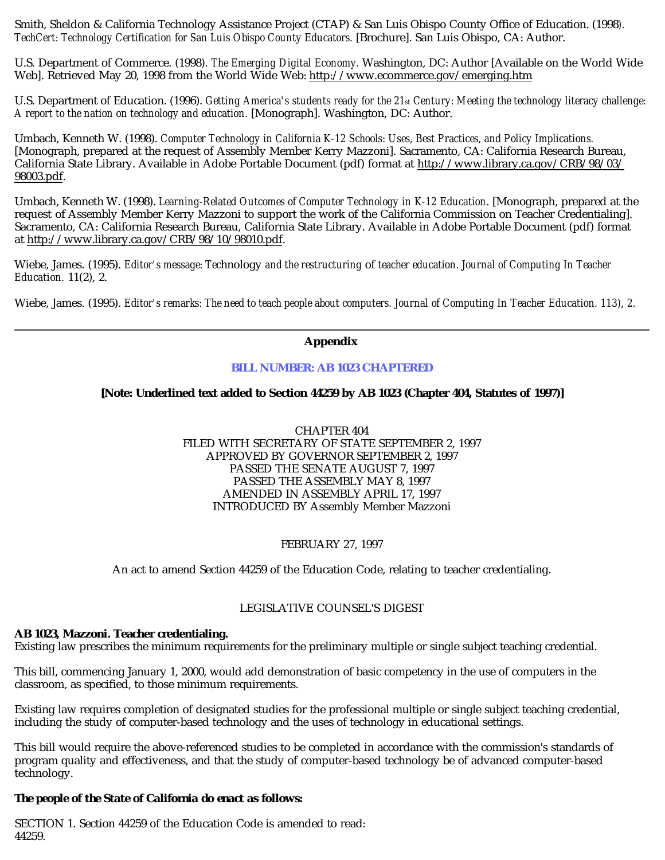Smith, Sheldon & California Technology Assistance Project (CTAP) & San Luis Obispo County Office of Education. (1998 *).*  TechCert: Technology Certification for San Luis Obispo County Educators. [Brochure]. San Luis Obispo, CA: Author.

U.S. Department of Commerce. (1998). *The Emerging Digital Economy.* Washington, DC: Author [Available on the World Wide Web]. Retrieved May 20, 1998 from the World Wide Web: <u>http://www.ecommerce.gov/emerging.htm</u>

U.S. Department of Education. (1996). *Getting America's students ready for the 21<sub>st</sub> Century: Meeting the technology literacy challenge:* A report to the nation on technology and education. [Monograph]. Washington, DC: Author.

Umbach, Kenneth W. (1998). *Computer Technology in California K-12 Schools: Uses, Best Practices, and Policy Implications.* [Monograph, prepared at the request of Assembly Member Kerry Mazzoni]. Sacramento, CA: California Research Bureau, California State Library. Available in Adobe Portable Document (pdf) format at http://www.library.ca.gov/CRB/98/03/ <u>98003.pdf</u>.

Umbach, Kenneth W. (1998). *Learning-Related Outcomes of Computer Technology in K-12 Education*. [Monograph, prepared at the request of Assembly Member Kerry Mazzoni to support the work of the California Commission on Teacher Credentialing]. Sacramento, CA: California Research Bureau, California State Library. Available in Adobe Portable Document (pdf) format at http://www.library.ca.gov/CRB/98/10/98010.pdf.

Wiebe, James. (1995). *Editor's message: Tec*hnology *and the restructuring* of *teacher education. Journal of Computing In Teacher* 11(2), 2. *Education.*

Wiebe, James. (1995). *Editor's remarks: The need to teach people about computers. Journal of Computing In Teacher Education. 113), 2.*

#### **Appendix**

#### **BILL NUMBER: AB 1023 CHAPTERED**

#### **[Note: Underlined text added to Section 44259 by AB 1023 (Chapter 404, Statutes of 1997)]**

CHAPTER 404 FILED WITH SECRETARY OF STATE SEPTEMBER 2, 1997 APPROVED BY GOVERNOR SEPTEMBER 2, 1997 PASSED THE SENATE AUGUST 7, 1997 PASSED THE ASSEMBLY MAY 8, 1997 AMENDED IN ASSEMBLY APRIL 17, 1997 INTRODUCED BY Assembly Member Mazzoni

#### FEBRUARY 27, 1997

An act to amend Section 44259 of the Education Code, relating to teacher credentialing.

#### LEGISLATIVE COUNSEL'S DIGEST

#### **AB 1023, Mazzoni. Teacher credentialing.**

Existing law prescribes the minimum requirements for the preliminary multiple or single subject teaching credential.

This bill, commencing January 1, 2000, would add demonstration of basic competency in the use of computers in the classroom, as specified, to those minimum requirements.

Existing law requires completion of designated studies for the professional multiple or single subject teaching credential, including the study of computer-based technology and the uses of technology in educational settings.

This bill would require the above-referenced studies to be completed in accordance with the commission's standards of program quality and effectiveness, and that the study of computer-based technology be of advanced computer-based technology.

### *The people of the State of California do enact as follows:*

SECTION 1. Section 44259 of the Education Code is amended to read: 44259.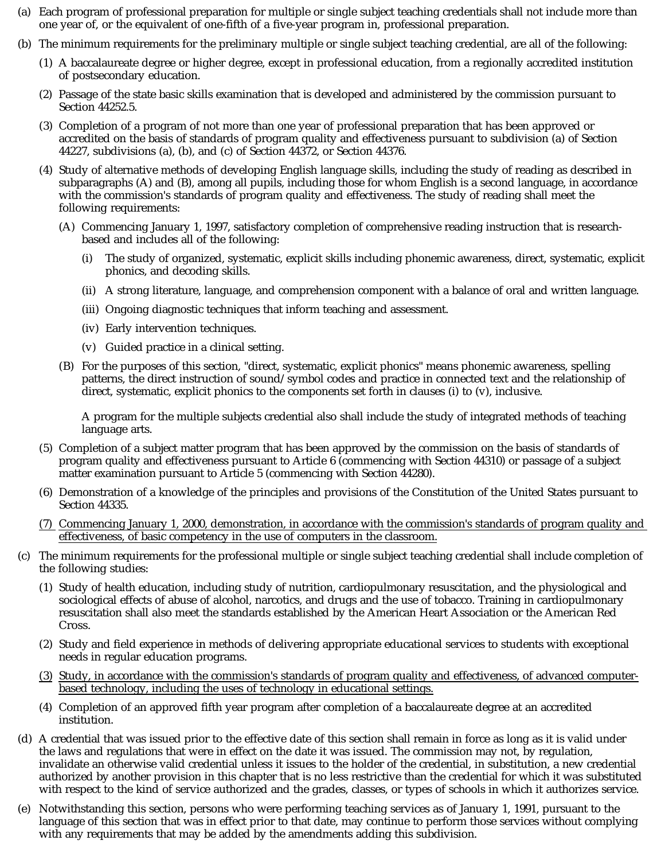- (a) Each program of professional preparation for multiple or single subject teaching credentials shall not include more than one year of, or the equivalent of one-fifth of a five-year program in, professional preparation.
- (b) The minimum requirements for the preliminary multiple or single subject teaching credential, are all of the following:
	- (1) A baccalaureate degree or higher degree, except in professional education, from a regionally accredited institution of postsecondary education.
	- (2) Passage of the state basic skills examination that is developed and administered by the commission pursuant to Section 44252.5.
	- (3) Completion of a program of not more than one year of professional preparation that has been approved or accredited on the basis of standards of program quality and effectiveness pursuant to subdivision (a) of Section 44227, subdivisions (a), (b), and (c) of Section 44372, or Section 44376.
	- (4) Study of alternative methods of developing English language skills, including the study of reading as described in subparagraphs (A) and (B), among all pupils, including those for whom English is a second language, in accordance with the commission's standards of program quality and effectiveness. The study of reading shall meet the following requirements:
		- (A) Commencing January 1, 1997, satisfactory completion of comprehensive reading instruction that is researchbased and includes all of the following:
			- (i) The study of organized, systematic, explicit skills including phonemic awareness, direct, systematic, explicit phonics, and decoding skills.
			- (ii) A strong literature, language, and comprehension component with a balance of oral and written language.
			- (iii) Ongoing diagnostic techniques that inform teaching and assessment.
			- (iv) Early intervention techniques.
			- (v) Guided practice in a clinical setting.
		- (B) For the purposes of this section, "direct, systematic, explicit phonics" means phonemic awareness, spelling patterns, the direct instruction of sound/symbol codes and practice in connected text and the relationship of direct, systematic, explicit phonics to the components set forth in clauses (i) to (v), inclusive.

A program for the multiple subjects credential also shall include the study of integrated methods of teaching language arts.

- (5) Completion of a subject matter program that has been approved by the commission on the basis of standards of program quality and effectiveness pursuant to Article 6 (commencing with Section 44310) or passage of a subject matter examination pursuant to Article 5 (commencing with Section 44280).
- (6) Demonstration of a knowledge of the principles and provisions of the Constitution of the United States pursuant to Section 44335.
- (7) Commencing January 1, 2000, demonstration, in accordance with the commission's standards of program quality and effectiveness, of basic competency in the use of computers in the classroom.
- (c) The minimum requirements for the professional multiple or single subject teaching credential shall include completion of the following studies:
	- (1) Study of health education, including study of nutrition, cardiopulmonary resuscitation, and the physiological and sociological effects of abuse of alcohol, narcotics, and drugs and the use of tobacco. Training in cardiopulmonary resuscitation shall also meet the standards established by the American Heart Association or the American Red Cross.
	- (2) Study and field experience in methods of delivering appropriate educational services to students with exceptional needs in regular education programs.
	- (3) Study, in accordance with the commission's standards of program quality and effectiveness, of advanced computerbased technology, including the uses of technology in educational settings.
	- (4) Completion of an approved fifth year program after completion of a baccalaureate degree at an accredited institution.
- (d) A credential that was issued prior to the effective date of this section shall remain in force as long as it is valid under the laws and regulations that were in effect on the date it was issued. The commission may not, by regulation, invalidate an otherwise valid credential unless it issues to the holder of the credential, in substitution, a new credential authorized by another provision in this chapter that is no less restrictive than the credential for which it was substituted with respect to the kind of service authorized and the grades, classes, or types of schools in which it authorizes service.
- (e) Notwithstanding this section, persons who were performing teaching services as of January 1, 1991, pursuant to the language of this section that was in effect prior to that date, may continue to perform those services without complying with any requirements that may be added by the amendments adding this subdivision.